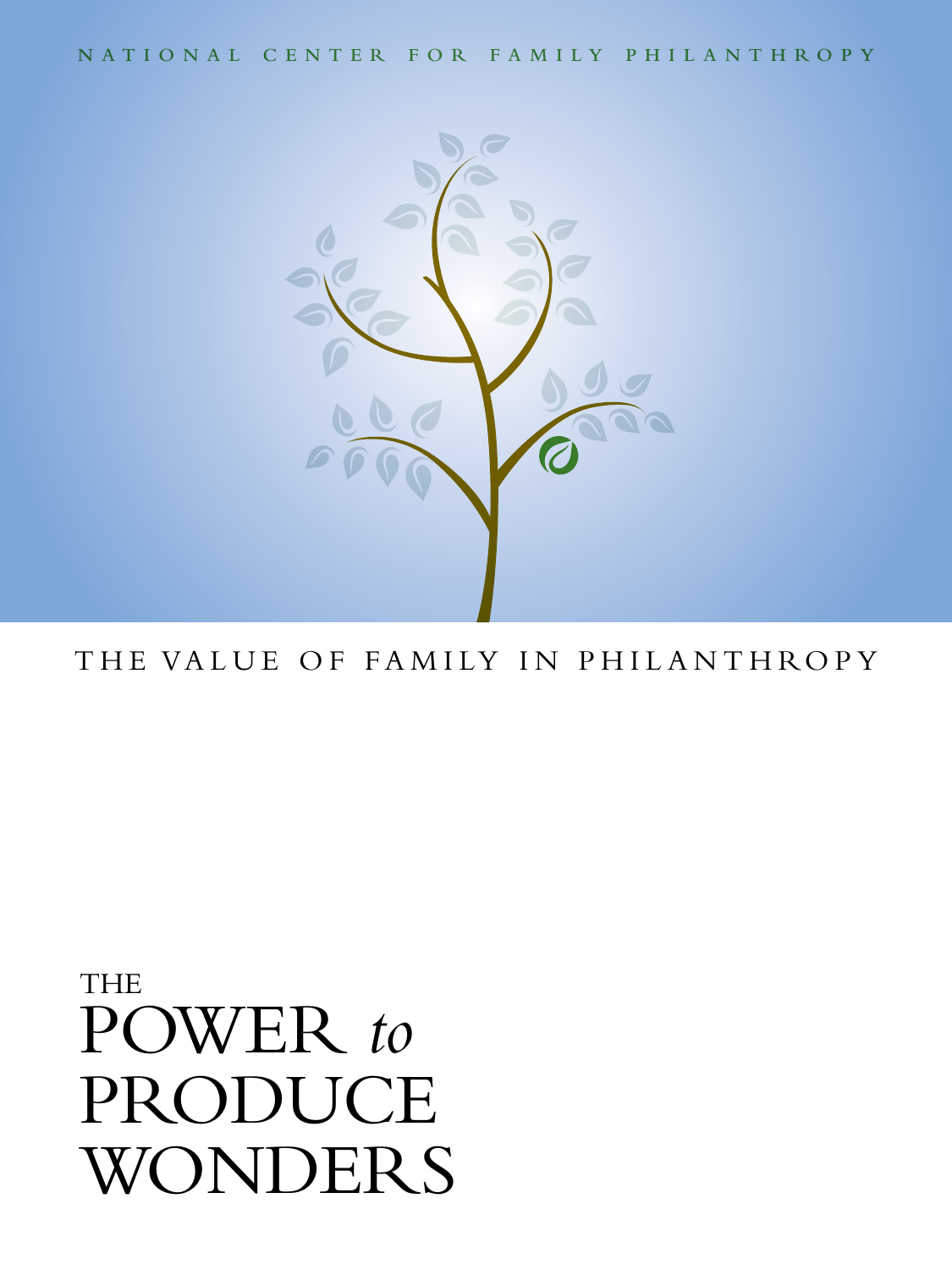**N a t i o n a l C e n t e r f o r F a m i l y P h i l a n t h r o p y**



# THE VALUE OF FAMILY IN PHILANTHROPY

# THE POWER *to* PRODUCE WONDERS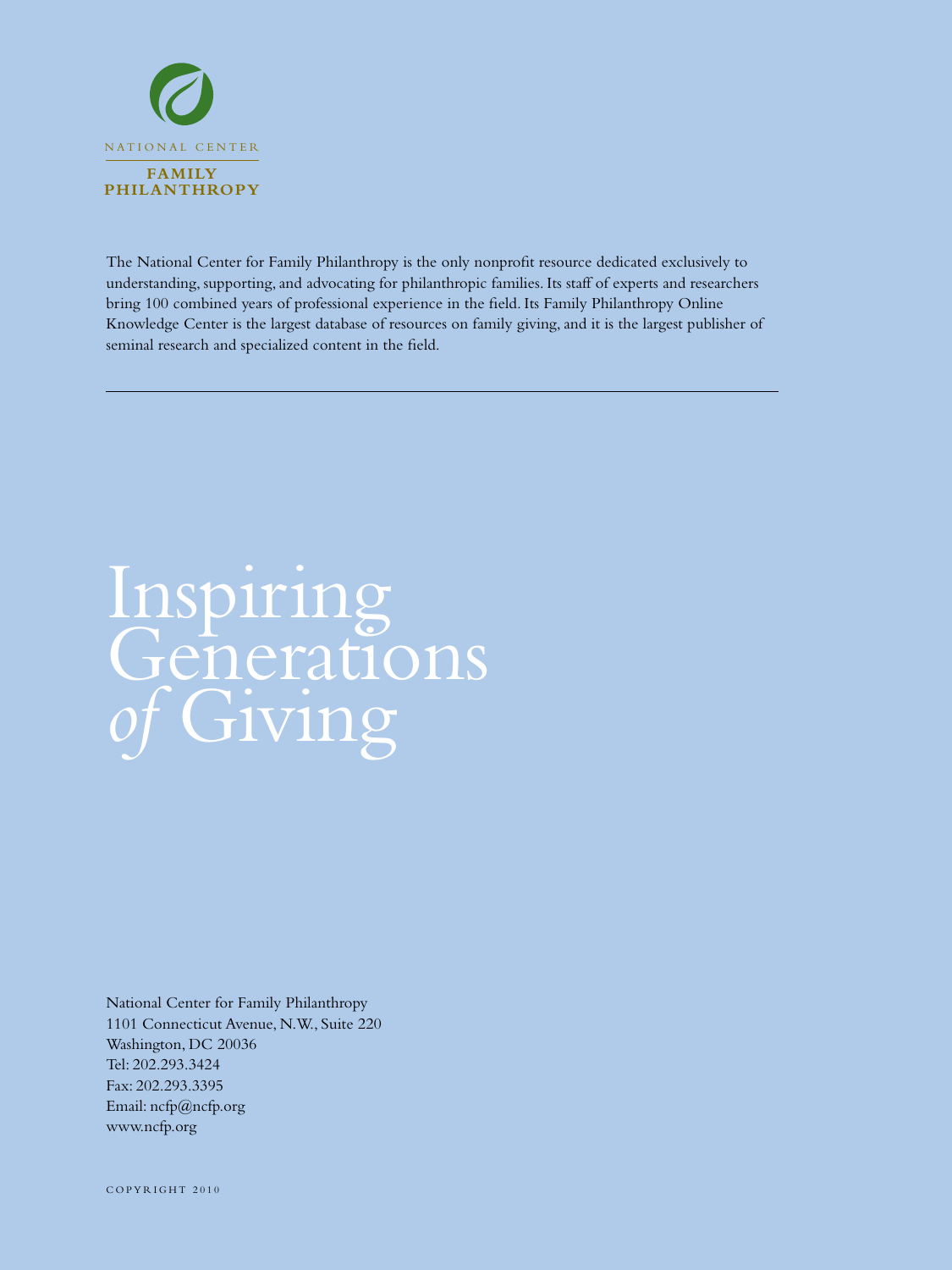

The National Center for Family Philanthropy is the only nonprofit resource dedicated exclusively to understanding, supporting, and advocating for philanthropic families. Its staff of experts and researchers bring 100 combined years of professional experience in the field. Its Family Philanthropy Online Knowledge Center is the largest database of resources on family giving, and it is the largest publisher of seminal research and specialized content in the field.

# Inspiring Generations Giving

National Center for Family Philanthropy 1101 Connecticut Avenue, N.W., Suite 220 Washington, DC 20036 Tel: 202.293.3424 Fax: 202.293.3395 Email: ncfp@ncfp.org www.ncfp.org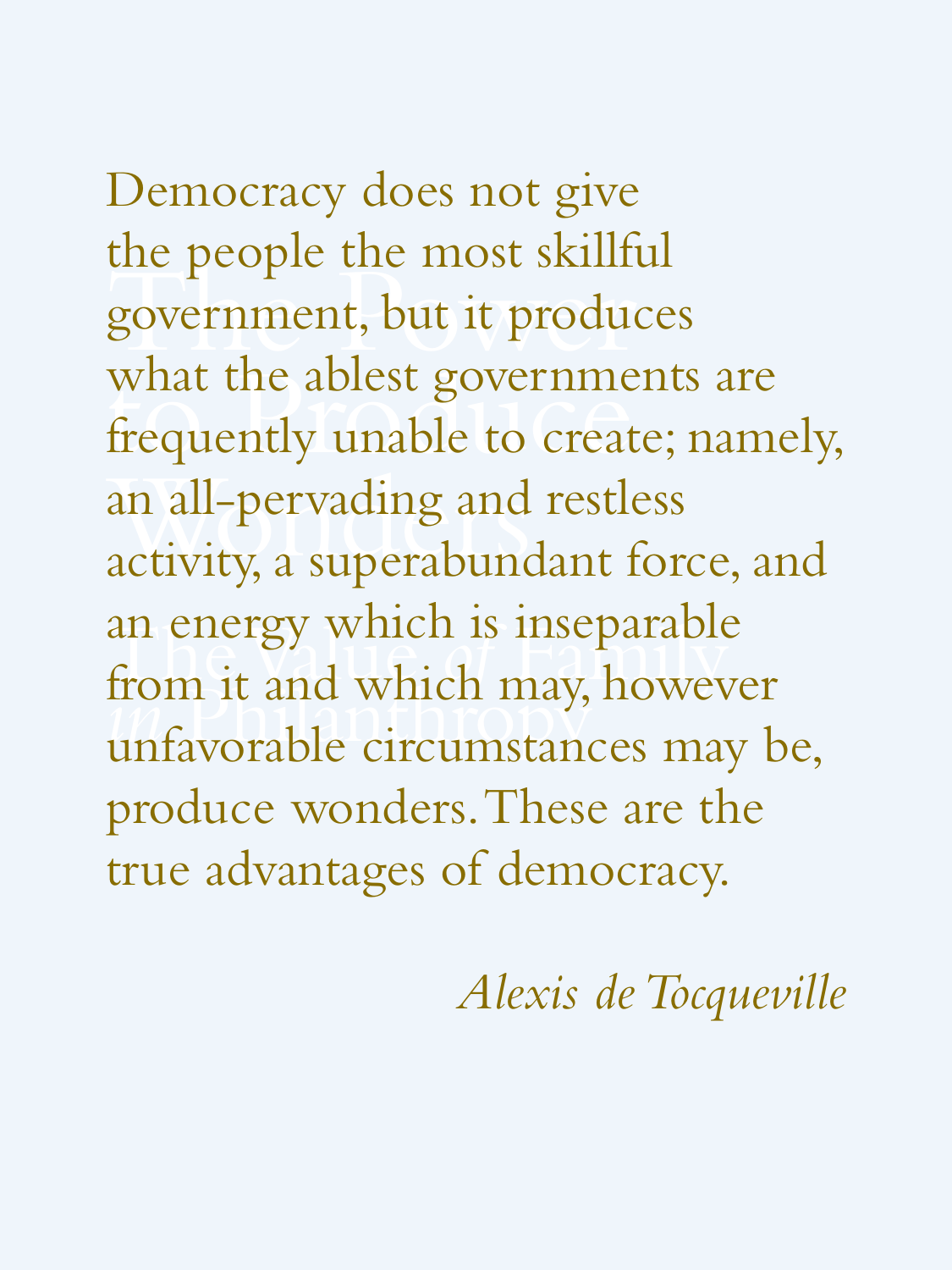the people the most skilled<br>government, but it produce what the ablest governments are<br>frequently unable to create; name an all-pervading and<br>activity, a superabund an energy which is inseparable<br>from it and which may, howeve<br>unfavorable circumstances may Democracy does not give the people the most skillful government, but it produces frequently unable to create; namely, an all-pervading and restless activity, a superabundant force, and an energy which is inseparable from it and which may, however unfavorable circumstances may be, produce wonders. These are the true advantages of democracy.

*Alexis de Tocqueville*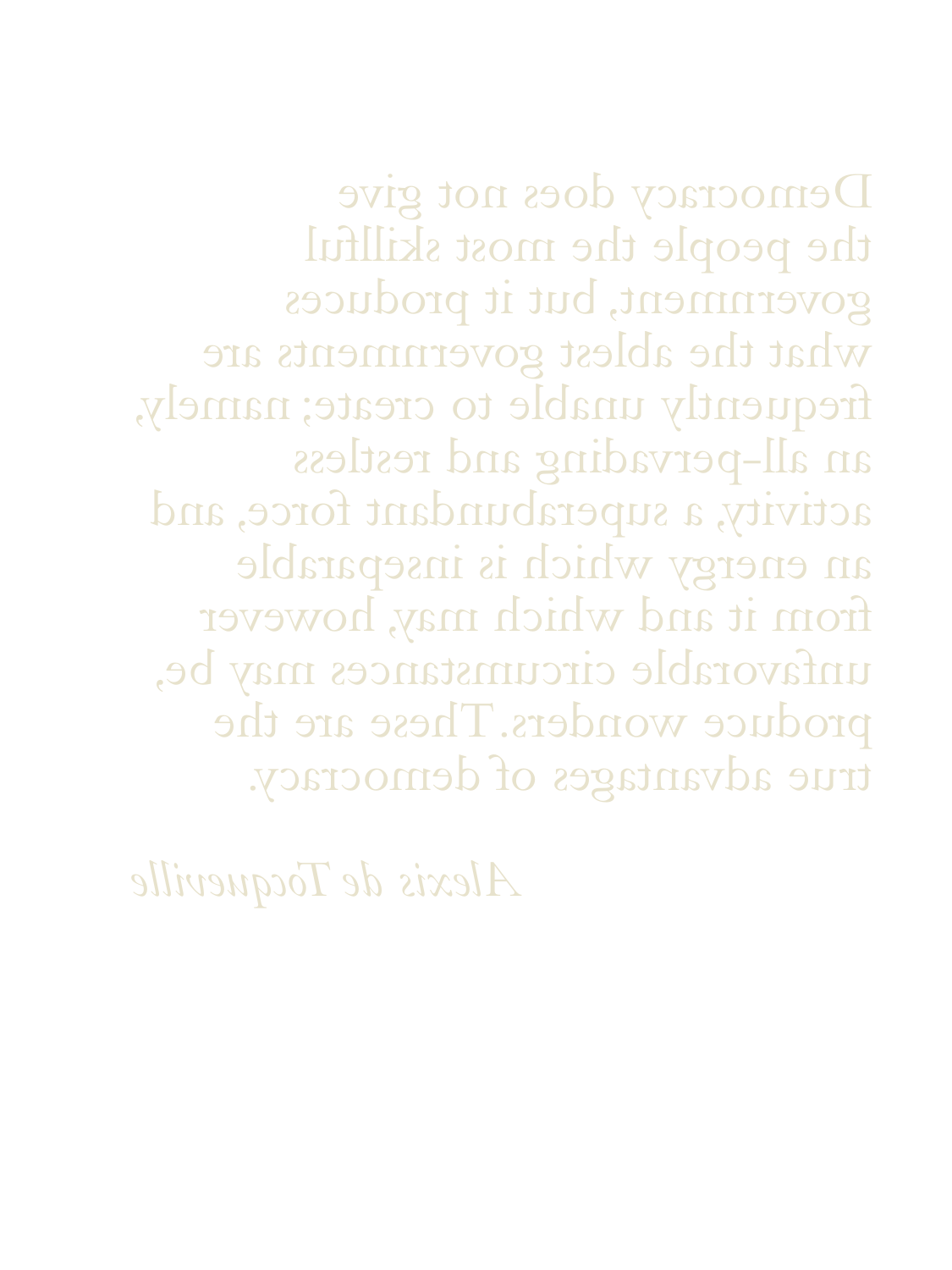Democracy does not give the people the most skillful government, but it produces what the ablest governments are frequently unable to create; namely, an all-pervading and restless activity, a superabundant force, and an energy which is inseparable from it and which may, however unfavorable circumstances may be, produce wonders. These are the true advantages of democracy.

*Alexis de Tocqueville*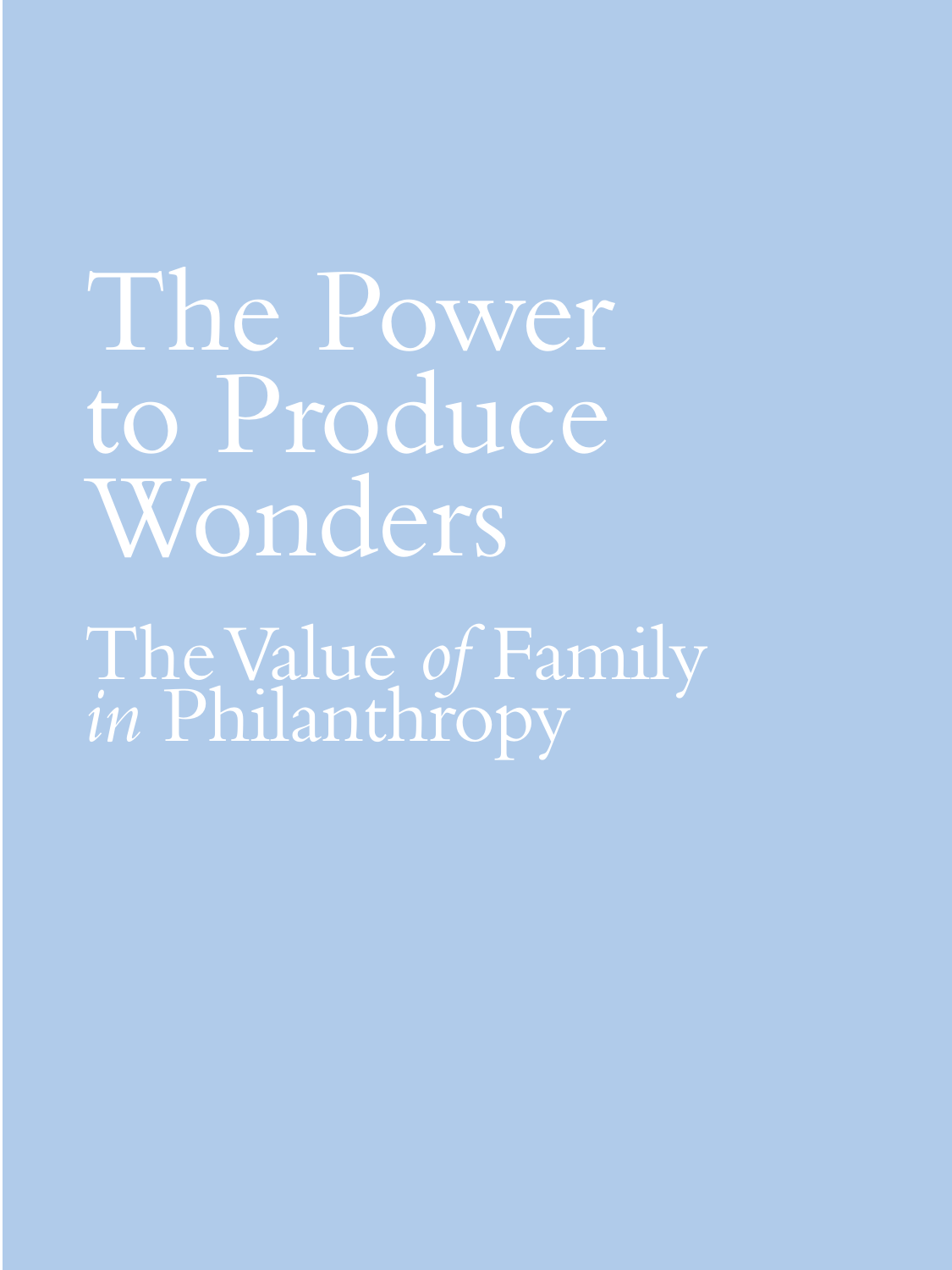The Power to Produce Wonders

The Value *of* Family *in* Philanthropy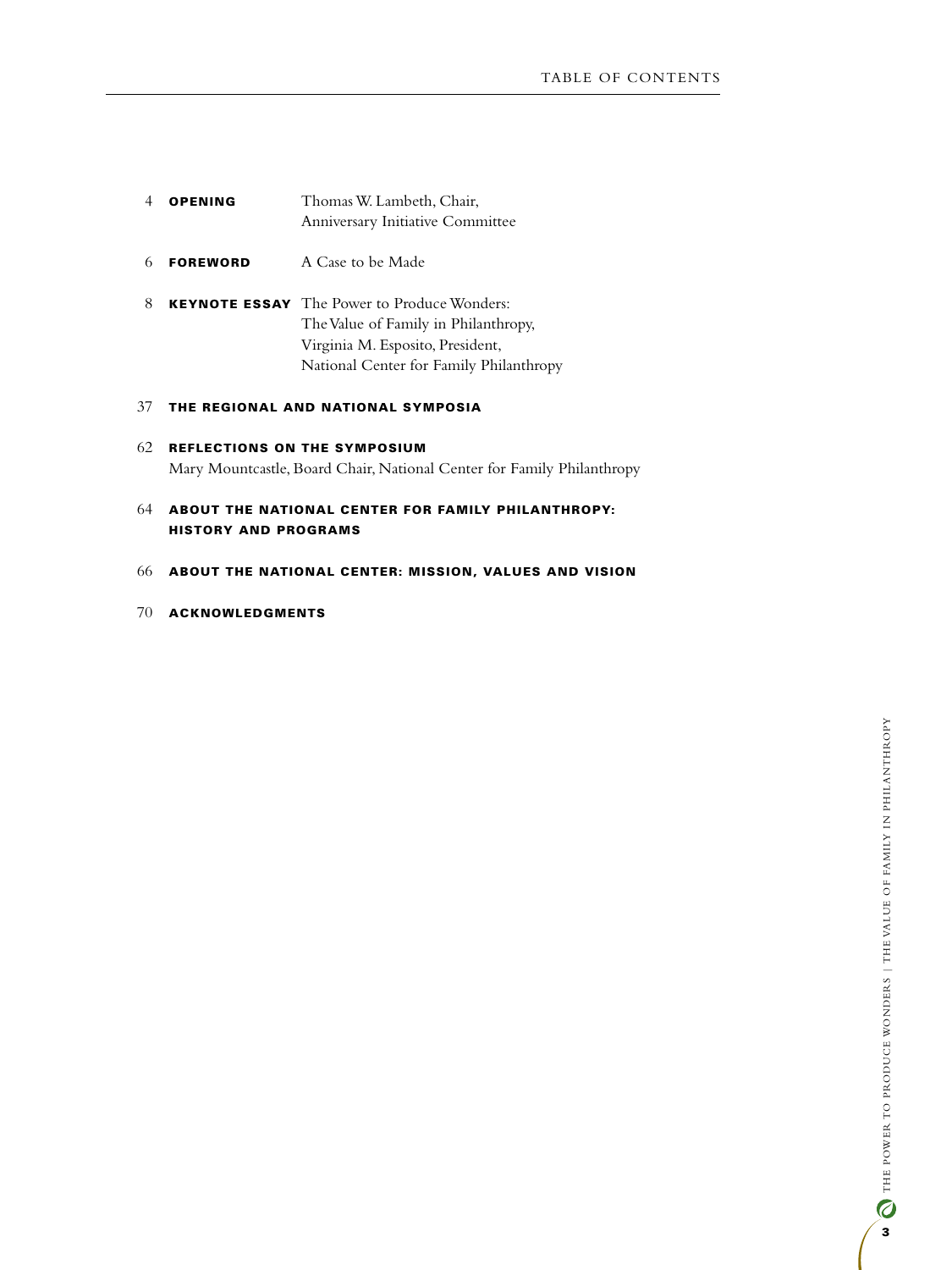- 4 **OPENING** Thomas W. Lambeth, Chair, Anniversary Initiative Committee
- 6 **FOREWORD** A Case to be Made
- 8 **KEYNOTE ESSAY** The Power to Produce Wonders: The Value of Family in Philanthropy, Virginia M. Esposito, President, National Center for Family Philanthropy

#### 37 The Regional and National Symposia

- 62 Reflections on the Symposium Mary Mountcastle, Board Chair, National Center for Family Philanthropy
- 64 About the NATIONAL CENTER FOR FAMILY PHILANTHROPY: HISTORY AND PROGRAMS
- 66 About the National Center: MISSION, VALUES AND VISION
- 70 Acknowledgments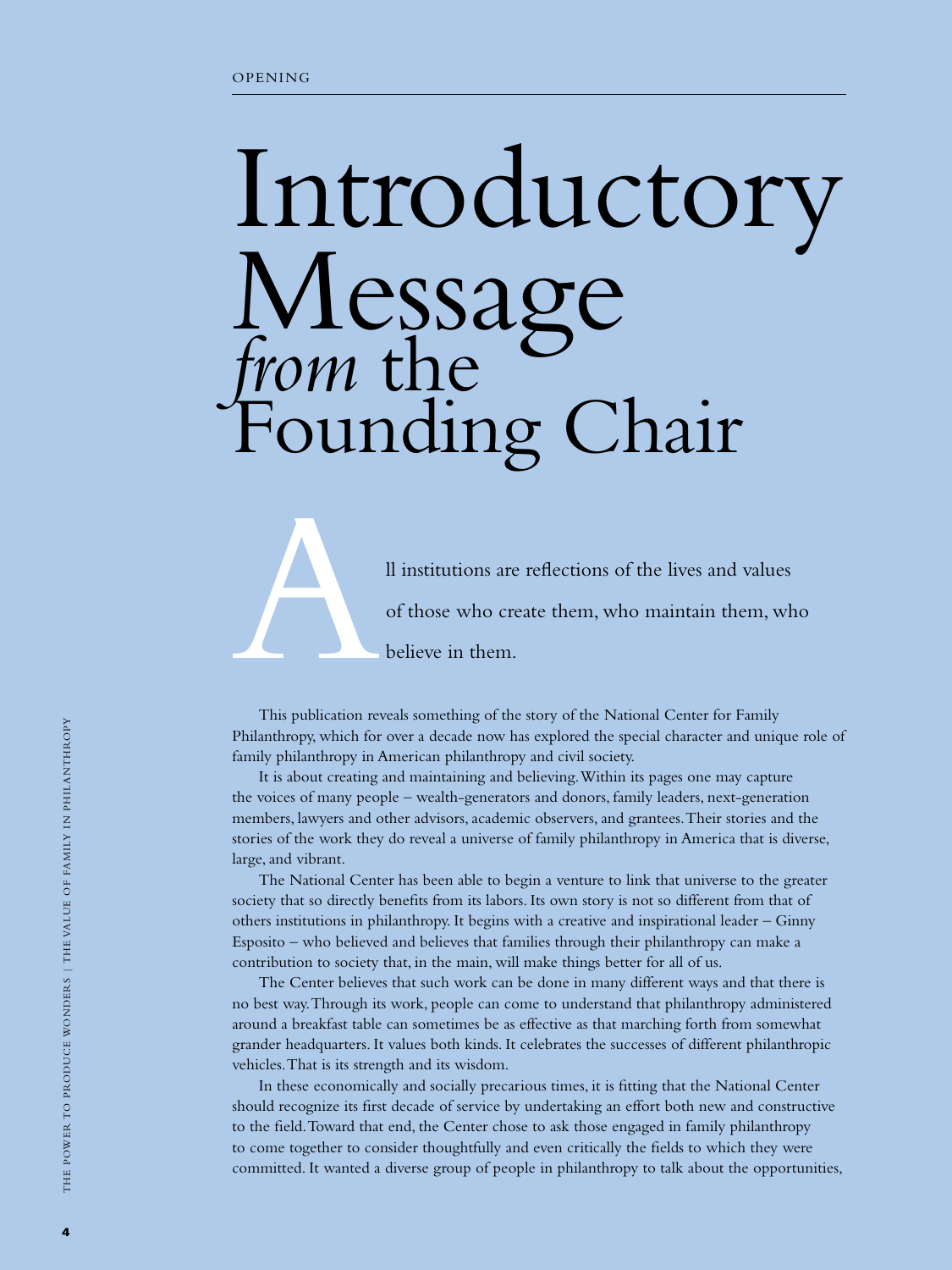# Introductory Message *from* the Founding Chair

Il institutions are reflections of the lives and values<br>of those who create them, who maintain them, wh<br>believe in them. of those who create them, who maintain them, who believe in them.

This publication reveals something of the story of the National Center for Family Philanthropy, which for over a decade now has explored the special character and unique role of family philanthropy in American philanthropy and civil society.

It is about creating and maintaining and believing. Within its pages one may capture the voices of many people – wealth-generators and donors, family leaders, next-generation members, lawyers and other advisors, academic observers, and grantees. Their stories and the stories of the work they do reveal a universe of family philanthropy in America that is diverse, large, and vibrant.

The National Center has been able to begin a venture to link that universe to the greater society that so directly benefits from its labors. Its own story is not so different from that of others institutions in philanthropy. It begins with a creative and inspirational leader – Ginny Esposito – who believed and believes that families through their philanthropy can make a contribution to society that, in the main, will make things better for all of us.

The Center believes that such work can be done in many different ways and that there is no best way. Through its work, people can come to understand that philanthropy administered around a breakfast table can sometimes be as effective as that marching forth from somewhat grander headquarters. It values both kinds. It celebrates the successes of different philanthropic vehicles. That is its strength and its wisdom.

In these economically and socially precarious times, it is fitting that the National Center should recognize its first decade of service by undertaking an effort both new and constructive to the field. Toward that end, the Center chose to ask those engaged in family philanthropy to come together to consider thoughtfully and even critically the fields to which they were committed. It wanted a diverse group of people in philanthropy to talk about the opportunities,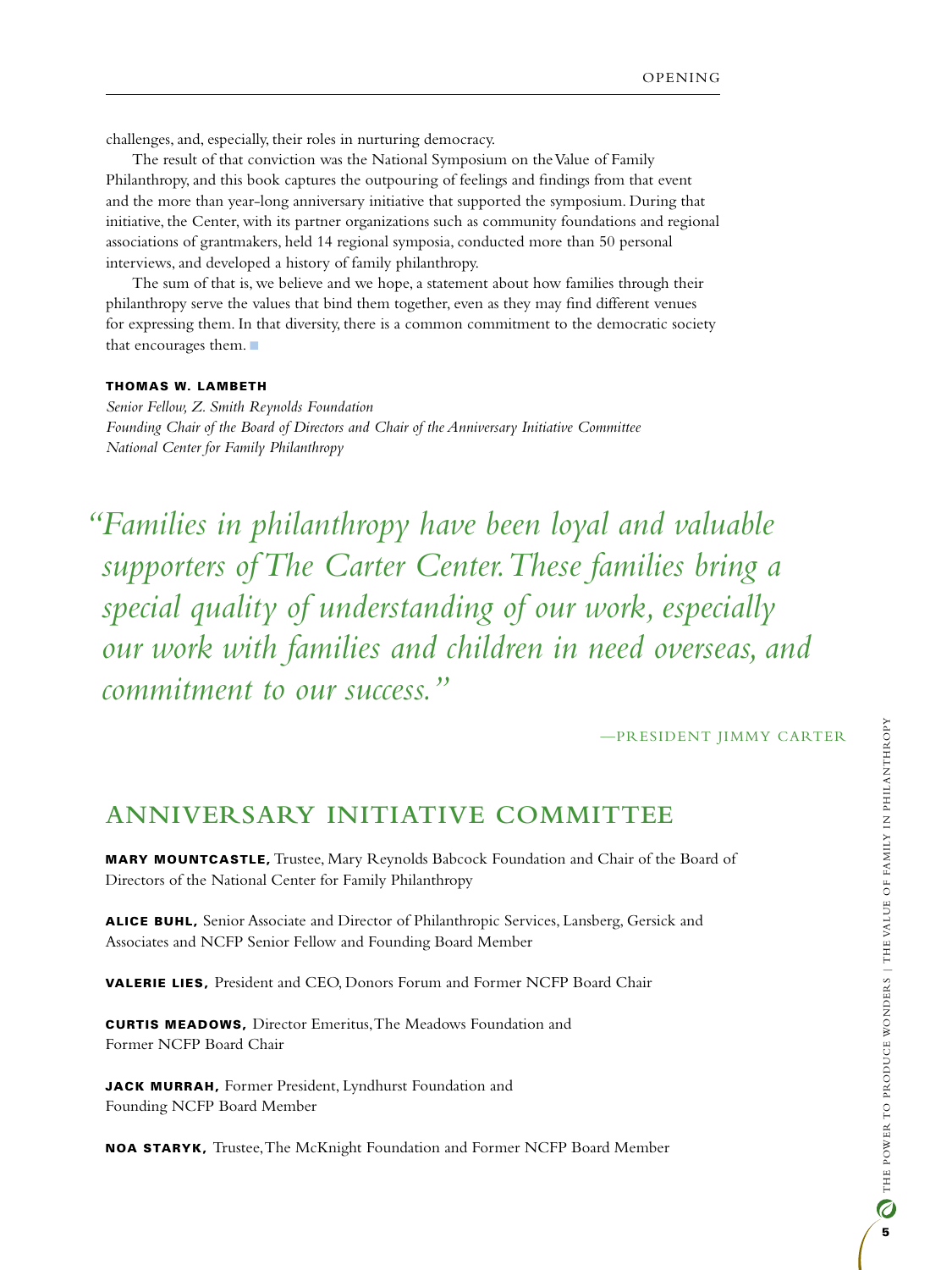challenges, and, especially, their roles in nurturing democracy.

The result of that conviction was the National Symposium on the Value of Family Philanthropy, and this book captures the outpouring of feelings and findings from that event and the more than year-long anniversary initiative that supported the symposium. During that initiative, the Center, with its partner organizations such as community foundations and regional associations of grantmakers, held 14 regional symposia, conducted more than 50 personal interviews, and developed a history of family philanthropy.

The sum of that is, we believe and we hope, a statement about how families through their philanthropy serve the values that bind them together, even as they may find different venues for expressing them. In that diversity, there is a common commitment to the democratic society that encourages them.  $\blacksquare$ 

#### Thomas W. Lambeth

*Senior Fellow, Z. Smith Reynolds Foundation Founding Chair of the Board of Directors and Chair of the Anniversary Initiative Committee National Center for Family Philanthropy*

*"Families in philanthropy have been loyal and valuable supporters of The Carter Center. These families bring a special quality of understanding of our work, especially our work with families and children in need overseas, and commitment to our success."* 

—President Jimmy Carter

# **Anniversary Initiative Committee**

Mary Mountcastle, Trustee, Mary Reynolds Babcock Foundation and Chair of the Board of Directors of the National Center for Family Philanthropy

Alice Buhl, Senior Associate and Director of Philanthropic Services, Lansberg, Gersick and Associates and NCFP Senior Fellow and Founding Board Member

Valerie Lies, President and CEO, Donors Forum and Former NCFP Board Chair

**CURTIS MEADOWS, Director Emeritus, The Meadows Foundation and** Former NCFP Board Chair

JACK MURRAH, Former President, Lyndhurst Foundation and Founding NCFP Board Member

Noa Staryk, Trustee, The McKnight Foundation and Former NCFP Board Member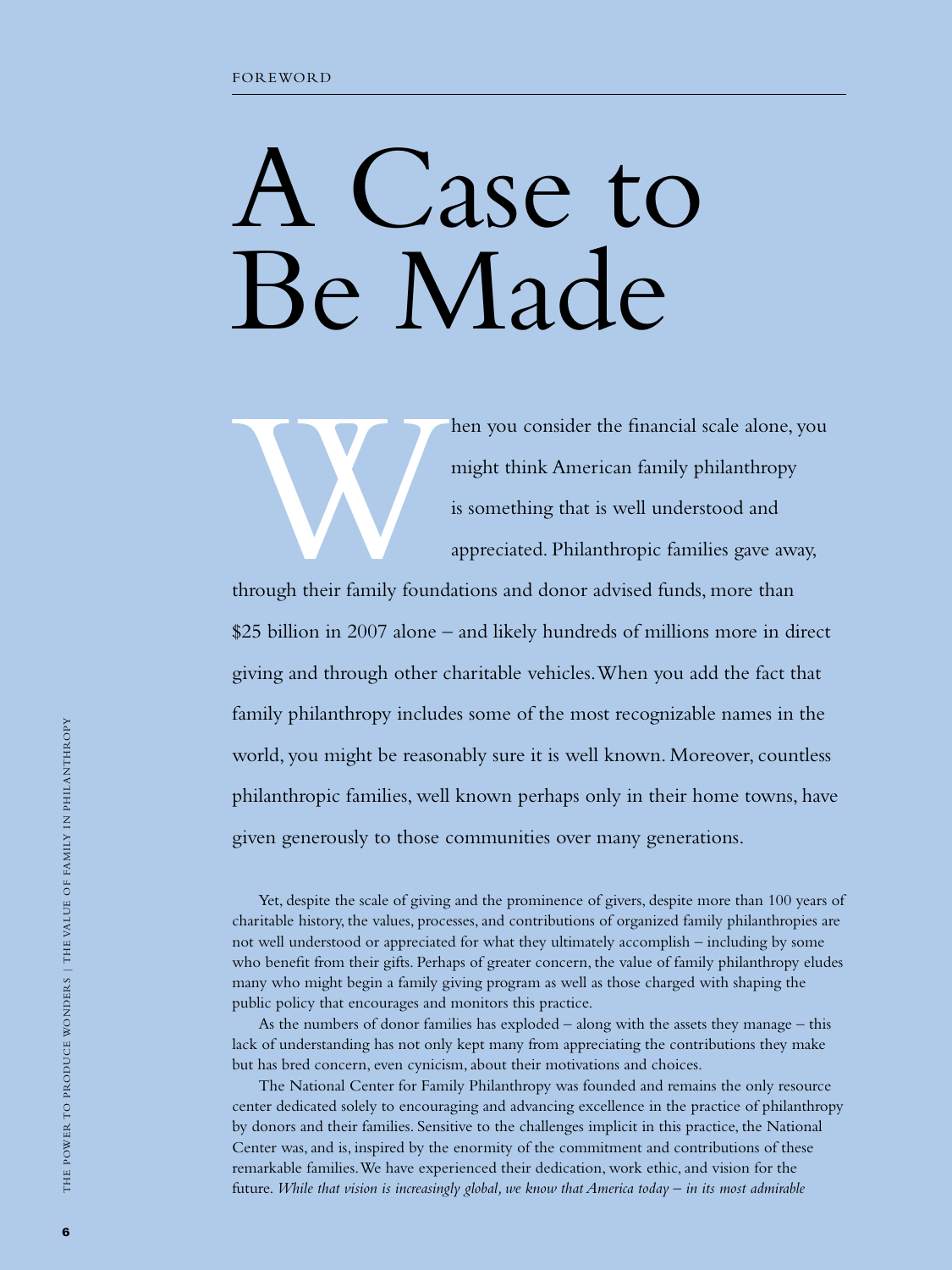# A Case to Be Made

hen you consider the financial scale alone, you<br>might think American family philanthropy<br>is something that is well understood and<br>appreciated. Philanthropic families gave away,<br>through their family foundations and donor ad might think American family philanthropy is something that is well understood and appreciated. Philanthropic families gave away,

through their family foundations and donor advised funds, more than \$25 billion in 2007 alone – and likely hundreds of millions more in direct giving and through other charitable vehicles. When you add the fact that family philanthropy includes some of the most recognizable names in the world, you might be reasonably sure it is well known. Moreover, countless philanthropic families, well known perhaps only in their home towns, have given generously to those communities over many generations.

Yet, despite the scale of giving and the prominence of givers, despite more than 100 years of charitable history, the values, processes, and contributions of organized family philanthropies are not well understood or appreciated for what they ultimately accomplish – including by some who benefit from their gifts. Perhaps of greater concern, the value of family philanthropy eludes many who might begin a family giving program as well as those charged with shaping the public policy that encourages and monitors this practice.

As the numbers of donor families has exploded – along with the assets they manage – this lack of understanding has not only kept many from appreciating the contributions they make but has bred concern, even cynicism, about their motivations and choices.

The National Center for Family Philanthropy was founded and remains the only resource center dedicated solely to encouraging and advancing excellence in the practice of philanthropy by donors and their families. Sensitive to the challenges implicit in this practice, the National Center was, and is, inspired by the enormity of the commitment and contributions of these remarkable families. We have experienced their dedication, work ethic, and vision for the future. *While that vision is increasingly global, we know that America today – in its most admirable*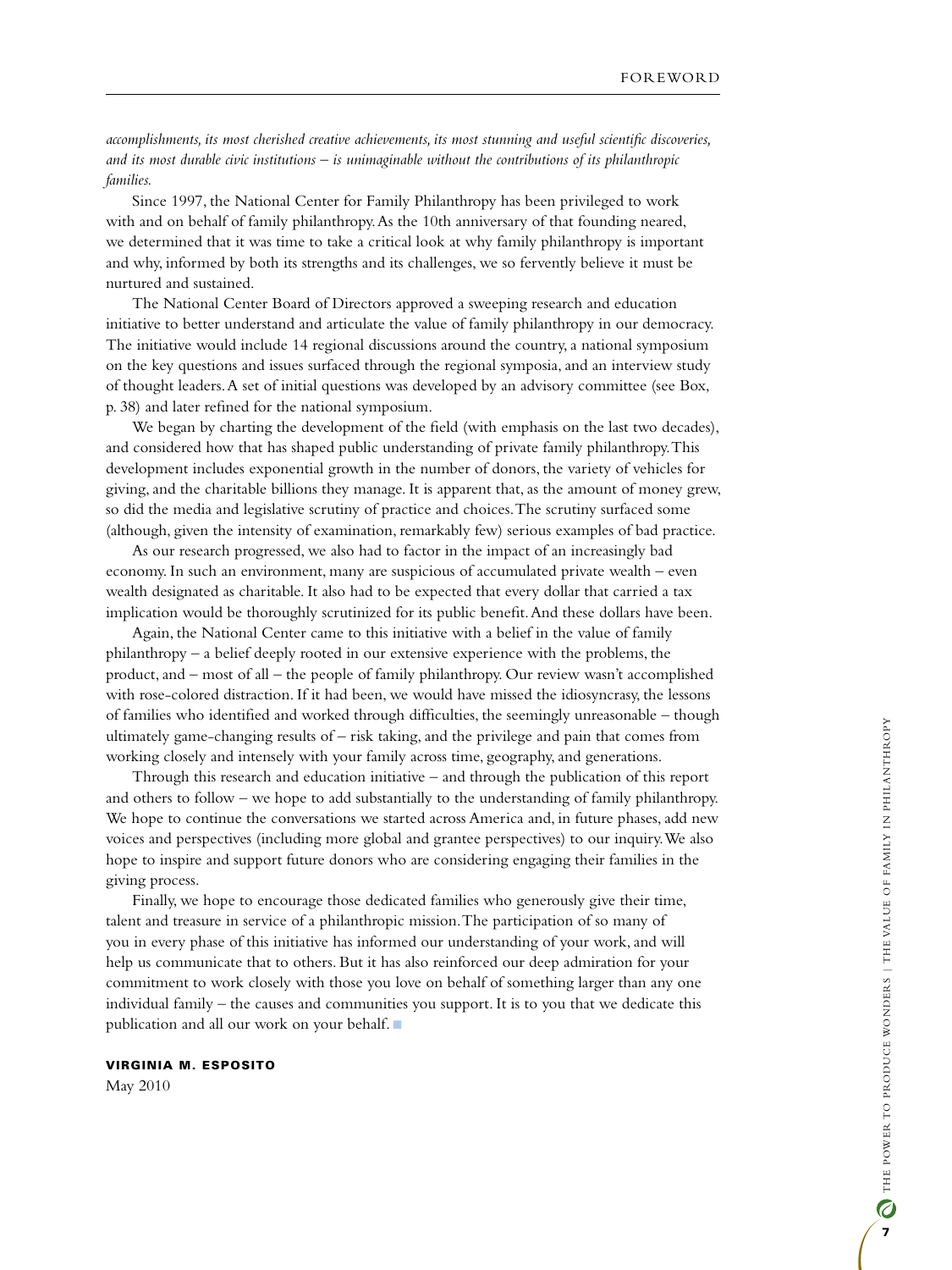*accomplishments, its most cherished creative achievements, its most stunning and useful scientific discoveries, and its most durable civic institutions – is unimaginable without the contributions of its philanthropic families.* 

Since 1997, the National Center for Family Philanthropy has been privileged to work with and on behalf of family philanthropy. As the 10th anniversary of that founding neared, we determined that it was time to take a critical look at why family philanthropy is important and why, informed by both its strengths and its challenges, we so fervently believe it must be nurtured and sustained.

The National Center Board of Directors approved a sweeping research and education initiative to better understand and articulate the value of family philanthropy in our democracy. The initiative would include 14 regional discussions around the country, a national symposium on the key questions and issues surfaced through the regional symposia, and an interview study of thought leaders. A set of initial questions was developed by an advisory committee (see Box, p. 38) and later refined for the national symposium.

We began by charting the development of the field (with emphasis on the last two decades), and considered how that has shaped public understanding of private family philanthropy. This development includes exponential growth in the number of donors, the variety of vehicles for giving, and the charitable billions they manage. It is apparent that, as the amount of money grew, so did the media and legislative scrutiny of practice and choices. The scrutiny surfaced some (although, given the intensity of examination, remarkably few) serious examples of bad practice.

As our research progressed, we also had to factor in the impact of an increasingly bad economy. In such an environment, many are suspicious of accumulated private wealth – even wealth designated as charitable. It also had to be expected that every dollar that carried a tax implication would be thoroughly scrutinized for its public benefit. And these dollars have been.

Again, the National Center came to this initiative with a belief in the value of family philanthropy – a belief deeply rooted in our extensive experience with the problems, the product, and – most of all – the people of family philanthropy. Our review wasn't accomplished with rose-colored distraction. If it had been, we would have missed the idiosyncrasy, the lessons of families who identified and worked through difficulties, the seemingly unreasonable – though ultimately game-changing results of – risk taking, and the privilege and pain that comes from working closely and intensely with your family across time, geography, and generations.

Through this research and education initiative – and through the publication of this report and others to follow – we hope to add substantially to the understanding of family philanthropy. We hope to continue the conversations we started across America and, in future phases, add new voices and perspectives (including more global and grantee perspectives) to our inquiry. We also hope to inspire and support future donors who are considering engaging their families in the giving process.

Finally, we hope to encourage those dedicated families who generously give their time, talent and treasure in service of a philanthropic mission. The participation of so many of you in every phase of this initiative has informed our understanding of your work, and will help us communicate that to others. But it has also reinforced our deep admiration for your commitment to work closely with those you love on behalf of something larger than any one individual family – the causes and communities you support. It is to you that we dedicate this publication and all our work on your behalf.  $\blacksquare$ 

#### Virginia M. Esposito

May 2010

7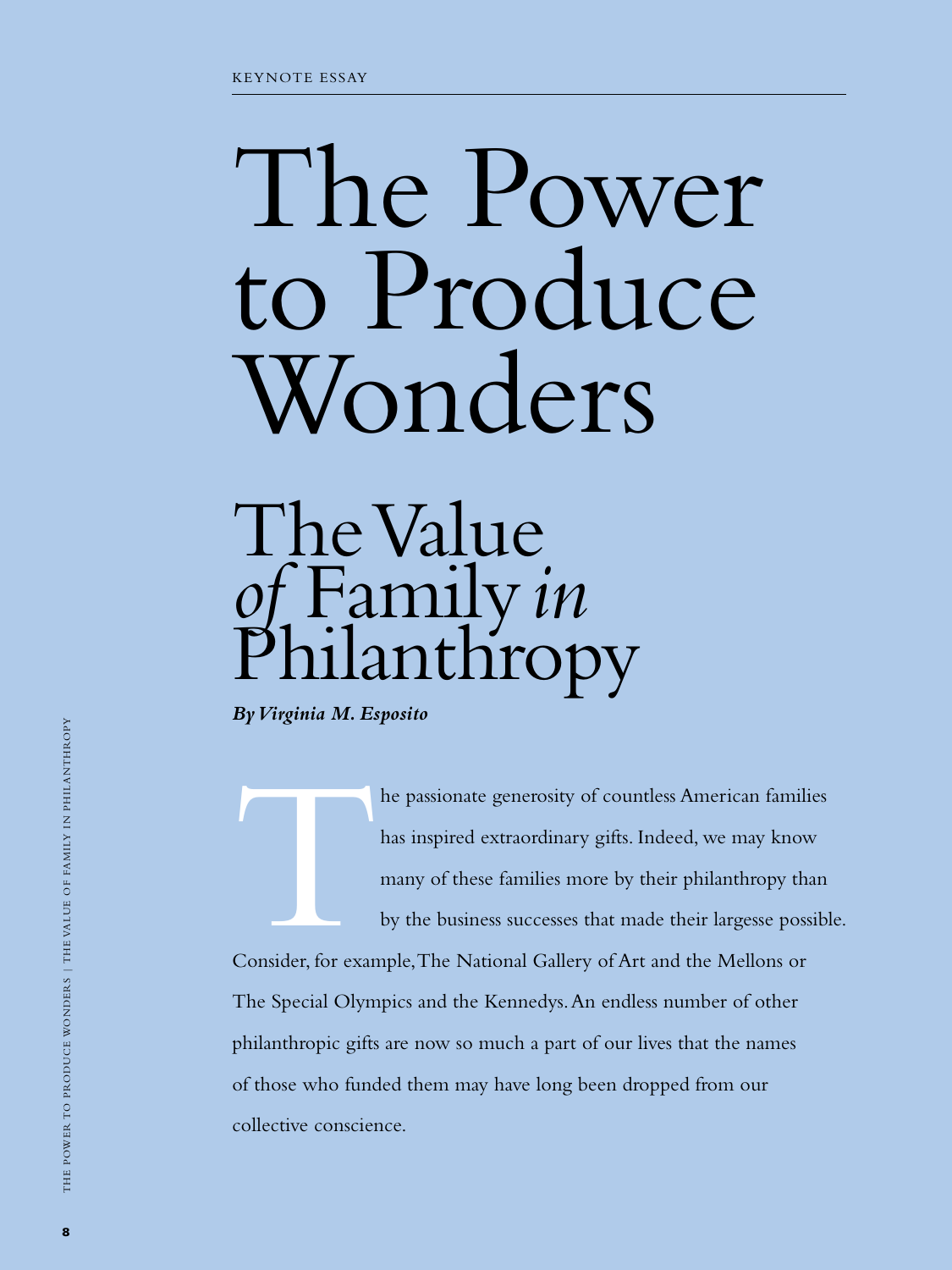# The Power to Produce Wonders

# The Value *of* Family *in* Inthro

*By Virginia M. Esposito*

The passionate generosity of countless American families<br>has inspired extraordinary gifts. Indeed, we may know<br>many of these families more by their philanthropy than<br>by the business successes that made their largesse possi has inspired extraordinary gifts. Indeed, we may know many of these families more by their philanthropy than by the business successes that made their largesse possible. Consider, for example, The National Gallery of Art and the Mellons or The Special Olympics and the Kennedys. An endless number of other philanthropic gifts are now so much a part of our lives that the names of those who funded them may have long been dropped from our collective conscience.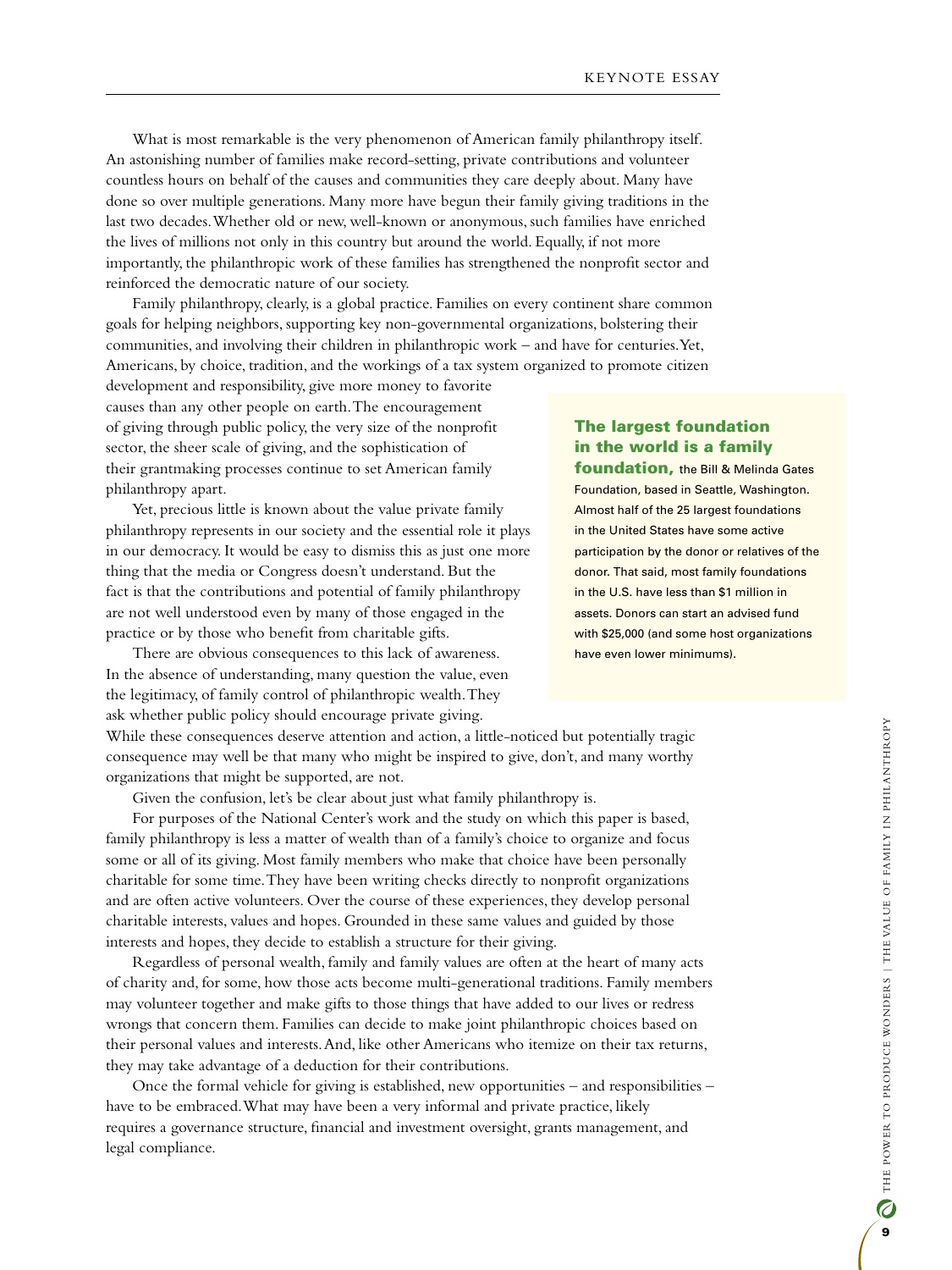What is most remarkable is the very phenomenon of American family philanthropy itself. An astonishing number of families make record-setting, private contributions and volunteer countless hours on behalf of the causes and communities they care deeply about. Many have done so over multiple generations. Many more have begun their family giving traditions in the last two decades. Whether old or new, well-known or anonymous, such families have enriched the lives of millions not only in this country but around the world. Equally, if not more importantly, the philanthropic work of these families has strengthened the nonprofit sector and reinforced the democratic nature of our society.

Family philanthropy, clearly, is a global practice. Families on every continent share common goals for helping neighbors, supporting key non-governmental organizations, bolstering their communities, and involving their children in philanthropic work – and have for centuries. Yet, Americans, by choice, tradition, and the workings of a tax system organized to promote citizen

development and responsibility, give more money to favorite causes than any other people on earth. The encouragement of giving through public policy, the very size of the nonprofit sector, the sheer scale of giving, and the sophistication of their grantmaking processes continue to set American family philanthropy apart.

Yet, precious little is known about the value private family philanthropy represents in our society and the essential role it plays in our democracy. It would be easy to dismiss this as just one more thing that the media or Congress doesn't understand. But the fact is that the contributions and potential of family philanthropy are not well understood even by many of those engaged in the practice or by those who benefit from charitable gifts.

There are obvious consequences to this lack of awareness. In the absence of understanding, many question the value, even the legitimacy, of family control of philanthropic wealth. They ask whether public policy should encourage private giving.

# The largest foundation in the world is a family

foundation, the Bill & Melinda Gates Foundation, based in Seattle, Washington. Almost half of the 25 largest foundations in the United States have some active participation by the donor or relatives of the donor. That said, most family foundations in the U.S. have less than \$1 million in assets. Donors can start an advised fund with \$25,000 (and some host organizations have even lower minimums).

While these consequences deserve attention and action, a little-noticed but potentially tragic consequence may well be that many who might be inspired to give, don't, and many worthy organizations that might be supported, are not.

Given the confusion, let's be clear about just what family philanthropy is.

For purposes of the National Center's work and the study on which this paper is based, family philanthropy is less a matter of wealth than of a family's choice to organize and focus some or all of its giving. Most family members who make that choice have been personally charitable for some time. They have been writing checks directly to nonprofit organizations and are often active volunteers. Over the course of these experiences, they develop personal charitable interests, values and hopes. Grounded in these same values and guided by those interests and hopes, they decide to establish a structure for their giving.

Regardless of personal wealth, family and family values are often at the heart of many acts of charity and, for some, how those acts become multi-generational traditions. Family members may volunteer together and make gifts to those things that have added to our lives or redress wrongs that concern them. Families can decide to make joint philanthropic choices based on their personal values and interests. And, like other Americans who itemize on their tax returns, they may take advantage of a deduction for their contributions.

Once the formal vehicle for giving is established, new opportunities – and responsibilities – have to be embraced. What may have been a very informal and private practice, likely requires a governance structure, financial and investment oversight, grants management, and legal compliance.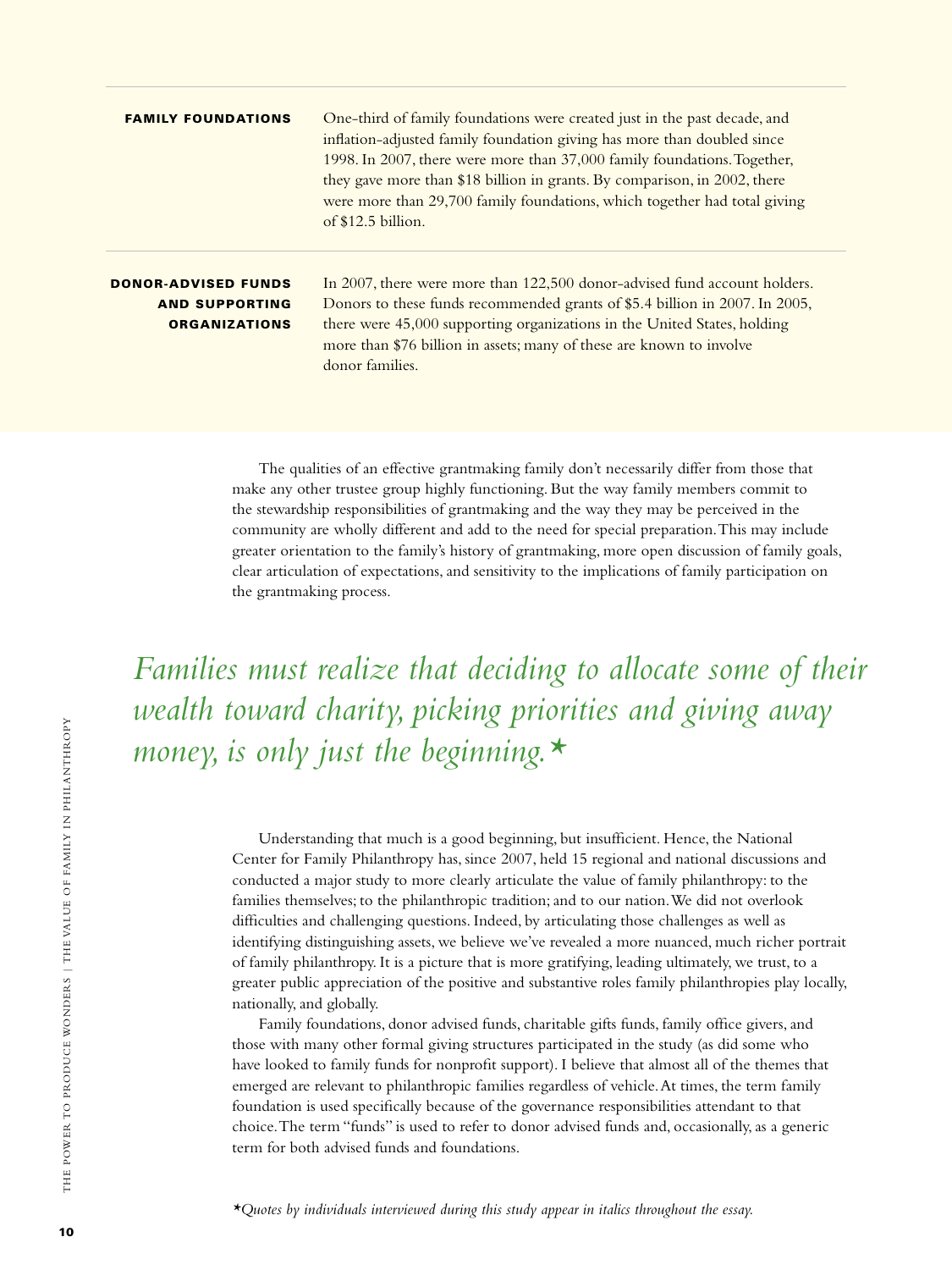| <b>FAMILY FOUNDATIONS</b>                                                   | One-third of family foundations were created just in the past decade, and<br>inflation-adjusted family foundation giving has more than doubled since<br>1998. In 2007, there were more than 37,000 family foundations. Together,<br>they gave more than \$18 billion in grants. By comparison, in 2002, there<br>were more than 29,700 family foundations, which together had total giving<br>of \$12.5 billion. |
|-----------------------------------------------------------------------------|------------------------------------------------------------------------------------------------------------------------------------------------------------------------------------------------------------------------------------------------------------------------------------------------------------------------------------------------------------------------------------------------------------------|
| <b>DONOR-ADVISED FUNDS</b><br><b>AND SUPPORTING</b><br><b>ORGANIZATIONS</b> | In 2007, there were more than 122,500 donor-advised fund account holders.<br>Donors to these funds recommended grants of \$5.4 billion in 2007. In 2005,<br>there were 45,000 supporting organizations in the United States, holding<br>more than \$76 billion in assets; many of these are known to involve<br>donor families.                                                                                  |

The qualities of an effective grantmaking family don't necessarily differ from those that make any other trustee group highly functioning. But the way family members commit to the stewardship responsibilities of grantmaking and the way they may be perceived in the community are wholly different and add to the need for special preparation. This may include greater orientation to the family's history of grantmaking, more open discussion of family goals, clear articulation of expectations, and sensitivity to the implications of family participation on the grantmaking process.

*Families must realize that deciding to allocate some of their wealth toward charity, picking priorities and giving away money, is only just the beginning.\**

> Understanding that much is a good beginning, but insufficient. Hence, the National Center for Family Philanthropy has, since 2007, held 15 regional and national discussions and conducted a major study to more clearly articulate the value of family philanthropy: to the families themselves; to the philanthropic tradition; and to our nation. We did not overlook difficulties and challenging questions. Indeed, by articulating those challenges as well as identifying distinguishing assets, we believe we've revealed a more nuanced, much richer portrait of family philanthropy. It is a picture that is more gratifying, leading ultimately, we trust, to a greater public appreciation of the positive and substantive roles family philanthropies play locally, nationally, and globally.

Family foundations, donor advised funds, charitable gifts funds, family office givers, and those with many other formal giving structures participated in the study (as did some who have looked to family funds for nonprofit support). I believe that almost all of the themes that emerged are relevant to philanthropic families regardless of vehicle. At times, the term family foundation is used specifically because of the governance responsibilities attendant to that choice. The term "funds" is used to refer to donor advised funds and, occasionally, as a generic term for both advised funds and foundations.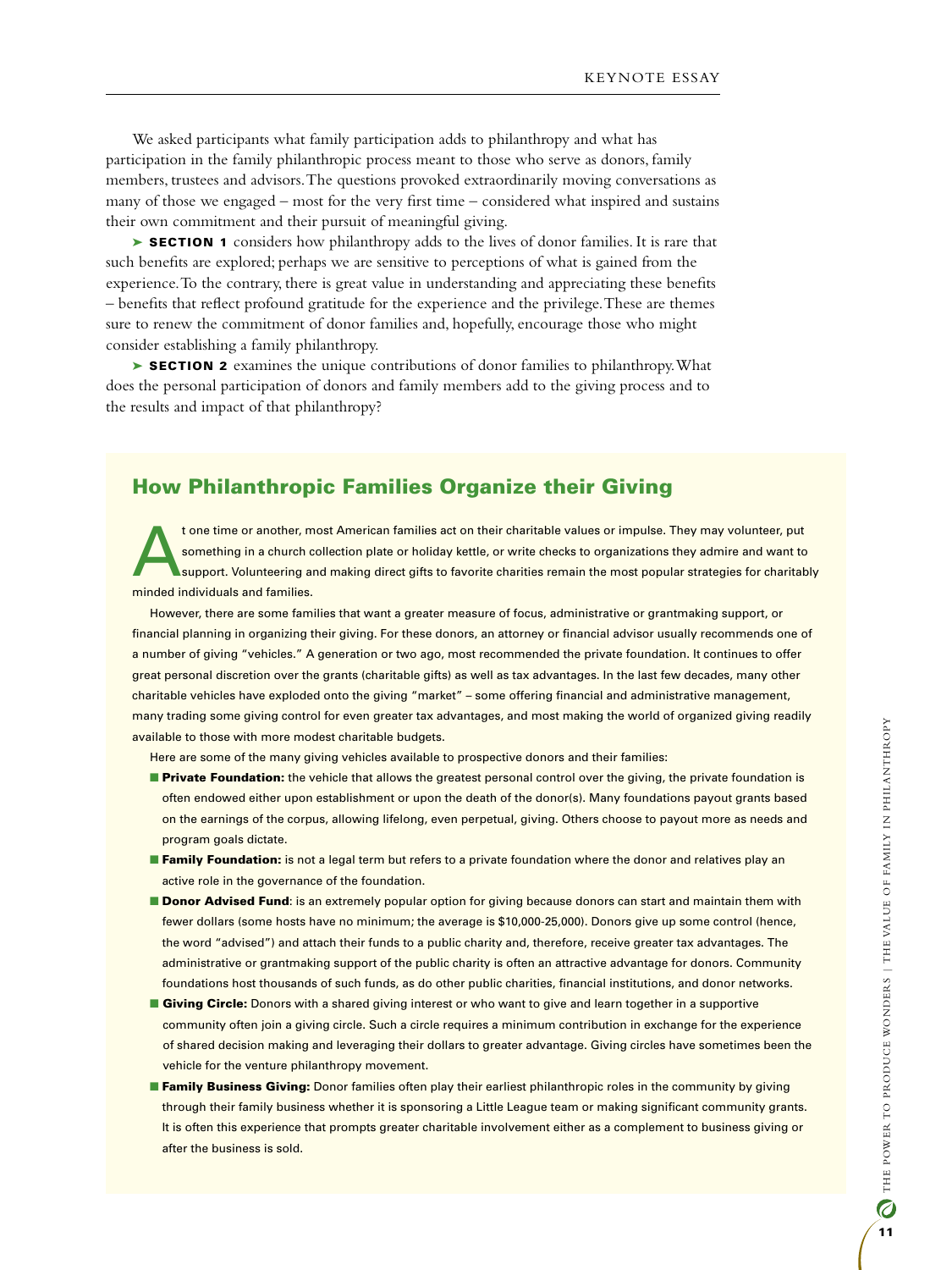We asked participants what family participation adds to philanthropy and what has participation in the family philanthropic process meant to those who serve as donors, family members, trustees and advisors. The questions provoked extraordinarily moving conversations as many of those we engaged – most for the very first time – considered what inspired and sustains their own commitment and their pursuit of meaningful giving.

► SECTION 1 considers how philanthropy adds to the lives of donor families. It is rare that such benefits are explored; perhaps we are sensitive to perceptions of what is gained from the experience. To the contrary, there is great value in understanding and appreciating these benefits – benefits that reflect profound gratitude for the experience and the privilege. These are themes sure to renew the commitment of donor families and, hopefully, encourage those who might consider establishing a family philanthropy.

► SECTION 2 examines the unique contributions of donor families to philanthropy. What does the personal participation of donors and family members add to the giving process and to the results and impact of that philanthropy?

### How Philanthropic Families Organize their Giving

t one time or another, most American families act on their charitable values or impulse. They may volunteer, put<br>something in a church collection plate or holiday kettle, or write checks to organizations they admire and wa something in a church collection plate or holiday kettle, or write checks to organizations they admire and want to support. Volunteering and making direct gifts to favorite charities remain the most popular strategies for charitably minded individuals and families.

However, there are some families that want a greater measure of focus, administrative or grantmaking support, or financial planning in organizing their giving. For these donors, an attorney or financial advisor usually recommends one of a number of giving "vehicles." A generation or two ago, most recommended the private foundation. It continues to offer great personal discretion over the grants (charitable gifts) as well as tax advantages. In the last few decades, many other charitable vehicles have exploded onto the giving "market" – some offering financial and administrative management, many trading some giving control for even greater tax advantages, and most making the world of organized giving readily available to those with more modest charitable budgets.

Here are some of the many giving vehicles available to prospective donors and their families:

- **Private Foundation:** the vehicle that allows the greatest personal control over the giving, the private foundation is often endowed either upon establishment or upon the death of the donor(s). Many foundations payout grants based on the earnings of the corpus, allowing lifelong, even perpetual, giving. Others choose to payout more as needs and program goals dictate.
- **Family Foundation:** is not a legal term but refers to a private foundation where the donor and relatives play an active role in the governance of the foundation.
- **Donor Advised Fund:** is an extremely popular option for giving because donors can start and maintain them with fewer dollars (some hosts have no minimum; the average is \$10,000-25,000). Donors give up some control (hence, the word "advised") and attach their funds to a public charity and, therefore, receive greater tax advantages. The administrative or grantmaking support of the public charity is often an attractive advantage for donors. Community foundations host thousands of such funds, as do other public charities, financial institutions, and donor networks.
- **n Giving Circle:** Donors with a shared giving interest or who want to give and learn together in a supportive community often join a giving circle. Such a circle requires a minimum contribution in exchange for the experience of shared decision making and leveraging their dollars to greater advantage. Giving circles have sometimes been the vehicle for the venture philanthropy movement.
- **Family Business Giving:** Donor families often play their earliest philanthropic roles in the community by giving through their family business whether it is sponsoring a Little League team or making significant community grants. It is often this experience that prompts greater charitable involvement either as a complement to business giving or after the business is sold.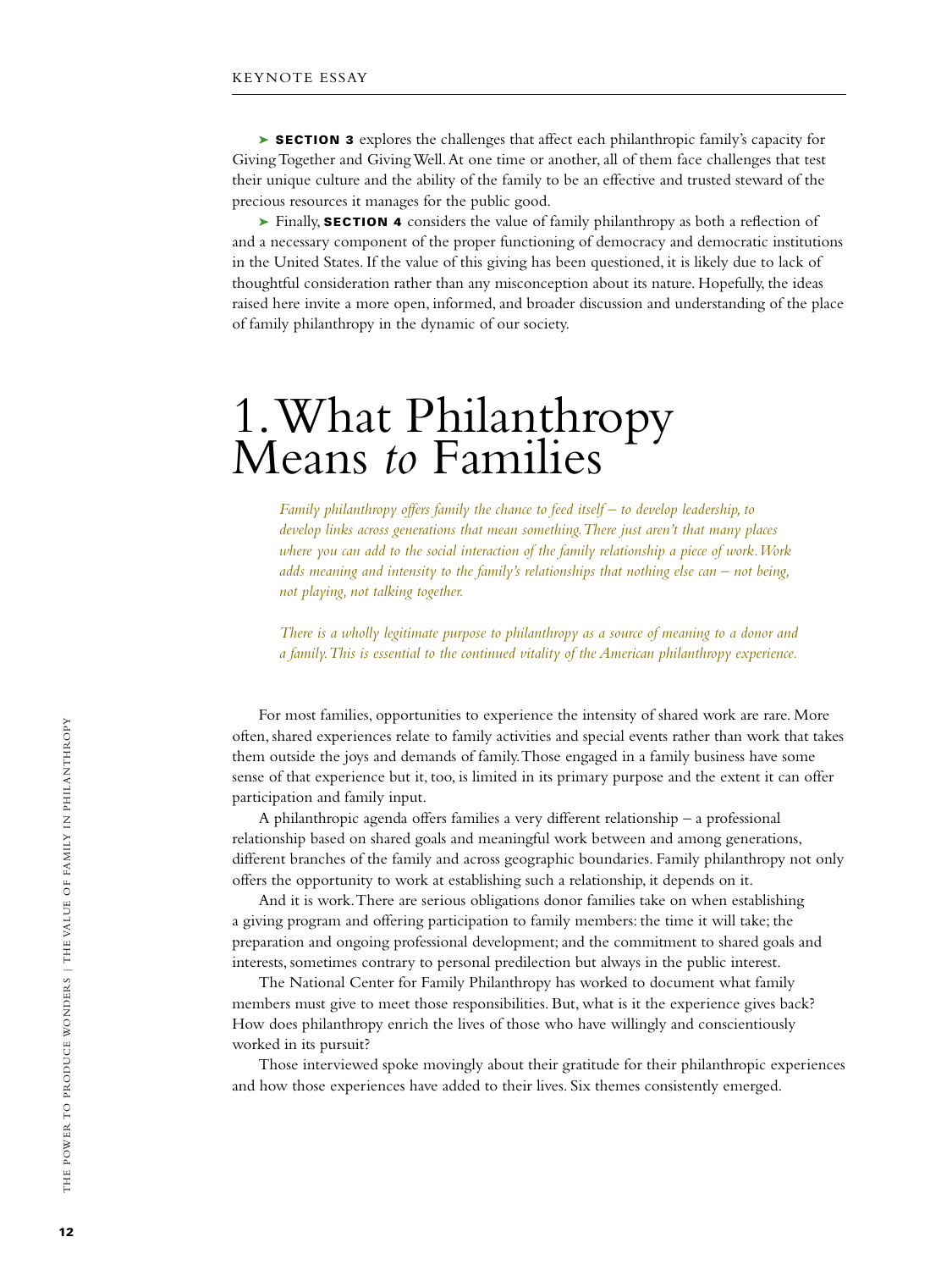► SECTION 3 explores the challenges that affect each philanthropic family's capacity for Giving Together and Giving Well. At one time or another, all of them face challenges that test their unique culture and the ability of the family to be an effective and trusted steward of the precious resources it manages for the public good.

► Finally, SECTION 4 considers the value of family philanthropy as both a reflection of and a necessary component of the proper functioning of democracy and democratic institutions in the United States. If the value of this giving has been questioned, it is likely due to lack of thoughtful consideration rather than any misconception about its nature. Hopefully, the ideas raised here invite a more open, informed, and broader discussion and understanding of the place of family philanthropy in the dynamic of our society.

# 1. What Philanthropy Means *to* Families

*Family philanthropy offers family the chance to feed itself – to develop leadership, to develop links across generations that mean something. There just aren't that many places where you can add to the social interaction of the family relationship a piece of work. Work adds meaning and intensity to the family's relationships that nothing else can – not being, not playing, not talking together.* 

*There is a wholly legitimate purpose to philanthropy as a source of meaning to a donor and a family. This is essential to the continued vitality of the American philanthropy experience.*

For most families, opportunities to experience the intensity of shared work are rare. More often, shared experiences relate to family activities and special events rather than work that takes them outside the joys and demands of family. Those engaged in a family business have some sense of that experience but it, too, is limited in its primary purpose and the extent it can offer participation and family input.

A philanthropic agenda offers families a very different relationship – a professional relationship based on shared goals and meaningful work between and among generations, different branches of the family and across geographic boundaries. Family philanthropy not only offers the opportunity to work at establishing such a relationship, it depends on it.

And it is work. There are serious obligations donor families take on when establishing a giving program and offering participation to family members: the time it will take; the preparation and ongoing professional development; and the commitment to shared goals and interests, sometimes contrary to personal predilection but always in the public interest.

The National Center for Family Philanthropy has worked to document what family members must give to meet those responsibilities. But, what is it the experience gives back? How does philanthropy enrich the lives of those who have willingly and conscientiously worked in its pursuit?

Those interviewed spoke movingly about their gratitude for their philanthropic experiences and how those experiences have added to their lives. Six themes consistently emerged.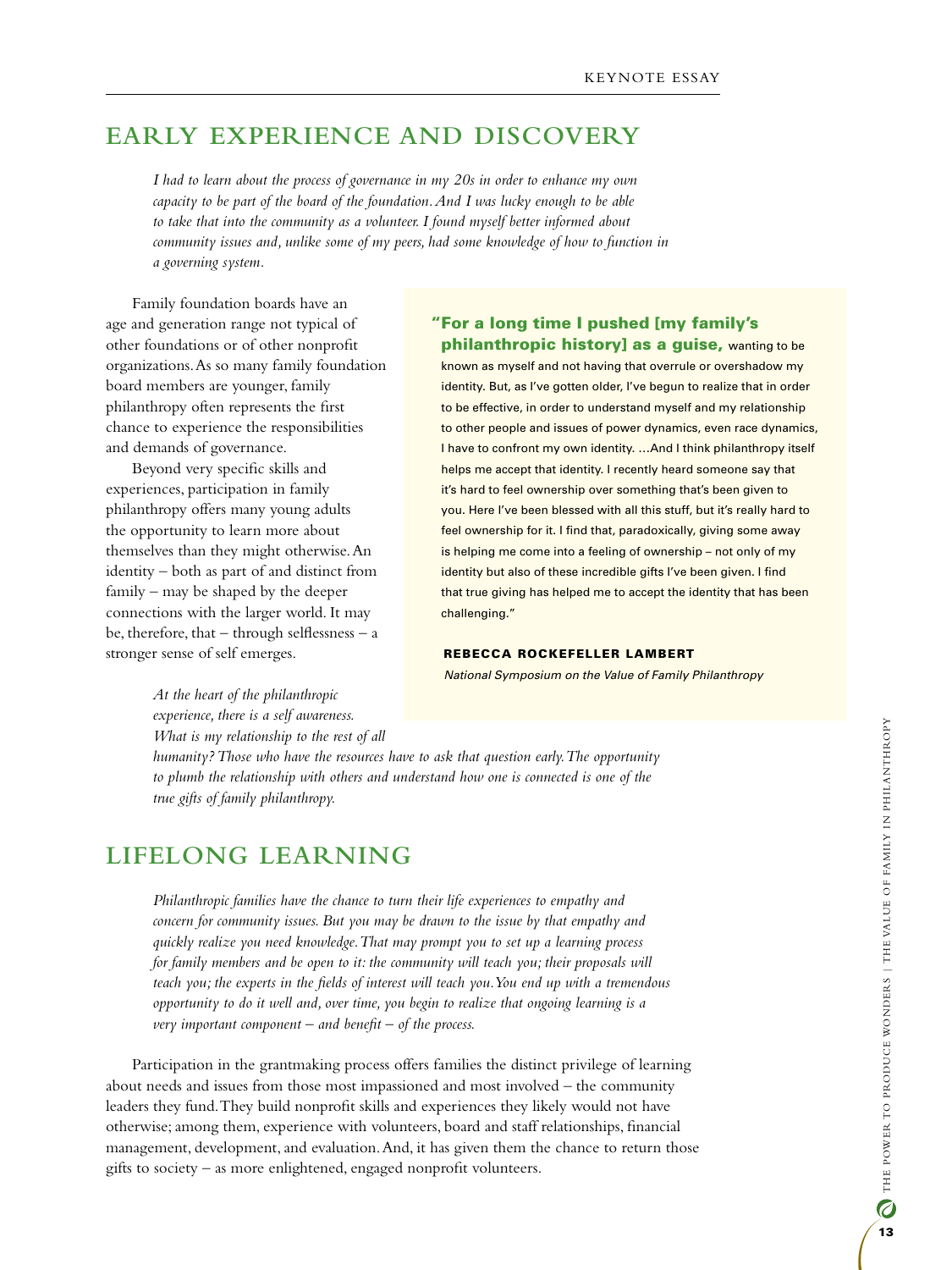# **Early Experience and Discovery**

*I had to learn about the process of governance in my 20s in order to enhance my own capacity to be part of the board of the foundation. And I was lucky enough to be able to take that into the community as a volunteer. I found myself better informed about community issues and, unlike some of my peers, had some knowledge of how to function in a governing system.* 

Family foundation boards have an age and generation range not typical of other foundations or of other nonprofit organizations. As so many family foundation board members are younger, family philanthropy often represents the first chance to experience the responsibilities and demands of governance.

Beyond very specific skills and experiences, participation in family philanthropy offers many young adults the opportunity to learn more about themselves than they might otherwise. An identity – both as part of and distinct from family – may be shaped by the deeper connections with the larger world. It may be, therefore, that  $-$  through selflessness  $-$  a stronger sense of self emerges.

#### "For a long time I pushed [my family's philanthropic history] as a guise, wanting to be

known as myself and not having that overrule or overshadow my identity. But, as I've gotten older, I've begun to realize that in order to be effective, in order to understand myself and my relationship to other people and issues of power dynamics, even race dynamics, I have to confront my own identity. …And I think philanthropy itself helps me accept that identity. I recently heard someone say that it's hard to feel ownership over something that's been given to you. Here I've been blessed with all this stuff, but it's really hard to feel ownership for it. I find that, paradoxically, giving some away is helping me come into a feeling of ownership – not only of my identity but also of these incredible gifts I've been given. I find that true giving has helped me to accept the identity that has been challenging."

#### Rebecca Rockefeller Lambert

*National Symposium on the Value of Family Philanthropy*

*At the heart of the philanthropic experience, there is a self awareness. What is my relationship to the rest of all* 

*humanity? Those who have the resources have to ask that question early. The opportunity to plumb the relationship with others and understand how one is connected is one of the true gifts of family philanthropy.*

# **Lifelong Learning**

*Philanthropic families have the chance to turn their life experiences to empathy and concern for community issues. But you may be drawn to the issue by that empathy and quickly realize you need knowledge. That may prompt you to set up a learning process*  for family members and be open to it: the community will teach you; their proposals will *teach you; the experts in the fields of interest will teach you. You end up with a tremendous opportunity to do it well and, over time, you begin to realize that ongoing learning is a very important component – and benefit – of the process.*

Participation in the grantmaking process offers families the distinct privilege of learning about needs and issues from those most impassioned and most involved – the community leaders they fund. They build nonprofit skills and experiences they likely would not have otherwise; among them, experience with volunteers, board and staff relationships, financial management, development, and evaluation. And, it has given them the chance to return those gifts to society – as more enlightened, engaged nonprofit volunteers.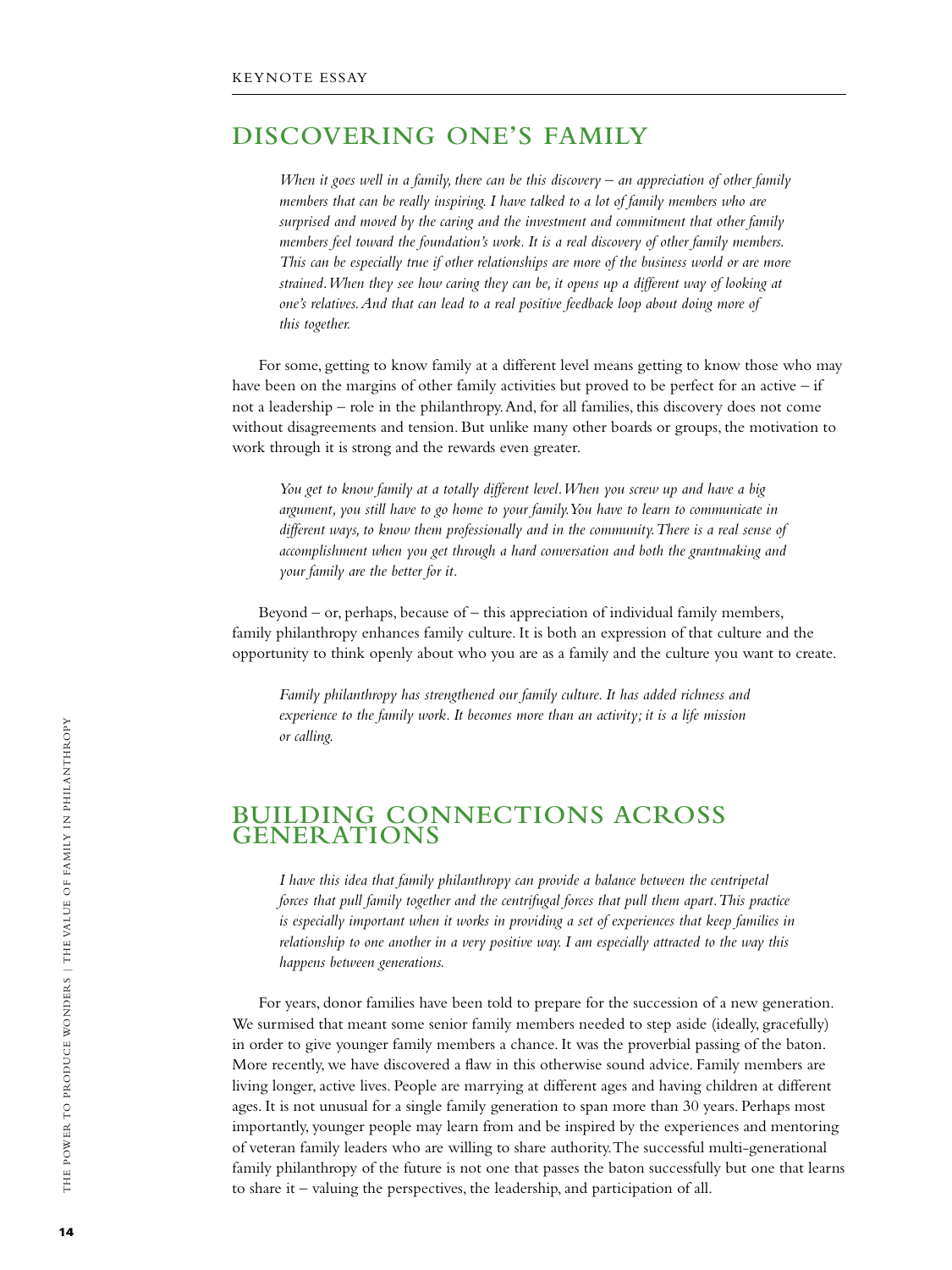# **Discovering One's Family**

*When it goes well in a family, there can be this discovery – an appreciation of other family members that can be really inspiring. I have talked to a lot of family members who are surprised and moved by the caring and the investment and commitment that other family members feel toward the foundation's work. It is a real discovery of other family members. This can be especially true if other relationships are more of the business world or are more strained. When they see how caring they can be, it opens up a different way of looking at one's relatives. And that can lead to a real positive feedback loop about doing more of this together.*

For some, getting to know family at a different level means getting to know those who may have been on the margins of other family activities but proved to be perfect for an active – if not a leadership – role in the philanthropy. And, for all families, this discovery does not come without disagreements and tension. But unlike many other boards or groups, the motivation to work through it is strong and the rewards even greater.

*You get to know family at a totally different level. When you screw up and have a big argument, you still have to go home to your family. You have to learn to communicate in different ways, to know them professionally and in the community. There is a real sense of accomplishment when you get through a hard conversation and both the grantmaking and your family are the better for it.*

Beyond – or, perhaps, because of – this appreciation of individual family members, family philanthropy enhances family culture. It is both an expression of that culture and the opportunity to think openly about who you are as a family and the culture you want to create.

*Family philanthropy has strengthened our family culture. It has added richness and experience to the family work. It becomes more than an activity; it is a life mission or calling.*

## **Building Connections Across Generations**

*I have this idea that family philanthropy can provide a balance between the centripetal forces that pull family together and the centrifugal forces that pull them apart. This practice is especially important when it works in providing a set of experiences that keep families in relationship to one another in a very positive way. I am especially attracted to the way this happens between generations.*

For years, donor families have been told to prepare for the succession of a new generation. We surmised that meant some senior family members needed to step aside (ideally, gracefully) in order to give younger family members a chance. It was the proverbial passing of the baton. More recently, we have discovered a flaw in this otherwise sound advice. Family members are living longer, active lives. People are marrying at different ages and having children at different ages. It is not unusual for a single family generation to span more than 30 years. Perhaps most importantly, younger people may learn from and be inspired by the experiences and mentoring of veteran family leaders who are willing to share authority. The successful multi-generational family philanthropy of the future is not one that passes the baton successfully but one that learns to share it – valuing the perspectives, the leadership, and participation of all.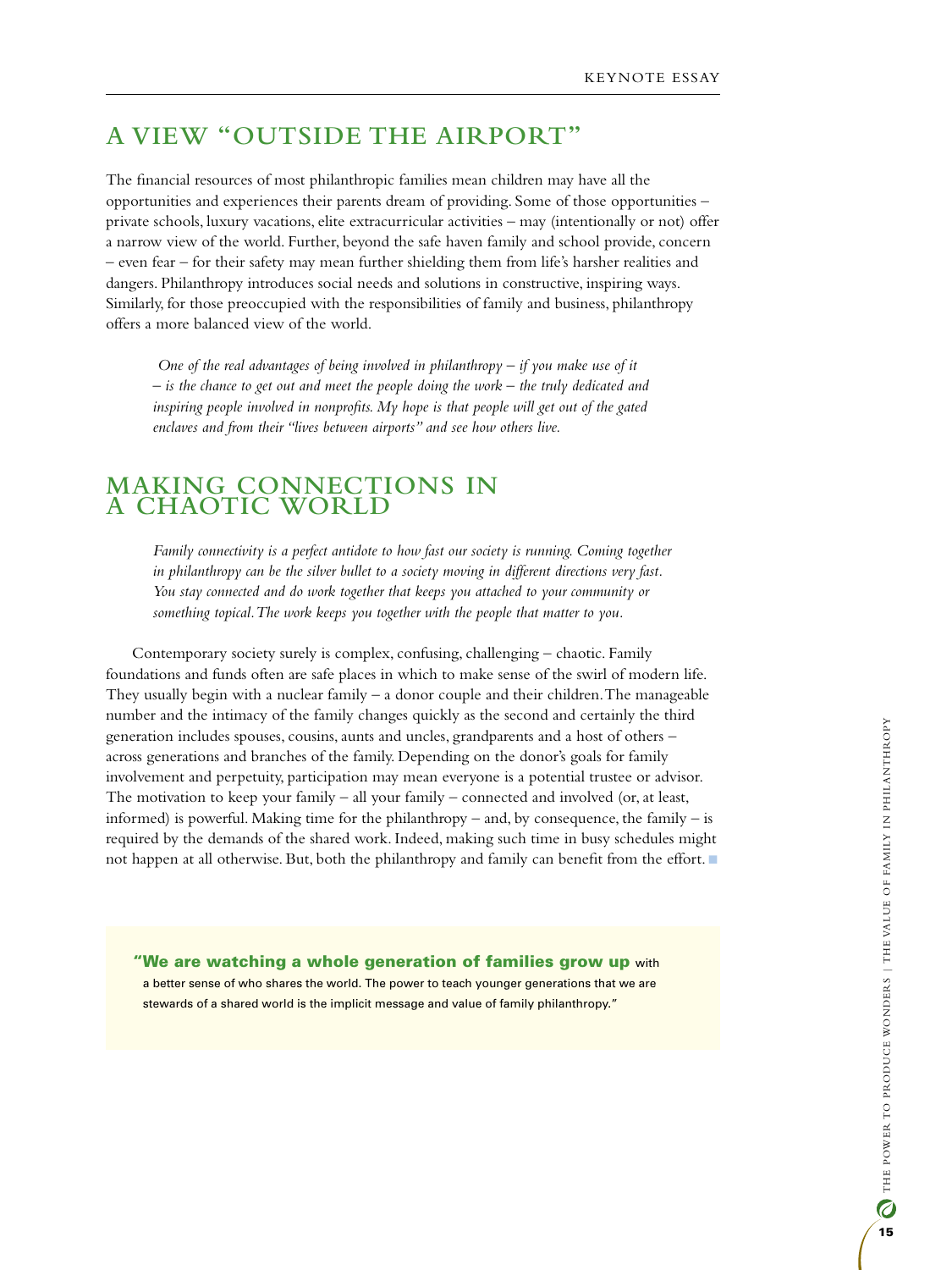# **A View "Outside the Airport"**

The financial resources of most philanthropic families mean children may have all the opportunities and experiences their parents dream of providing. Some of those opportunities – private schools, luxury vacations, elite extracurricular activities – may (intentionally or not) offer a narrow view of the world. Further, beyond the safe haven family and school provide, concern – even fear – for their safety may mean further shielding them from life's harsher realities and dangers. Philanthropy introduces social needs and solutions in constructive, inspiring ways. Similarly, for those preoccupied with the responsibilities of family and business, philanthropy offers a more balanced view of the world.

 *One of the real advantages of being involved in philanthropy – if you make use of it – is the chance to get out and meet the people doing the work – the truly dedicated and inspiring people involved in nonprofits. My hope is that people will get out of the gated enclaves and from their "lives between airports" and see how others live.*

### **Making Connections in a Chaotic World**

*Family connectivity is a perfect antidote to how fast our society is running. Coming together in philanthropy can be the silver bullet to a society moving in different directions very fast. You stay connected and do work together that keeps you attached to your community or something topical. The work keeps you together with the people that matter to you.*

Contemporary society surely is complex, confusing, challenging – chaotic. Family foundations and funds often are safe places in which to make sense of the swirl of modern life. They usually begin with a nuclear family – a donor couple and their children. The manageable number and the intimacy of the family changes quickly as the second and certainly the third generation includes spouses, cousins, aunts and uncles, grandparents and a host of others – across generations and branches of the family. Depending on the donor's goals for family involvement and perpetuity, participation may mean everyone is a potential trustee or advisor. The motivation to keep your family – all your family – connected and involved (or, at least, informed) is powerful. Making time for the philanthropy – and, by consequence, the family – is required by the demands of the shared work. Indeed, making such time in busy schedules might not happen at all otherwise. But, both the philanthropy and family can benefit from the effort.

"We are watching a whole generation of families grow up with a better sense of who shares the world. The power to teach younger generations that we are stewards of a shared world is the implicit message and value of family philanthropy."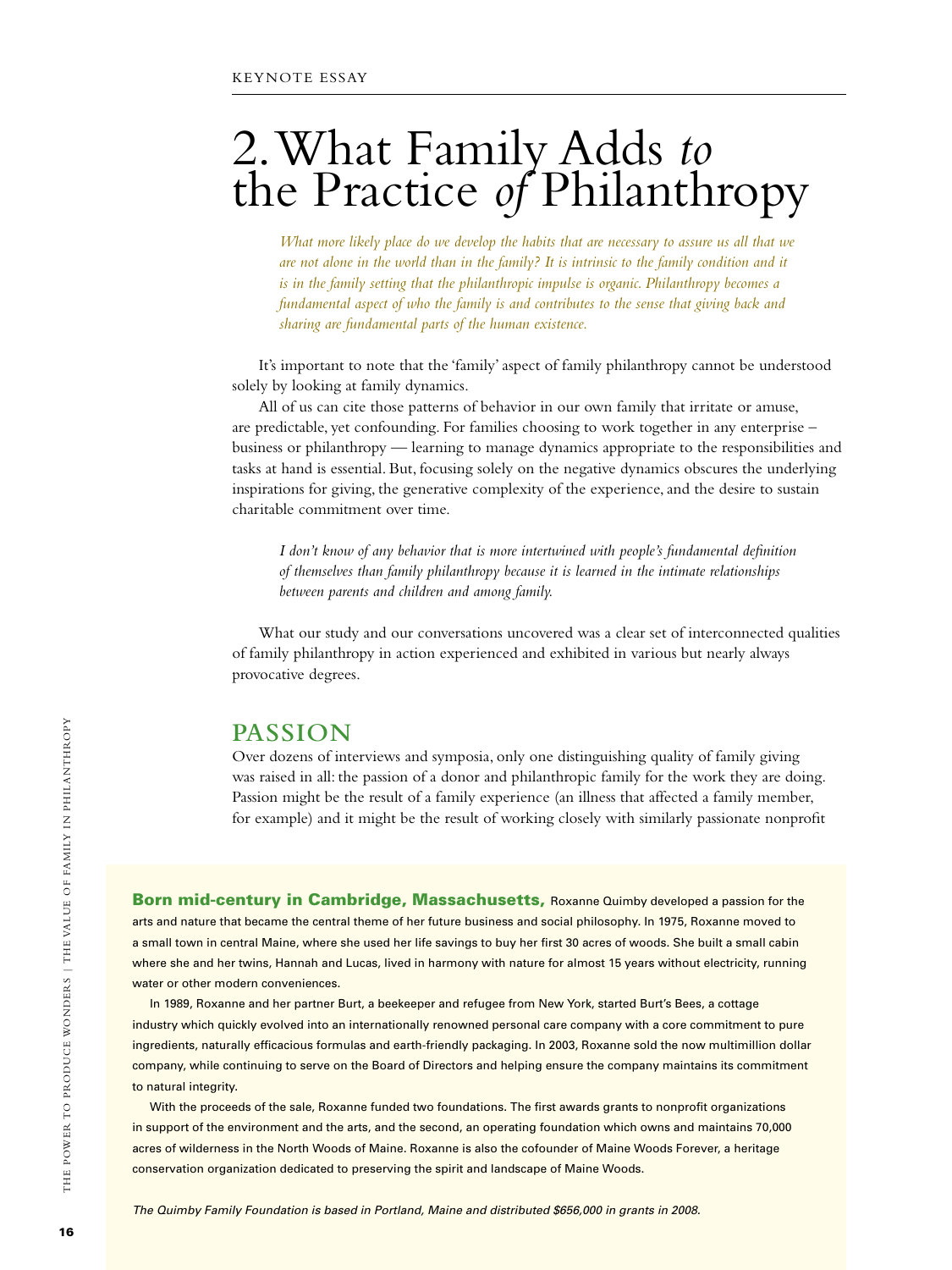# 2. What Family Adds *to* the Practice *of* Philanthropy

*What more likely place do we develop the habits that are necessary to assure us all that we are not alone in the world than in the family? It is intrinsic to the family condition and it is in the family setting that the philanthropic impulse is organic. Philanthropy becomes a fundamental aspect of who the family is and contributes to the sense that giving back and sharing are fundamental parts of the human existence.*

It's important to note that the 'family' aspect of family philanthropy cannot be understood solely by looking at family dynamics.

All of us can cite those patterns of behavior in our own family that irritate or amuse, are predictable, yet confounding. For families choosing to work together in any enterprise – business or philanthropy — learning to manage dynamics appropriate to the responsibilities and tasks at hand is essential. But, focusing solely on the negative dynamics obscures the underlying inspirations for giving, the generative complexity of the experience, and the desire to sustain charitable commitment over time.

*I don't know of any behavior that is more intertwined with people's fundamental definition of themselves than family philanthropy because it is learned in the intimate relationships between parents and children and among family.*

What our study and our conversations uncovered was a clear set of interconnected qualities of family philanthropy in action experienced and exhibited in various but nearly always provocative degrees.

### **Passion**

Over dozens of interviews and symposia, only one distinguishing quality of family giving was raised in all: the passion of a donor and philanthropic family for the work they are doing. Passion might be the result of a family experience (an illness that affected a family member, for example) and it might be the result of working closely with similarly passionate nonprofit

Born mid-century in Cambridge, Massachusetts, Roxanne Quimby developed a passion for the arts and nature that became the central theme of her future business and social philosophy. In 1975, Roxanne moved to a small town in central Maine, where she used her life savings to buy her first 30 acres of woods. She built a small cabin where she and her twins, Hannah and Lucas, lived in harmony with nature for almost 15 years without electricity, running water or other modern conveniences.

In 1989, Roxanne and her partner Burt, a beekeeper and refugee from New York, started Burt's Bees, a cottage industry which quickly evolved into an internationally renowned personal care company with a core commitment to pure ingredients, naturally efficacious formulas and earth-friendly packaging. In 2003, Roxanne sold the now multimillion dollar company, while continuing to serve on the Board of Directors and helping ensure the company maintains its commitment to natural integrity.

With the proceeds of the sale, Roxanne funded two foundations. The first awards grants to nonprofit organizations in support of the environment and the arts, and the second, an operating foundation which owns and maintains 70,000 acres of wilderness in the North Woods of Maine. Roxanne is also the cofounder of Maine Woods Forever, a heritage conservation organization dedicated to preserving the spirit and landscape of Maine Woods.

*The Quimby Family Foundation is based in Portland, Maine and distributed \$656,000 in grants in 2008.*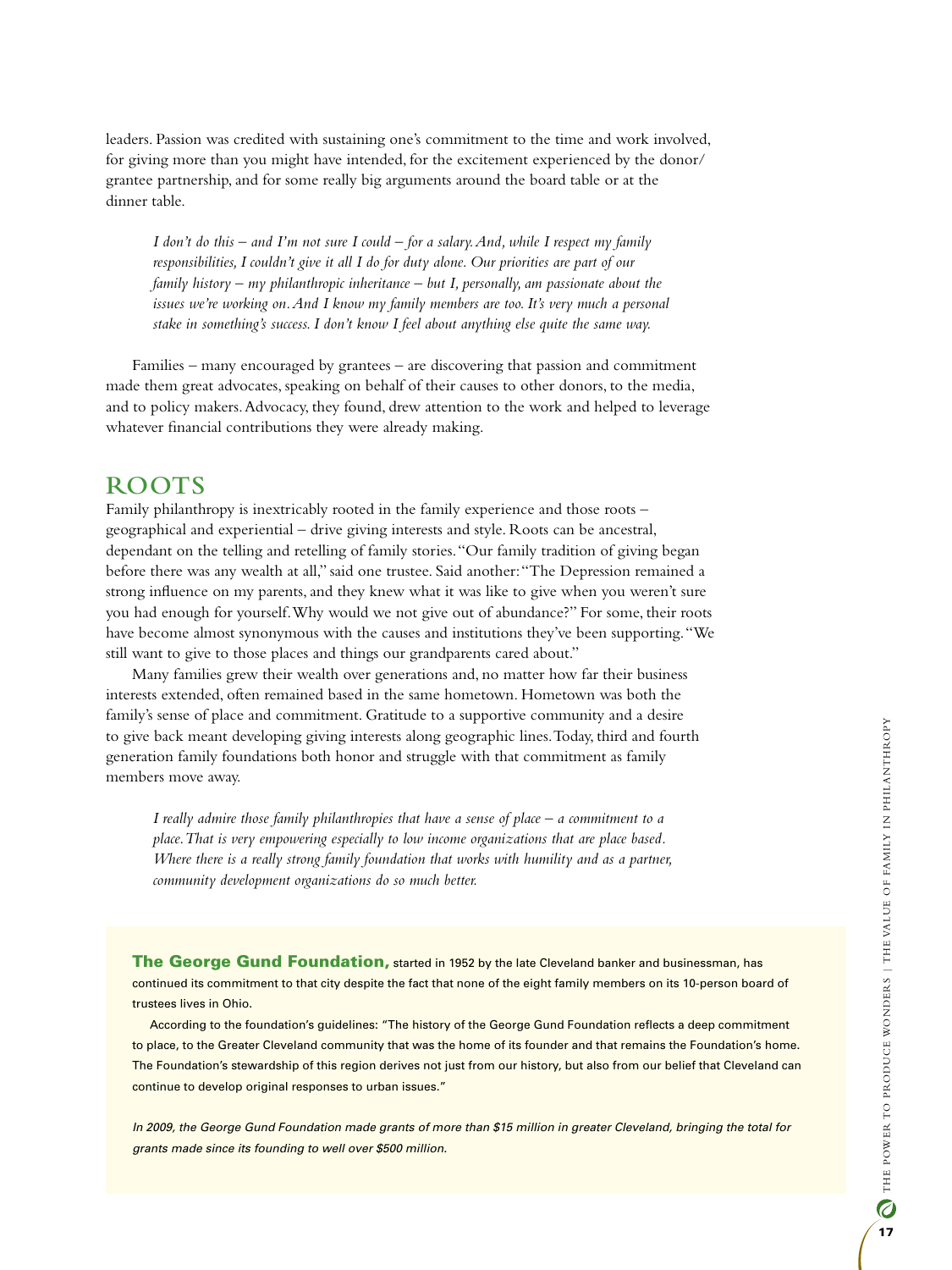leaders. Passion was credited with sustaining one's commitment to the time and work involved, for giving more than you might have intended, for the excitement experienced by the donor/ grantee partnership, and for some really big arguments around the board table or at the dinner table.

*I don't do this – and I'm not sure I could – for a salary. And, while I respect my family responsibilities, I couldn't give it all I do for duty alone. Our priorities are part of our family history – my philanthropic inheritance – but I, personally, am passionate about the*  issues we're working on. And I know my family members are too. It's very much a personal *stake in something's success. I don't know I feel about anything else quite the same way.*

Families – many encouraged by grantees – are discovering that passion and commitment made them great advocates, speaking on behalf of their causes to other donors, to the media, and to policy makers. Advocacy, they found, drew attention to the work and helped to leverage whatever financial contributions they were already making.

# **Roots**

Family philanthropy is inextricably rooted in the family experience and those roots – geographical and experiential – drive giving interests and style. Roots can be ancestral, dependant on the telling and retelling of family stories. "Our family tradition of giving began before there was any wealth at all," said one trustee. Said another: "The Depression remained a strong influence on my parents, and they knew what it was like to give when you weren't sure you had enough for yourself. Why would we not give out of abundance?" For some, their roots have become almost synonymous with the causes and institutions they've been supporting. "We still want to give to those places and things our grandparents cared about."

Many families grew their wealth over generations and, no matter how far their business interests extended, often remained based in the same hometown. Hometown was both the family's sense of place and commitment. Gratitude to a supportive community and a desire to give back meant developing giving interests along geographic lines. Today, third and fourth generation family foundations both honor and struggle with that commitment as family members move away.

*I really admire those family philanthropies that have a sense of place – a commitment to a place. That is very empowering especially to low income organizations that are place based. Where there is a really strong family foundation that works with humility and as a partner, community development organizations do so much better.*

The George Gund Foundation, started in 1952 by the late Cleveland banker and businessman, has continued its commitment to that city despite the fact that none of the eight family members on its 10-person board of trustees lives in Ohio.

According to the foundation's guidelines: "The history of the George Gund Foundation reflects a deep commitment to place, to the Greater Cleveland community that was the home of its founder and that remains the Foundation's home. The Foundation's stewardship of this region derives not just from our history, but also from our belief that Cleveland can continue to develop original responses to urban issues."

*In 2009, the George Gund Foundation made grants of more than \$15 million in greater Cleveland, bringing the total for grants made since its founding to well over \$500 million.*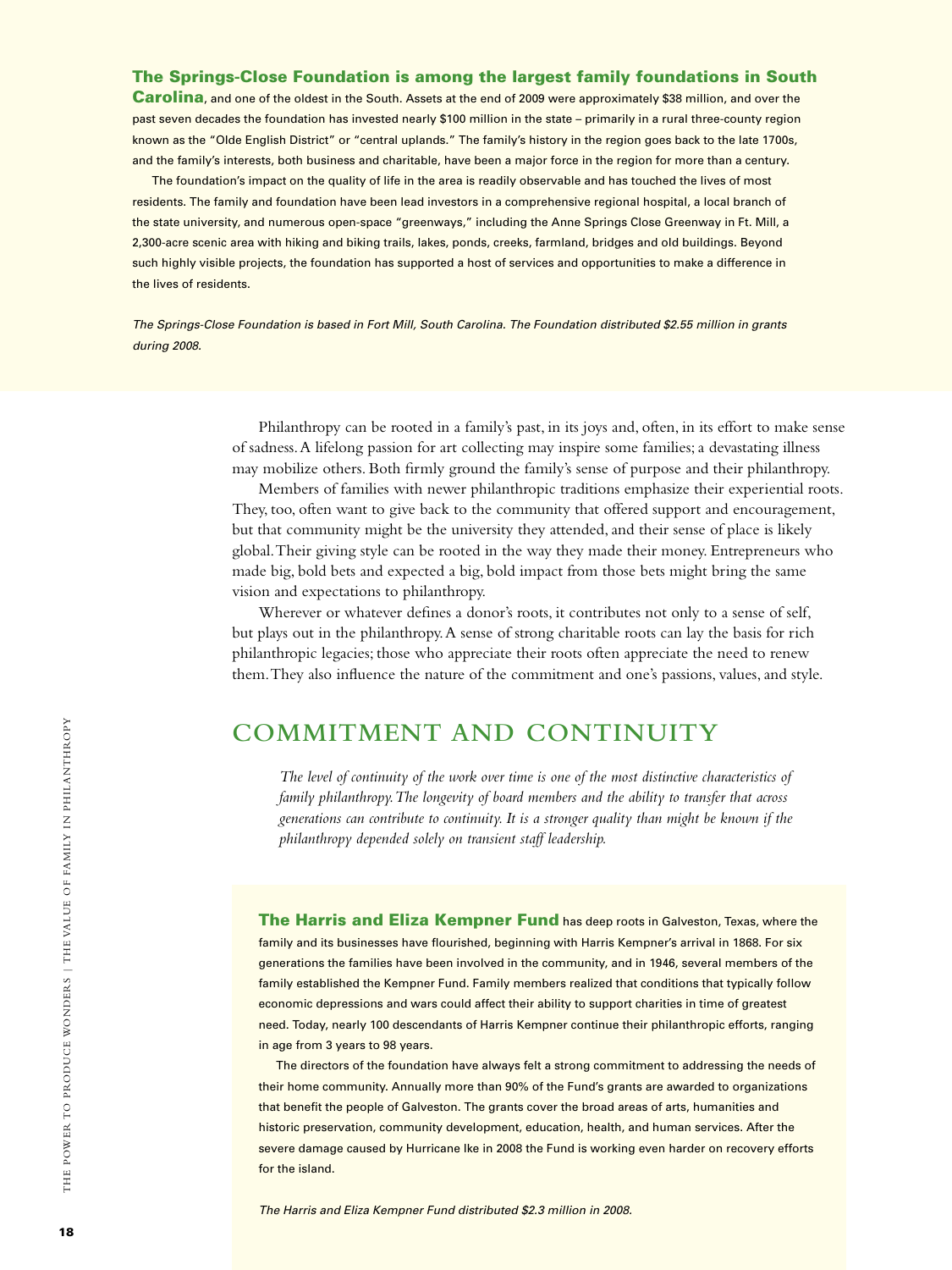#### The Springs-Close Foundation is among the largest family foundations in South

Carolina, and one of the oldest in the South. Assets at the end of 2009 were approximately \$38 million, and over the past seven decades the foundation has invested nearly \$100 million in the state – primarily in a rural three-county region known as the "Olde English District" or "central uplands." The family's history in the region goes back to the late 1700s, and the family's interests, both business and charitable, have been a major force in the region for more than a century.

The foundation's impact on the quality of life in the area is readily observable and has touched the lives of most residents. The family and foundation have been lead investors in a comprehensive regional hospital, a local branch of the state university, and numerous open-space "greenways," including the Anne Springs Close Greenway in Ft. Mill, a 2,300-acre scenic area with hiking and biking trails, lakes, ponds, creeks, farmland, bridges and old buildings. Beyond such highly visible projects, the foundation has supported a host of services and opportunities to make a difference in the lives of residents.

*The Springs-Close Foundation is based in Fort Mill, South Carolina. The Foundation distributed \$2.55 million in grants during 2008.*

> Philanthropy can be rooted in a family's past, in its joys and, often, in its effort to make sense of sadness. A lifelong passion for art collecting may inspire some families; a devastating illness may mobilize others. Both firmly ground the family's sense of purpose and their philanthropy.

> Members of families with newer philanthropic traditions emphasize their experiential roots. They, too, often want to give back to the community that offered support and encouragement, but that community might be the university they attended, and their sense of place is likely global. Their giving style can be rooted in the way they made their money. Entrepreneurs who made big, bold bets and expected a big, bold impact from those bets might bring the same vision and expectations to philanthropy.

Wherever or whatever defines a donor's roots, it contributes not only to a sense of self, but plays out in the philanthropy. A sense of strong charitable roots can lay the basis for rich philanthropic legacies; those who appreciate their roots often appreciate the need to renew them. They also influence the nature of the commitment and one's passions, values, and style.

# **Commitment and Continuity**

*The level of continuity of the work over time is one of the most distinctive characteristics of family philanthropy. The longevity of board members and the ability to transfer that across generations can contribute to continuity. It is a stronger quality than might be known if the philanthropy depended solely on transient staff leadership.*

The Harris and Eliza Kempner Fund has deep roots in Galveston, Texas, where the family and its businesses have flourished, beginning with Harris Kempner's arrival in 1868. For six generations the families have been involved in the community, and in 1946, several members of the family established the Kempner Fund. Family members realized that conditions that typically follow economic depressions and wars could affect their ability to support charities in time of greatest need. Today, nearly 100 descendants of Harris Kempner continue their philanthropic efforts, ranging in age from 3 years to 98 years.

The directors of the foundation have always felt a strong commitment to addressing the needs of their home community. Annually more than 90% of the Fund's grants are awarded to organizations that benefit the people of Galveston. The grants cover the broad areas of arts, humanities and historic preservation, community development, education, health, and human services. After the severe damage caused by Hurricane Ike in 2008 the Fund is working even harder on recovery efforts for the island.

*The Harris and Eliza Kempner Fund distributed \$2.3 million in 2008.*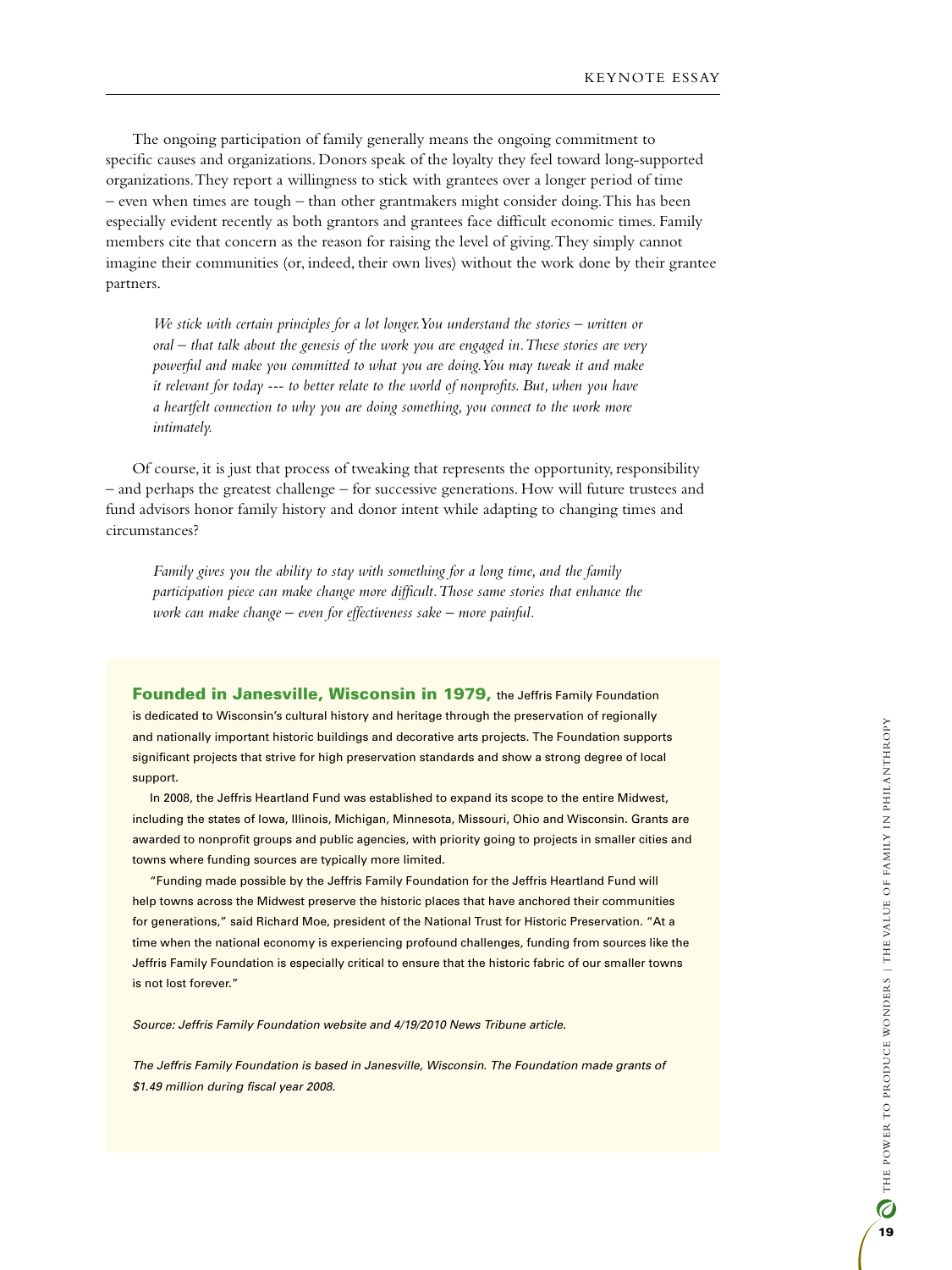The ongoing participation of family generally means the ongoing commitment to specific causes and organizations. Donors speak of the loyalty they feel toward long-supported organizations. They report a willingness to stick with grantees over a longer period of time – even when times are tough – than other grantmakers might consider doing. This has been especially evident recently as both grantors and grantees face difficult economic times. Family members cite that concern as the reason for raising the level of giving. They simply cannot imagine their communities (or, indeed, their own lives) without the work done by their grantee partners.

*We stick with certain principles for a lot longer. You understand the stories – written or oral – that talk about the genesis of the work you are engaged in. These stories are very powerful and make you committed to what you are doing. You may tweak it and make it relevant for today --- to better relate to the world of nonprofits. But, when you have a heartfelt connection to why you are doing something, you connect to the work more intimately.*

Of course, it is just that process of tweaking that represents the opportunity, responsibility – and perhaps the greatest challenge – for successive generations. How will future trustees and fund advisors honor family history and donor intent while adapting to changing times and circumstances?

*Family gives you the ability to stay with something for a long time, and the family participation piece can make change more difficult. Those same stories that enhance the work can make change – even for effectiveness sake – more painful.*

Founded in Janesville, Wisconsin in 1979, the Jeffris Family Foundation is dedicated to Wisconsin's cultural history and heritage through the preservation of regionally and nationally important historic buildings and decorative arts projects. The Foundation supports significant projects that strive for high preservation standards and show a strong degree of local support.

In 2008, the Jeffris Heartland Fund was established to expand its scope to the entire Midwest, including the states of Iowa, Illinois, Michigan, Minnesota, Missouri, Ohio and Wisconsin. Grants are awarded to nonprofit groups and public agencies, with priority going to projects in smaller cities and towns where funding sources are typically more limited.

"Funding made possible by the Jeffris Family Foundation for the Jeffris Heartland Fund will help towns across the Midwest preserve the historic places that have anchored their communities for generations," said Richard Moe, president of the National Trust for Historic Preservation. "At a time when the national economy is experiencing profound challenges, funding from sources like the Jeffris Family Foundation is especially critical to ensure that the historic fabric of our smaller towns is not lost forever."

*Source: Jeffris Family Foundation website and 4/19/2010 News Tribune article.* 

*The Jeffris Family Foundation is based in Janesville, Wisconsin. The Foundation made grants of \$1.49 million during fiscal year 2008.*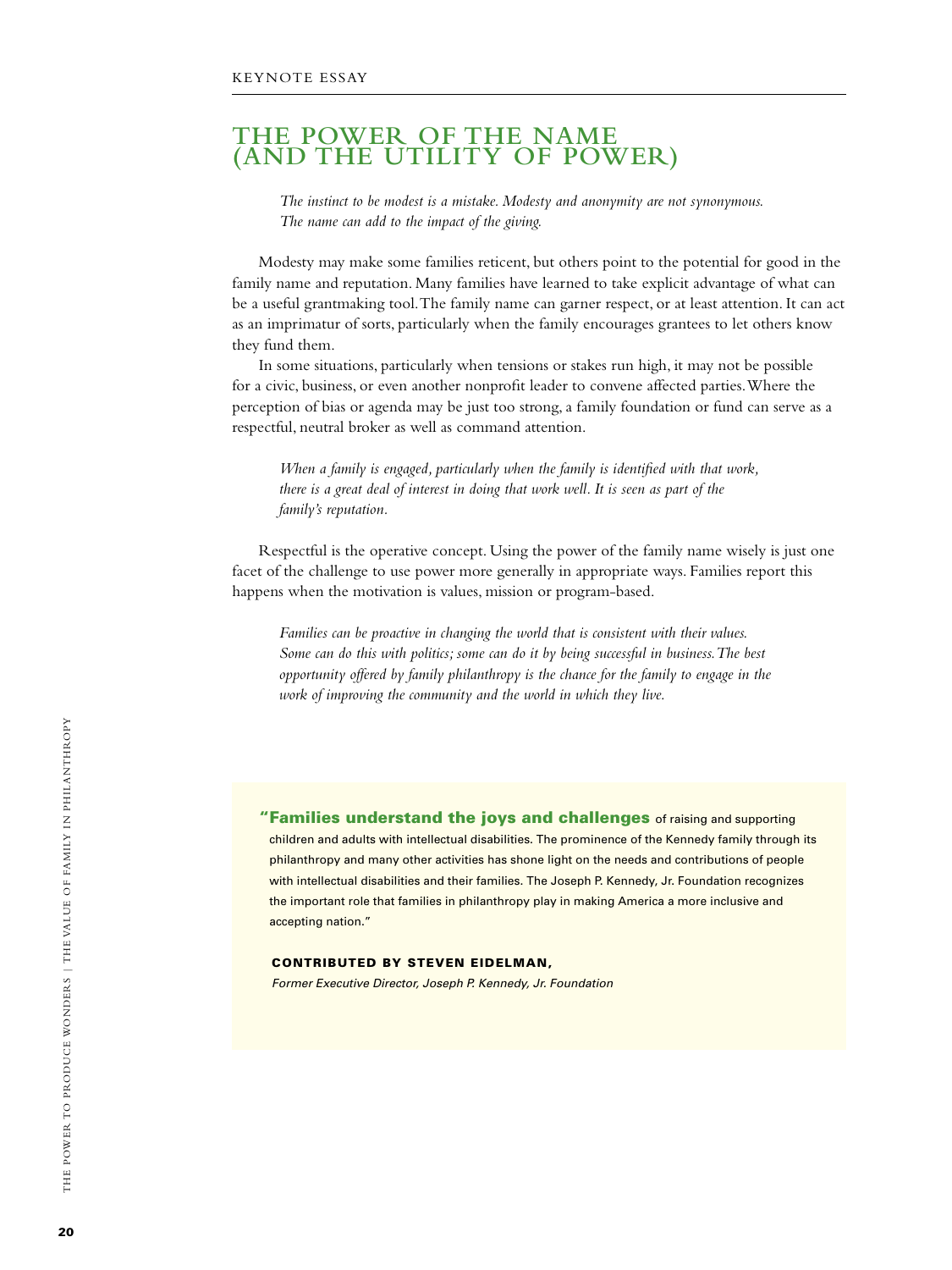## **The Power of the Name (and the Utility of Power)**

*The instinct to be modest is a mistake. Modesty and anonymity are not synonymous. The name can add to the impact of the giving.*

Modesty may make some families reticent, but others point to the potential for good in the family name and reputation. Many families have learned to take explicit advantage of what can be a useful grantmaking tool. The family name can garner respect, or at least attention. It can act as an imprimatur of sorts, particularly when the family encourages grantees to let others know they fund them.

In some situations, particularly when tensions or stakes run high, it may not be possible for a civic, business, or even another nonprofit leader to convene affected parties. Where the perception of bias or agenda may be just too strong, a family foundation or fund can serve as a respectful, neutral broker as well as command attention.

*When a family is engaged, particularly when the family is identified with that work, there is a great deal of interest in doing that work well. It is seen as part of the family's reputation.*

Respectful is the operative concept. Using the power of the family name wisely is just one facet of the challenge to use power more generally in appropriate ways. Families report this happens when the motivation is values, mission or program-based.

*Families can be proactive in changing the world that is consistent with their values. Some can do this with politics; some can do it by being successful in business. The best opportunity offered by family philanthropy is the chance for the family to engage in the work of improving the community and the world in which they live.*

**"Families understand the joys and challenges** of raising and supporting children and adults with intellectual disabilities. The prominence of the Kennedy family through its philanthropy and many other activities has shone light on the needs and contributions of people with intellectual disabilities and their families. The Joseph P. Kennedy, Jr. Foundation recognizes the important role that families in philanthropy play in making America a more inclusive and accepting nation."

#### CONTRIBUTED BY STEVEN EIDELMAN.

*Former Executive Director, Joseph P. Kennedy, Jr. Foundation*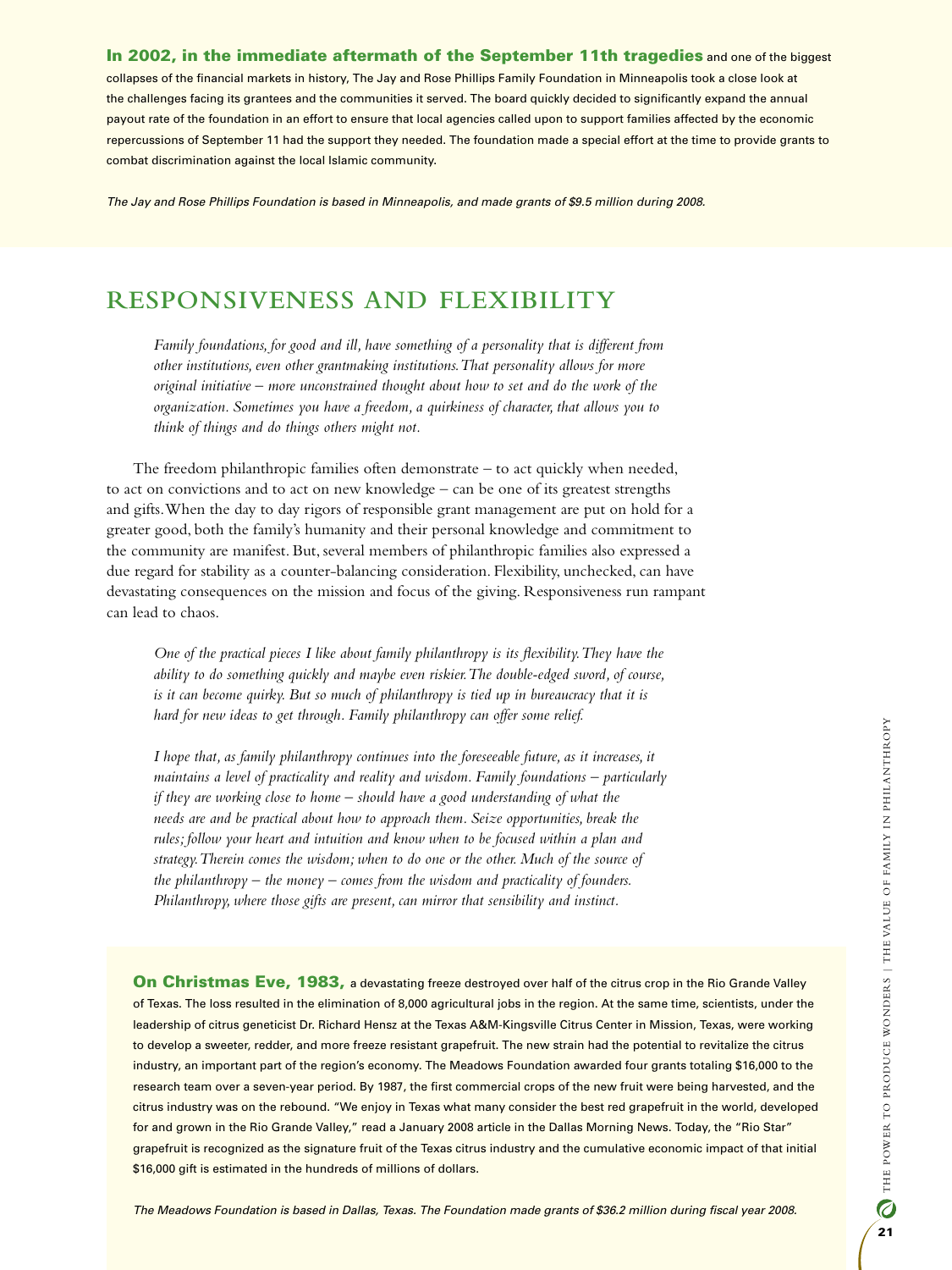#### In 2002, in the immediate aftermath of the September 11th tragedies and one of the biggest

collapses of the financial markets in history, The Jay and Rose Phillips Family Foundation in Minneapolis took a close look at the challenges facing its grantees and the communities it served. The board quickly decided to significantly expand the annual payout rate of the foundation in an effort to ensure that local agencies called upon to support families affected by the economic repercussions of September 11 had the support they needed. The foundation made a special effort at the time to provide grants to combat discrimination against the local Islamic community.

*The Jay and Rose Phillips Foundation is based in Minneapolis, and made grants of \$9.5 million during 2008.*

# **Responsiveness and Flexibility**

*Family foundations, for good and ill, have something of a personality that is different from other institutions, even other grantmaking institutions. That personality allows for more original initiative – more unconstrained thought about how to set and do the work of the organization. Sometimes you have a freedom, a quirkiness of character, that allows you to think of things and do things others might not.* 

The freedom philanthropic families often demonstrate – to act quickly when needed, to act on convictions and to act on new knowledge – can be one of its greatest strengths and gifts. When the day to day rigors of responsible grant management are put on hold for a greater good, both the family's humanity and their personal knowledge and commitment to the community are manifest. But, several members of philanthropic families also expressed a due regard for stability as a counter-balancing consideration. Flexibility, unchecked, can have devastating consequences on the mission and focus of the giving. Responsiveness run rampant can lead to chaos.

*One of the practical pieces I like about family philanthropy is its flexibility. They have the ability to do something quickly and maybe even riskier. The double-edged sword, of course, is it can become quirky. But so much of philanthropy is tied up in bureaucracy that it is hard for new ideas to get through. Family philanthropy can offer some relief.*

*I hope that, as family philanthropy continues into the foreseeable future, as it increases, it maintains a level of practicality and reality and wisdom. Family foundations – particularly if they are working close to home – should have a good understanding of what the needs are and be practical about how to approach them. Seize opportunities, break the rules; follow your heart and intuition and know when to be focused within a plan and strategy. Therein comes the wisdom; when to do one or the other. Much of the source of the philanthropy – the money – comes from the wisdom and practicality of founders. Philanthropy, where those gifts are present, can mirror that sensibility and instinct.*

On Christmas Eve, 1983, a devastating freeze destroyed over half of the citrus crop in the Rio Grande Valley of Texas. The loss resulted in the elimination of 8,000 agricultural jobs in the region. At the same time, scientists, under the leadership of citrus geneticist Dr. Richard Hensz at the Texas A&M-Kingsville Citrus Center in Mission, Texas, were working to develop a sweeter, redder, and more freeze resistant grapefruit. The new strain had the potential to revitalize the citrus industry, an important part of the region's economy. The Meadows Foundation awarded four grants totaling \$16,000 to the research team over a seven-year period. By 1987, the first commercial crops of the new fruit were being harvested, and the citrus industry was on the rebound. "We enjoy in Texas what many consider the best red grapefruit in the world, developed for and grown in the Rio Grande Valley," read a January 2008 article in the Dallas Morning News. Today, the "Rio Star" grapefruit is recognized as the signature fruit of the Texas citrus industry and the cumulative economic impact of that initial \$16,000 gift is estimated in the hundreds of millions of dollars.

*The Meadows Foundation is based in Dallas, Texas. The Foundation made grants of \$36.2 million during fiscal year 2008.*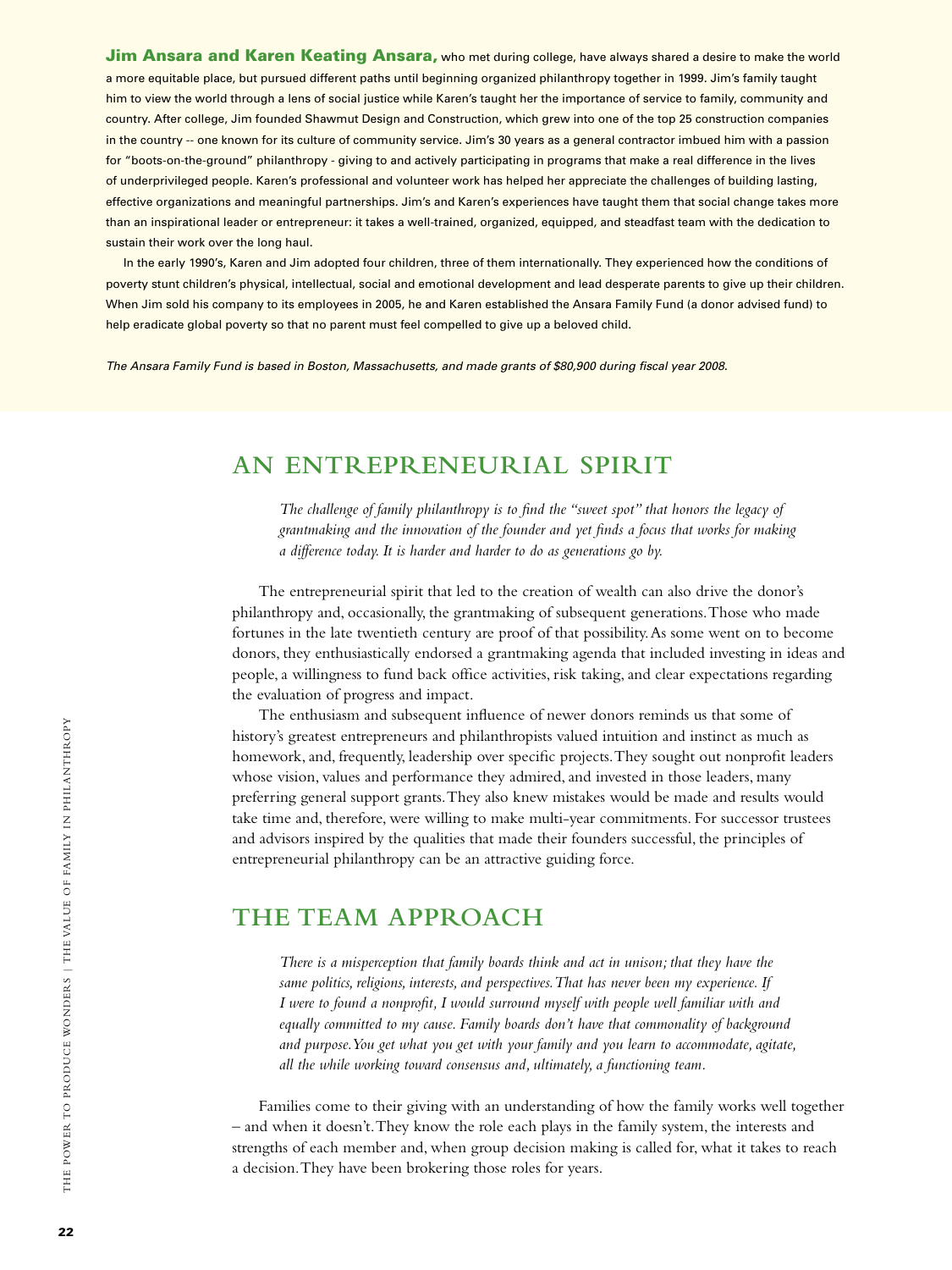a more equitable place, but pursued different paths until beginning organized philanthropy together in 1999. Jim's family taught **Jim Ansara and Karen Keating Ansara,** who met during college, have always shared a desire to make the world him to view the world through a lens of social justice while Karen's taught her the importance of service to family, community and country. After college, Jim founded Shawmut Design and Construction, which grew into one of the top 25 construction companies in the country -- one known for its culture of community service. Jim's 30 years as a general contractor imbued him with a passion for "boots-on-the-ground" philanthropy - giving to and actively participating in programs that make a real difference in the lives of underprivileged people. Karen's professional and volunteer work has helped her appreciate the challenges of building lasting, effective organizations and meaningful partnerships. Jim's and Karen's experiences have taught them that social change takes more than an inspirational leader or entrepreneur: it takes a well-trained, organized, equipped, and steadfast team with the dedication to sustain their work over the long haul.

In the early 1990's, Karen and Jim adopted four children, three of them internationally. They experienced how the conditions of poverty stunt children's physical, intellectual, social and emotional development and lead desperate parents to give up their children. When Jim sold his company to its employees in 2005, he and Karen established the Ansara Family Fund (a donor advised fund) to help eradicate global poverty so that no parent must feel compelled to give up a beloved child.

*The Ansara Family Fund is based in Boston, Massachusetts, and made grants of \$80,900 during fiscal year 2008.*

# **An Entrepreneurial Spirit**

*The challenge of family philanthropy is to find the "sweet spot" that honors the legacy of grantmaking and the innovation of the founder and yet finds a focus that works for making a difference today. It is harder and harder to do as generations go by.*

The entrepreneurial spirit that led to the creation of wealth can also drive the donor's philanthropy and, occasionally, the grantmaking of subsequent generations. Those who made fortunes in the late twentieth century are proof of that possibility. As some went on to become donors, they enthusiastically endorsed a grantmaking agenda that included investing in ideas and people, a willingness to fund back office activities, risk taking, and clear expectations regarding the evaluation of progress and impact.

The enthusiasm and subsequent influence of newer donors reminds us that some of history's greatest entrepreneurs and philanthropists valued intuition and instinct as much as homework, and, frequently, leadership over specific projects. They sought out nonprofit leaders whose vision, values and performance they admired, and invested in those leaders, many preferring general support grants. They also knew mistakes would be made and results would take time and, therefore, were willing to make multi-year commitments. For successor trustees and advisors inspired by the qualities that made their founders successful, the principles of entrepreneurial philanthropy can be an attractive guiding force.

## **The Team Approach**

*There is a misperception that family boards think and act in unison; that they have the same politics, religions, interests, and perspectives. That has never been my experience. If I were to found a nonprofit, I would surround myself with people well familiar with and equally committed to my cause. Family boards don't have that commonality of background and purpose. You get what you get with your family and you learn to accommodate, agitate, all the while working toward consensus and, ultimately, a functioning team.*

Families come to their giving with an understanding of how the family works well together – and when it doesn't. They know the role each plays in the family system, the interests and strengths of each member and, when group decision making is called for, what it takes to reach a decision. They have been brokering those roles for years.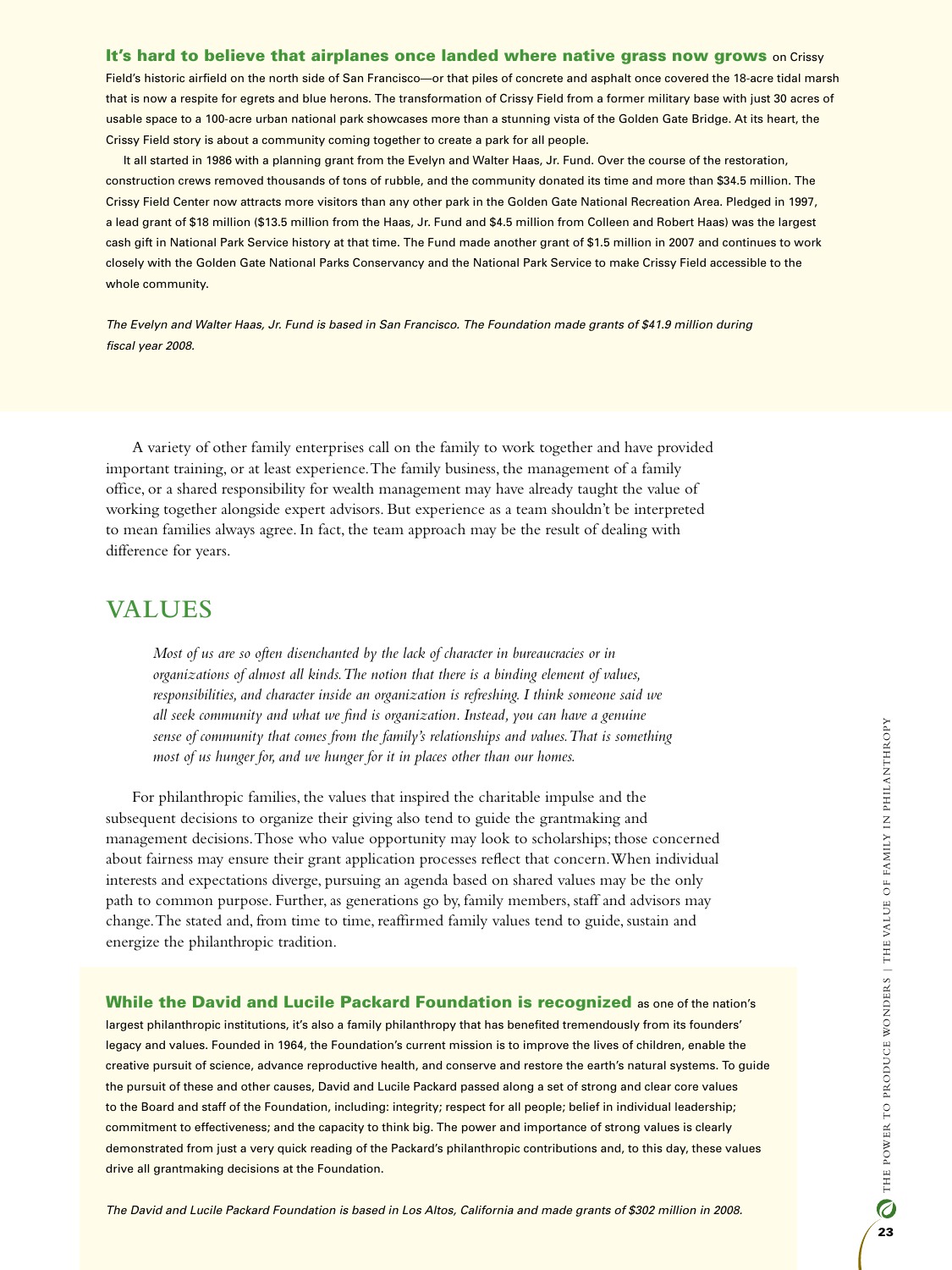#### It's hard to believe that airplanes once landed where native grass now grows on Crissy

Field's historic airfield on the north side of San Francisco—or that piles of concrete and asphalt once covered the 18-acre tidal marsh that is now a respite for egrets and blue herons. The transformation of Crissy Field from a former military base with just 30 acres of usable space to a 100-acre urban national park showcases more than a stunning vista of the Golden Gate Bridge. At its heart, the Crissy Field story is about a community coming together to create a park for all people.

It all started in 1986 with a planning grant from the Evelyn and Walter Haas, Jr. Fund. Over the course of the restoration, construction crews removed thousands of tons of rubble, and the community donated its time and more than \$34.5 million. The Crissy Field Center now attracts more visitors than any other park in the Golden Gate National Recreation Area. Pledged in 1997, a lead grant of \$18 million (\$13.5 million from the Haas, Jr. Fund and \$4.5 million from Colleen and Robert Haas) was the largest cash gift in National Park Service history at that time. The Fund made another grant of \$1.5 million in 2007 and continues to work closely with the Golden Gate National Parks Conservancy and the National Park Service to make Crissy Field accessible to the whole community.

*The Evelyn and Walter Haas, Jr. Fund is based in San Francisco. The Foundation made grants of \$41.9 million during fiscal year 2008.*

A variety of other family enterprises call on the family to work together and have provided important training, or at least experience. The family business, the management of a family office, or a shared responsibility for wealth management may have already taught the value of working together alongside expert advisors. But experience as a team shouldn't be interpreted to mean families always agree. In fact, the team approach may be the result of dealing with difference for years.

# **Values**

*Most of us are so often disenchanted by the lack of character in bureaucracies or in organizations of almost all kinds. The notion that there is a binding element of values, responsibilities, and character inside an organization is refreshing. I think someone said we all seek community and what we find is organization. Instead, you can have a genuine sense of community that comes from the family's relationships and values. That is something most of us hunger for, and we hunger for it in places other than our homes.* 

For philanthropic families, the values that inspired the charitable impulse and the subsequent decisions to organize their giving also tend to guide the grantmaking and management decisions. Those who value opportunity may look to scholarships; those concerned about fairness may ensure their grant application processes reflect that concern. When individual interests and expectations diverge, pursuing an agenda based on shared values may be the only path to common purpose. Further, as generations go by, family members, staff and advisors may change. The stated and, from time to time, reaffirmed family values tend to guide, sustain and energize the philanthropic tradition.

While the David and Lucile Packard Foundation is recognized as one of the nation's largest philanthropic institutions, it's also a family philanthropy that has benefited tremendously from its founders' legacy and values. Founded in 1964, the Foundation's current mission is to improve the lives of children, enable the creative pursuit of science, advance reproductive health, and conserve and restore the earth's natural systems. To guide the pursuit of these and other causes, David and Lucile Packard passed along a set of strong and clear core values to the Board and staff of the Foundation, including: integrity; respect for all people; belief in individual leadership; commitment to effectiveness; and the capacity to think big. The power and importance of strong values is clearly demonstrated from just a very quick reading of the Packard's philanthropic contributions and, to this day, these values drive all grantmaking decisions at the Foundation.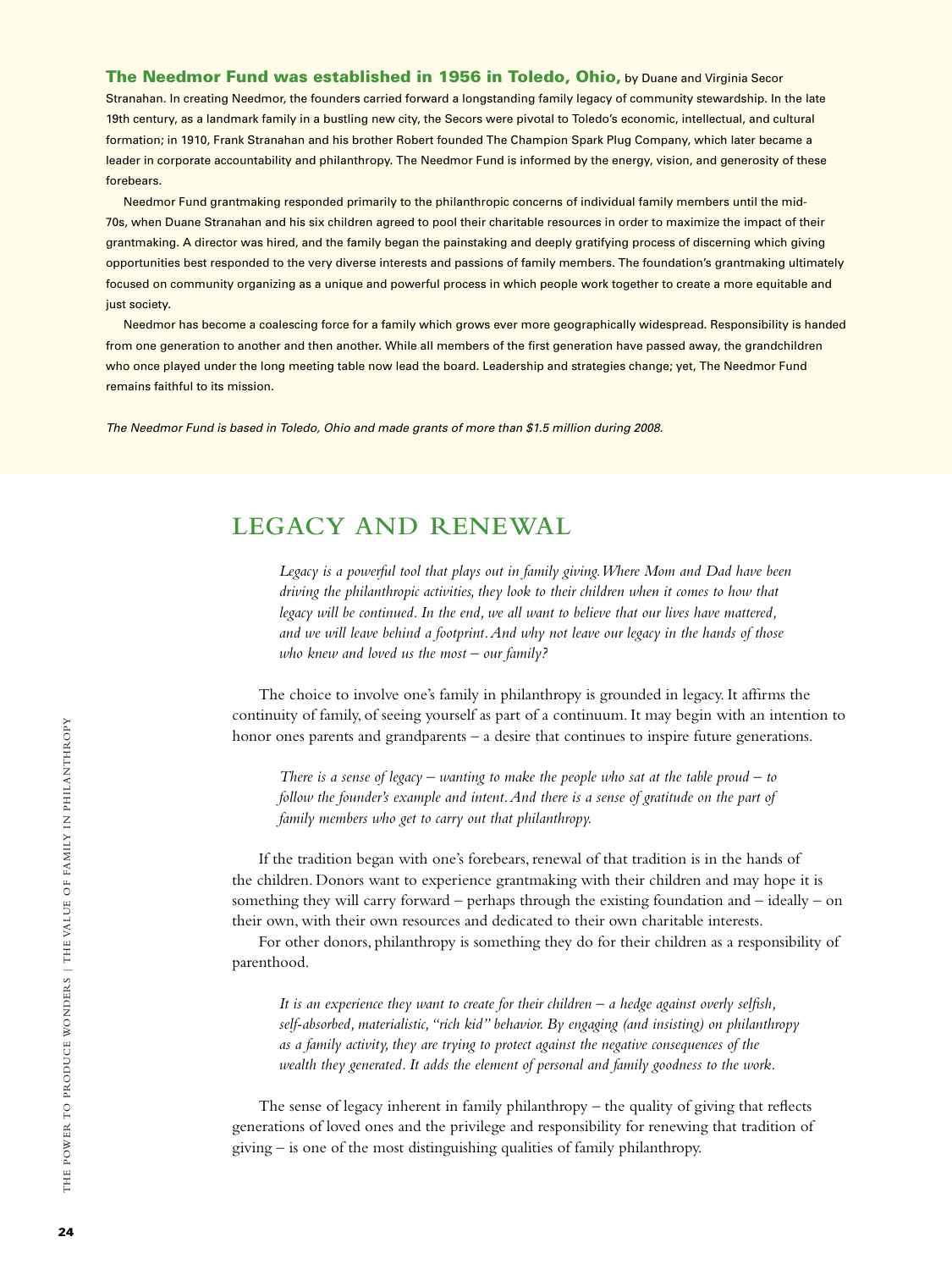The Needmor Fund was established in 1956 in Toledo, Ohio, by Duane and Virginia Secor Stranahan. In creating Needmor, the founders carried forward a longstanding family legacy of community stewardship. In the late 19th century, as a landmark family in a bustling new city, the Secors were pivotal to Toledo's economic, intellectual, and cultural formation; in 1910, Frank Stranahan and his brother Robert founded The Champion Spark Plug Company, which later became a leader in corporate accountability and philanthropy. The Needmor Fund is informed by the energy, vision, and generosity of these forebears.

Needmor Fund grantmaking responded primarily to the philanthropic concerns of individual family members until the mid-70s, when Duane Stranahan and his six children agreed to pool their charitable resources in order to maximize the impact of their grantmaking. A director was hired, and the family began the painstaking and deeply gratifying process of discerning which giving opportunities best responded to the very diverse interests and passions of family members. The foundation's grantmaking ultimately focused on community organizing as a unique and powerful process in which people work together to create a more equitable and just society.

Needmor has become a coalescing force for a family which grows ever more geographically widespread. Responsibility is handed from one generation to another and then another. While all members of the first generation have passed away, the grandchildren who once played under the long meeting table now lead the board. Leadership and strategies change; yet, The Needmor Fund remains faithful to its mission.

*The Needmor Fund is based in Toledo, Ohio and made grants of more than \$1.5 million during 2008.*

# **Legacy and Renewal**

*Legacy is a powerful tool that plays out in family giving. Where Mom and Dad have been driving the philanthropic activities, they look to their children when it comes to how that legacy will be continued. In the end, we all want to believe that our lives have mattered, and we will leave behind a footprint. And why not leave our legacy in the hands of those who knew and loved us the most – our family?*

The choice to involve one's family in philanthropy is grounded in legacy. It affirms the continuity of family, of seeing yourself as part of a continuum. It may begin with an intention to honor ones parents and grandparents – a desire that continues to inspire future generations.

*There is a sense of legacy – wanting to make the people who sat at the table proud – to follow the founder's example and intent. And there is a sense of gratitude on the part of family members who get to carry out that philanthropy.*

If the tradition began with one's forebears, renewal of that tradition is in the hands of the children. Donors want to experience grantmaking with their children and may hope it is something they will carry forward – perhaps through the existing foundation and – ideally – on their own, with their own resources and dedicated to their own charitable interests.

For other donors, philanthropy is something they do for their children as a responsibility of parenthood.

*It is an experience they want to create for their children – a hedge against overly selfish, self-absorbed, materialistic, "rich kid" behavior. By engaging (and insisting) on philanthropy as a family activity, they are trying to protect against the negative consequences of the wealth they generated. It adds the element of personal and family goodness to the work.*

The sense of legacy inherent in family philanthropy  $-$  the quality of giving that reflects generations of loved ones and the privilege and responsibility for renewing that tradition of giving – is one of the most distinguishing qualities of family philanthropy.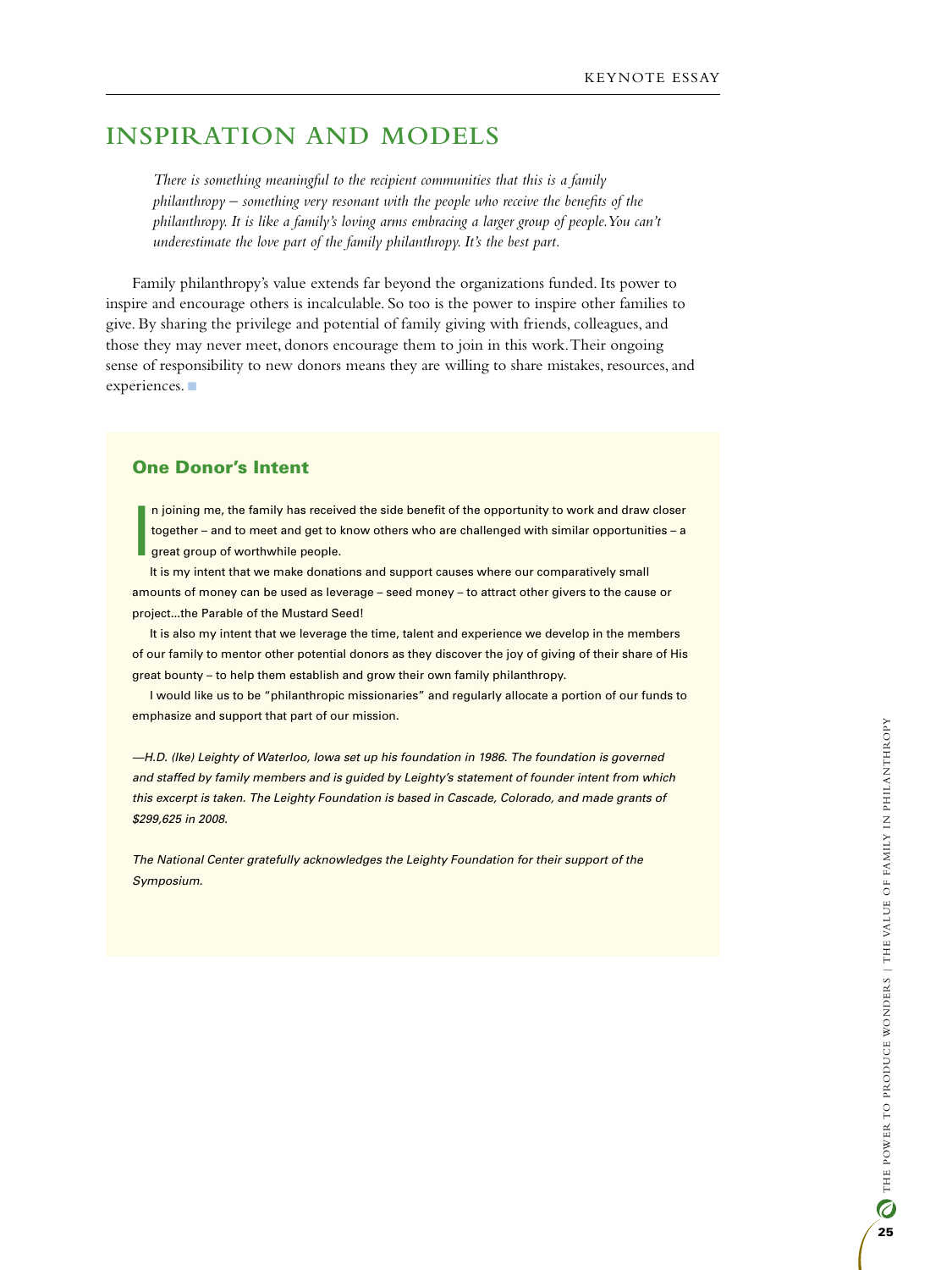# **Inspiration and Models**

*There is something meaningful to the recipient communities that this is a family philanthropy – something very resonant with the people who receive the benefits of the philanthropy. It is like a family's loving arms embracing a larger group of people. You can't underestimate the love part of the family philanthropy. It's the best part.*

Family philanthropy's value extends far beyond the organizations funded. Its power to inspire and encourage others is incalculable. So too is the power to inspire other families to give. By sharing the privilege and potential of family giving with friends, colleagues, and those they may never meet, donors encourage them to join in this work. Their ongoing sense of responsibility to new donors means they are willing to share mistakes, resources, and experiences.

#### One Donor's Intent

I n joining me, the family has received the side benefit of the opportunity to work and draw closer together – and to meet and get to know others who are challenged with similar opportunities – a great group of worthwhile people.

It is my intent that we make donations and support causes where our comparatively small amounts of money can be used as leverage – seed money – to attract other givers to the cause or project...the Parable of the Mustard Seed!

It is also my intent that we leverage the time, talent and experience we develop in the members of our family to mentor other potential donors as they discover the joy of giving of their share of His great bounty – to help them establish and grow their own family philanthropy.

I would like us to be "philanthropic missionaries" and regularly allocate a portion of our funds to emphasize and support that part of our mission.

*—H.D. (Ike) Leighty of Waterloo, Iowa set up his foundation in 1986. The foundation is governed and staffed by family members and is guided by Leighty's statement of founder intent from which this excerpt is taken. The Leighty Foundation is based in Cascade, Colorado, and made grants of \$299,625 in 2008.*

*The National Center gratefully acknowledges the Leighty Foundation for their support of the Symposium.*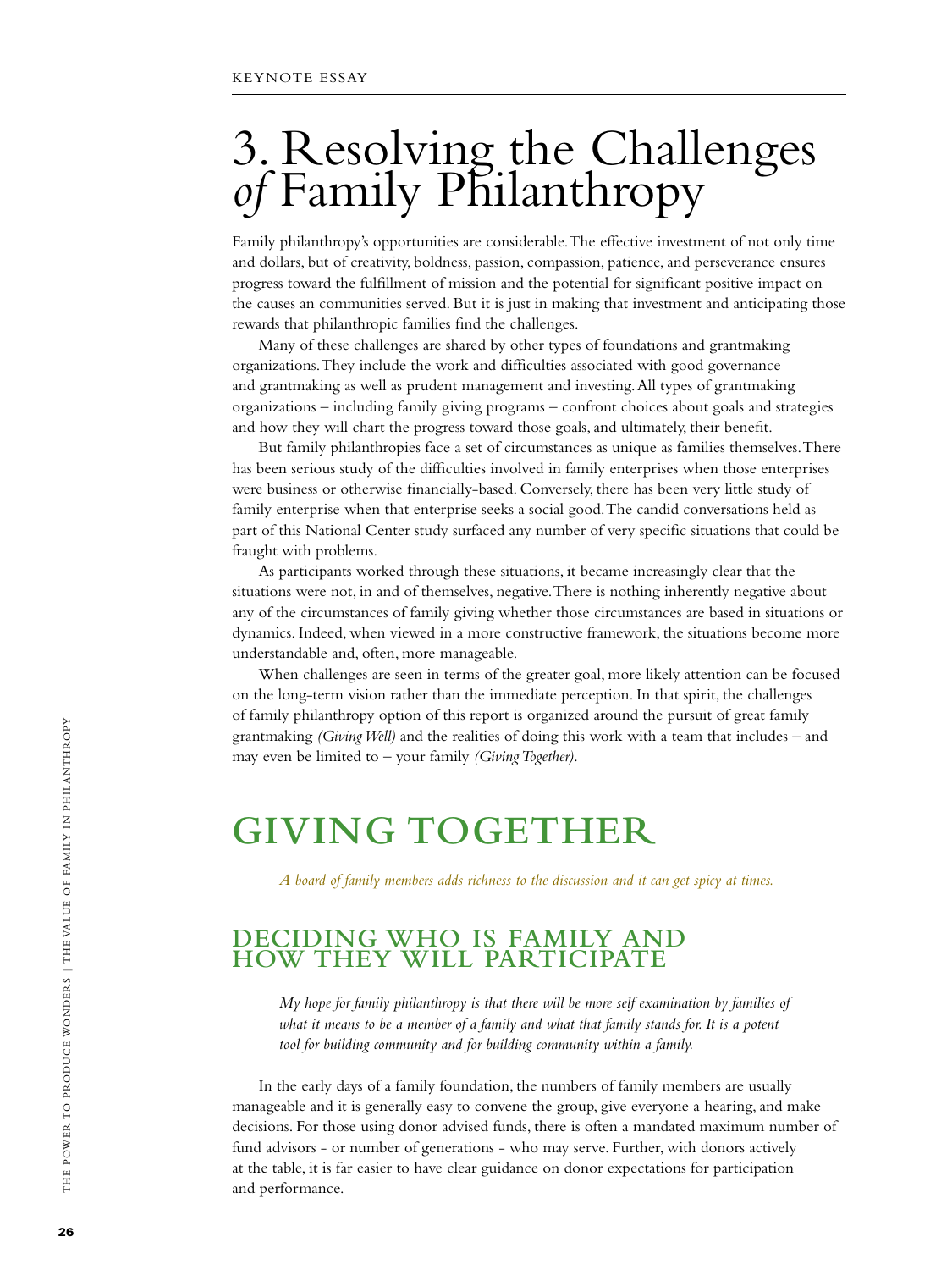# 3. Resolving the Challenges *of* Family Philanthropy

Family philanthropy's opportunities are considerable. The effective investment of not only time and dollars, but of creativity, boldness, passion, compassion, patience, and perseverance ensures progress toward the fulfillment of mission and the potential for significant positive impact on the causes an communities served. But it is just in making that investment and anticipating those rewards that philanthropic families find the challenges.

Many of these challenges are shared by other types of foundations and grantmaking organizations. They include the work and difficulties associated with good governance and grantmaking as well as prudent management and investing. All types of grantmaking organizations – including family giving programs – confront choices about goals and strategies and how they will chart the progress toward those goals, and ultimately, their benefit.

But family philanthropies face a set of circumstances as unique as families themselves. There has been serious study of the difficulties involved in family enterprises when those enterprises were business or otherwise financially-based. Conversely, there has been very little study of family enterprise when that enterprise seeks a social good. The candid conversations held as part of this National Center study surfaced any number of very specific situations that could be fraught with problems.

As participants worked through these situations, it became increasingly clear that the situations were not, in and of themselves, negative. There is nothing inherently negative about any of the circumstances of family giving whether those circumstances are based in situations or dynamics. Indeed, when viewed in a more constructive framework, the situations become more understandable and, often, more manageable.

When challenges are seen in terms of the greater goal, more likely attention can be focused on the long-term vision rather than the immediate perception. In that spirit, the challenges of family philanthropy option of this report is organized around the pursuit of great family grantmaking *(Giving Well)* and the realities of doing this work with a team that includes – and may even be limited to – your family *(Giving Together).*

# **Giving Together**

*A board of family members adds richness to the discussion and it can get spicy at times.*

# **Deciding Who is Family and How They Will Participate**

*My hope for family philanthropy is that there will be more self examination by families of what it means to be a member of a family and what that family stands for. It is a potent tool for building community and for building community within a family.*

In the early days of a family foundation, the numbers of family members are usually manageable and it is generally easy to convene the group, give everyone a hearing, and make decisions. For those using donor advised funds, there is often a mandated maximum number of fund advisors - or number of generations - who may serve. Further, with donors actively at the table, it is far easier to have clear guidance on donor expectations for participation and performance.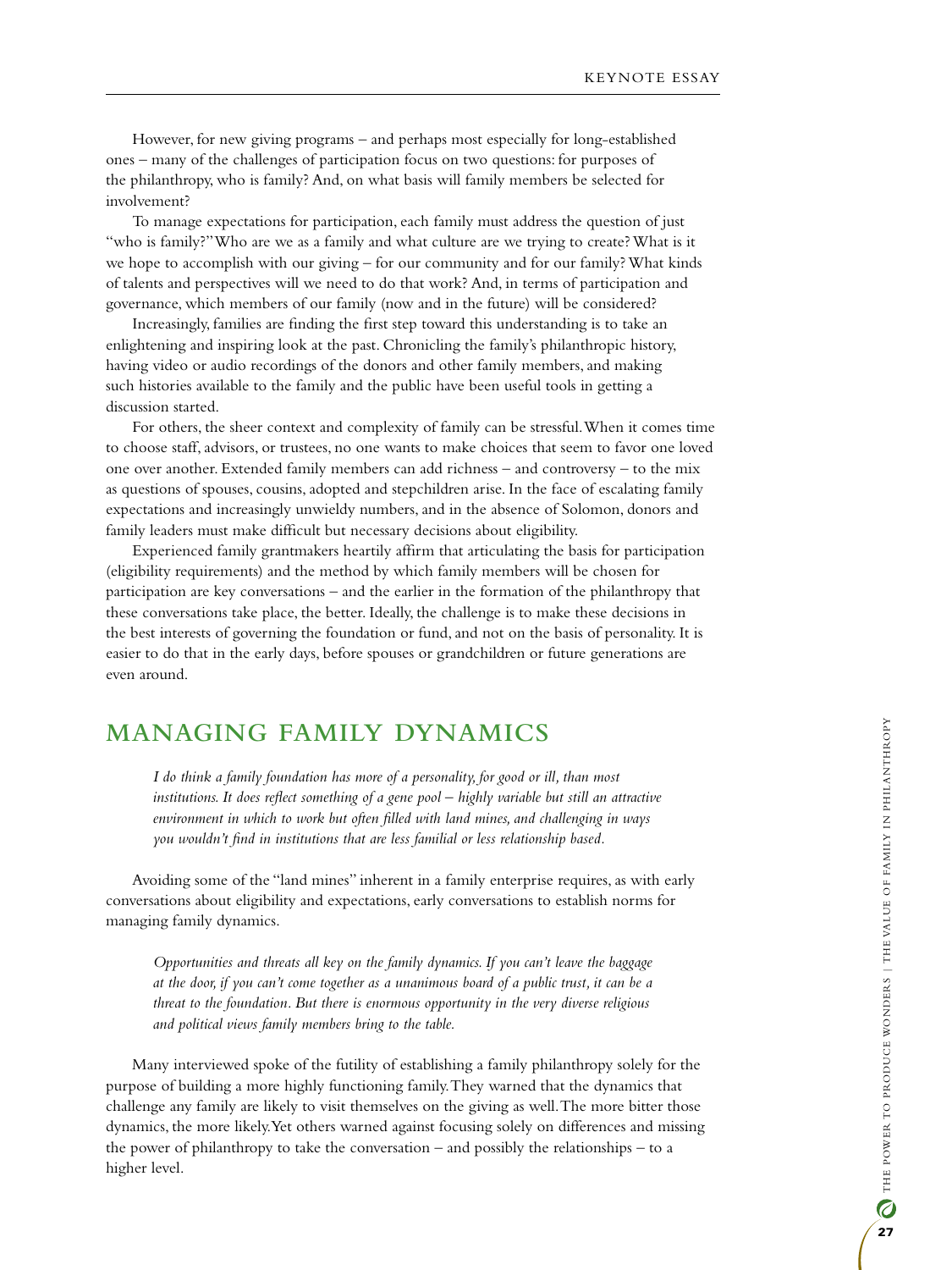However, for new giving programs – and perhaps most especially for long-established ones – many of the challenges of participation focus on two questions: for purposes of the philanthropy, who is family? And, on what basis will family members be selected for involvement?

To manage expectations for participation, each family must address the question of just "who is family?" Who are we as a family and what culture are we trying to create? What is it we hope to accomplish with our giving – for our community and for our family? What kinds of talents and perspectives will we need to do that work? And, in terms of participation and governance, which members of our family (now and in the future) will be considered?

Increasingly, families are finding the first step toward this understanding is to take an enlightening and inspiring look at the past. Chronicling the family's philanthropic history, having video or audio recordings of the donors and other family members, and making such histories available to the family and the public have been useful tools in getting a discussion started.

For others, the sheer context and complexity of family can be stressful. When it comes time to choose staff, advisors, or trustees, no one wants to make choices that seem to favor one loved one over another. Extended family members can add richness – and controversy – to the mix as questions of spouses, cousins, adopted and stepchildren arise. In the face of escalating family expectations and increasingly unwieldy numbers, and in the absence of Solomon, donors and family leaders must make difficult but necessary decisions about eligibility.

Experienced family grantmakers heartily affirm that articulating the basis for participation (eligibility requirements) and the method by which family members will be chosen for participation are key conversations – and the earlier in the formation of the philanthropy that these conversations take place, the better. Ideally, the challenge is to make these decisions in the best interests of governing the foundation or fund, and not on the basis of personality. It is easier to do that in the early days, before spouses or grandchildren or future generations are even around.

# **Managing Family Dynamics**

*I do think a family foundation has more of a personality, for good or ill, than most institutions. It does reflect something of a gene pool – highly variable but still an attractive environment in which to work but often filled with land mines, and challenging in ways you wouldn't find in institutions that are less familial or less relationship based.*

Avoiding some of the "land mines" inherent in a family enterprise requires, as with early conversations about eligibility and expectations, early conversations to establish norms for managing family dynamics.

*Opportunities and threats all key on the family dynamics. If you can't leave the baggage at the door, if you can't come together as a unanimous board of a public trust, it can be a threat to the foundation. But there is enormous opportunity in the very diverse religious and political views family members bring to the table.*

Many interviewed spoke of the futility of establishing a family philanthropy solely for the purpose of building a more highly functioning family. They warned that the dynamics that challenge any family are likely to visit themselves on the giving as well. The more bitter those dynamics, the more likely. Yet others warned against focusing solely on differences and missing the power of philanthropy to take the conversation – and possibly the relationships – to a higher level.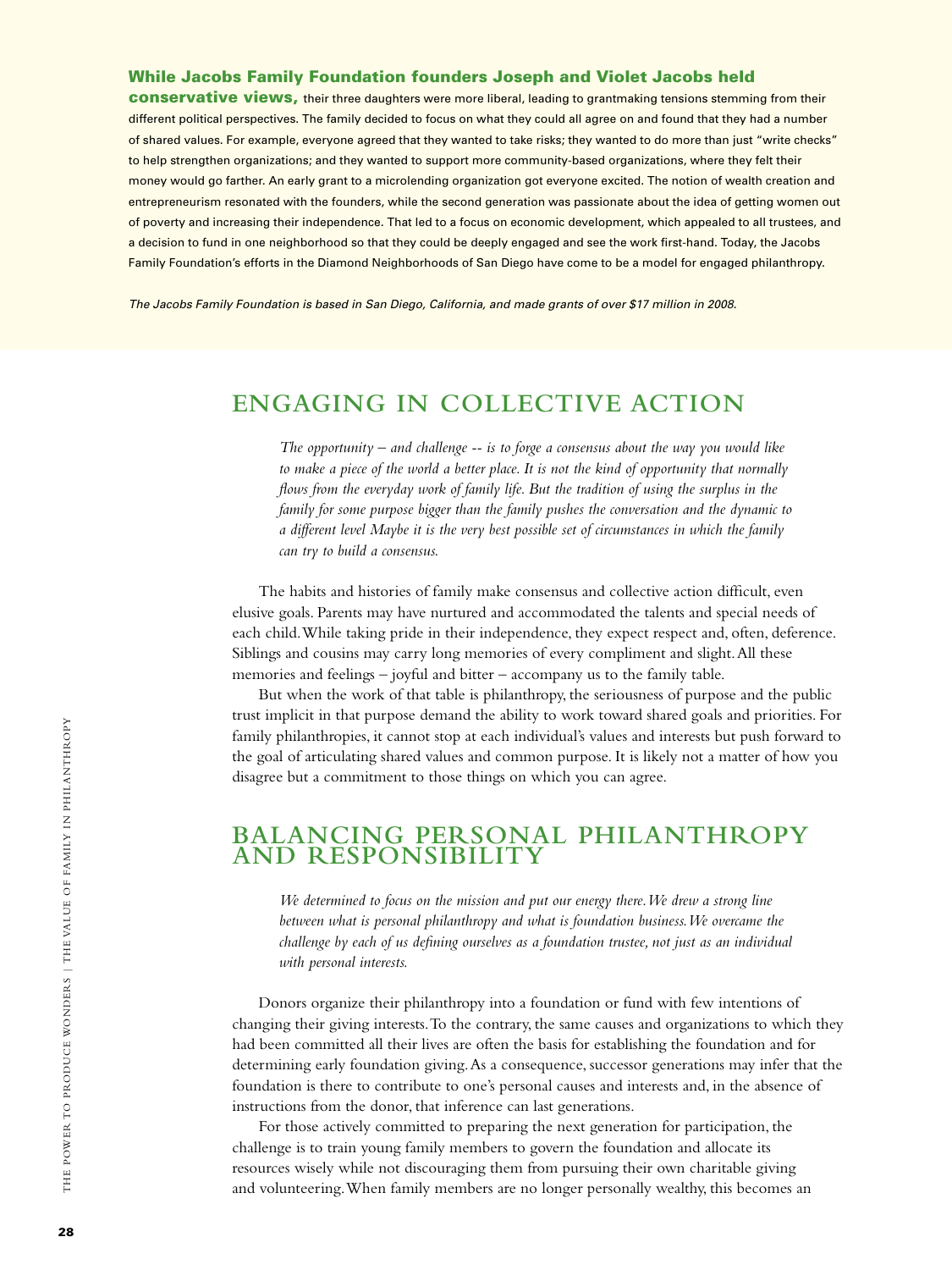#### While Jacobs Family Foundation founders Joseph and Violet Jacobs held

conservative views, their three daughters were more liberal, leading to grantmaking tensions stemming from their different political perspectives. The family decided to focus on what they could all agree on and found that they had a number of shared values. For example, everyone agreed that they wanted to take risks; they wanted to do more than just "write checks" to help strengthen organizations; and they wanted to support more community-based organizations, where they felt their money would go farther. An early grant to a microlending organization got everyone excited. The notion of wealth creation and entrepreneurism resonated with the founders, while the second generation was passionate about the idea of getting women out of poverty and increasing their independence. That led to a focus on economic development, which appealed to all trustees, and a decision to fund in one neighborhood so that they could be deeply engaged and see the work first-hand. Today, the Jacobs Family Foundation's efforts in the Diamond Neighborhoods of San Diego have come to be a model for engaged philanthropy.

*The Jacobs Family Foundation is based in San Diego, California, and made grants of over \$17 million in 2008.* 

# **Engaging in Collective Action**

*The opportunity – and challenge -- is to forge a consensus about the way you would like to make a piece of the world a better place. It is not the kind of opportunity that normally flows from the everyday work of family life. But the tradition of using the surplus in the family for some purpose bigger than the family pushes the conversation and the dynamic to a different level Maybe it is the very best possible set of circumstances in which the family can try to build a consensus.*

The habits and histories of family make consensus and collective action difficult, even elusive goals. Parents may have nurtured and accommodated the talents and special needs of each child. While taking pride in their independence, they expect respect and, often, deference. Siblings and cousins may carry long memories of every compliment and slight. All these memories and feelings – joyful and bitter – accompany us to the family table.

But when the work of that table is philanthropy, the seriousness of purpose and the public trust implicit in that purpose demand the ability to work toward shared goals and priorities. For family philanthropies, it cannot stop at each individual's values and interests but push forward to the goal of articulating shared values and common purpose. It is likely not a matter of how you disagree but a commitment to those things on which you can agree.

# **Balancing Personal Philanthropy and Responsibility**

*We determined to focus on the mission and put our energy there. We drew a strong line between what is personal philanthropy and what is foundation business. We overcame the challenge by each of us defining ourselves as a foundation trustee, not just as an individual with personal interests.*

Donors organize their philanthropy into a foundation or fund with few intentions of changing their giving interests. To the contrary, the same causes and organizations to which they had been committed all their lives are often the basis for establishing the foundation and for determining early foundation giving. As a consequence, successor generations may infer that the foundation is there to contribute to one's personal causes and interests and, in the absence of instructions from the donor, that inference can last generations.

For those actively committed to preparing the next generation for participation, the challenge is to train young family members to govern the foundation and allocate its resources wisely while not discouraging them from pursuing their own charitable giving and volunteering. When family members are no longer personally wealthy, this becomes an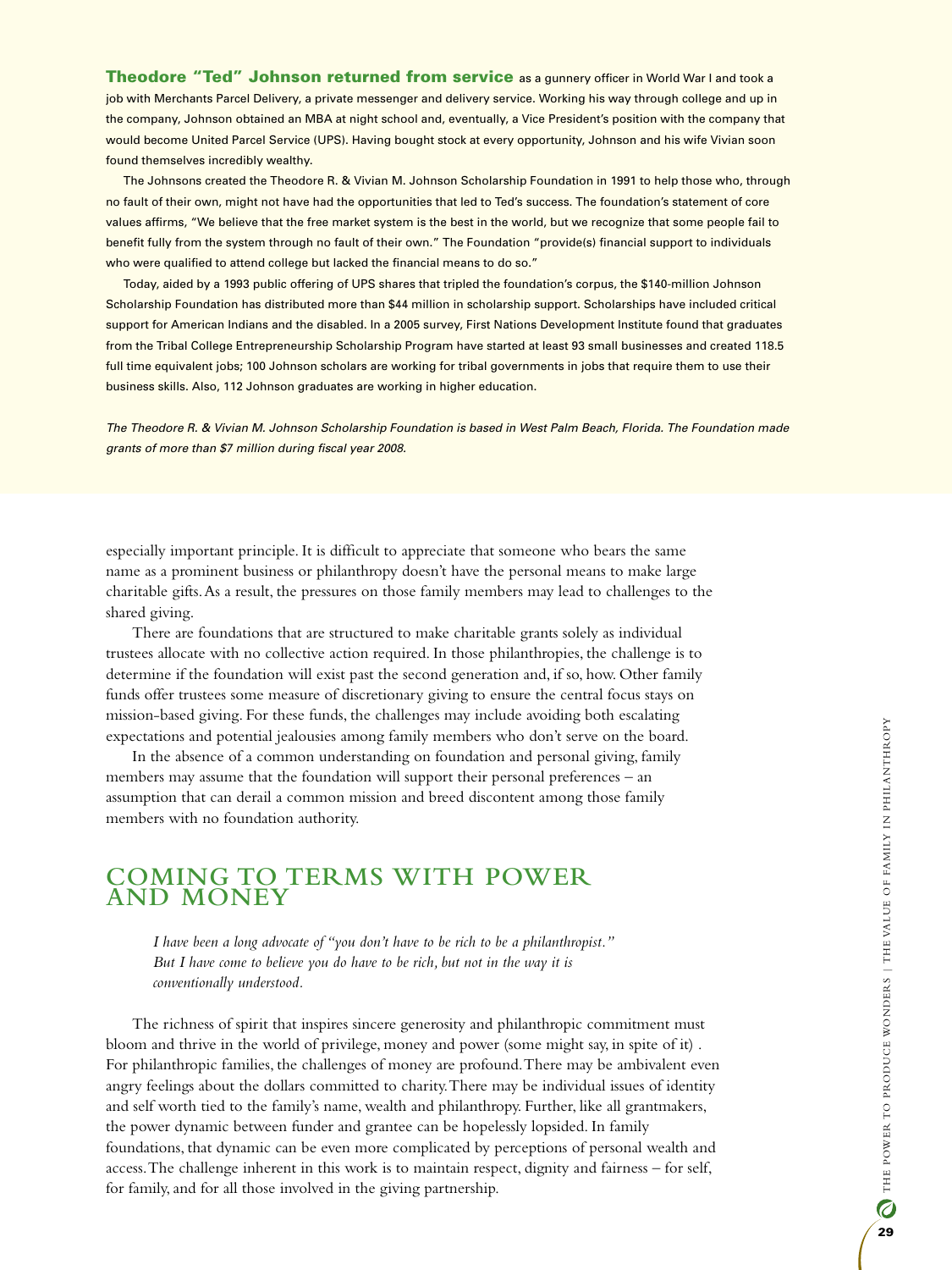Theodore "Ted" Johnson returned from service as a gunnery officer in World War I and took a job with Merchants Parcel Delivery, a private messenger and delivery service. Working his way through college and up in the company, Johnson obtained an MBA at night school and, eventually, a Vice President's position with the company that would become United Parcel Service (UPS). Having bought stock at every opportunity, Johnson and his wife Vivian soon found themselves incredibly wealthy.

The Johnsons created the Theodore R. & Vivian M. Johnson Scholarship Foundation in 1991 to help those who, through no fault of their own, might not have had the opportunities that led to Ted's success. The foundation's statement of core values affirms, "We believe that the free market system is the best in the world, but we recognize that some people fail to benefit fully from the system through no fault of their own." The Foundation "provide(s) financial support to individuals who were qualified to attend college but lacked the financial means to do so."

Today, aided by a 1993 public offering of UPS shares that tripled the foundation's corpus, the \$140-million Johnson Scholarship Foundation has distributed more than \$44 million in scholarship support. Scholarships have included critical support for American Indians and the disabled. In a 2005 survey, First Nations Development Institute found that graduates from the Tribal College Entrepreneurship Scholarship Program have started at least 93 small businesses and created 118.5 full time equivalent jobs; 100 Johnson scholars are working for tribal governments in jobs that require them to use their business skills. Also, 112 Johnson graduates are working in higher education.

*The Theodore R. & Vivian M. Johnson Scholarship Foundation is based in West Palm Beach, Florida. The Foundation made grants of more than \$7 million during fiscal year 2008.*

especially important principle. It is difficult to appreciate that someone who bears the same name as a prominent business or philanthropy doesn't have the personal means to make large charitable gifts. As a result, the pressures on those family members may lead to challenges to the shared giving.

There are foundations that are structured to make charitable grants solely as individual trustees allocate with no collective action required. In those philanthropies, the challenge is to determine if the foundation will exist past the second generation and, if so, how. Other family funds offer trustees some measure of discretionary giving to ensure the central focus stays on mission-based giving. For these funds, the challenges may include avoiding both escalating expectations and potential jealousies among family members who don't serve on the board.

In the absence of a common understanding on foundation and personal giving, family members may assume that the foundation will support their personal preferences – an assumption that can derail a common mission and breed discontent among those family members with no foundation authority.

# **Coming to Terms with Power and Money**

*I have been a long advocate of "you don't have to be rich to be a philanthropist." But I have come to believe you do have to be rich, but not in the way it is conventionally understood.*

The richness of spirit that inspires sincere generosity and philanthropic commitment must bloom and thrive in the world of privilege, money and power (some might say, in spite of it) . For philanthropic families, the challenges of money are profound. There may be ambivalent even angry feelings about the dollars committed to charity. There may be individual issues of identity and self worth tied to the family's name, wealth and philanthropy. Further, like all grantmakers, the power dynamic between funder and grantee can be hopelessly lopsided. In family foundations, that dynamic can be even more complicated by perceptions of personal wealth and access. The challenge inherent in this work is to maintain respect, dignity and fairness – for self, for family, and for all those involved in the giving partnership.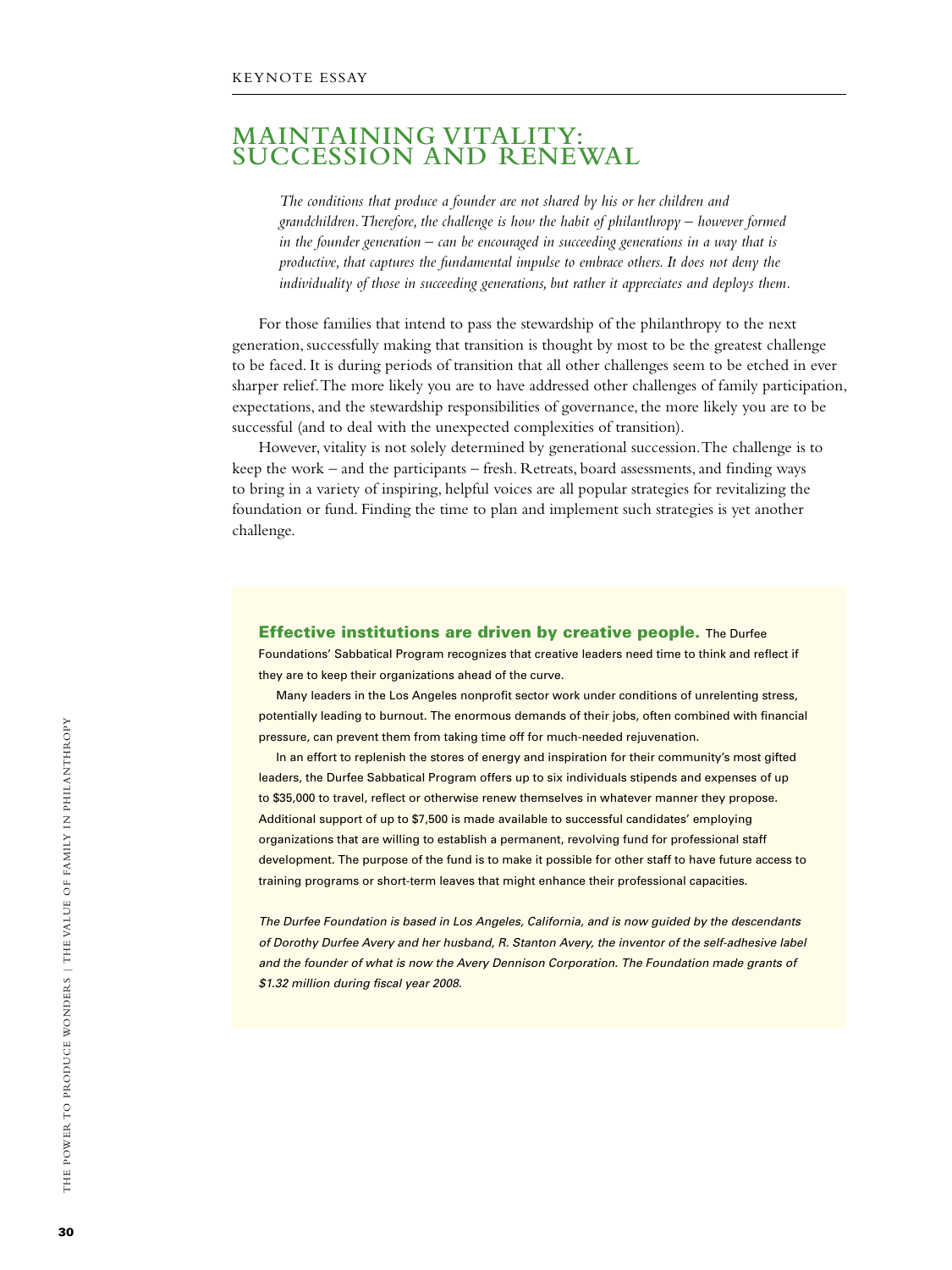## **Maintaining Vitality: Succession and Renewal**

*The conditions that produce a founder are not shared by his or her children and grandchildren. Therefore, the challenge is how the habit of philanthropy – however formed in the founder generation – can be encouraged in succeeding generations in a way that is productive, that captures the fundamental impulse to embrace others. It does not deny the individuality of those in succeeding generations, but rather it appreciates and deploys them.* 

For those families that intend to pass the stewardship of the philanthropy to the next generation, successfully making that transition is thought by most to be the greatest challenge to be faced. It is during periods of transition that all other challenges seem to be etched in ever sharper relief. The more likely you are to have addressed other challenges of family participation, expectations, and the stewardship responsibilities of governance, the more likely you are to be successful (and to deal with the unexpected complexities of transition).

However, vitality is not solely determined by generational succession. The challenge is to keep the work – and the participants – fresh. Retreats, board assessments, and finding ways to bring in a variety of inspiring, helpful voices are all popular strategies for revitalizing the foundation or fund. Finding the time to plan and implement such strategies is yet another challenge.

Effective institutions are driven by creative people. The Durfee Foundations' Sabbatical Program recognizes that creative leaders need time to think and reflect if they are to keep their organizations ahead of the curve.

Many leaders in the Los Angeles nonprofit sector work under conditions of unrelenting stress, potentially leading to burnout. The enormous demands of their jobs, often combined with financial pressure, can prevent them from taking time off for much-needed rejuvenation.

In an effort to replenish the stores of energy and inspiration for their community's most gifted leaders, the Durfee Sabbatical Program offers up to six individuals stipends and expenses of up to \$35,000 to travel, reflect or otherwise renew themselves in whatever manner they propose. Additional support of up to \$7,500 is made available to successful candidates' employing organizations that are willing to establish a permanent, revolving fund for professional staff development. The purpose of the fund is to make it possible for other staff to have future access to training programs or short-term leaves that might enhance their professional capacities.

*The Durfee Foundation is based in Los Angeles, California, and is now guided by the descendants of Dorothy Durfee Avery and her husband, R. Stanton Avery, the inventor of the self-adhesive label and the founder of what is now the Avery Dennison Corporation. The Foundation made grants of \$1.32 million during fiscal year 2008.*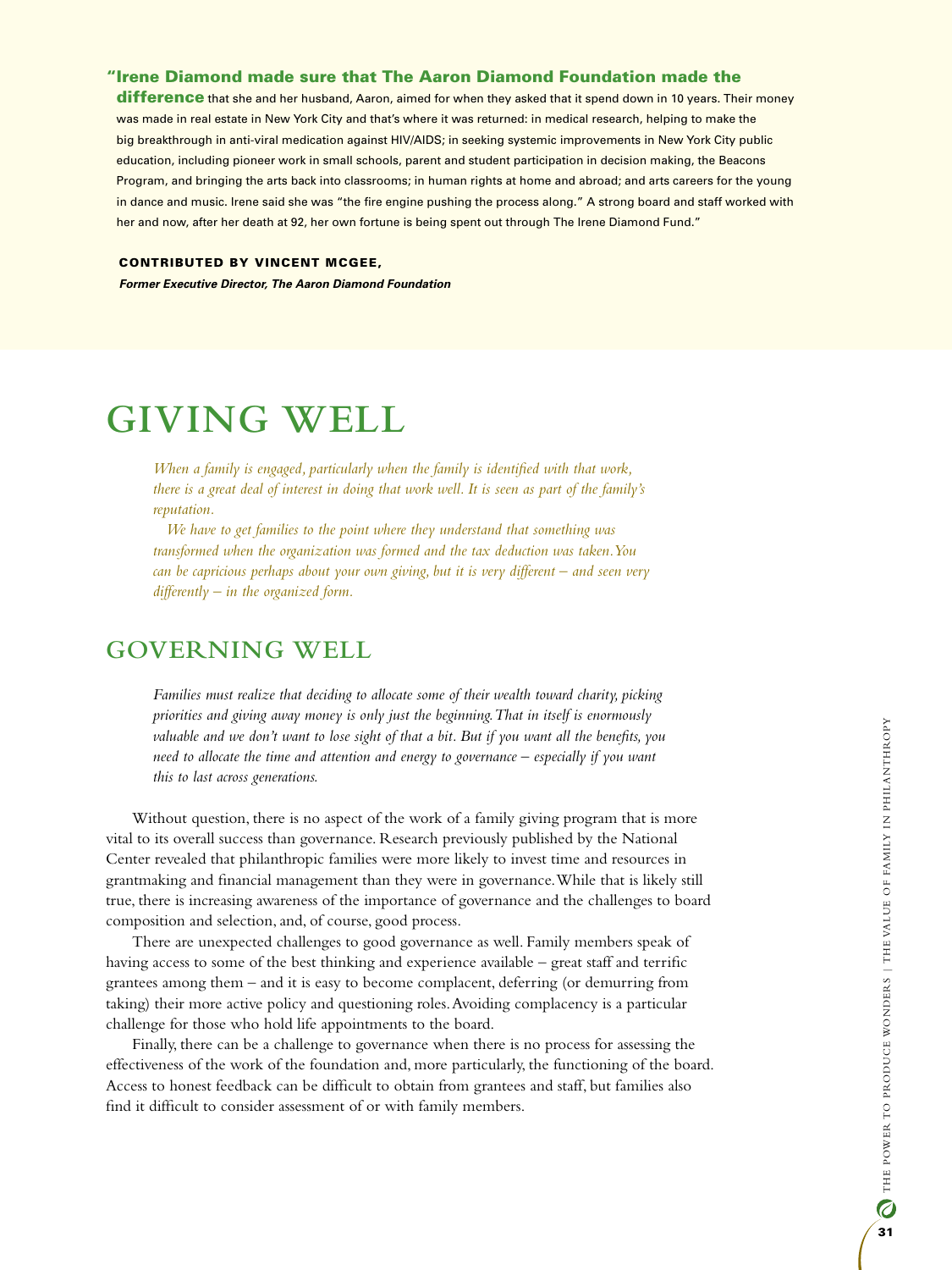#### "Irene Diamond made sure that The Aaron Diamond Foundation made the

difference that she and her husband, Aaron, aimed for when they asked that it spend down in 10 years. Their money was made in real estate in New York City and that's where it was returned: in medical research, helping to make the big breakthrough in anti-viral medication against HIV/AIDS; in seeking systemic improvements in New York City public education, including pioneer work in small schools, parent and student participation in decision making, the Beacons Program, and bringing the arts back into classrooms; in human rights at home and abroad; and arts careers for the young in dance and music. Irene said she was "the fire engine pushing the process along." A strong board and staff worked with her and now, after her death at 92, her own fortune is being spent out through The Irene Diamond Fund."

#### CONTRIBUTED BY VINCENT MCGEE,

*Former Executive Director, The Aaron Diamond Foundation*

# **GIVING WELL**

*When a family is engaged, particularly when the family is identified with that work, there is a great deal of interest in doing that work well. It is seen as part of the family's reputation.*

*We have to get families to the point where they understand that something was transformed when the organization was formed and the tax deduction was taken. You can be capricious perhaps about your own giving, but it is very different – and seen very differently – in the organized form.*

# **Governing Well**

*Families must realize that deciding to allocate some of their wealth toward charity, picking priorities and giving away money is only just the beginning. That in itself is enormously valuable and we don't want to lose sight of that a bit. But if you want all the benefits, you need to allocate the time and attention and energy to governance – especially if you want this to last across generations.* 

Without question, there is no aspect of the work of a family giving program that is more vital to its overall success than governance. Research previously published by the National Center revealed that philanthropic families were more likely to invest time and resources in grantmaking and financial management than they were in governance. While that is likely still true, there is increasing awareness of the importance of governance and the challenges to board composition and selection, and, of course, good process.

There are unexpected challenges to good governance as well. Family members speak of having access to some of the best thinking and experience available – great staff and terrific grantees among them – and it is easy to become complacent, deferring (or demurring from taking) their more active policy and questioning roles. Avoiding complacency is a particular challenge for those who hold life appointments to the board.

Finally, there can be a challenge to governance when there is no process for assessing the effectiveness of the work of the foundation and, more particularly, the functioning of the board. Access to honest feedback can be difficult to obtain from grantees and staff, but families also find it difficult to consider assessment of or with family members.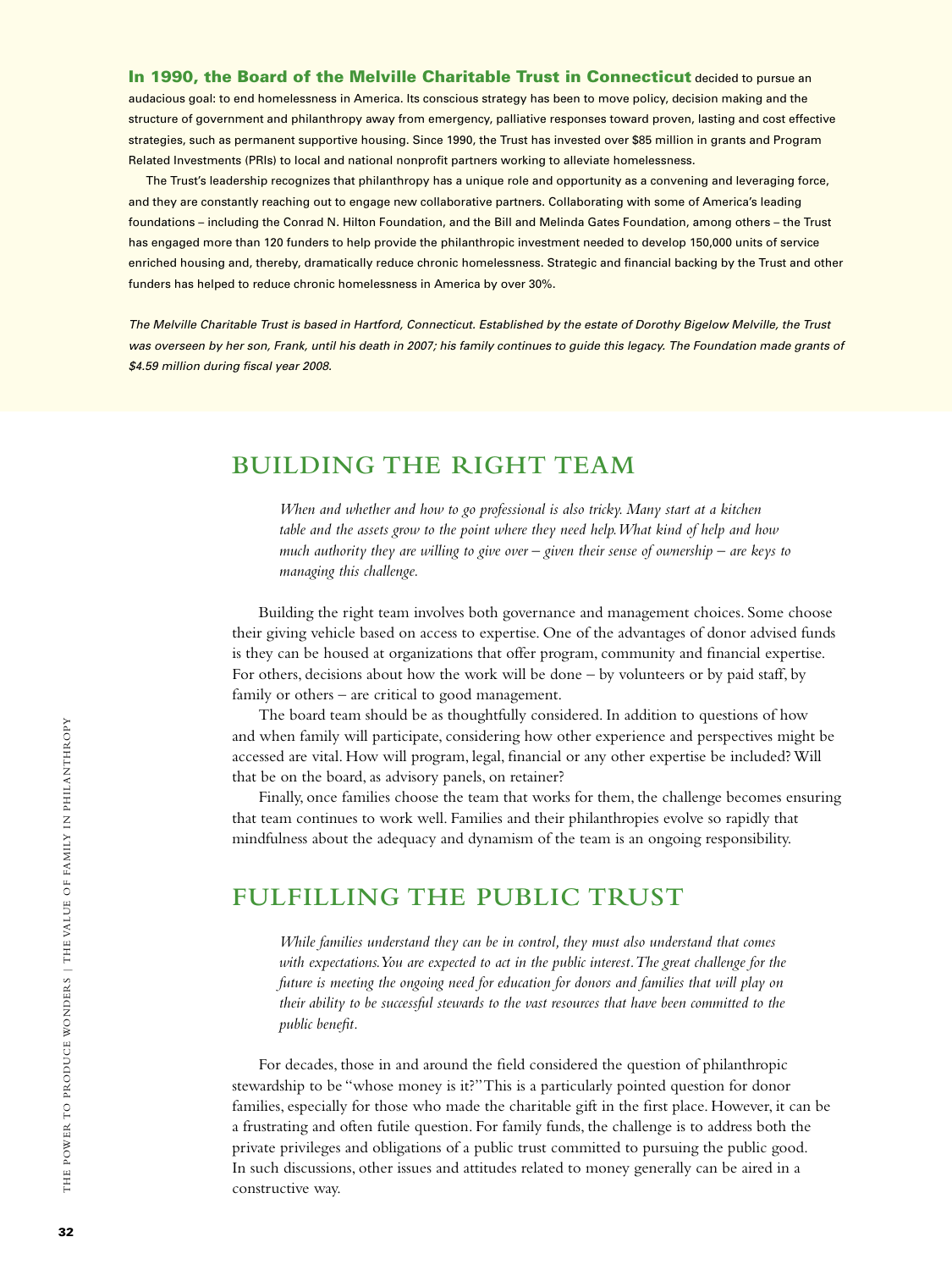In 1990, the Board of the Melville Charitable Trust in Connecticut decided to pursue an audacious goal: to end homelessness in America. Its conscious strategy has been to move policy, decision making and the structure of government and philanthropy away from emergency, palliative responses toward proven, lasting and cost effective strategies, such as permanent supportive housing. Since 1990, the Trust has invested over \$85 million in grants and Program Related Investments (PRIs) to local and national nonprofit partners working to alleviate homelessness.

The Trust's leadership recognizes that philanthropy has a unique role and opportunity as a convening and leveraging force, and they are constantly reaching out to engage new collaborative partners. Collaborating with some of America's leading foundations – including the Conrad N. Hilton Foundation, and the Bill and Melinda Gates Foundation, among others – the Trust has engaged more than 120 funders to help provide the philanthropic investment needed to develop 150,000 units of service enriched housing and, thereby, dramatically reduce chronic homelessness. Strategic and financial backing by the Trust and other funders has helped to reduce chronic homelessness in America by over 30%.

*The Melville Charitable Trust is based in Hartford, Connecticut. Established by the estate of Dorothy Bigelow Melville, the Trust was overseen by her son, Frank, until his death in 2007; his family continues to guide this legacy. The Foundation made grants of \$4.59 million during fiscal year 2008.*

# **Building the Right Team**

*When and whether and how to go professional is also tricky. Many start at a kitchen table and the assets grow to the point where they need help. What kind of help and how much authority they are willing to give over – given their sense of ownership – are keys to managing this challenge.*

Building the right team involves both governance and management choices. Some choose their giving vehicle based on access to expertise. One of the advantages of donor advised funds is they can be housed at organizations that offer program, community and financial expertise. For others, decisions about how the work will be done – by volunteers or by paid staff, by family or others – are critical to good management.

The board team should be as thoughtfully considered. In addition to questions of how and when family will participate, considering how other experience and perspectives might be accessed are vital. How will program, legal, financial or any other expertise be included? Will that be on the board, as advisory panels, on retainer?

Finally, once families choose the team that works for them, the challenge becomes ensuring that team continues to work well. Families and their philanthropies evolve so rapidly that mindfulness about the adequacy and dynamism of the team is an ongoing responsibility.

# **Fulfilling the Public Trust**

*While families understand they can be in control, they must also understand that comes with expectations. You are expected to act in the public interest. The great challenge for the future is meeting the ongoing need for education for donors and families that will play on their ability to be successful stewards to the vast resources that have been committed to the public benefit.* 

For decades, those in and around the field considered the question of philanthropic stewardship to be "whose money is it?" This is a particularly pointed question for donor families, especially for those who made the charitable gift in the first place. However, it can be a frustrating and often futile question. For family funds, the challenge is to address both the private privileges and obligations of a public trust committed to pursuing the public good. In such discussions, other issues and attitudes related to money generally can be aired in a constructive way.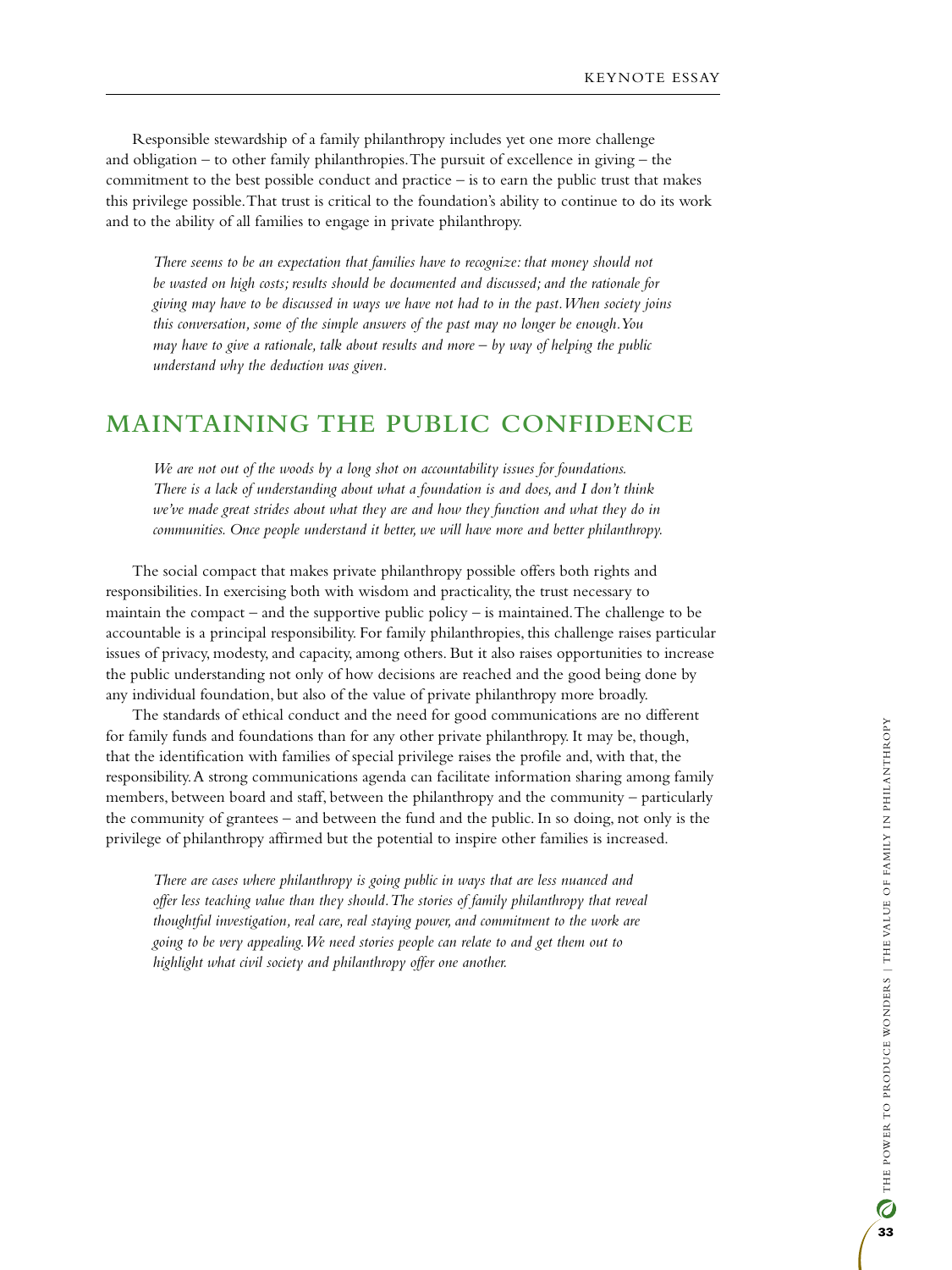Responsible stewardship of a family philanthropy includes yet one more challenge and obligation – to other family philanthropies. The pursuit of excellence in giving – the commitment to the best possible conduct and practice  $-$  is to earn the public trust that makes this privilege possible. That trust is critical to the foundation's ability to continue to do its work and to the ability of all families to engage in private philanthropy.

*There seems to be an expectation that families have to recognize: that money should not be wasted on high costs; results should be documented and discussed; and the rationale for giving may have to be discussed in ways we have not had to in the past. When society joins this conversation, some of the simple answers of the past may no longer be enough. You may have to give a rationale, talk about results and more – by way of helping the public understand why the deduction was given.* 

## **Maintaining the Public Confidence**

*We are not out of the woods by a long shot on accountability issues for foundations. There is a lack of understanding about what a foundation is and does, and I don't think we've made great strides about what they are and how they function and what they do in communities. Once people understand it better, we will have more and better philanthropy.*

The social compact that makes private philanthropy possible offers both rights and responsibilities. In exercising both with wisdom and practicality, the trust necessary to maintain the compact – and the supportive public policy – is maintained. The challenge to be accountable is a principal responsibility. For family philanthropies, this challenge raises particular issues of privacy, modesty, and capacity, among others. But it also raises opportunities to increase the public understanding not only of how decisions are reached and the good being done by any individual foundation, but also of the value of private philanthropy more broadly.

The standards of ethical conduct and the need for good communications are no different for family funds and foundations than for any other private philanthropy. It may be, though, that the identification with families of special privilege raises the profile and, with that, the responsibility. A strong communications agenda can facilitate information sharing among family members, between board and staff, between the philanthropy and the community – particularly the community of grantees – and between the fund and the public. In so doing, not only is the privilege of philanthropy affirmed but the potential to inspire other families is increased.

*There are cases where philanthropy is going public in ways that are less nuanced and*  offer less teaching value than they should. The stories of family philanthropy that reveal *thoughtful investigation, real care, real staying power, and commitment to the work are going to be very appealing. We need stories people can relate to and get them out to highlight what civil society and philanthropy offer one another.*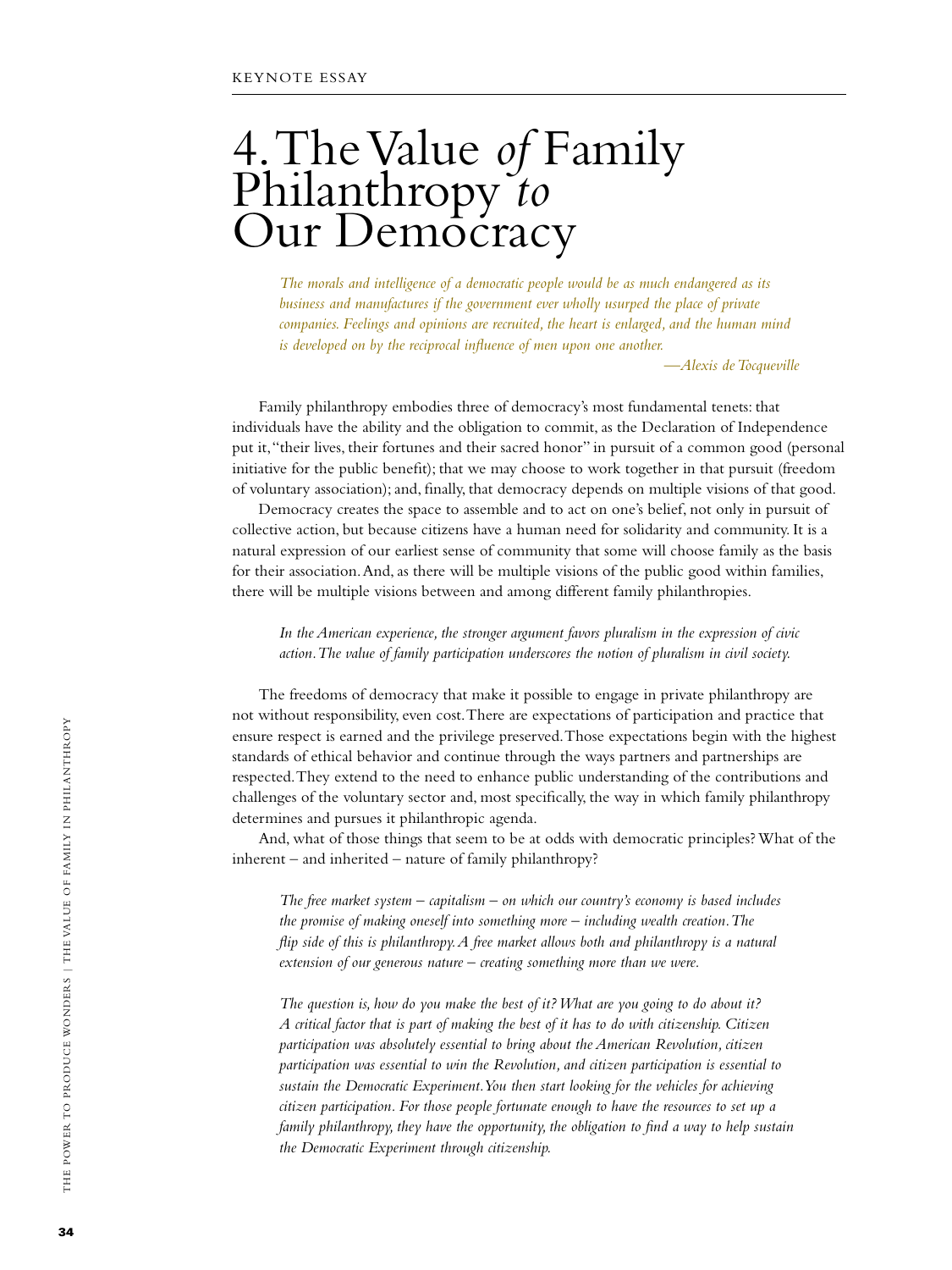# 4. The Value *of* Family Philanthropy *to* Our Democracy

*The morals and intelligence of a democratic people would be as much endangered as its business and manufactures if the government ever wholly usurped the place of private companies. Feelings and opinions are recruited, the heart is enlarged, and the human mind is developed on by the reciprocal influence of men upon one another.* 

*—Alexis de Tocqueville*

Family philanthropy embodies three of democracy's most fundamental tenets: that individuals have the ability and the obligation to commit, as the Declaration of Independence put it, "their lives, their fortunes and their sacred honor" in pursuit of a common good (personal initiative for the public benefit); that we may choose to work together in that pursuit (freedom of voluntary association); and, finally, that democracy depends on multiple visions of that good.

Democracy creates the space to assemble and to act on one's belief, not only in pursuit of collective action, but because citizens have a human need for solidarity and community. It is a natural expression of our earliest sense of community that some will choose family as the basis for their association. And, as there will be multiple visions of the public good within families, there will be multiple visions between and among different family philanthropies.

*In the American experience, the stronger argument favors pluralism in the expression of civic action. The value of family participation underscores the notion of pluralism in civil society.*

The freedoms of democracy that make it possible to engage in private philanthropy are not without responsibility, even cost. There are expectations of participation and practice that ensure respect is earned and the privilege preserved. Those expectations begin with the highest standards of ethical behavior and continue through the ways partners and partnerships are respected. They extend to the need to enhance public understanding of the contributions and challenges of the voluntary sector and, most specifically, the way in which family philanthropy determines and pursues it philanthropic agenda.

And, what of those things that seem to be at odds with democratic principles? What of the inherent – and inherited – nature of family philanthropy?

*The free market system – capitalism – on which our country's economy is based includes the promise of making oneself into something more – including wealth creation. The flip side of this is philanthropy. A free market allows both and philanthropy is a natural extension of our generous nature – creating something more than we were.*

*The question is, how do you make the best of it? What are you going to do about it? A critical factor that is part of making the best of it has to do with citizenship. Citizen participation was absolutely essential to bring about the American Revolution, citizen participation was essential to win the Revolution, and citizen participation is essential to sustain the Democratic Experiment. You then start looking for the vehicles for achieving citizen participation. For those people fortunate enough to have the resources to set up a family philanthropy, they have the opportunity, the obligation to find a way to help sustain the Democratic Experiment through citizenship.*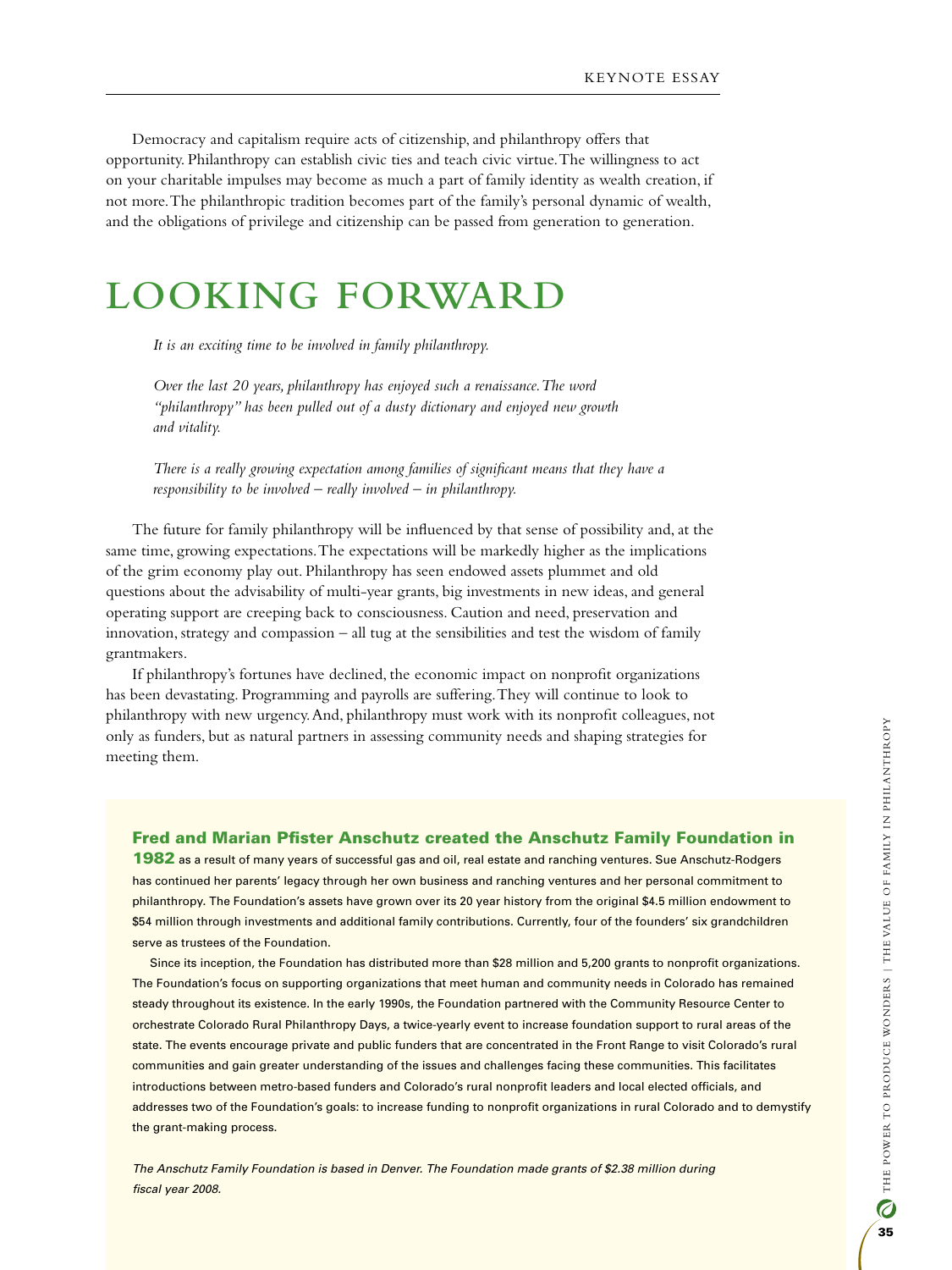Democracy and capitalism require acts of citizenship, and philanthropy offers that opportunity. Philanthropy can establish civic ties and teach civic virtue. The willingness to act on your charitable impulses may become as much a part of family identity as wealth creation, if not more. The philanthropic tradition becomes part of the family's personal dynamic of wealth, and the obligations of privilege and citizenship can be passed from generation to generation.

## **Looking Forward**

*It is an exciting time to be involved in family philanthropy.* 

*Over the last 20 years, philanthropy has enjoyed such a renaissance. The word "philanthropy" has been pulled out of a dusty dictionary and enjoyed new growth and vitality.*

*There is a really growing expectation among families of significant means that they have a responsibility to be involved – really involved – in philanthropy.*

The future for family philanthropy will be influenced by that sense of possibility and, at the same time, growing expectations. The expectations will be markedly higher as the implications of the grim economy play out. Philanthropy has seen endowed assets plummet and old questions about the advisability of multi-year grants, big investments in new ideas, and general operating support are creeping back to consciousness. Caution and need, preservation and innovation, strategy and compassion – all tug at the sensibilities and test the wisdom of family grantmakers.

If philanthropy's fortunes have declined, the economic impact on nonprofit organizations has been devastating. Programming and payrolls are suffering. They will continue to look to philanthropy with new urgency. And, philanthropy must work with its nonprofit colleagues, not only as funders, but as natural partners in assessing community needs and shaping strategies for meeting them.

#### Fred and Marian Pfister Anschutz created the Anschutz Family Foundation in

1982 as a result of many years of successful gas and oil, real estate and ranching ventures. Sue Anschutz-Rodgers has continued her parents' legacy through her own business and ranching ventures and her personal commitment to philanthropy. The Foundation's assets have grown over its 20 year history from the original \$4.5 million endowment to \$54 million through investments and additional family contributions. Currently, four of the founders' six grandchildren serve as trustees of the Foundation.

Since its inception, the Foundation has distributed more than \$28 million and 5,200 grants to nonprofit organizations. The Foundation's focus on supporting organizations that meet human and community needs in Colorado has remained steady throughout its existence. In the early 1990s, the Foundation partnered with the Community Resource Center to orchestrate Colorado Rural Philanthropy Days, a twice-yearly event to increase foundation support to rural areas of the state. The events encourage private and public funders that are concentrated in the Front Range to visit Colorado's rural communities and gain greater understanding of the issues and challenges facing these communities. This facilitates introductions between metro-based funders and Colorado's rural nonprofit leaders and local elected officials, and addresses two of the Foundation's goals: to increase funding to nonprofit organizations in rural Colorado and to demystify the grant-making process.

*The Anschutz Family Foundation is based in Denver. The Foundation made grants of \$2.38 million during fiscal year 2008.*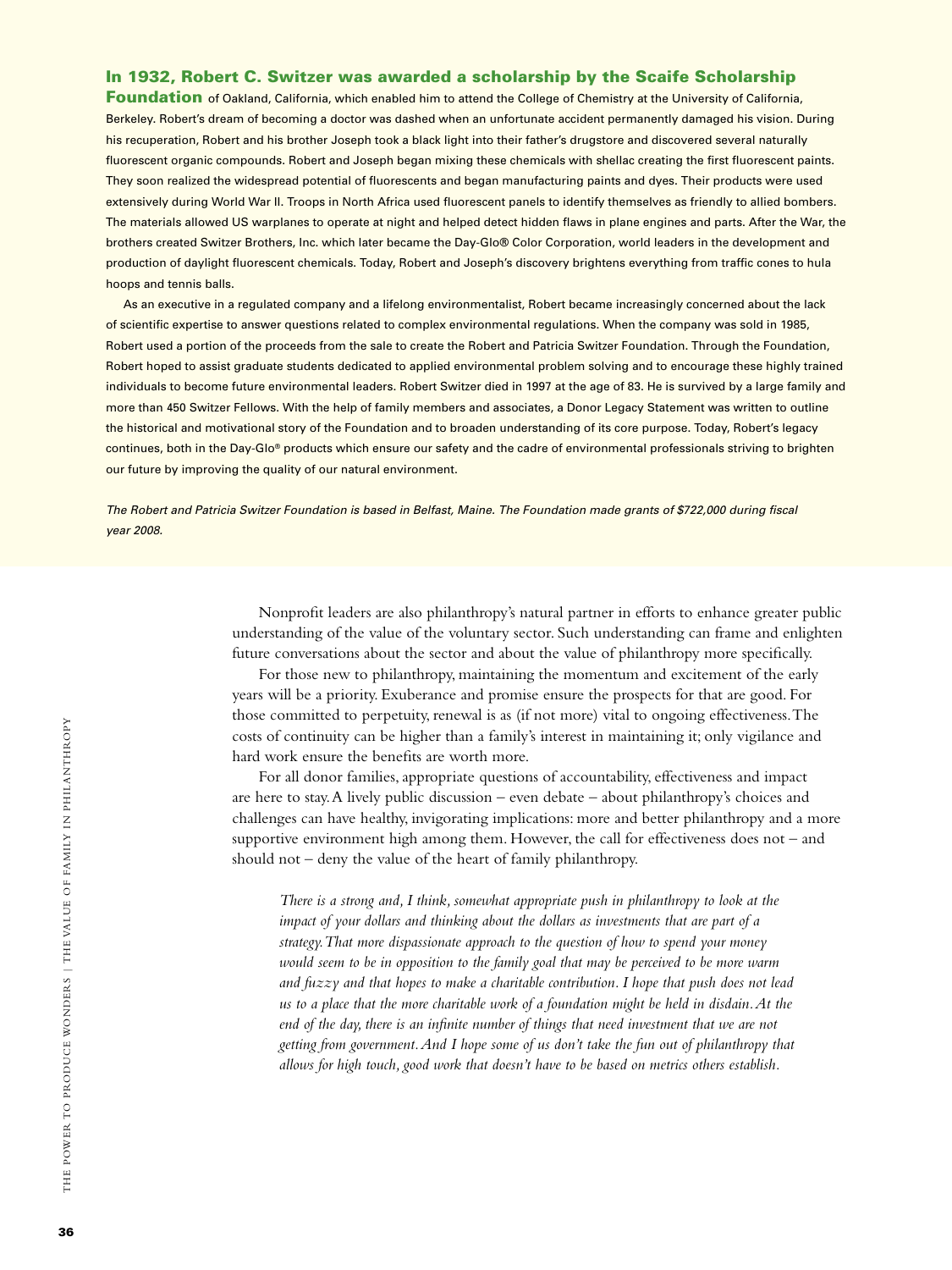#### In 1932, Robert C. Switzer was awarded a scholarship by the Scaife Scholarship

Foundation of Oakland, California, which enabled him to attend the College of Chemistry at the University of California, Berkeley. Robert's dream of becoming a doctor was dashed when an unfortunate accident permanently damaged his vision. During his recuperation, Robert and his brother Joseph took a black light into their father's drugstore and discovered several naturally fluorescent organic compounds. Robert and Joseph began mixing these chemicals with shellac creating the first fluorescent paints. They soon realized the widespread potential of fluorescents and began manufacturing paints and dyes. Their products were used extensively during World War II. Troops in North Africa used fluorescent panels to identify themselves as friendly to allied bombers. The materials allowed US warplanes to operate at night and helped detect hidden flaws in plane engines and parts. After the War, the brothers created Switzer Brothers, Inc. which later became the Day-Glo® Color Corporation, world leaders in the development and production of daylight fluorescent chemicals. Today, Robert and Joseph's discovery brightens everything from traffic cones to hula hoops and tennis balls.

As an executive in a regulated company and a lifelong environmentalist, Robert became increasingly concerned about the lack of scientific expertise to answer questions related to complex environmental regulations. When the company was sold in 1985, Robert used a portion of the proceeds from the sale to create the Robert and Patricia Switzer Foundation. Through the Foundation, Robert hoped to assist graduate students dedicated to applied environmental problem solving and to encourage these highly trained individuals to become future environmental leaders. Robert Switzer died in 1997 at the age of 83. He is survived by a large family and more than 450 Switzer Fellows. With the help of family members and associates, a Donor Legacy Statement was written to outline the historical and motivational story of the Foundation and to broaden understanding of its core purpose. Today, Robert's legacy continues, both in the Day-Glo® products which ensure our safety and the cadre of environmental professionals striving to brighten our future by improving the quality of our natural environment.

*The Robert and Patricia Switzer Foundation is based in Belfast, Maine. The Foundation made grants of \$722,000 during fiscal year 2008.*

> Nonprofit leaders are also philanthropy's natural partner in efforts to enhance greater public understanding of the value of the voluntary sector. Such understanding can frame and enlighten future conversations about the sector and about the value of philanthropy more specifically.

For those new to philanthropy, maintaining the momentum and excitement of the early years will be a priority. Exuberance and promise ensure the prospects for that are good. For those committed to perpetuity, renewal is as (if not more) vital to ongoing effectiveness. The costs of continuity can be higher than a family's interest in maintaining it; only vigilance and hard work ensure the benefits are worth more.

For all donor families, appropriate questions of accountability, effectiveness and impact are here to stay. A lively public discussion – even debate – about philanthropy's choices and challenges can have healthy, invigorating implications: more and better philanthropy and a more supportive environment high among them. However, the call for effectiveness does not – and should not – deny the value of the heart of family philanthropy.

*There is a strong and, I think, somewhat appropriate push in philanthropy to look at the impact of your dollars and thinking about the dollars as investments that are part of a strategy. That more dispassionate approach to the question of how to spend your money would seem to be in opposition to the family goal that may be perceived to be more warm and fuzzy and that hopes to make a charitable contribution. I hope that push does not lead us to a place that the more charitable work of a foundation might be held in disdain. At the end of the day, there is an infinite number of things that need investment that we are not getting from government. And I hope some of us don't take the fun out of philanthropy that allows for high touch, good work that doesn't have to be based on metrics others establish.*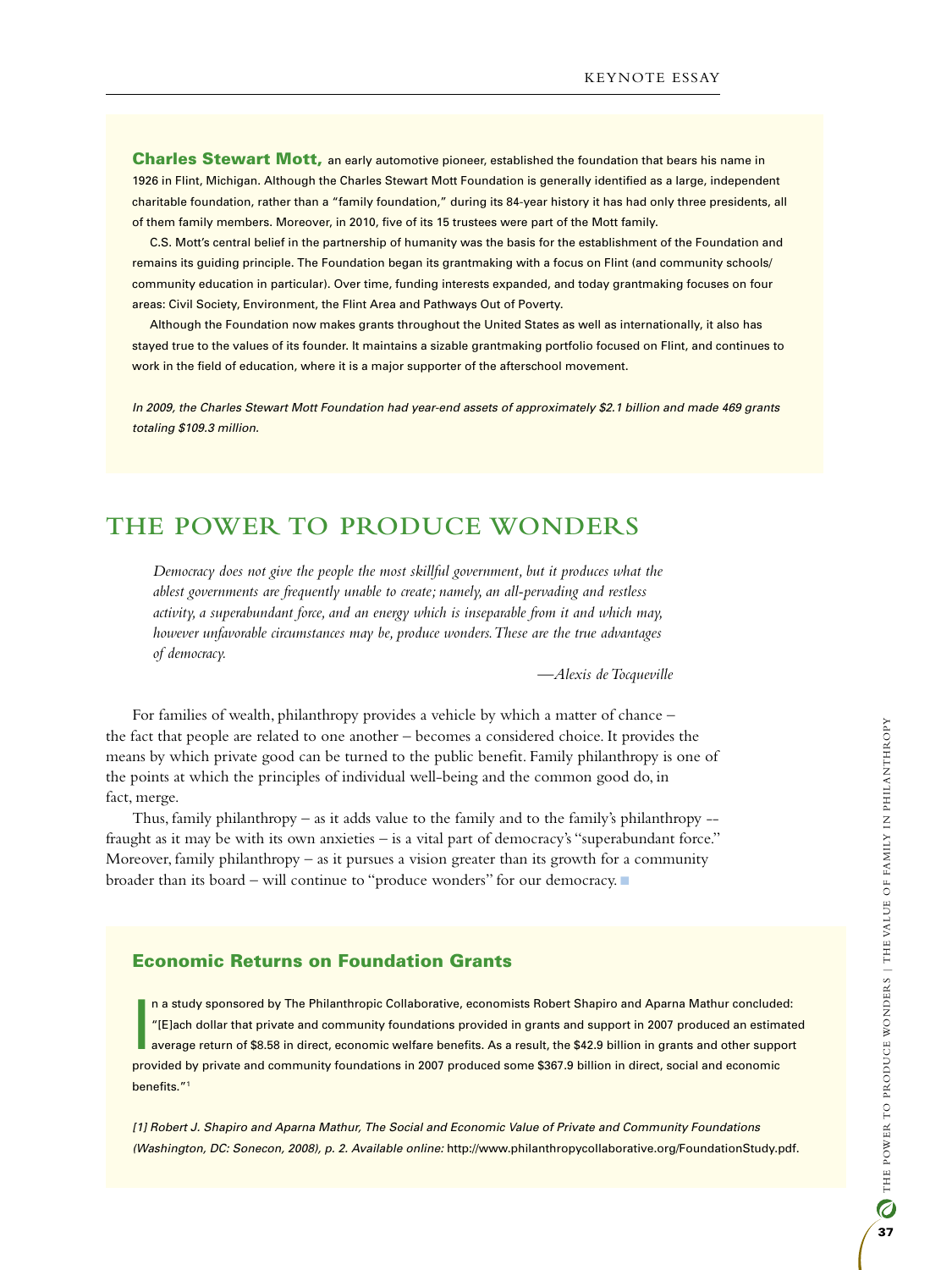Charles Stewart Mott, an early automotive pioneer, established the foundation that bears his name in 1926 in Flint, Michigan. Although the Charles Stewart Mott Foundation is generally identified as a large, independent charitable foundation, rather than a "family foundation," during its 84-year history it has had only three presidents, all of them family members. Moreover, in 2010, five of its 15 trustees were part of the Mott family.

C.S. Mott's central belief in the partnership of humanity was the basis for the establishment of the Foundation and remains its guiding principle. The Foundation began its grantmaking with a focus on Flint (and community schools/ community education in particular). Over time, funding interests expanded, and today grantmaking focuses on four areas: Civil Society, Environment, the Flint Area and Pathways Out of Poverty.

Although the Foundation now makes grants throughout the United States as well as internationally, it also has stayed true to the values of its founder. It maintains a sizable grantmaking portfolio focused on Flint, and continues to work in the field of education, where it is a major supporter of the afterschool movement.

*In 2009, the Charles Stewart Mott Foundation had year-end assets of approximately \$2.1 billion and made 469 grants totaling \$109.3 million.* 

## **The Power to Produce Wonders**

*Democracy does not give the people the most skillful government, but it produces what the ablest governments are frequently unable to create; namely, an all-pervading and restless activity, a superabundant force, and an energy which is inseparable from it and which may, however unfavorable circumstances may be, produce wonders. These are the true advantages of democracy.* 

*—Alexis de Tocqueville*

For families of wealth, philanthropy provides a vehicle by which a matter of chance – the fact that people are related to one another – becomes a considered choice. It provides the means by which private good can be turned to the public benefit. Family philanthropy is one of the points at which the principles of individual well-being and the common good do, in fact, merge.

Thus, family philanthropy – as it adds value to the family and to the family's philanthropy - fraught as it may be with its own anxieties – is a vital part of democracy's "superabundant force." Moreover, family philanthropy  $-$  as it pursues a vision greater than its growth for a community broader than its board – will continue to "produce wonders" for our democracy.

### Economic Returns on Foundation Grants

I n a study sponsored by The Philanthropic Collaborative, economists Robert Shapiro and Aparna Mathur concluded: "[E]ach dollar that private and community foundations provided in grants and support in 2007 produced an estimated average return of \$8.58 in direct, economic welfare benefits. As a result, the \$42.9 billion in grants and other support provided by private and community foundations in 2007 produced some \$367.9 billion in direct, social and economic benefits."1

*[1] Robert J. Shapiro and Aparna Mathur, The Social and Economic Value of Private and Community Foundations (Washington, DC: Sonecon, 2008), p. 2. Available online:* http://www.philanthropycollaborative.org/FoundationStudy.pdf.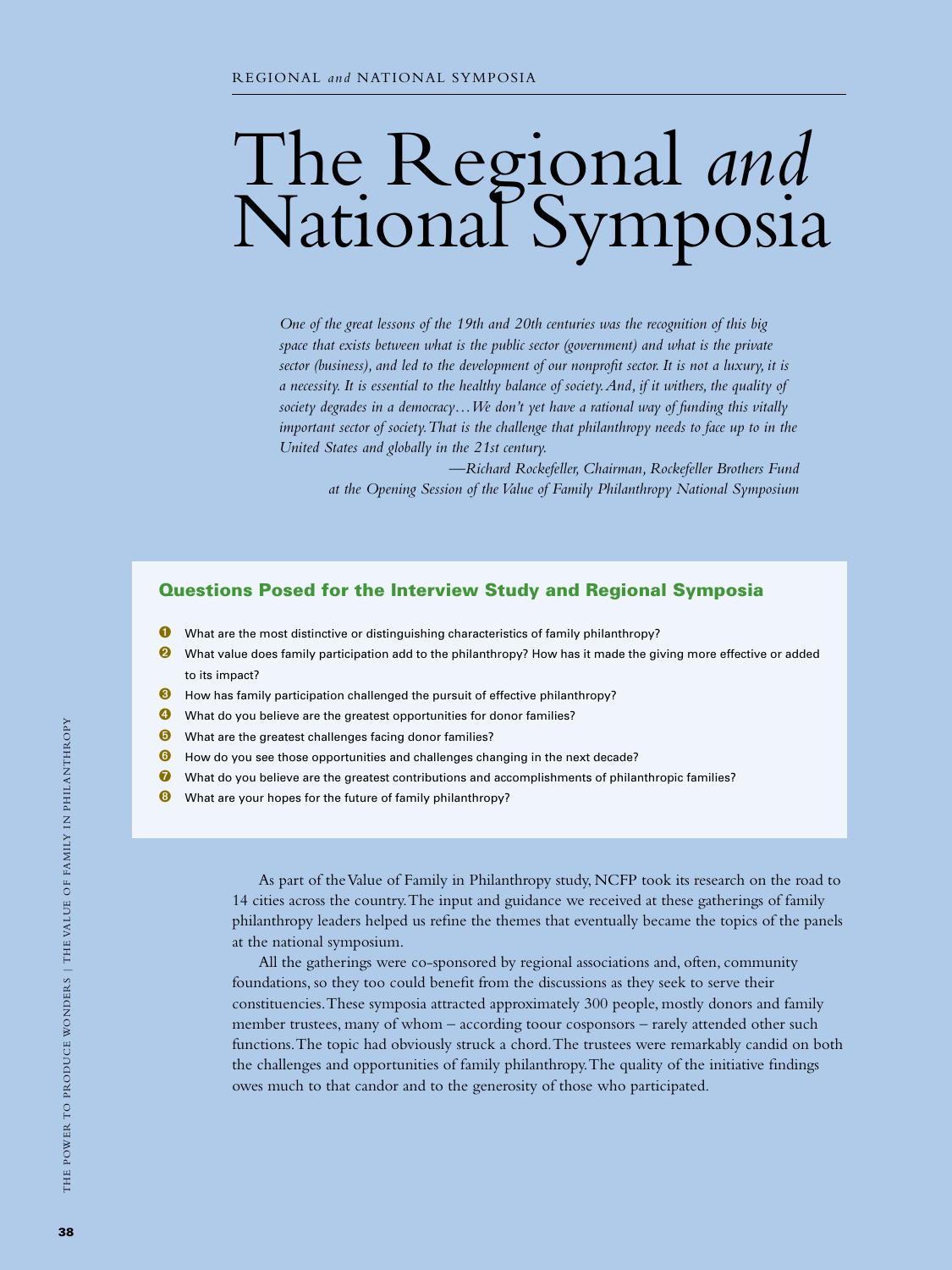# The Regional *and* National Symposia

*One of the great lessons of the 19th and 20th centuries was the recognition of this big space that exists between what is the public sector (government) and what is the private*  sector (business), and led to the development of our nonprofit sector. It is not a luxury, it is *a necessity. It is essential to the healthy balance of society. And, if it withers, the quality of society degrades in a democracy…We don't yet have a rational way of funding this vitally important sector of society. That is the challenge that philanthropy needs to face up to in the United States and globally in the 21st century.* 

 *—Richard Rockefeller, Chairman, Rockefeller Brothers Fund at the Opening Session of the Value of Family Philanthropy National Symposium*

## Questions Posed for the Interview Study and Regional Symposia

- **O** What are the most distinctive or distinguishing characteristics of family philanthropy?
- What value does family participation add to the philanthropy? How has it made the giving more effective or added to its impact?
- ➌ How has family participation challenged the pursuit of effective philanthropy?
- ➍ What do you believe are the greatest opportunities for donor families?
- **O** What are the greatest challenges facing donor families?
- **O** How do you see those opportunities and challenges changing in the next decade?
- $\bullet$  What do you believe are the greatest contributions and accomplishments of philanthropic families?
- **<sup>6</sup>** What are your hopes for the future of family philanthropy?

As part of the Value of Family in Philanthropy study, NCFP took its research on the road to 14 cities across the country. The input and guidance we received at these gatherings of family philanthropy leaders helped us refine the themes that eventually became the topics of the panels at the national symposium.

All the gatherings were co-sponsored by regional associations and, often, community foundations, so they too could benefit from the discussions as they seek to serve their constituencies. These symposia attracted approximately 300 people, mostly donors and family member trustees, many of whom – according toour cosponsors – rarely attended other such functions. The topic had obviously struck a chord. The trustees were remarkably candid on both the challenges and opportunities of family philanthropy. The quality of the initiative findings owes much to that candor and to the generosity of those who participated.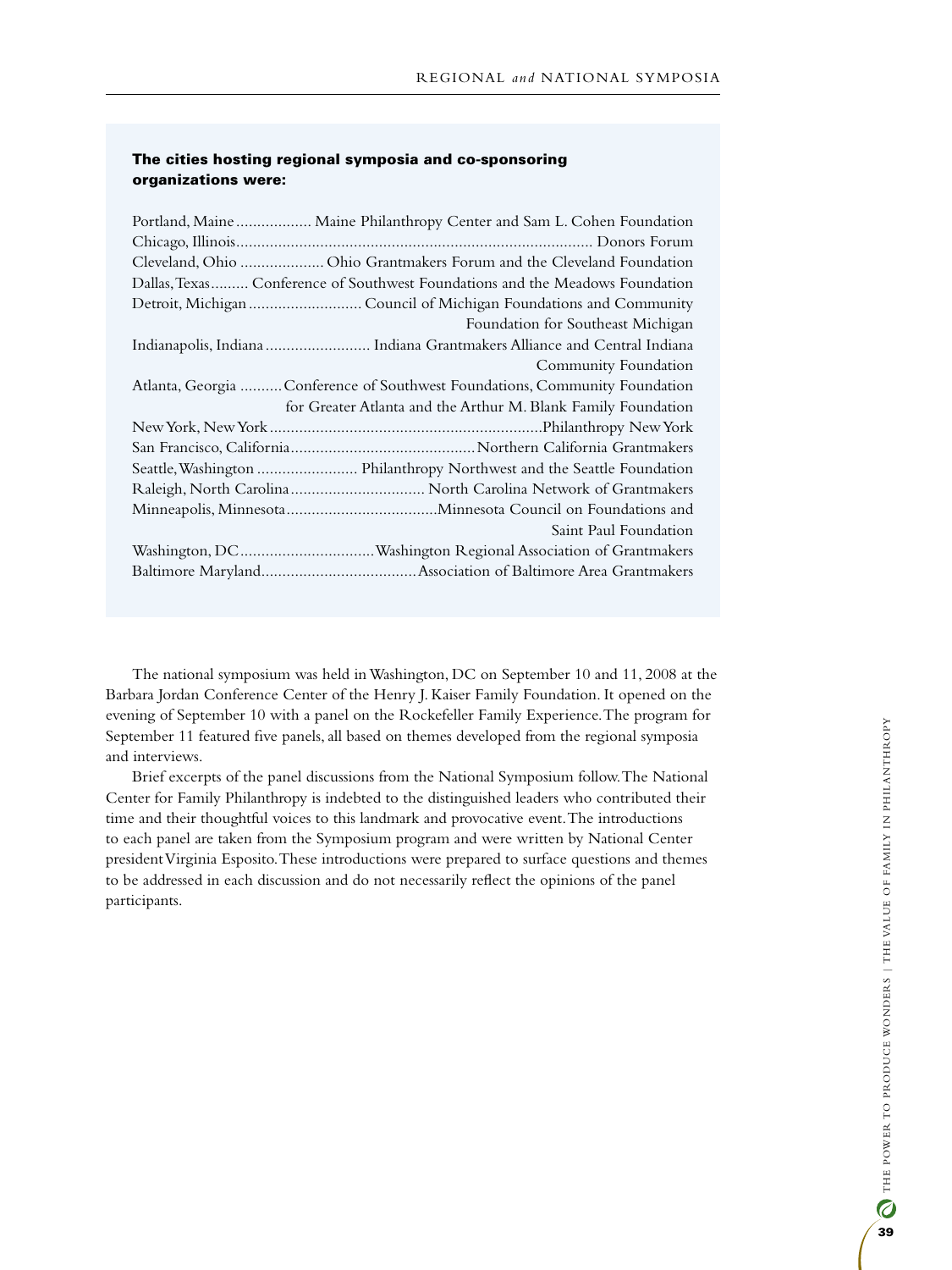#### The cities hosting regional symposia and co-sponsoring organizations were:

| Cleveland, Ohio  Ohio Grantmakers Forum and the Cleveland Foundation<br>Dallas, Texas Conference of Southwest Foundations and the Meadows Foundation<br>Detroit, Michigan  Council of Michigan Foundations and Community<br>Foundation for Southeast Michigan<br>Indianapolis, Indiana  Indiana Grantmakers Alliance and Central Indiana<br>Community Foundation<br>Atlanta, Georgia Conference of Southwest Foundations, Community Foundation |
|------------------------------------------------------------------------------------------------------------------------------------------------------------------------------------------------------------------------------------------------------------------------------------------------------------------------------------------------------------------------------------------------------------------------------------------------|
|                                                                                                                                                                                                                                                                                                                                                                                                                                                |
|                                                                                                                                                                                                                                                                                                                                                                                                                                                |
|                                                                                                                                                                                                                                                                                                                                                                                                                                                |
|                                                                                                                                                                                                                                                                                                                                                                                                                                                |
|                                                                                                                                                                                                                                                                                                                                                                                                                                                |
|                                                                                                                                                                                                                                                                                                                                                                                                                                                |
|                                                                                                                                                                                                                                                                                                                                                                                                                                                |
|                                                                                                                                                                                                                                                                                                                                                                                                                                                |
| for Greater Atlanta and the Arthur M. Blank Family Foundation                                                                                                                                                                                                                                                                                                                                                                                  |
|                                                                                                                                                                                                                                                                                                                                                                                                                                                |
|                                                                                                                                                                                                                                                                                                                                                                                                                                                |
| Seattle, Washington  Philanthropy Northwest and the Seattle Foundation                                                                                                                                                                                                                                                                                                                                                                         |
|                                                                                                                                                                                                                                                                                                                                                                                                                                                |
|                                                                                                                                                                                                                                                                                                                                                                                                                                                |
|                                                                                                                                                                                                                                                                                                                                                                                                                                                |
| Saint Paul Foundation                                                                                                                                                                                                                                                                                                                                                                                                                          |
|                                                                                                                                                                                                                                                                                                                                                                                                                                                |

The national symposium was held in Washington, DC on September 10 and 11, 2008 at the Barbara Jordan Conference Center of the Henry J. Kaiser Family Foundation. It opened on the evening of September 10 with a panel on the Rockefeller Family Experience. The program for September 11 featured five panels, all based on themes developed from the regional symposia and interviews.

Brief excerpts of the panel discussions from the National Symposium follow. The National Center for Family Philanthropy is indebted to the distinguished leaders who contributed their time and their thoughtful voices to this landmark and provocative event. The introductions to each panel are taken from the Symposium program and were written by National Center president Virginia Esposito. These introductions were prepared to surface questions and themes to be addressed in each discussion and do not necessarily reflect the opinions of the panel participants.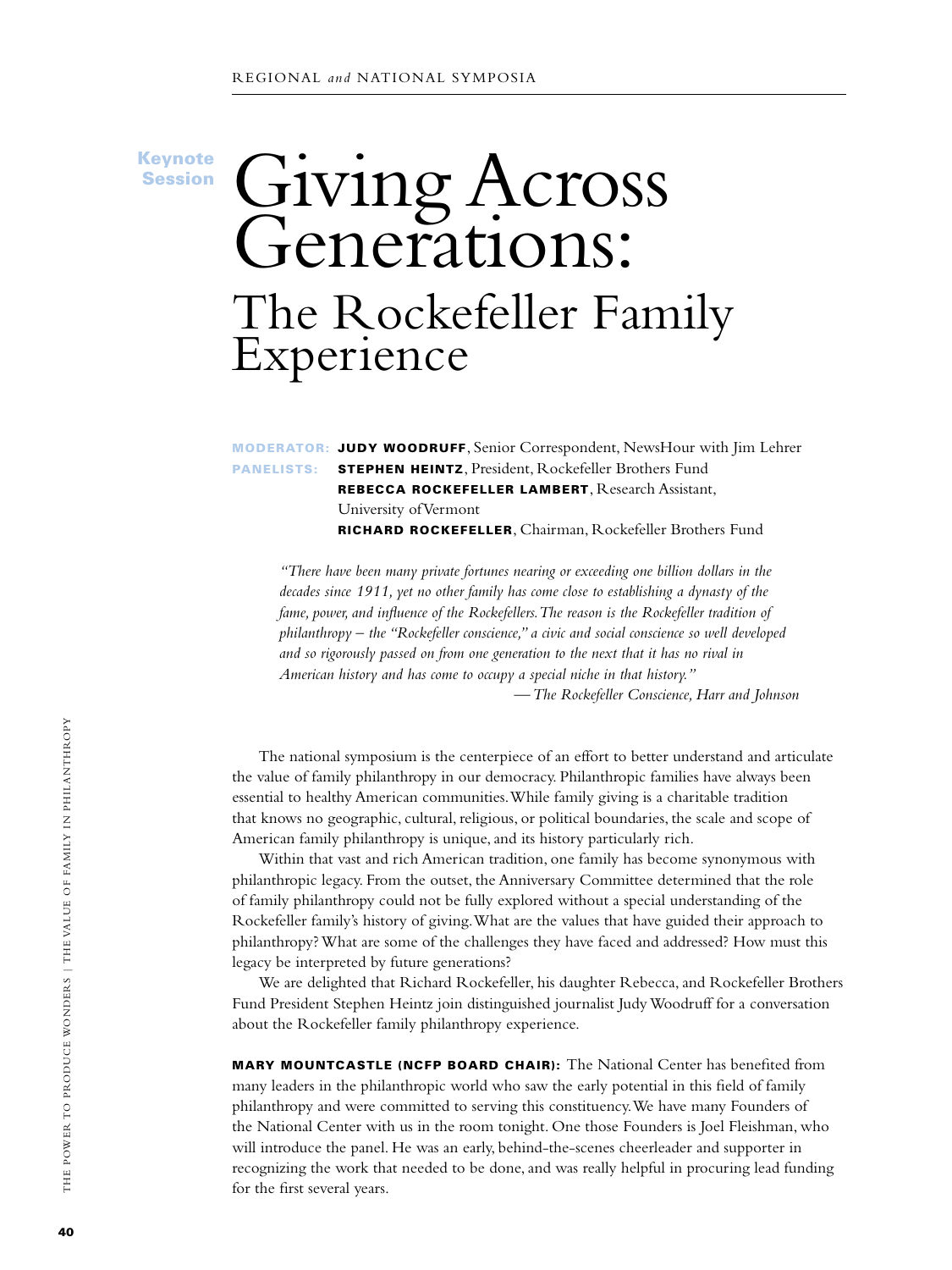Keynote Session

## Giving Across Generations: The Rockefeller Family Experience

Moderator: Judy Woodruff, Senior Correspondent, NewsHour with Jim Lehrer PANELISTS: STEPHEN HEINTZ, President, Rockefeller Brothers Fund Rebecca Rockefeller Lambert, Research Assistant, University of Vermont Richard Rockefeller, Chairman, Rockefeller Brothers Fund

*"There have been many private fortunes nearing or exceeding one billion dollars in the decades since 1911, yet no other family has come close to establishing a dynasty of the fame, power, and influence of the Rockefellers. The reason is the Rockefeller tradition of philanthropy – the "Rockefeller conscience," a civic and social conscience so well developed and so rigorously passed on from one generation to the next that it has no rival in American history and has come to occupy a special niche in that history." — The Rockefeller Conscience, Harr and Johnson*

The national symposium is the centerpiece of an effort to better understand and articulate the value of family philanthropy in our democracy. Philanthropic families have always been essential to healthy American communities. While family giving is a charitable tradition

that knows no geographic, cultural, religious, or political boundaries, the scale and scope of American family philanthropy is unique, and its history particularly rich. Within that vast and rich American tradition, one family has become synonymous with

philanthropic legacy. From the outset, the Anniversary Committee determined that the role of family philanthropy could not be fully explored without a special understanding of the Rockefeller family's history of giving. What are the values that have guided their approach to philanthropy? What are some of the challenges they have faced and addressed? How must this legacy be interpreted by future generations?

We are delighted that Richard Rockefeller, his daughter Rebecca, and Rockefeller Brothers Fund President Stephen Heintz join distinguished journalist Judy Woodruff for a conversation about the Rockefeller family philanthropy experience.

MARY MOUNTCASTLE (NCFP BOARD CHAIR): The National Center has benefited from many leaders in the philanthropic world who saw the early potential in this field of family philanthropy and were committed to serving this constituency. We have many Founders of the National Center with us in the room tonight. One those Founders is Joel Fleishman, who will introduce the panel. He was an early, behind-the-scenes cheerleader and supporter in recognizing the work that needed to be done, and was really helpful in procuring lead funding for the first several years.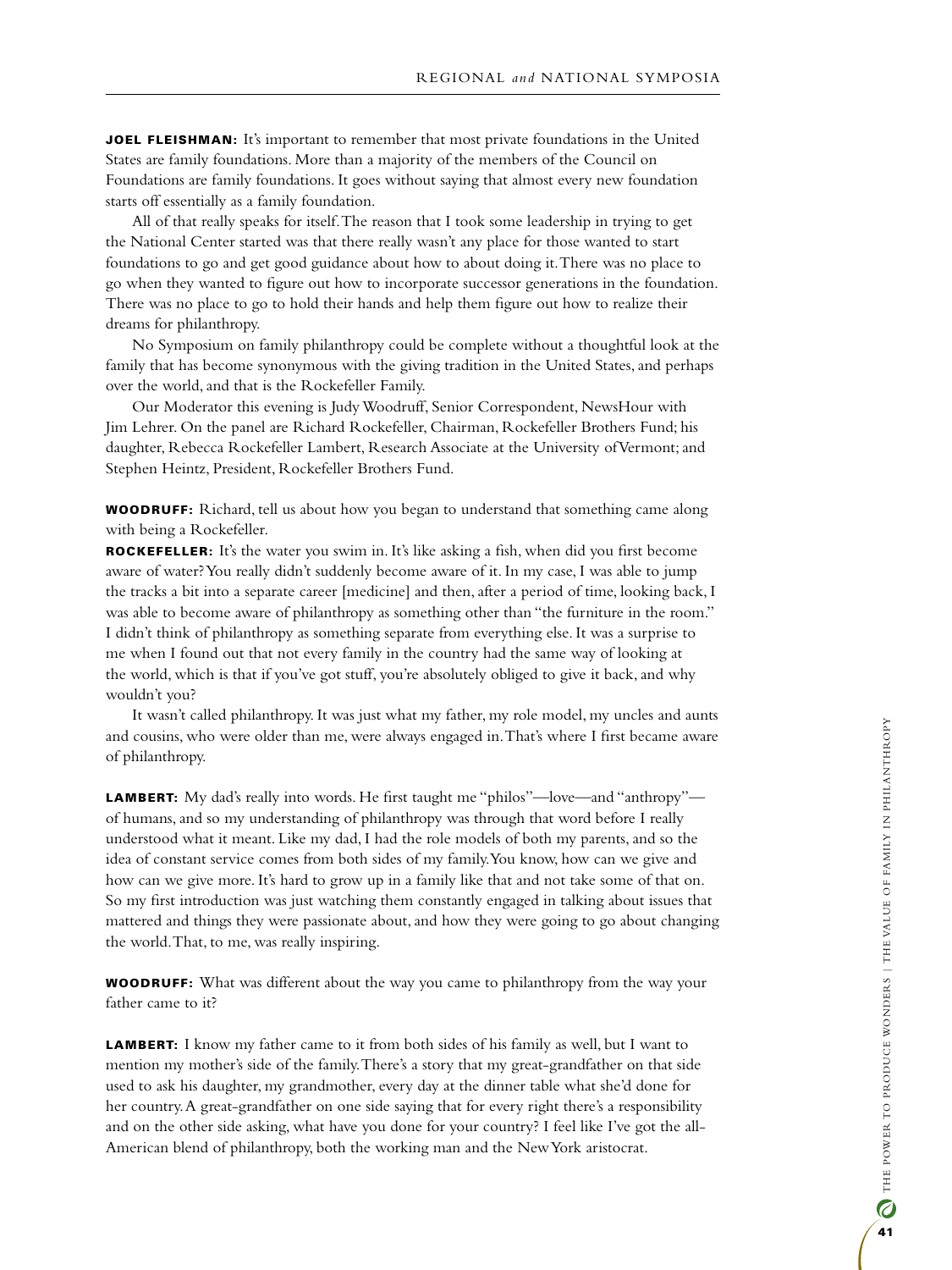**JOEL FLEISHMAN:** It's important to remember that most private foundations in the United States are family foundations. More than a majority of the members of the Council on Foundations are family foundations. It goes without saying that almost every new foundation starts off essentially as a family foundation.

All of that really speaks for itself. The reason that I took some leadership in trying to get the National Center started was that there really wasn't any place for those wanted to start foundations to go and get good guidance about how to about doing it. There was no place to go when they wanted to figure out how to incorporate successor generations in the foundation. There was no place to go to hold their hands and help them figure out how to realize their dreams for philanthropy.

No Symposium on family philanthropy could be complete without a thoughtful look at the family that has become synonymous with the giving tradition in the United States, and perhaps over the world, and that is the Rockefeller Family.

Our Moderator this evening is Judy Woodruff, Senior Correspondent, NewsHour with Jim Lehrer. On the panel are Richard Rockefeller, Chairman, Rockefeller Brothers Fund; his daughter, Rebecca Rockefeller Lambert, Research Associate at the University of Vermont; and Stephen Heintz, President, Rockefeller Brothers Fund.

**WOODRUFF:** Richard, tell us about how you began to understand that something came along with being a Rockefeller.

Rockefeller: It's the water you swim in. It's like asking a fish, when did you first become aware of water? You really didn't suddenly become aware of it. In my case, I was able to jump the tracks a bit into a separate career [medicine] and then, after a period of time, looking back, I was able to become aware of philanthropy as something other than "the furniture in the room." I didn't think of philanthropy as something separate from everything else. It was a surprise to me when I found out that not every family in the country had the same way of looking at the world, which is that if you've got stuff, you're absolutely obliged to give it back, and why wouldn't you?

It wasn't called philanthropy. It was just what my father, my role model, my uncles and aunts and cousins, who were older than me, were always engaged in. That's where I first became aware of philanthropy.

LAMBERT: My dad's really into words. He first taught me "philos"—love—and "anthropy" of humans, and so my understanding of philanthropy was through that word before I really understood what it meant. Like my dad, I had the role models of both my parents, and so the idea of constant service comes from both sides of my family. You know, how can we give and how can we give more. It's hard to grow up in a family like that and not take some of that on. So my first introduction was just watching them constantly engaged in talking about issues that mattered and things they were passionate about, and how they were going to go about changing the world. That, to me, was really inspiring.

**WOODRUFF:** What was different about the way you came to philanthropy from the way your father came to it?

LAMBERT: I know my father came to it from both sides of his family as well, but I want to mention my mother's side of the family. There's a story that my great-grandfather on that side used to ask his daughter, my grandmother, every day at the dinner table what she'd done for her country. A great-grandfather on one side saying that for every right there's a responsibility and on the other side asking, what have you done for your country? I feel like I've got the all-American blend of philanthropy, both the working man and the New York aristocrat.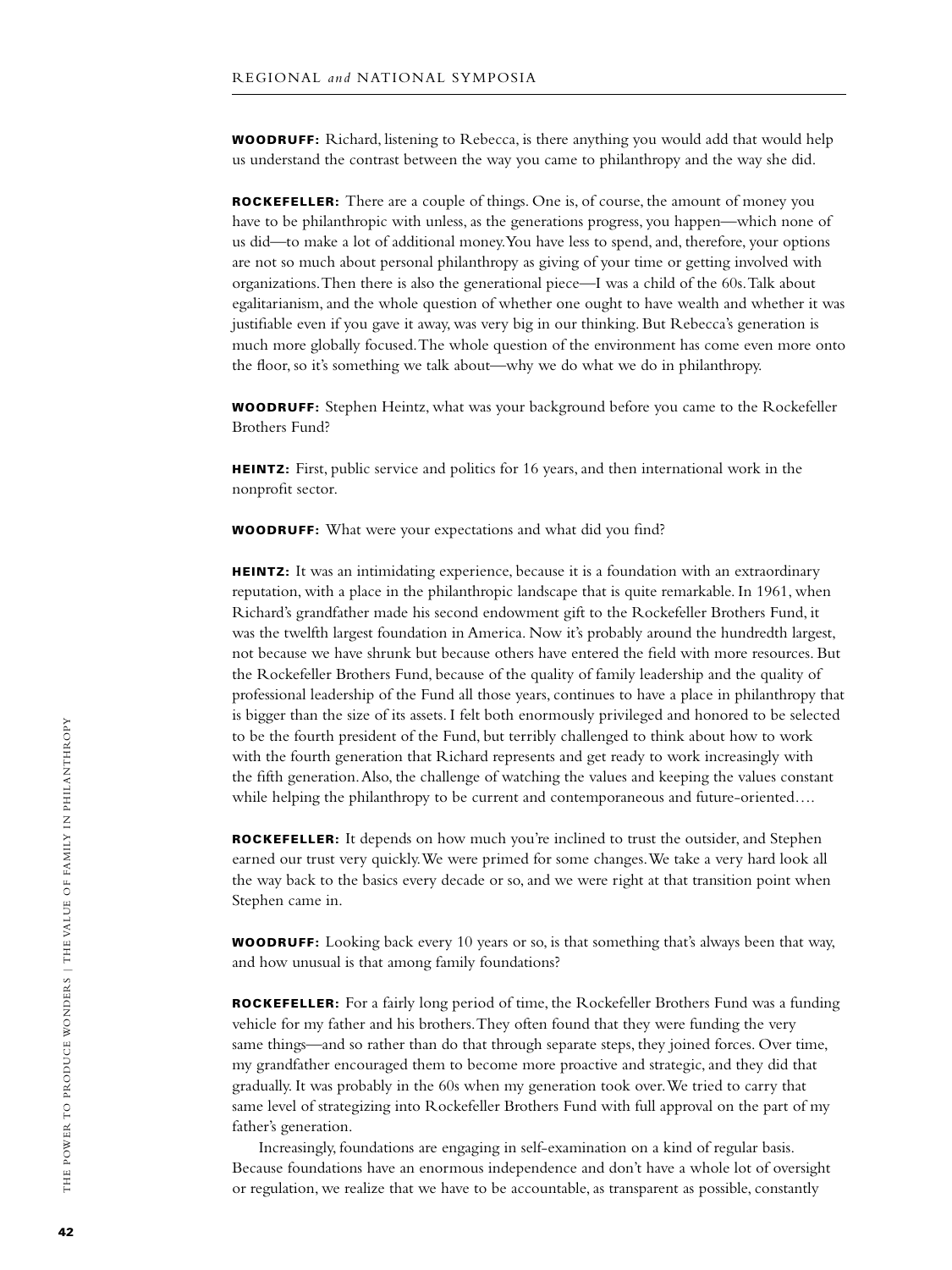**WOODRUFF:** Richard, listening to Rebecca, is there anything you would add that would help us understand the contrast between the way you came to philanthropy and the way she did.

ROCKEFELLER: There are a couple of things. One is, of course, the amount of money you have to be philanthropic with unless, as the generations progress, you happen—which none of us did—to make a lot of additional money. You have less to spend, and, therefore, your options are not so much about personal philanthropy as giving of your time or getting involved with organizations. Then there is also the generational piece—I was a child of the 60s. Talk about egalitarianism, and the whole question of whether one ought to have wealth and whether it was justifiable even if you gave it away, was very big in our thinking. But Rebecca's generation is much more globally focused. The whole question of the environment has come even more onto the floor, so it's something we talk about—why we do what we do in philanthropy.

**WOODRUFF:** Stephen Heintz, what was your background before you came to the Rockefeller Brothers Fund?

HEINTZ: First, public service and politics for 16 years, and then international work in the nonprofit sector.

**WOODRUFF:** What were your expectations and what did you find?

HEINTZ: It was an intimidating experience, because it is a foundation with an extraordinary reputation, with a place in the philanthropic landscape that is quite remarkable. In 1961, when Richard's grandfather made his second endowment gift to the Rockefeller Brothers Fund, it was the twelfth largest foundation in America. Now it's probably around the hundredth largest, not because we have shrunk but because others have entered the field with more resources. But the Rockefeller Brothers Fund, because of the quality of family leadership and the quality of professional leadership of the Fund all those years, continues to have a place in philanthropy that is bigger than the size of its assets. I felt both enormously privileged and honored to be selected to be the fourth president of the Fund, but terribly challenged to think about how to work with the fourth generation that Richard represents and get ready to work increasingly with the fifth generation. Also, the challenge of watching the values and keeping the values constant while helping the philanthropy to be current and contemporaneous and future-oriented....

ROCKEFELLER: It depends on how much you're inclined to trust the outsider, and Stephen earned our trust very quickly. We were primed for some changes. We take a very hard look all the way back to the basics every decade or so, and we were right at that transition point when Stephen came in.

**WOODRUFF:** Looking back every 10 years or so, is that something that's always been that way, and how unusual is that among family foundations?

ROCKEFELLER: For a fairly long period of time, the Rockefeller Brothers Fund was a funding vehicle for my father and his brothers. They often found that they were funding the very same things—and so rather than do that through separate steps, they joined forces. Over time, my grandfather encouraged them to become more proactive and strategic, and they did that gradually. It was probably in the 60s when my generation took over. We tried to carry that same level of strategizing into Rockefeller Brothers Fund with full approval on the part of my father's generation.

Increasingly, foundations are engaging in self-examination on a kind of regular basis. Because foundations have an enormous independence and don't have a whole lot of oversight or regulation, we realize that we have to be accountable, as transparent as possible, constantly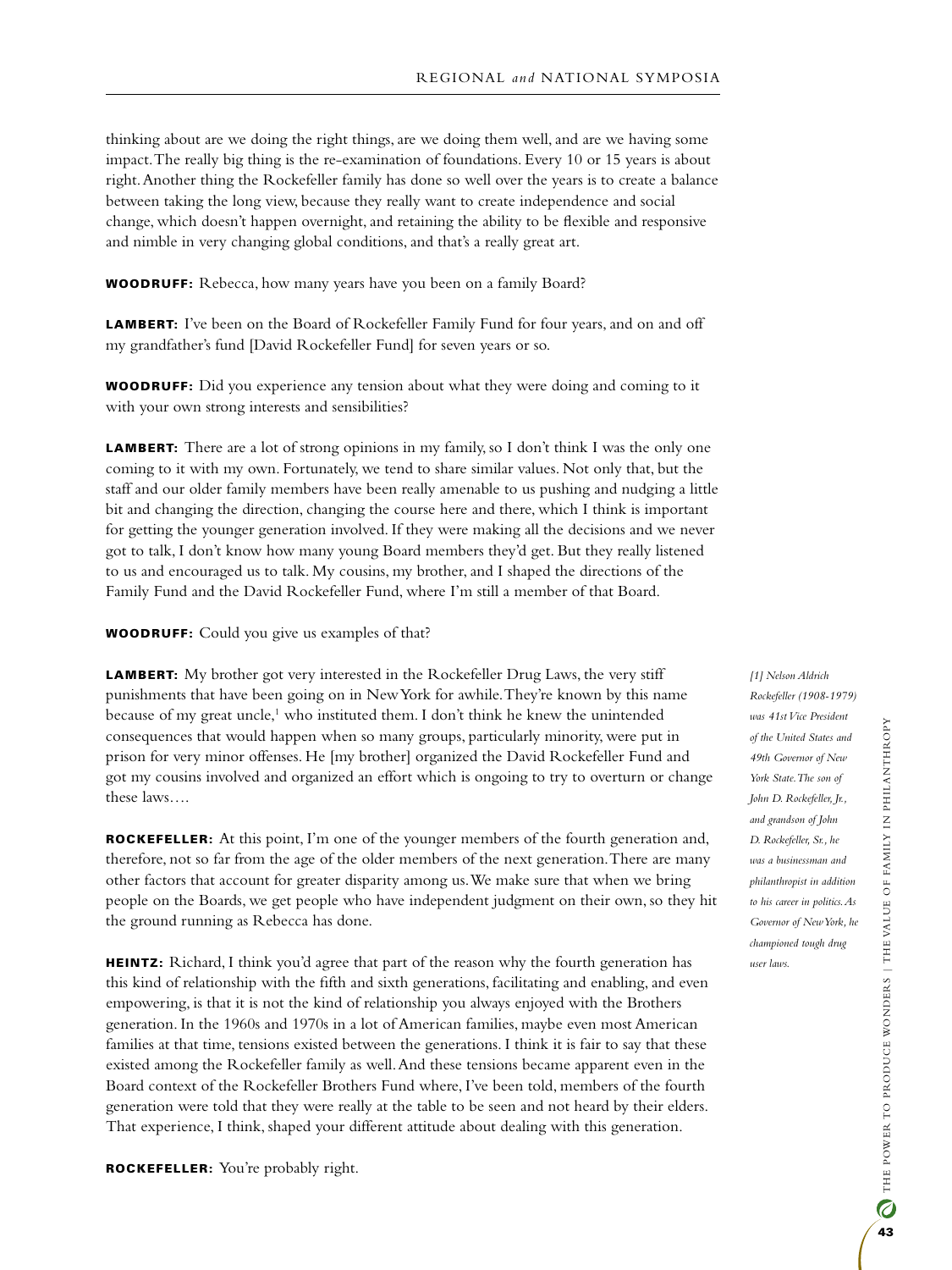thinking about are we doing the right things, are we doing them well, and are we having some impact. The really big thing is the re-examination of foundations. Every 10 or 15 years is about right. Another thing the Rockefeller family has done so well over the years is to create a balance between taking the long view, because they really want to create independence and social change, which doesn't happen overnight, and retaining the ability to be flexible and responsive and nimble in very changing global conditions, and that's a really great art.

**WOODRUFF:** Rebecca, how many years have you been on a family Board?

LAMBERT: I've been on the Board of Rockefeller Family Fund for four years, and on and off my grandfather's fund [David Rockefeller Fund] for seven years or so.

Woodruff: Did you experience any tension about what they were doing and coming to it with your own strong interests and sensibilities?

**LAMBERT:** There are a lot of strong opinions in my family, so I don't think I was the only one coming to it with my own. Fortunately, we tend to share similar values. Not only that, but the staff and our older family members have been really amenable to us pushing and nudging a little bit and changing the direction, changing the course here and there, which I think is important for getting the younger generation involved. If they were making all the decisions and we never got to talk, I don't know how many young Board members they'd get. But they really listened to us and encouraged us to talk. My cousins, my brother, and I shaped the directions of the Family Fund and the David Rockefeller Fund, where I'm still a member of that Board.

**WOODRUFF:** Could you give us examples of that?

LAMBERT: My brother got very interested in the Rockefeller Drug Laws, the very stiff punishments that have been going on in New York for awhile. They're known by this name because of my great uncle,<sup>1</sup> who instituted them. I don't think he knew the unintended consequences that would happen when so many groups, particularly minority, were put in prison for very minor offenses. He [my brother] organized the David Rockefeller Fund and got my cousins involved and organized an effort which is ongoing to try to overturn or change these laws….

ROCKEFELLER: At this point, I'm one of the younger members of the fourth generation and, therefore, not so far from the age of the older members of the next generation. There are many other factors that account for greater disparity among us. We make sure that when we bring people on the Boards, we get people who have independent judgment on their own, so they hit the ground running as Rebecca has done.

HEINTZ: Richard, I think you'd agree that part of the reason why the fourth generation has this kind of relationship with the fifth and sixth generations, facilitating and enabling, and even empowering, is that it is not the kind of relationship you always enjoyed with the Brothers generation. In the 1960s and 1970s in a lot of American families, maybe even most American families at that time, tensions existed between the generations. I think it is fair to say that these existed among the Rockefeller family as well. And these tensions became apparent even in the Board context of the Rockefeller Brothers Fund where, I've been told, members of the fourth generation were told that they were really at the table to be seen and not heard by their elders. That experience, I think, shaped your different attitude about dealing with this generation.

Rockefeller: You're probably right.

*[1] Nelson Aldrich Rockefeller (1908-1979) was 41st Vice President of the United States and 49th Governor of New York State. The son of John D. Rockefeller, Jr., and grandson of John D. Rockefeller, Sr., he was a businessman and philanthropist in addition to his career in politics. As Governor of New York, he championed tough drug user laws.*

hropy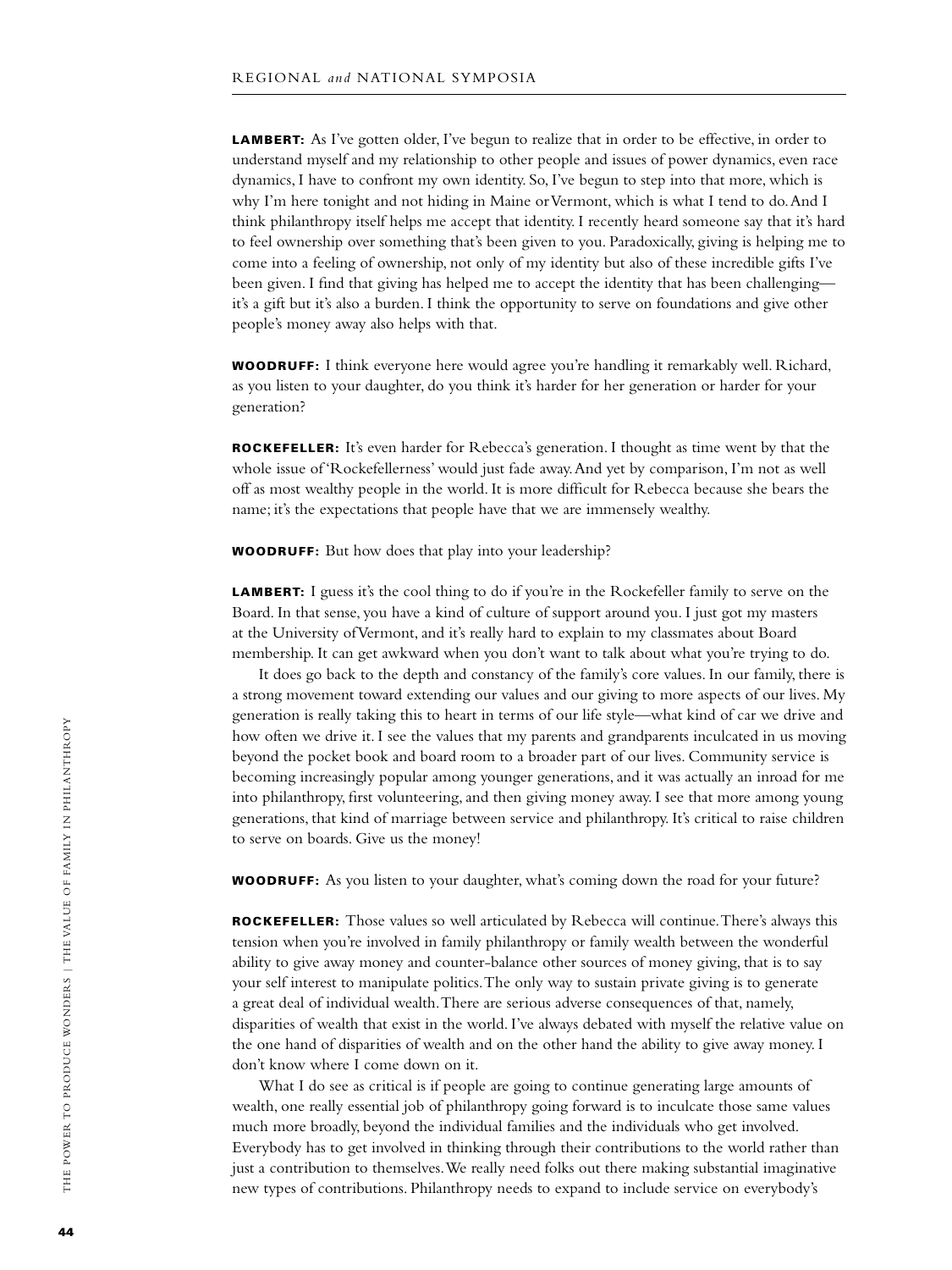**LAMBERT:** As I've gotten older, I've begun to realize that in order to be effective, in order to understand myself and my relationship to other people and issues of power dynamics, even race dynamics, I have to confront my own identity. So, I've begun to step into that more, which is why I'm here tonight and not hiding in Maine or Vermont, which is what I tend to do. And I think philanthropy itself helps me accept that identity. I recently heard someone say that it's hard to feel ownership over something that's been given to you. Paradoxically, giving is helping me to come into a feeling of ownership, not only of my identity but also of these incredible gifts I've been given. I find that giving has helped me to accept the identity that has been challenging it's a gift but it's also a burden. I think the opportunity to serve on foundations and give other people's money away also helps with that.

**WOODRUFF:** I think everyone here would agree you're handling it remarkably well. Richard, as you listen to your daughter, do you think it's harder for her generation or harder for your generation?

Rockefeller: It's even harder for Rebecca's generation. I thought as time went by that the whole issue of 'Rockefellerness' would just fade away. And yet by comparison, I'm not as well off as most wealthy people in the world. It is more difficult for Rebecca because she bears the name; it's the expectations that people have that we are immensely wealthy.

Woodruff: But how does that play into your leadership?

LAMBERT: I guess it's the cool thing to do if you're in the Rockefeller family to serve on the Board. In that sense, you have a kind of culture of support around you. I just got my masters at the University of Vermont, and it's really hard to explain to my classmates about Board membership. It can get awkward when you don't want to talk about what you're trying to do.

It does go back to the depth and constancy of the family's core values. In our family, there is a strong movement toward extending our values and our giving to more aspects of our lives. My generation is really taking this to heart in terms of our life style—what kind of car we drive and how often we drive it. I see the values that my parents and grandparents inculcated in us moving beyond the pocket book and board room to a broader part of our lives. Community service is becoming increasingly popular among younger generations, and it was actually an inroad for me into philanthropy, first volunteering, and then giving money away. I see that more among young generations, that kind of marriage between service and philanthropy. It's critical to raise children to serve on boards. Give us the money!

**WOODRUFF:** As you listen to your daughter, what's coming down the road for your future?

Rockefeller: Those values so well articulated by Rebecca will continue. There's always this tension when you're involved in family philanthropy or family wealth between the wonderful ability to give away money and counter-balance other sources of money giving, that is to say your self interest to manipulate politics. The only way to sustain private giving is to generate a great deal of individual wealth. There are serious adverse consequences of that, namely, disparities of wealth that exist in the world. I've always debated with myself the relative value on the one hand of disparities of wealth and on the other hand the ability to give away money. I don't know where I come down on it.

What I do see as critical is if people are going to continue generating large amounts of wealth, one really essential job of philanthropy going forward is to inculcate those same values much more broadly, beyond the individual families and the individuals who get involved. Everybody has to get involved in thinking through their contributions to the world rather than just a contribution to themselves. We really need folks out there making substantial imaginative new types of contributions. Philanthropy needs to expand to include service on everybody's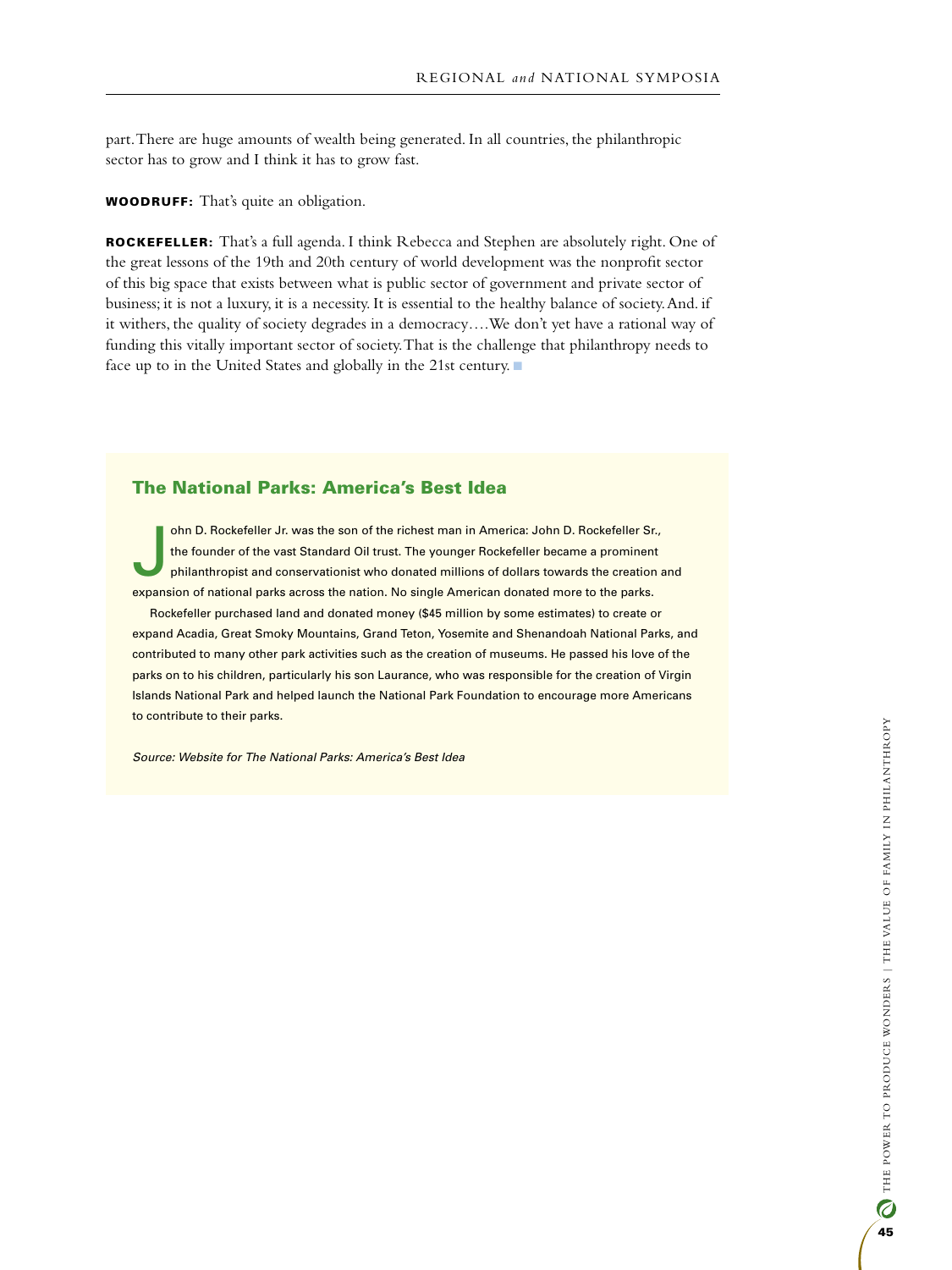part. There are huge amounts of wealth being generated. In all countries, the philanthropic sector has to grow and I think it has to grow fast.

Woodruff: That's quite an obligation.

Rockefeller: That's a full agenda. I think Rebecca and Stephen are absolutely right. One of the great lessons of the 19th and 20th century of world development was the nonprofit sector of this big space that exists between what is public sector of government and private sector of business; it is not a luxury, it is a necessity. It is essential to the healthy balance of society. And. if it withers, the quality of society degrades in a democracy….We don't yet have a rational way of funding this vitally important sector of society. That is the challenge that philanthropy needs to face up to in the United States and globally in the 21st century.

## The National Parks: America's Best Idea

J ohn D. Rockefeller Jr. was the son of the richest man in America: John D. Rockefeller Sr., the founder of the vast Standard Oil trust. The younger Rockefeller became a prominent philanthropist and conservationist who donated millions of dollars towards the creation and expansion of national parks across the nation. No single American donated more to the parks.

Rockefeller purchased land and donated money (\$45 million by some estimates) to create or expand Acadia, Great Smoky Mountains, Grand Teton, Yosemite and Shenandoah National Parks, and contributed to many other park activities such as the creation of museums. He passed his love of the parks on to his children, particularly his son Laurance, who was responsible for the creation of Virgin Islands National Park and helped launch the National Park Foundation to encourage more Americans to contribute to their parks.

*Source: Website for The National Parks: America's Best Idea*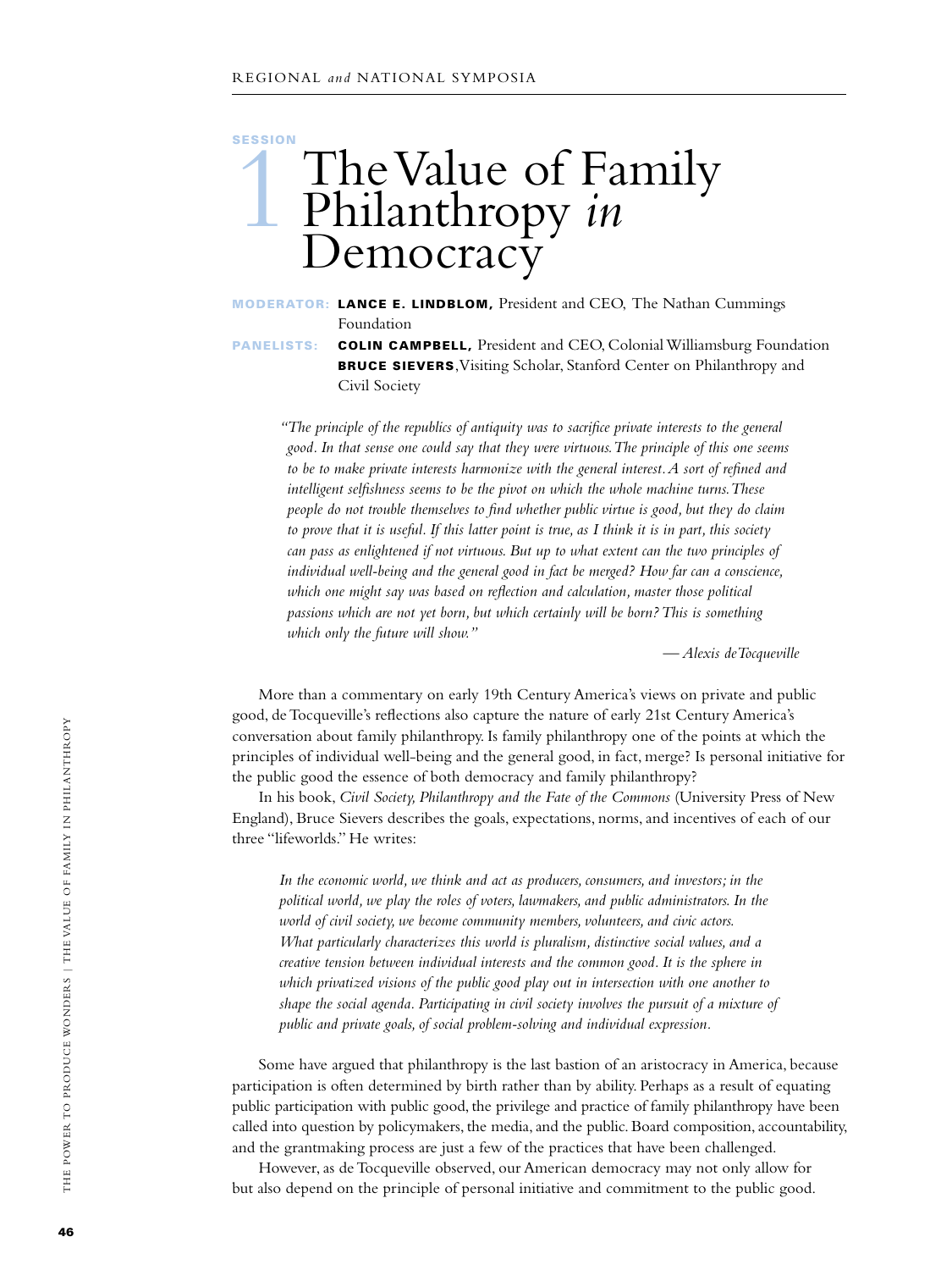## **SESSION** The Value of Family<br>Philanthropy in Philanthropy *in* Democracy

Moderator: Lance E. Lindblom, President and CEO, The Nathan Cummings Foundation

PANELISTS: COLIN CAMPBELL, President and CEO, Colonial Williamsburg Foundation BRUCE SIEVERS, Visiting Scholar, Stanford Center on Philanthropy and Civil Society

*"The principle of the republics of antiquity was to sacrifice private interests to the general good. In that sense one could say that they were virtuous. The principle of this one seems to be to make private interests harmonize with the general interest. A sort of refined and intelligent selfishness seems to be the pivot on which the whole machine turns. These people do not trouble themselves to find whether public virtue is good, but they do claim to prove that it is useful. If this latter point is true, as I think it is in part, this society can pass as enlightened if not virtuous. But up to what extent can the two principles of individual well-being and the general good in fact be merged? How far can a conscience,*  which one might say was based on reflection and calculation, master those political *passions which are not yet born, but which certainly will be born? This is something which only the future will show."*

*— Alexis deTocqueville*

More than a commentary on early 19th Century America's views on private and public good, de Tocqueville's reflections also capture the nature of early 21st Century America's conversation about family philanthropy. Is family philanthropy one of the points at which the principles of individual well-being and the general good, in fact, merge? Is personal initiative for the public good the essence of both democracy and family philanthropy?

In his book, *Civil Society, Philanthropy and the Fate of the Commons* (University Press of New England), Bruce Sievers describes the goals, expectations, norms, and incentives of each of our three "lifeworlds." He writes:

*In the economic world, we think and act as producers, consumers, and investors; in the political world, we play the roles of voters, lawmakers, and public administrators. In the world of civil society, we become community members, volunteers, and civic actors. What particularly characterizes this world is pluralism, distinctive social values, and a creative tension between individual interests and the common good. It is the sphere in which privatized visions of the public good play out in intersection with one another to shape the social agenda. Participating in civil society involves the pursuit of a mixture of public and private goals, of social problem-solving and individual expression.*

Some have argued that philanthropy is the last bastion of an aristocracy in America, because participation is often determined by birth rather than by ability. Perhaps as a result of equating public participation with public good, the privilege and practice of family philanthropy have been called into question by policymakers, the media, and the public. Board composition, accountability, and the grantmaking process are just a few of the practices that have been challenged.

However, as de Tocqueville observed, our American democracy may not only allow for but also depend on the principle of personal initiative and commitment to the public good.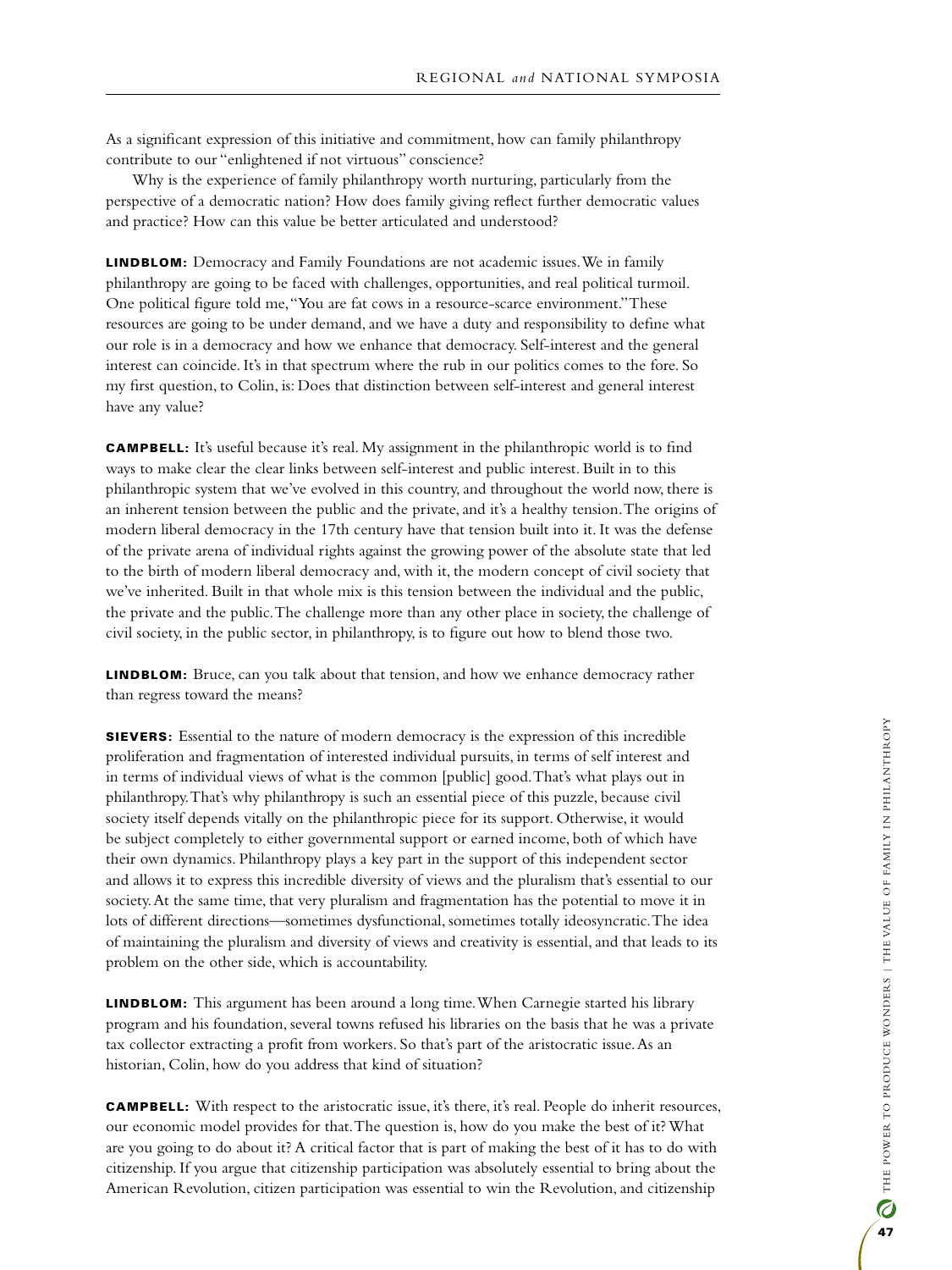As a significant expression of this initiative and commitment, how can family philanthropy contribute to our "enlightened if not virtuous" conscience?

Why is the experience of family philanthropy worth nurturing, particularly from the perspective of a democratic nation? How does family giving reflect further democratic values and practice? How can this value be better articulated and understood?

**LINDBLOM:** Democracy and Family Foundations are not academic issues. We in family philanthropy are going to be faced with challenges, opportunities, and real political turmoil. One political figure told me, "You are fat cows in a resource-scarce environment." These resources are going to be under demand, and we have a duty and responsibility to define what our role is in a democracy and how we enhance that democracy. Self-interest and the general interest can coincide. It's in that spectrum where the rub in our politics comes to the fore. So my first question, to Colin, is: Does that distinction between self-interest and general interest have any value?

**CAMPBELL:** It's useful because it's real. My assignment in the philanthropic world is to find ways to make clear the clear links between self-interest and public interest. Built in to this philanthropic system that we've evolved in this country, and throughout the world now, there is an inherent tension between the public and the private, and it's a healthy tension. The origins of modern liberal democracy in the 17th century have that tension built into it. It was the defense of the private arena of individual rights against the growing power of the absolute state that led to the birth of modern liberal democracy and, with it, the modern concept of civil society that we've inherited. Built in that whole mix is this tension between the individual and the public, the private and the public. The challenge more than any other place in society, the challenge of civil society, in the public sector, in philanthropy, is to figure out how to blend those two.

LINDBLOM: Bruce, can you talk about that tension, and how we enhance democracy rather than regress toward the means?

**SIEVERS:** Essential to the nature of modern democracy is the expression of this incredible proliferation and fragmentation of interested individual pursuits, in terms of self interest and in terms of individual views of what is the common [public] good. That's what plays out in philanthropy. That's why philanthropy is such an essential piece of this puzzle, because civil society itself depends vitally on the philanthropic piece for its support. Otherwise, it would be subject completely to either governmental support or earned income, both of which have their own dynamics. Philanthropy plays a key part in the support of this independent sector and allows it to express this incredible diversity of views and the pluralism that's essential to our society. At the same time, that very pluralism and fragmentation has the potential to move it in lots of different directions—sometimes dysfunctional, sometimes totally ideosyncratic. The idea of maintaining the pluralism and diversity of views and creativity is essential, and that leads to its problem on the other side, which is accountability.

**LINDBLOM:** This argument has been around a long time. When Carnegie started his library program and his foundation, several towns refused his libraries on the basis that he was a private tax collector extracting a profit from workers. So that's part of the aristocratic issue. As an historian, Colin, how do you address that kind of situation?

Campbell: With respect to the aristocratic issue, it's there, it's real. People do inherit resources, our economic model provides for that. The question is, how do you make the best of it? What are you going to do about it? A critical factor that is part of making the best of it has to do with citizenship. If you argue that citizenship participation was absolutely essential to bring about the American Revolution, citizen participation was essential to win the Revolution, and citizenship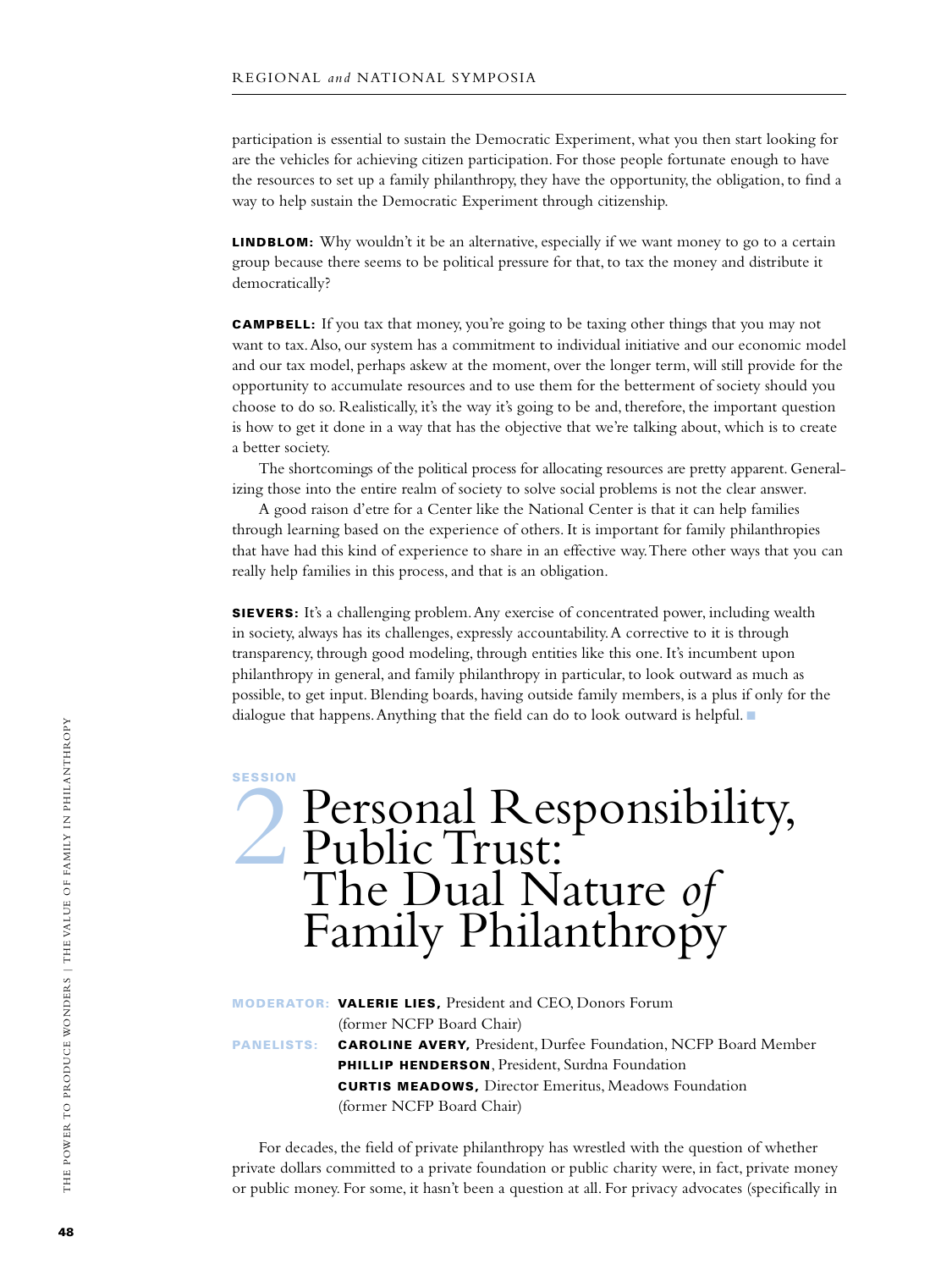participation is essential to sustain the Democratic Experiment, what you then start looking for are the vehicles for achieving citizen participation. For those people fortunate enough to have the resources to set up a family philanthropy, they have the opportunity, the obligation, to find a way to help sustain the Democratic Experiment through citizenship.

**LINDBLOM:** Why wouldn't it be an alternative, especially if we want money to go to a certain group because there seems to be political pressure for that, to tax the money and distribute it democratically?

**CAMPBELL:** If you tax that money, you're going to be taxing other things that you may not want to tax. Also, our system has a commitment to individual initiative and our economic model and our tax model, perhaps askew at the moment, over the longer term, will still provide for the opportunity to accumulate resources and to use them for the betterment of society should you choose to do so. Realistically, it's the way it's going to be and, therefore, the important question is how to get it done in a way that has the objective that we're talking about, which is to create a better society.

The shortcomings of the political process for allocating resources are pretty apparent. Generalizing those into the entire realm of society to solve social problems is not the clear answer.

A good raison d'etre for a Center like the National Center is that it can help families through learning based on the experience of others. It is important for family philanthropies that have had this kind of experience to share in an effective way. There other ways that you can really help families in this process, and that is an obligation.

**SIEVERS:** It's a challenging problem. Any exercise of concentrated power, including wealth in society, always has its challenges, expressly accountability. A corrective to it is through transparency, through good modeling, through entities like this one. It's incumbent upon philanthropy in general, and family philanthropy in particular, to look outward as much as possible, to get input. Blending boards, having outside family members, is a plus if only for the dialogue that happens. Anything that the field can do to look outward is helpful.  $\blacksquare$ 

**SESSION** 

## Personal Responsibility, Public Trust: The Dual Nature *of* Family Philanthropy

Moderator: Valerie Lies, President and CEO, Donors Forum (former NCFP Board Chair) PANELISTS: CAROLINE AVERY, President, Durfee Foundation, NCFP Board Member PHILLIP HENDERSON, President, Surdna Foundation **CURTIS MEADOWS, Director Emeritus, Meadows Foundation** (former NCFP Board Chair)

For decades, the field of private philanthropy has wrestled with the question of whether private dollars committed to a private foundation or public charity were, in fact, private money or public money. For some, it hasn't been a question at all. For privacy advocates (specifically in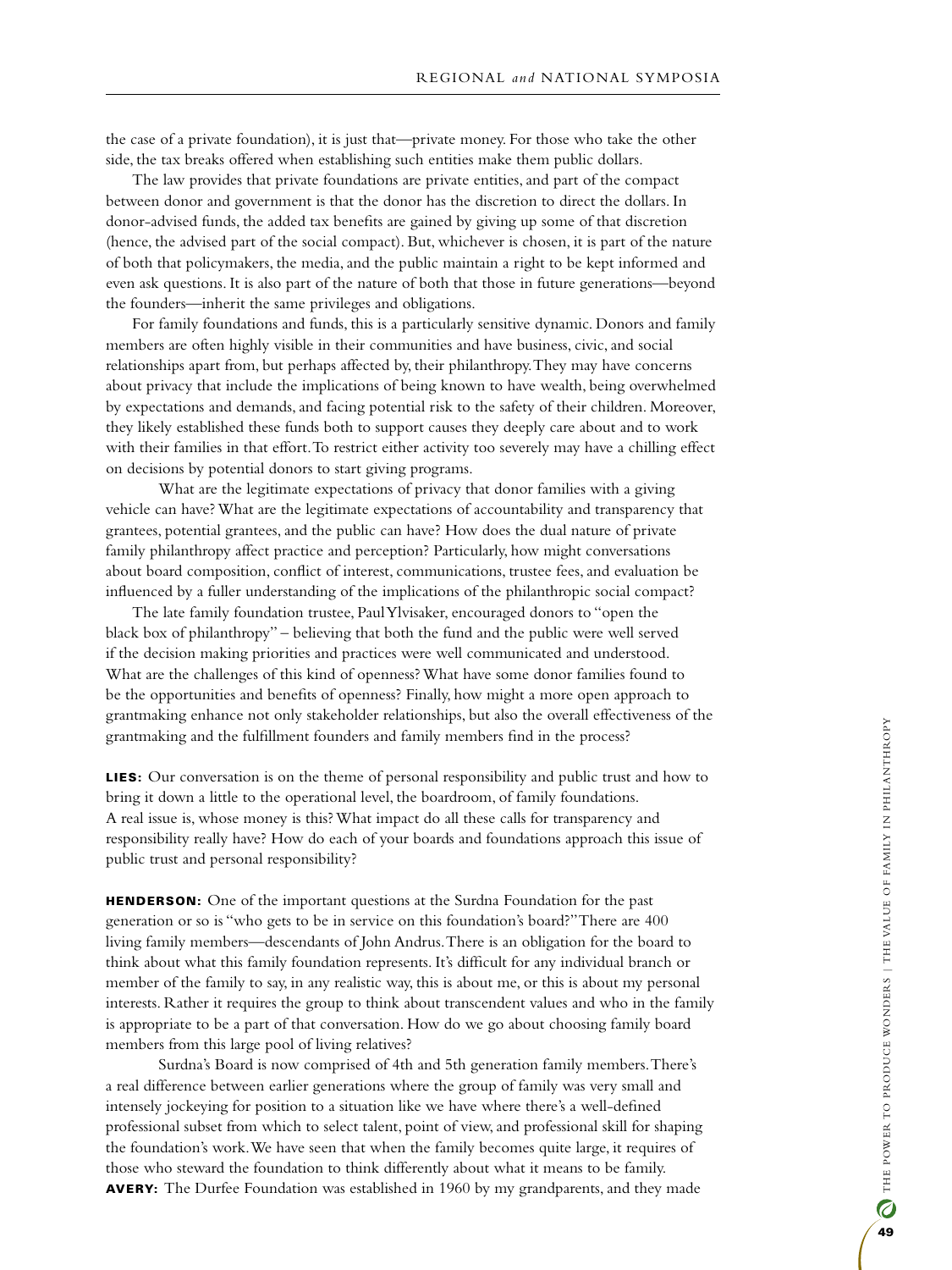the case of a private foundation), it is just that—private money. For those who take the other side, the tax breaks offered when establishing such entities make them public dollars.

The law provides that private foundations are private entities, and part of the compact between donor and government is that the donor has the discretion to direct the dollars. In donor-advised funds, the added tax benefits are gained by giving up some of that discretion (hence, the advised part of the social compact). But, whichever is chosen, it is part of the nature of both that policymakers, the media, and the public maintain a right to be kept informed and even ask questions. It is also part of the nature of both that those in future generations—beyond the founders—inherit the same privileges and obligations.

For family foundations and funds, this is a particularly sensitive dynamic. Donors and family members are often highly visible in their communities and have business, civic, and social relationships apart from, but perhaps affected by, their philanthropy. They may have concerns about privacy that include the implications of being known to have wealth, being overwhelmed by expectations and demands, and facing potential risk to the safety of their children. Moreover, they likely established these funds both to support causes they deeply care about and to work with their families in that effort. To restrict either activity too severely may have a chilling effect on decisions by potential donors to start giving programs.

What are the legitimate expectations of privacy that donor families with a giving vehicle can have? What are the legitimate expectations of accountability and transparency that grantees, potential grantees, and the public can have? How does the dual nature of private family philanthropy affect practice and perception? Particularly, how might conversations about board composition, conflict of interest, communications, trustee fees, and evaluation be influenced by a fuller understanding of the implications of the philanthropic social compact?

The late family foundation trustee, Paul Ylvisaker, encouraged donors to "open the black box of philanthropy" – believing that both the fund and the public were well served if the decision making priorities and practices were well communicated and understood. What are the challenges of this kind of openness? What have some donor families found to be the opportunities and benefits of openness? Finally, how might a more open approach to grantmaking enhance not only stakeholder relationships, but also the overall effectiveness of the grantmaking and the fulfillment founders and family members find in the process?

Lies: Our conversation is on the theme of personal responsibility and public trust and how to bring it down a little to the operational level, the boardroom, of family foundations. A real issue is, whose money is this? What impact do all these calls for transparency and responsibility really have? How do each of your boards and foundations approach this issue of public trust and personal responsibility?

**HENDERSON:** One of the important questions at the Surdna Foundation for the past generation or so is "who gets to be in service on this foundation's board?" There are 400 living family members—descendants of John Andrus. There is an obligation for the board to think about what this family foundation represents. It's difficult for any individual branch or member of the family to say, in any realistic way, this is about me, or this is about my personal interests. Rather it requires the group to think about transcendent values and who in the family is appropriate to be a part of that conversation. How do we go about choosing family board members from this large pool of living relatives?

Surdna's Board is now comprised of 4th and 5th generation family members. There's a real difference between earlier generations where the group of family was very small and intensely jockeying for position to a situation like we have where there's a well-defined professional subset from which to select talent, point of view, and professional skill for shaping the foundation's work. We have seen that when the family becomes quite large, it requires of those who steward the foundation to think differently about what it means to be family. AVERY: The Durfee Foundation was established in 1960 by my grandparents, and they made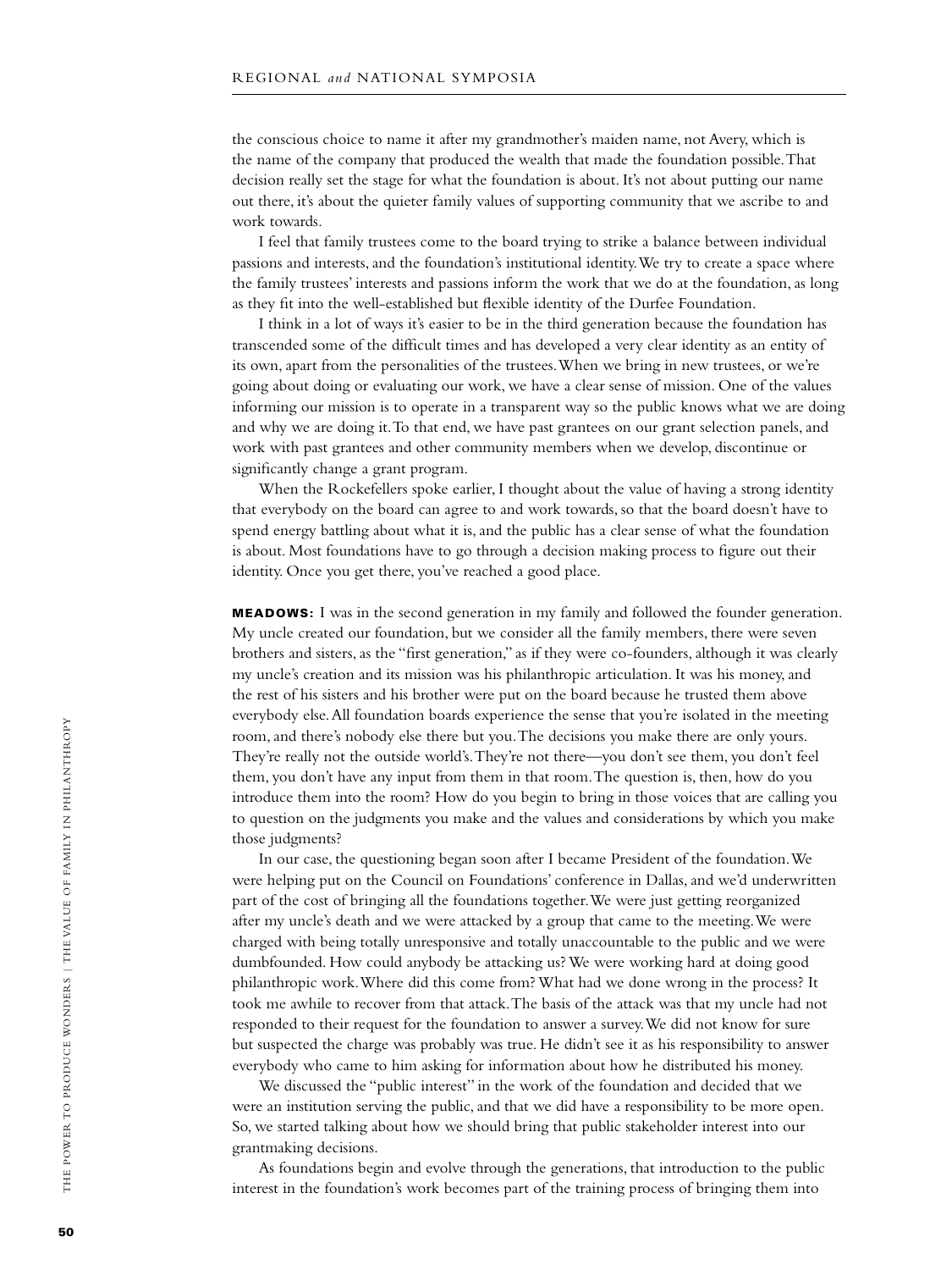the conscious choice to name it after my grandmother's maiden name, not Avery, which is the name of the company that produced the wealth that made the foundation possible. That decision really set the stage for what the foundation is about. It's not about putting our name out there, it's about the quieter family values of supporting community that we ascribe to and work towards.

I feel that family trustees come to the board trying to strike a balance between individual passions and interests, and the foundation's institutional identity. We try to create a space where the family trustees' interests and passions inform the work that we do at the foundation, as long as they fit into the well-established but flexible identity of the Durfee Foundation.

I think in a lot of ways it's easier to be in the third generation because the foundation has transcended some of the difficult times and has developed a very clear identity as an entity of its own, apart from the personalities of the trustees. When we bring in new trustees, or we're going about doing or evaluating our work, we have a clear sense of mission. One of the values informing our mission is to operate in a transparent way so the public knows what we are doing and why we are doing it. To that end, we have past grantees on our grant selection panels, and work with past grantees and other community members when we develop, discontinue or significantly change a grant program.

When the Rockefellers spoke earlier, I thought about the value of having a strong identity that everybody on the board can agree to and work towards, so that the board doesn't have to spend energy battling about what it is, and the public has a clear sense of what the foundation is about. Most foundations have to go through a decision making process to figure out their identity. Once you get there, you've reached a good place.

**MEADOWS:** I was in the second generation in my family and followed the founder generation. My uncle created our foundation, but we consider all the family members, there were seven brothers and sisters, as the "first generation," as if they were co-founders, although it was clearly my uncle's creation and its mission was his philanthropic articulation. It was his money, and the rest of his sisters and his brother were put on the board because he trusted them above everybody else. All foundation boards experience the sense that you're isolated in the meeting room, and there's nobody else there but you. The decisions you make there are only yours. They're really not the outside world's. They're not there—you don't see them, you don't feel them, you don't have any input from them in that room. The question is, then, how do you introduce them into the room? How do you begin to bring in those voices that are calling you to question on the judgments you make and the values and considerations by which you make those judgments?

In our case, the questioning began soon after I became President of the foundation. We were helping put on the Council on Foundations' conference in Dallas, and we'd underwritten part of the cost of bringing all the foundations together. We were just getting reorganized after my uncle's death and we were attacked by a group that came to the meeting. We were charged with being totally unresponsive and totally unaccountable to the public and we were dumbfounded. How could anybody be attacking us? We were working hard at doing good philanthropic work. Where did this come from? What had we done wrong in the process? It took me awhile to recover from that attack. The basis of the attack was that my uncle had not responded to their request for the foundation to answer a survey. We did not know for sure but suspected the charge was probably was true. He didn't see it as his responsibility to answer everybody who came to him asking for information about how he distributed his money.

We discussed the "public interest" in the work of the foundation and decided that we were an institution serving the public, and that we did have a responsibility to be more open. So, we started talking about how we should bring that public stakeholder interest into our grantmaking decisions.

As foundations begin and evolve through the generations, that introduction to the public interest in the foundation's work becomes part of the training process of bringing them into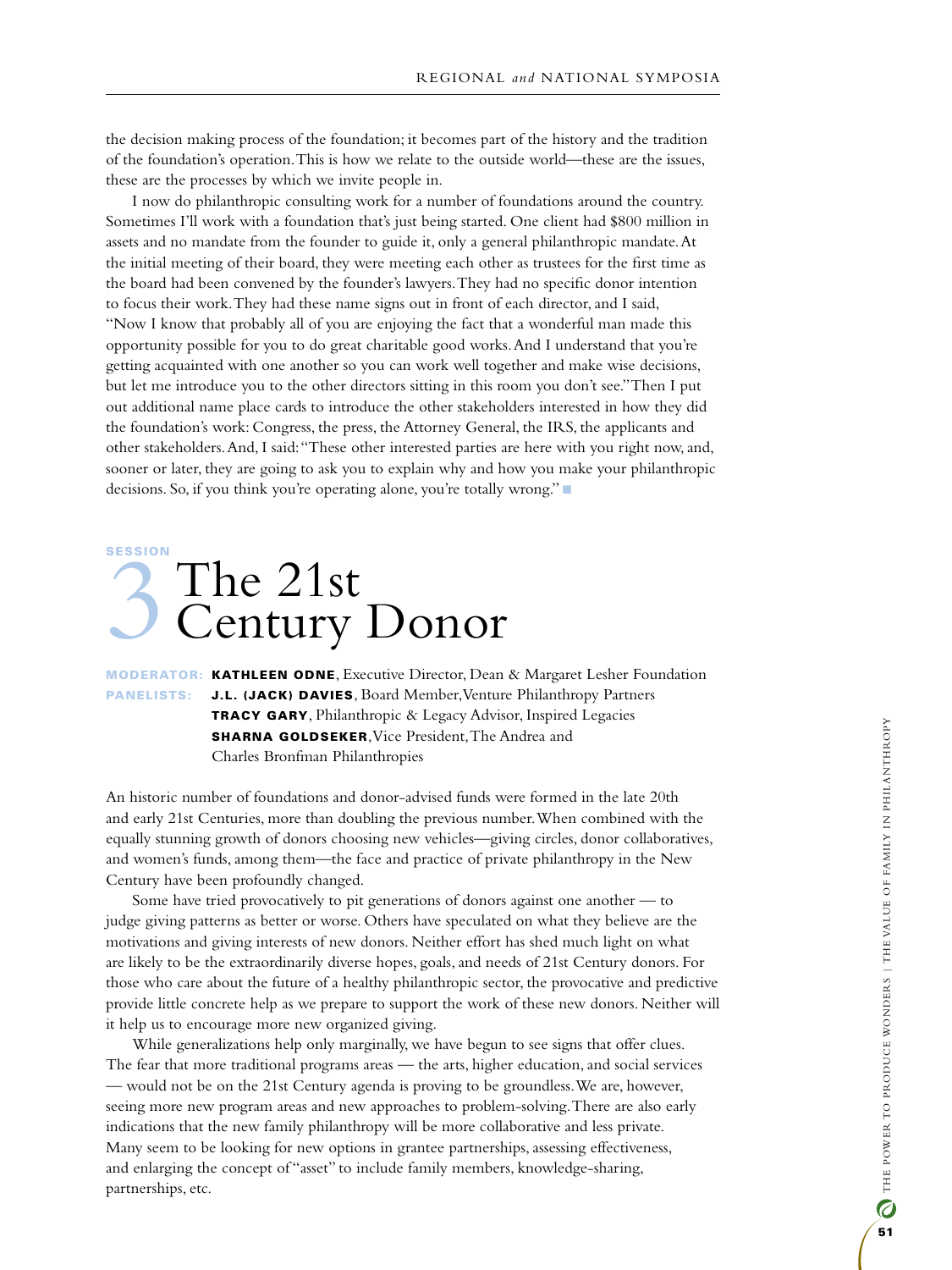the decision making process of the foundation; it becomes part of the history and the tradition of the foundation's operation. This is how we relate to the outside world—these are the issues, these are the processes by which we invite people in.

I now do philanthropic consulting work for a number of foundations around the country. Sometimes I'll work with a foundation that's just being started. One client had \$800 million in assets and no mandate from the founder to guide it, only a general philanthropic mandate. At the initial meeting of their board, they were meeting each other as trustees for the first time as the board had been convened by the founder's lawyers. They had no specific donor intention to focus their work. They had these name signs out in front of each director, and I said, "Now I know that probably all of you are enjoying the fact that a wonderful man made this opportunity possible for you to do great charitable good works. And I understand that you're getting acquainted with one another so you can work well together and make wise decisions, but let me introduce you to the other directors sitting in this room you don't see." Then I put out additional name place cards to introduce the other stakeholders interested in how they did the foundation's work: Congress, the press, the Attorney General, the IRS, the applicants and other stakeholders. And, I said: "These other interested parties are here with you right now, and, sooner or later, they are going to ask you to explain why and how you make your philanthropic decisions. So, if you think you're operating alone, you're totally wrong."

## **SESSION** SESSION<br>Century Century Donor

Moderator: Kathleen Odne, Executive Director, Dean & Margaret Lesher Foundation PANELISTS: J.L. (JACK) DAVIES, Board Member, Venture Philanthropy Partners Tracy Gary, Philanthropic & Legacy Advisor, Inspired Legacies **SHARNA GOLDSEKER, Vice President, The Andrea and** Charles Bronfman Philanthropies

An historic number of foundations and donor-advised funds were formed in the late 20th and early 21st Centuries, more than doubling the previous number. When combined with the equally stunning growth of donors choosing new vehicles—giving circles, donor collaboratives, and women's funds, among them—the face and practice of private philanthropy in the New Century have been profoundly changed.

Some have tried provocatively to pit generations of donors against one another — to judge giving patterns as better or worse. Others have speculated on what they believe are the motivations and giving interests of new donors. Neither effort has shed much light on what are likely to be the extraordinarily diverse hopes, goals, and needs of 21st Century donors. For those who care about the future of a healthy philanthropic sector, the provocative and predictive provide little concrete help as we prepare to support the work of these new donors. Neither will it help us to encourage more new organized giving.

While generalizations help only marginally, we have begun to see signs that offer clues. The fear that more traditional programs areas — the arts, higher education, and social services — would not be on the 21st Century agenda is proving to be groundless. We are, however, seeing more new program areas and new approaches to problem-solving. There are also early indications that the new family philanthropy will be more collaborative and less private. Many seem to be looking for new options in grantee partnerships, assessing effectiveness, and enlarging the concept of "asset" to include family members, knowledge-sharing, partnerships, etc.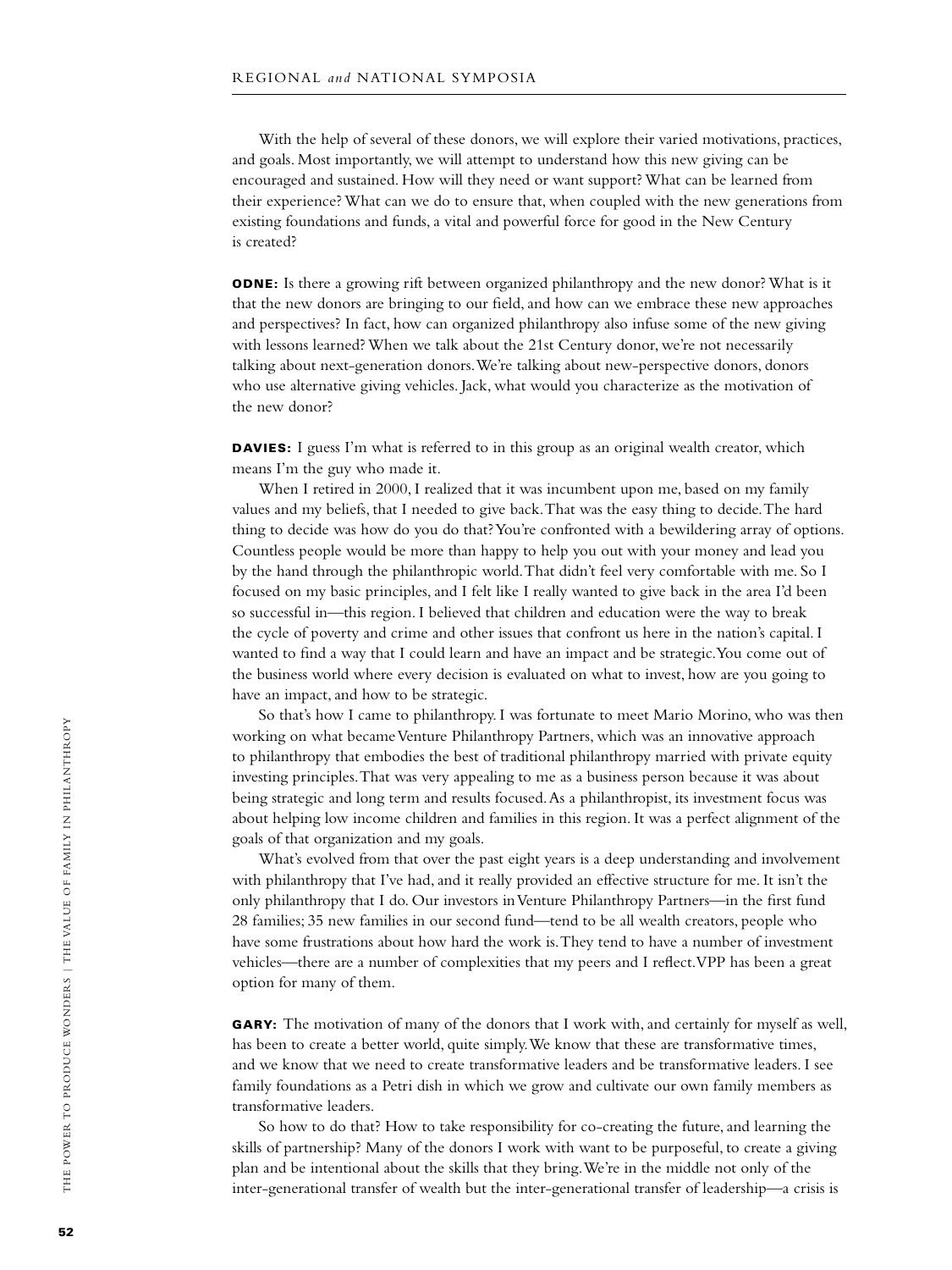With the help of several of these donors, we will explore their varied motivations, practices, and goals. Most importantly, we will attempt to understand how this new giving can be encouraged and sustained. How will they need or want support? What can be learned from their experience? What can we do to ensure that, when coupled with the new generations from existing foundations and funds, a vital and powerful force for good in the New Century is created?

**ODNE:** Is there a growing rift between organized philanthropy and the new donor? What is it that the new donors are bringing to our field, and how can we embrace these new approaches and perspectives? In fact, how can organized philanthropy also infuse some of the new giving with lessons learned? When we talk about the 21st Century donor, we're not necessarily talking about next-generation donors. We're talking about new-perspective donors, donors who use alternative giving vehicles. Jack, what would you characterize as the motivation of the new donor?

DAVIES: I guess I'm what is referred to in this group as an original wealth creator, which means I'm the guy who made it.

When I retired in 2000, I realized that it was incumbent upon me, based on my family values and my beliefs, that I needed to give back. That was the easy thing to decide. The hard thing to decide was how do you do that? You're confronted with a bewildering array of options. Countless people would be more than happy to help you out with your money and lead you by the hand through the philanthropic world. That didn't feel very comfortable with me. So I focused on my basic principles, and I felt like I really wanted to give back in the area I'd been so successful in—this region. I believed that children and education were the way to break the cycle of poverty and crime and other issues that confront us here in the nation's capital. I wanted to find a way that I could learn and have an impact and be strategic. You come out of the business world where every decision is evaluated on what to invest, how are you going to have an impact, and how to be strategic.

So that's how I came to philanthropy. I was fortunate to meet Mario Morino, who was then working on what became Venture Philanthropy Partners, which was an innovative approach to philanthropy that embodies the best of traditional philanthropy married with private equity investing principles. That was very appealing to me as a business person because it was about being strategic and long term and results focused. As a philanthropist, its investment focus was about helping low income children and families in this region. It was a perfect alignment of the goals of that organization and my goals.

What's evolved from that over the past eight years is a deep understanding and involvement with philanthropy that I've had, and it really provided an effective structure for me. It isn't the only philanthropy that I do. Our investors in Venture Philanthropy Partners—in the first fund 28 families; 35 new families in our second fund—tend to be all wealth creators, people who have some frustrations about how hard the work is. They tend to have a number of investment vehicles—there are a number of complexities that my peers and I reflect. VPP has been a great option for many of them.

**GARY:** The motivation of many of the donors that I work with, and certainly for myself as well, has been to create a better world, quite simply. We know that these are transformative times, and we know that we need to create transformative leaders and be transformative leaders. I see family foundations as a Petri dish in which we grow and cultivate our own family members as transformative leaders.

So how to do that? How to take responsibility for co-creating the future, and learning the skills of partnership? Many of the donors I work with want to be purposeful, to create a giving plan and be intentional about the skills that they bring. We're in the middle not only of the inter-generational transfer of wealth but the inter-generational transfer of leadership—a crisis is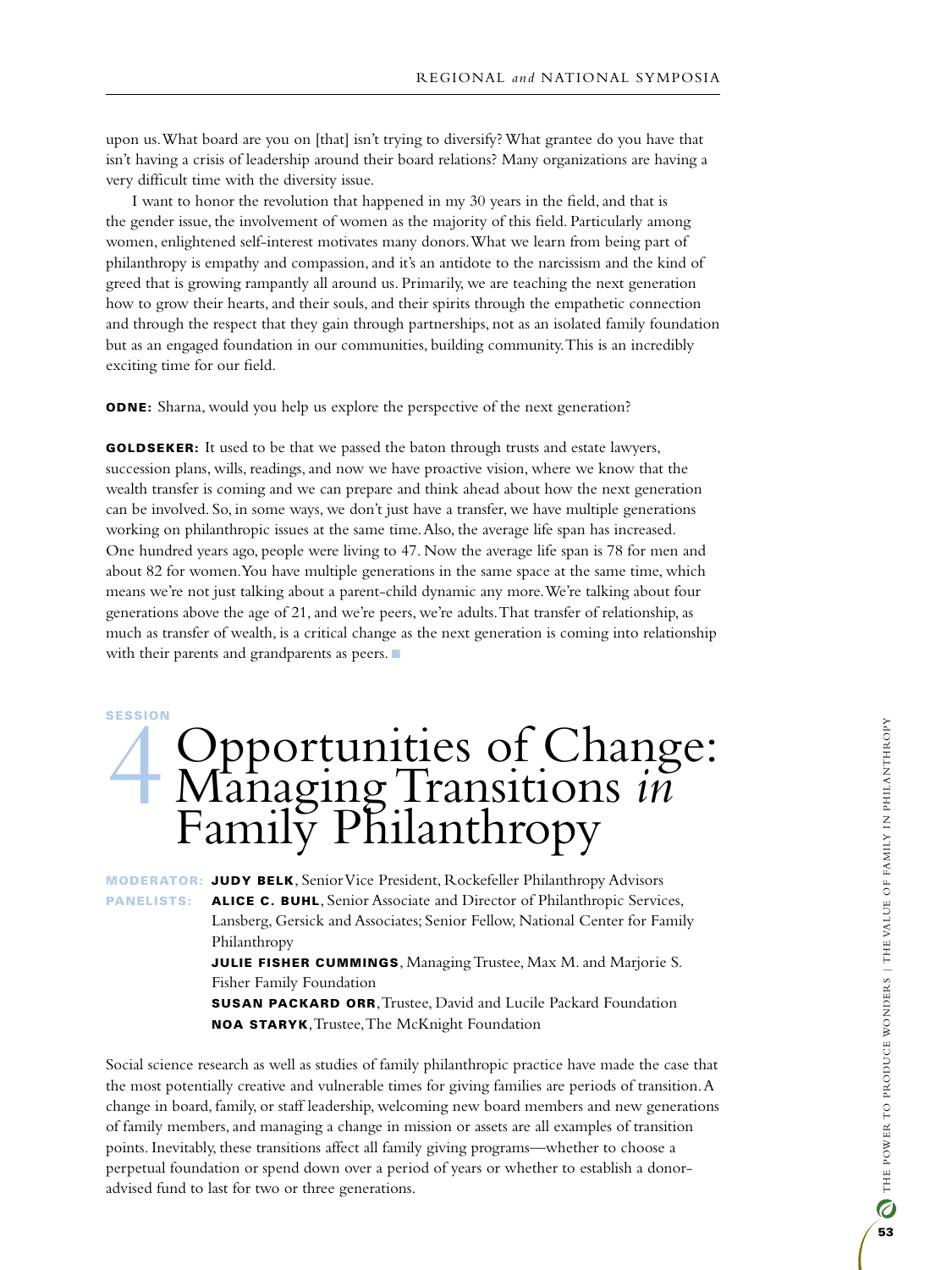upon us. What board are you on [that] isn't trying to diversify? What grantee do you have that isn't having a crisis of leadership around their board relations? Many organizations are having a very difficult time with the diversity issue.

I want to honor the revolution that happened in my 30 years in the field, and that is the gender issue, the involvement of women as the majority of this field. Particularly among women, enlightened self-interest motivates many donors. What we learn from being part of philanthropy is empathy and compassion, and it's an antidote to the narcissism and the kind of greed that is growing rampantly all around us. Primarily, we are teaching the next generation how to grow their hearts, and their souls, and their spirits through the empathetic connection and through the respect that they gain through partnerships, not as an isolated family foundation but as an engaged foundation in our communities, building community. This is an incredibly exciting time for our field.

**ODNE:** Sharna, would you help us explore the perspective of the next generation?

**GOLDSEKER:** It used to be that we passed the baton through trusts and estate lawyers, succession plans, wills, readings, and now we have proactive vision, where we know that the wealth transfer is coming and we can prepare and think ahead about how the next generation can be involved. So, in some ways, we don't just have a transfer, we have multiple generations working on philanthropic issues at the same time. Also, the average life span has increased. One hundred years ago, people were living to 47. Now the average life span is 78 for men and about 82 for women. You have multiple generations in the same space at the same time, which means we're not just talking about a parent-child dynamic any more. We're talking about four generations above the age of 21, and we're peers, we're adults. That transfer of relationship, as much as transfer of wealth, is a critical change as the next generation is coming into relationship with their parents and grandparents as peers.  $\blacksquare$ 

#### **SESSION**

## A Opportunities of Change:<br>Managing Transitions in Managing Transitions *in* Family Philanthropy

moderator: Judy Belk, Senior Vice President, Rockefeller Philanthropy Advisors PANELISTS: ALICE C. BUHL, Senior Associate and Director of Philanthropic Services, Lansberg, Gersick and Associates; Senior Fellow, National Center for Family Philanthropy

> **JULIE FISHER CUMMINGS, Managing Trustee, Max M. and Marjorie S.** Fisher Family Foundation

> Susan Packard Orr, Trustee, David and Lucile Packard Foundation Noa Staryk, Trustee, The McKnight Foundation

Social science research as well as studies of family philanthropic practice have made the case that the most potentially creative and vulnerable times for giving families are periods of transition. A change in board, family, or staff leadership, welcoming new board members and new generations of family members, and managing a change in mission or assets are all examples of transition points. Inevitably, these transitions affect all family giving programs—whether to choose a perpetual foundation or spend down over a period of years or whether to establish a donoradvised fund to last for two or three generations.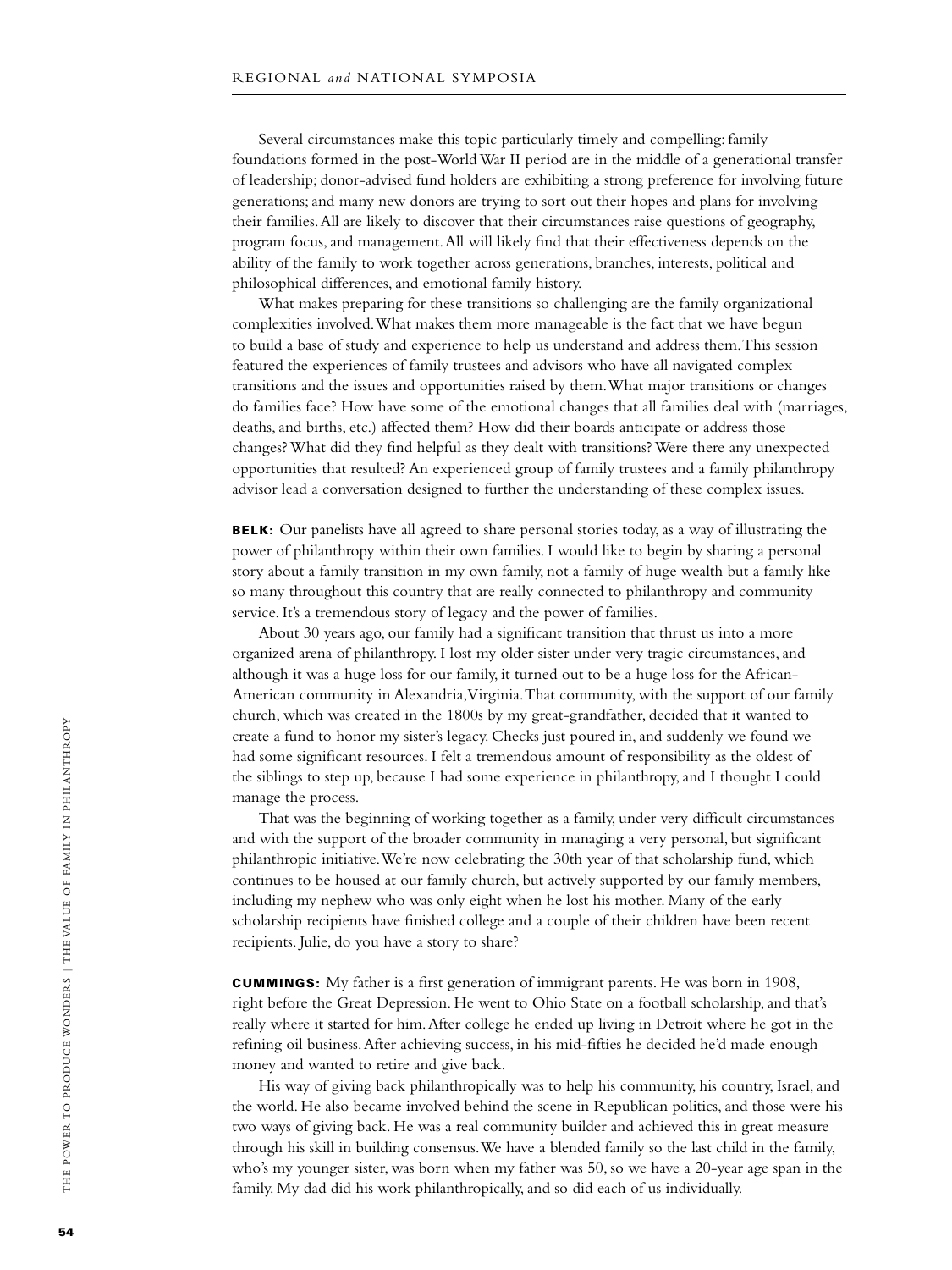Several circumstances make this topic particularly timely and compelling: family foundations formed in the post-World War II period are in the middle of a generational transfer of leadership; donor-advised fund holders are exhibiting a strong preference for involving future generations; and many new donors are trying to sort out their hopes and plans for involving their families. All are likely to discover that their circumstances raise questions of geography, program focus, and management. All will likely find that their effectiveness depends on the ability of the family to work together across generations, branches, interests, political and philosophical differences, and emotional family history.

What makes preparing for these transitions so challenging are the family organizational complexities involved. What makes them more manageable is the fact that we have begun to build a base of study and experience to help us understand and address them. This session featured the experiences of family trustees and advisors who have all navigated complex transitions and the issues and opportunities raised by them. What major transitions or changes do families face? How have some of the emotional changes that all families deal with (marriages, deaths, and births, etc.) affected them? How did their boards anticipate or address those changes? What did they find helpful as they dealt with transitions? Were there any unexpected opportunities that resulted? An experienced group of family trustees and a family philanthropy advisor lead a conversation designed to further the understanding of these complex issues.

BELK: Our panelists have all agreed to share personal stories today, as a way of illustrating the power of philanthropy within their own families. I would like to begin by sharing a personal story about a family transition in my own family, not a family of huge wealth but a family like so many throughout this country that are really connected to philanthropy and community service. It's a tremendous story of legacy and the power of families.

About 30 years ago, our family had a significant transition that thrust us into a more organized arena of philanthropy. I lost my older sister under very tragic circumstances, and although it was a huge loss for our family, it turned out to be a huge loss for the African-American community in Alexandria, Virginia. That community, with the support of our family church, which was created in the 1800s by my great-grandfather, decided that it wanted to create a fund to honor my sister's legacy. Checks just poured in, and suddenly we found we had some significant resources. I felt a tremendous amount of responsibility as the oldest of the siblings to step up, because I had some experience in philanthropy, and I thought I could manage the process.

That was the beginning of working together as a family, under very difficult circumstances and with the support of the broader community in managing a very personal, but significant philanthropic initiative. We're now celebrating the 30th year of that scholarship fund, which continues to be housed at our family church, but actively supported by our family members, including my nephew who was only eight when he lost his mother. Many of the early scholarship recipients have finished college and a couple of their children have been recent recipients. Julie, do you have a story to share?

Cummings: My father is a first generation of immigrant parents. He was born in 1908, right before the Great Depression. He went to Ohio State on a football scholarship, and that's really where it started for him. After college he ended up living in Detroit where he got in the refining oil business. After achieving success, in his mid-fifties he decided he'd made enough money and wanted to retire and give back.

His way of giving back philanthropically was to help his community, his country, Israel, and the world. He also became involved behind the scene in Republican politics, and those were his two ways of giving back. He was a real community builder and achieved this in great measure through his skill in building consensus. We have a blended family so the last child in the family, who's my younger sister, was born when my father was 50, so we have a 20-year age span in the family. My dad did his work philanthropically, and so did each of us individually.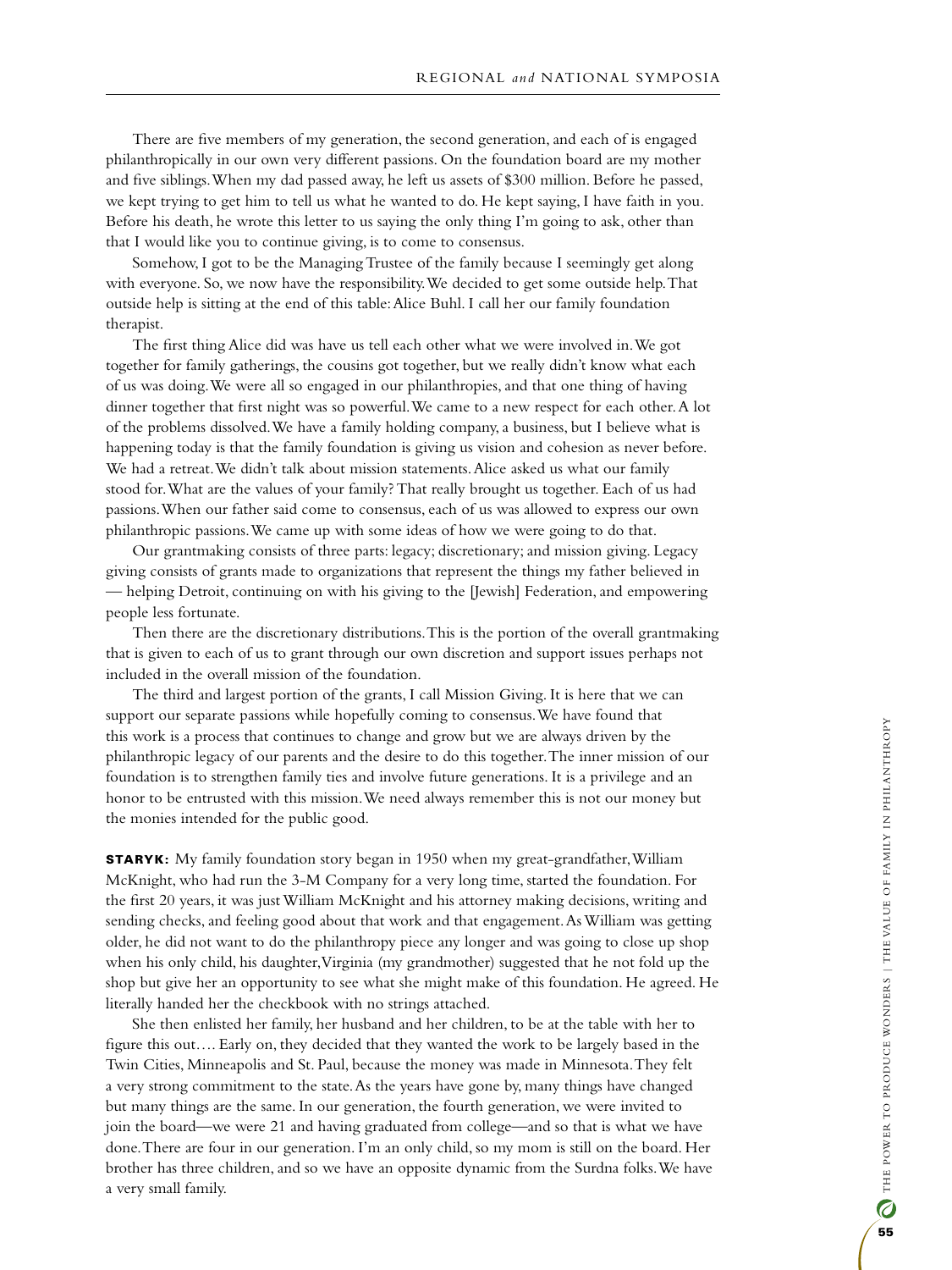There are five members of my generation, the second generation, and each of is engaged philanthropically in our own very different passions. On the foundation board are my mother and five siblings. When my dad passed away, he left us assets of \$300 million. Before he passed, we kept trying to get him to tell us what he wanted to do. He kept saying, I have faith in you. Before his death, he wrote this letter to us saying the only thing I'm going to ask, other than that I would like you to continue giving, is to come to consensus.

Somehow, I got to be the Managing Trustee of the family because I seemingly get along with everyone. So, we now have the responsibility. We decided to get some outside help. That outside help is sitting at the end of this table: Alice Buhl. I call her our family foundation therapist.

The first thing Alice did was have us tell each other what we were involved in. We got together for family gatherings, the cousins got together, but we really didn't know what each of us was doing. We were all so engaged in our philanthropies, and that one thing of having dinner together that first night was so powerful. We came to a new respect for each other. A lot of the problems dissolved. We have a family holding company, a business, but I believe what is happening today is that the family foundation is giving us vision and cohesion as never before. We had a retreat. We didn't talk about mission statements. Alice asked us what our family stood for. What are the values of your family? That really brought us together. Each of us had passions. When our father said come to consensus, each of us was allowed to express our own philanthropic passions. We came up with some ideas of how we were going to do that.

Our grantmaking consists of three parts: legacy; discretionary; and mission giving. Legacy giving consists of grants made to organizations that represent the things my father believed in — helping Detroit, continuing on with his giving to the [Jewish] Federation, and empowering people less fortunate.

Then there are the discretionary distributions. This is the portion of the overall grantmaking that is given to each of us to grant through our own discretion and support issues perhaps not included in the overall mission of the foundation.

The third and largest portion of the grants, I call Mission Giving. It is here that we can support our separate passions while hopefully coming to consensus. We have found that this work is a process that continues to change and grow but we are always driven by the philanthropic legacy of our parents and the desire to do this together. The inner mission of our foundation is to strengthen family ties and involve future generations. It is a privilege and an honor to be entrusted with this mission. We need always remember this is not our money but the monies intended for the public good.

**STARYK:** My family foundation story began in 1950 when my great-grandfather, William McKnight, who had run the 3-M Company for a very long time, started the foundation. For the first 20 years, it was just William McKnight and his attorney making decisions, writing and sending checks, and feeling good about that work and that engagement. As William was getting older, he did not want to do the philanthropy piece any longer and was going to close up shop when his only child, his daughter, Virginia (my grandmother) suggested that he not fold up the shop but give her an opportunity to see what she might make of this foundation. He agreed. He literally handed her the checkbook with no strings attached.

She then enlisted her family, her husband and her children, to be at the table with her to figure this out…. Early on, they decided that they wanted the work to be largely based in the Twin Cities, Minneapolis and St. Paul, because the money was made in Minnesota. They felt a very strong commitment to the state. As the years have gone by, many things have changed but many things are the same. In our generation, the fourth generation, we were invited to join the board—we were 21 and having graduated from college—and so that is what we have done. There are four in our generation. I'm an only child, so my mom is still on the board. Her brother has three children, and so we have an opposite dynamic from the Surdna folks. We have a very small family.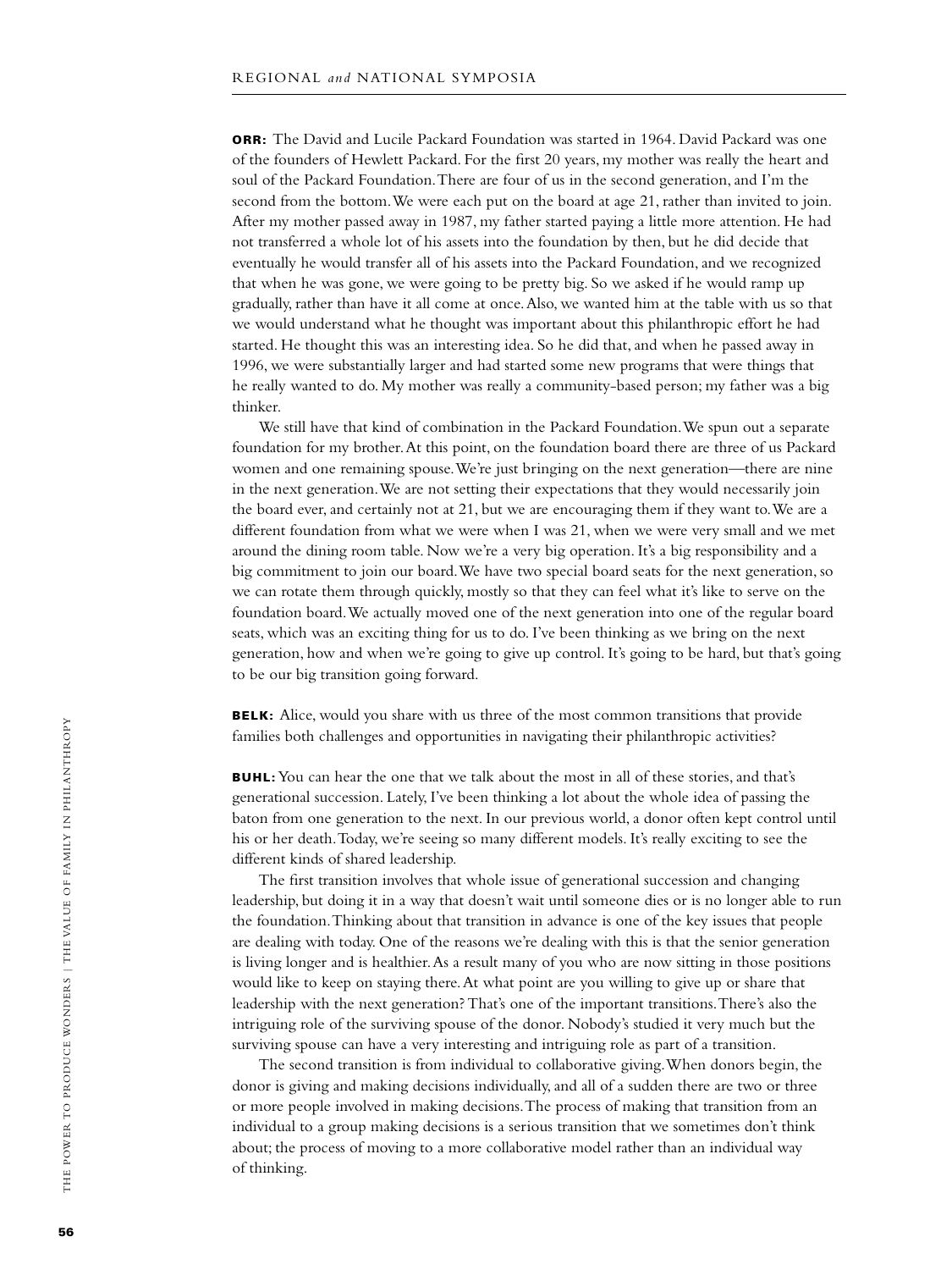**ORR:** The David and Lucile Packard Foundation was started in 1964. David Packard was one of the founders of Hewlett Packard. For the first 20 years, my mother was really the heart and soul of the Packard Foundation. There are four of us in the second generation, and I'm the second from the bottom. We were each put on the board at age 21, rather than invited to join. After my mother passed away in 1987, my father started paying a little more attention. He had not transferred a whole lot of his assets into the foundation by then, but he did decide that eventually he would transfer all of his assets into the Packard Foundation, and we recognized that when he was gone, we were going to be pretty big. So we asked if he would ramp up gradually, rather than have it all come at once. Also, we wanted him at the table with us so that we would understand what he thought was important about this philanthropic effort he had started. He thought this was an interesting idea. So he did that, and when he passed away in 1996, we were substantially larger and had started some new programs that were things that he really wanted to do. My mother was really a community-based person; my father was a big thinker.

We still have that kind of combination in the Packard Foundation. We spun out a separate foundation for my brother. At this point, on the foundation board there are three of us Packard women and one remaining spouse. We're just bringing on the next generation—there are nine in the next generation. We are not setting their expectations that they would necessarily join the board ever, and certainly not at 21, but we are encouraging them if they want to. We are a different foundation from what we were when I was 21, when we were very small and we met around the dining room table. Now we're a very big operation. It's a big responsibility and a big commitment to join our board. We have two special board seats for the next generation, so we can rotate them through quickly, mostly so that they can feel what it's like to serve on the foundation board. We actually moved one of the next generation into one of the regular board seats, which was an exciting thing for us to do. I've been thinking as we bring on the next generation, how and when we're going to give up control. It's going to be hard, but that's going to be our big transition going forward.

**BELK:** Alice, would you share with us three of the most common transitions that provide families both challenges and opportunities in navigating their philanthropic activities?

**BUHL:** You can hear the one that we talk about the most in all of these stories, and that's generational succession. Lately, I've been thinking a lot about the whole idea of passing the baton from one generation to the next. In our previous world, a donor often kept control until his or her death. Today, we're seeing so many different models. It's really exciting to see the different kinds of shared leadership.

The first transition involves that whole issue of generational succession and changing leadership, but doing it in a way that doesn't wait until someone dies or is no longer able to run the foundation. Thinking about that transition in advance is one of the key issues that people are dealing with today. One of the reasons we're dealing with this is that the senior generation is living longer and is healthier. As a result many of you who are now sitting in those positions would like to keep on staying there. At what point are you willing to give up or share that leadership with the next generation? That's one of the important transitions. There's also the intriguing role of the surviving spouse of the donor. Nobody's studied it very much but the surviving spouse can have a very interesting and intriguing role as part of a transition.

The second transition is from individual to collaborative giving. When donors begin, the donor is giving and making decisions individually, and all of a sudden there are two or three or more people involved in making decisions. The process of making that transition from an individual to a group making decisions is a serious transition that we sometimes don't think about; the process of moving to a more collaborative model rather than an individual way of thinking.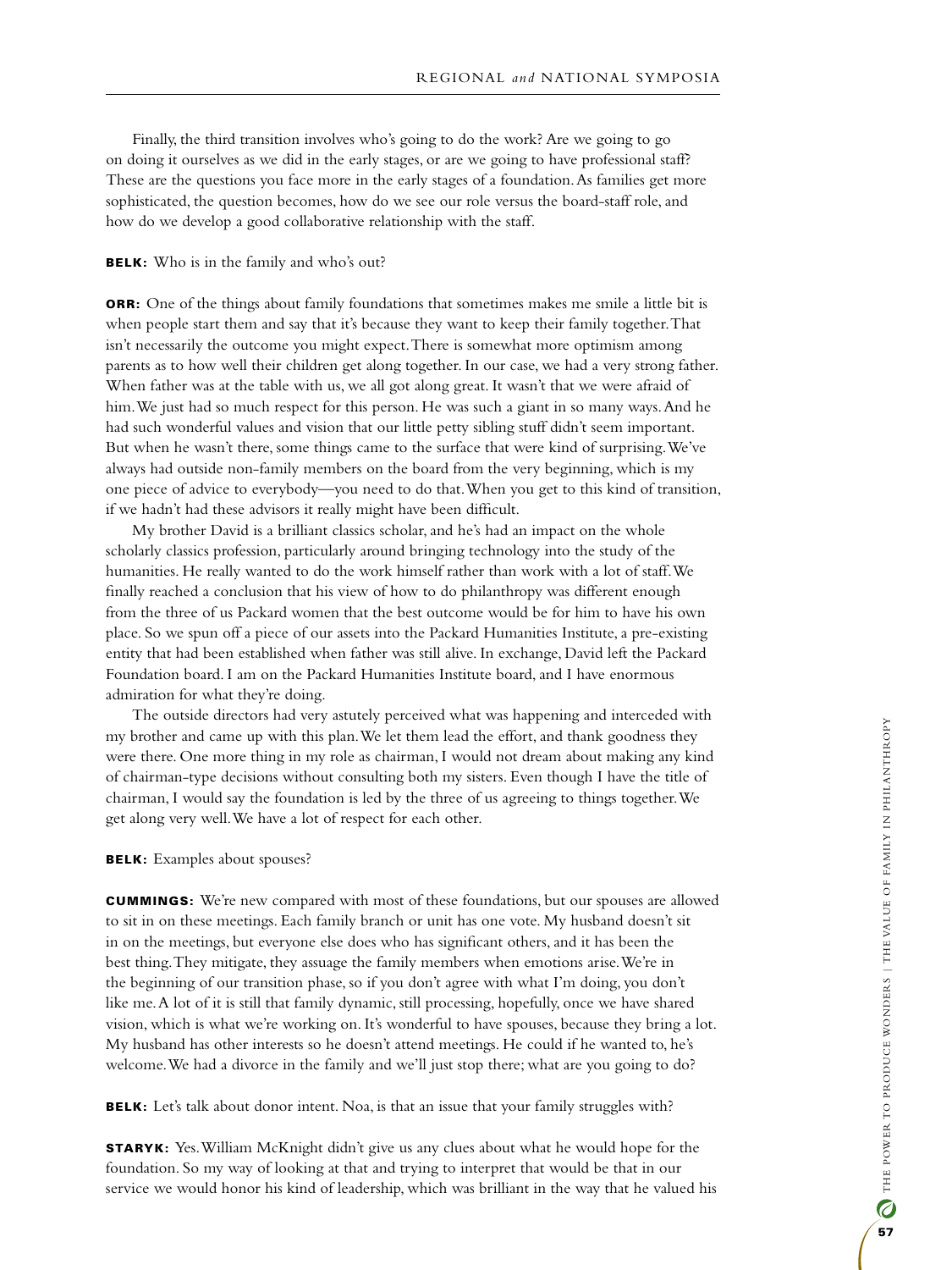Finally, the third transition involves who's going to do the work? Are we going to go on doing it ourselves as we did in the early stages, or are we going to have professional staff? These are the questions you face more in the early stages of a foundation. As families get more sophisticated, the question becomes, how do we see our role versus the board-staff role, and how do we develop a good collaborative relationship with the staff.

#### BELK: Who is in the family and who's out?

**ORR:** One of the things about family foundations that sometimes makes me smile a little bit is when people start them and say that it's because they want to keep their family together. That isn't necessarily the outcome you might expect. There is somewhat more optimism among parents as to how well their children get along together. In our case, we had a very strong father. When father was at the table with us, we all got along great. It wasn't that we were afraid of him. We just had so much respect for this person. He was such a giant in so many ways. And he had such wonderful values and vision that our little petty sibling stuff didn't seem important. But when he wasn't there, some things came to the surface that were kind of surprising. We've always had outside non-family members on the board from the very beginning, which is my one piece of advice to everybody—you need to do that. When you get to this kind of transition, if we hadn't had these advisors it really might have been difficult.

My brother David is a brilliant classics scholar, and he's had an impact on the whole scholarly classics profession, particularly around bringing technology into the study of the humanities. He really wanted to do the work himself rather than work with a lot of staff. We finally reached a conclusion that his view of how to do philanthropy was different enough from the three of us Packard women that the best outcome would be for him to have his own place. So we spun off a piece of our assets into the Packard Humanities Institute, a pre-existing entity that had been established when father was still alive. In exchange, David left the Packard Foundation board. I am on the Packard Humanities Institute board, and I have enormous admiration for what they're doing.

The outside directors had very astutely perceived what was happening and interceded with my brother and came up with this plan. We let them lead the effort, and thank goodness they were there. One more thing in my role as chairman, I would not dream about making any kind of chairman-type decisions without consulting both my sisters. Even though I have the title of chairman, I would say the foundation is led by the three of us agreeing to things together. We get along very well. We have a lot of respect for each other.

#### BELK: Examples about spouses?

Cummings: We're new compared with most of these foundations, but our spouses are allowed to sit in on these meetings. Each family branch or unit has one vote. My husband doesn't sit in on the meetings, but everyone else does who has significant others, and it has been the best thing. They mitigate, they assuage the family members when emotions arise. We're in the beginning of our transition phase, so if you don't agree with what I'm doing, you don't like me. A lot of it is still that family dynamic, still processing, hopefully, once we have shared vision, which is what we're working on. It's wonderful to have spouses, because they bring a lot. My husband has other interests so he doesn't attend meetings. He could if he wanted to, he's welcome. We had a divorce in the family and we'll just stop there; what are you going to do?

BELK: Let's talk about donor intent. Noa, is that an issue that your family struggles with?

**STARYK:** Yes. William McKnight didn't give us any clues about what he would hope for the foundation. So my way of looking at that and trying to interpret that would be that in our service we would honor his kind of leadership, which was brilliant in the way that he valued his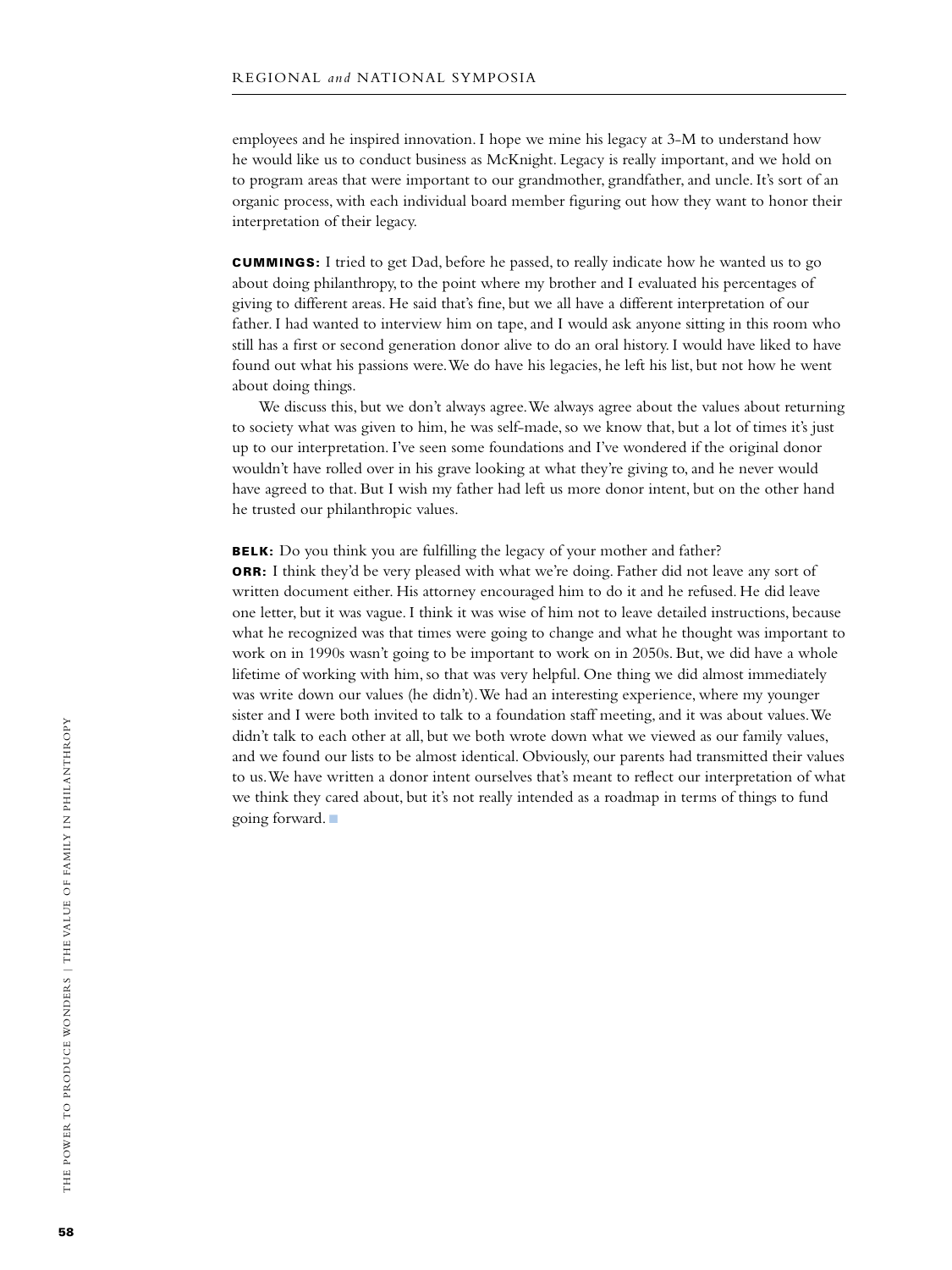employees and he inspired innovation. I hope we mine his legacy at 3-M to understand how he would like us to conduct business as McKnight. Legacy is really important, and we hold on to program areas that were important to our grandmother, grandfather, and uncle. It's sort of an organic process, with each individual board member figuring out how they want to honor their interpretation of their legacy.

Cummings: I tried to get Dad, before he passed, to really indicate how he wanted us to go about doing philanthropy, to the point where my brother and I evaluated his percentages of giving to different areas. He said that's fine, but we all have a different interpretation of our father. I had wanted to interview him on tape, and I would ask anyone sitting in this room who still has a first or second generation donor alive to do an oral history. I would have liked to have found out what his passions were. We do have his legacies, he left his list, but not how he went about doing things.

We discuss this, but we don't always agree. We always agree about the values about returning to society what was given to him, he was self-made, so we know that, but a lot of times it's just up to our interpretation. I've seen some foundations and I've wondered if the original donor wouldn't have rolled over in his grave looking at what they're giving to, and he never would have agreed to that. But I wish my father had left us more donor intent, but on the other hand he trusted our philanthropic values.

BELK: Do you think you are fulfilling the legacy of your mother and father?

ORR: I think they'd be very pleased with what we're doing. Father did not leave any sort of written document either. His attorney encouraged him to do it and he refused. He did leave one letter, but it was vague. I think it was wise of him not to leave detailed instructions, because what he recognized was that times were going to change and what he thought was important to work on in 1990s wasn't going to be important to work on in 2050s. But, we did have a whole lifetime of working with him, so that was very helpful. One thing we did almost immediately was write down our values (he didn't). We had an interesting experience, where my younger sister and I were both invited to talk to a foundation staff meeting, and it was about values. We didn't talk to each other at all, but we both wrote down what we viewed as our family values, and we found our lists to be almost identical. Obviously, our parents had transmitted their values to us. We have written a donor intent ourselves that's meant to reflect our interpretation of what we think they cared about, but it's not really intended as a roadmap in terms of things to fund going forward.  $\blacksquare$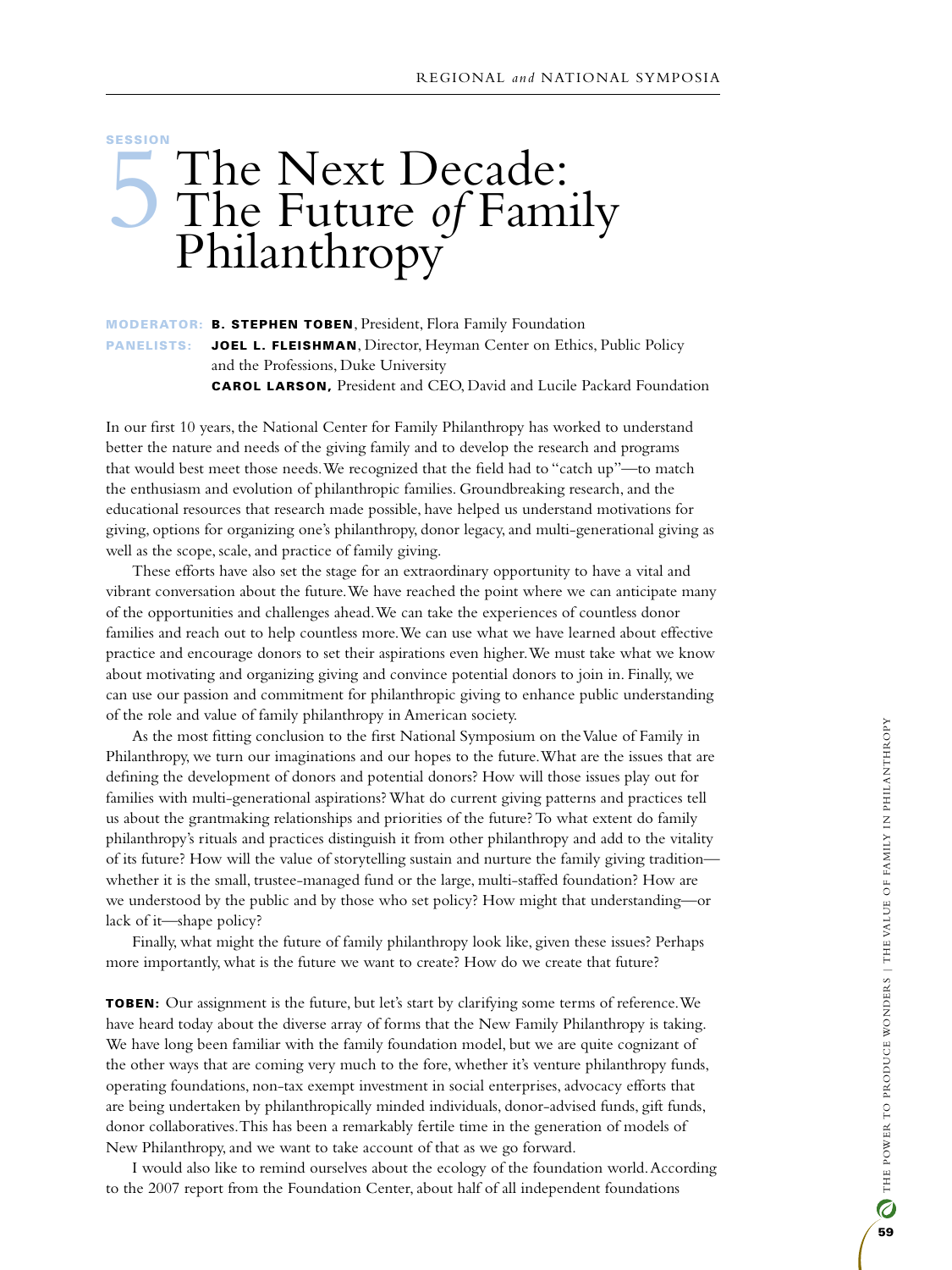## **SESSION** The Next Decade: The Future *of* Family Philanthropy

## moderator: B. Stephen Toben, President, Flora Family Foundation PANELISTS: JOEL L. FLEISHMAN, Director, Heyman Center on Ethics, Public Policy and the Professions, Duke University Carol Larson, President and CEO, David and Lucile Packard Foundation

In our first 10 years, the National Center for Family Philanthropy has worked to understand better the nature and needs of the giving family and to develop the research and programs that would best meet those needs. We recognized that the field had to "catch up"—to match the enthusiasm and evolution of philanthropic families. Groundbreaking research, and the educational resources that research made possible, have helped us understand motivations for giving, options for organizing one's philanthropy, donor legacy, and multi-generational giving as well as the scope, scale, and practice of family giving.

These efforts have also set the stage for an extraordinary opportunity to have a vital and vibrant conversation about the future. We have reached the point where we can anticipate many of the opportunities and challenges ahead. We can take the experiences of countless donor families and reach out to help countless more. We can use what we have learned about effective practice and encourage donors to set their aspirations even higher. We must take what we know about motivating and organizing giving and convince potential donors to join in. Finally, we can use our passion and commitment for philanthropic giving to enhance public understanding of the role and value of family philanthropy in American society.

As the most fitting conclusion to the first National Symposium on the Value of Family in Philanthropy, we turn our imaginations and our hopes to the future. What are the issues that are defining the development of donors and potential donors? How will those issues play out for families with multi-generational aspirations? What do current giving patterns and practices tell us about the grantmaking relationships and priorities of the future? To what extent do family philanthropy's rituals and practices distinguish it from other philanthropy and add to the vitality of its future? How will the value of storytelling sustain and nurture the family giving tradition whether it is the small, trustee-managed fund or the large, multi-staffed foundation? How are we understood by the public and by those who set policy? How might that understanding—or lack of it—shape policy?

Finally, what might the future of family philanthropy look like, given these issues? Perhaps more importantly, what is the future we want to create? How do we create that future?

**TOBEN:** Our assignment is the future, but let's start by clarifying some terms of reference. We have heard today about the diverse array of forms that the New Family Philanthropy is taking. We have long been familiar with the family foundation model, but we are quite cognizant of the other ways that are coming very much to the fore, whether it's venture philanthropy funds, operating foundations, non-tax exempt investment in social enterprises, advocacy efforts that are being undertaken by philanthropically minded individuals, donor-advised funds, gift funds, donor collaboratives. This has been a remarkably fertile time in the generation of models of New Philanthropy, and we want to take account of that as we go forward.

I would also like to remind ourselves about the ecology of the foundation world. According to the 2007 report from the Foundation Center, about half of all independent foundations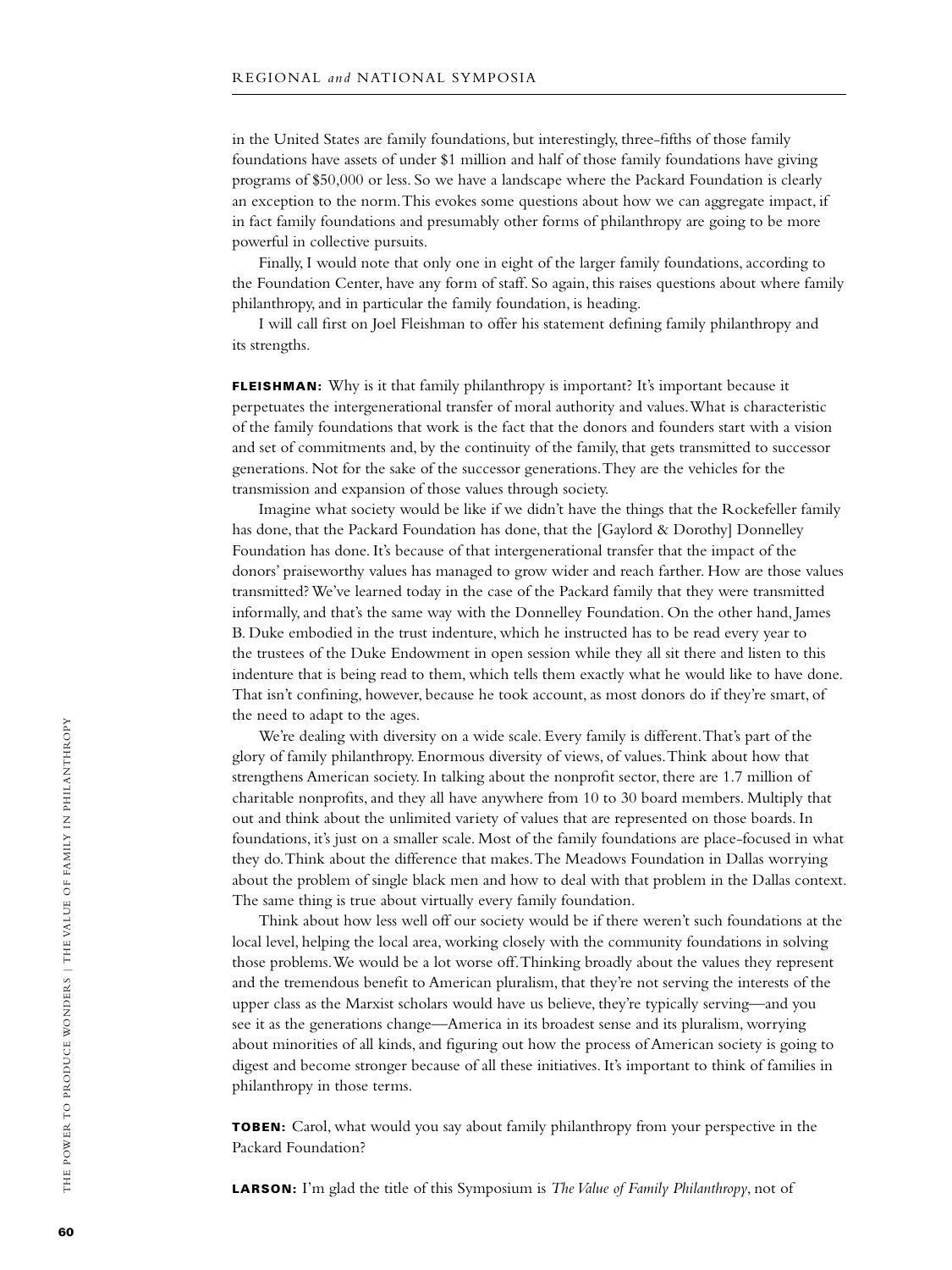in the United States are family foundations, but interestingly, three-fifths of those family foundations have assets of under \$1 million and half of those family foundations have giving programs of \$50,000 or less. So we have a landscape where the Packard Foundation is clearly an exception to the norm. This evokes some questions about how we can aggregate impact, if in fact family foundations and presumably other forms of philanthropy are going to be more powerful in collective pursuits.

Finally, I would note that only one in eight of the larger family foundations, according to the Foundation Center, have any form of staff. So again, this raises questions about where family philanthropy, and in particular the family foundation, is heading.

I will call first on Joel Fleishman to offer his statement defining family philanthropy and its strengths.

FLEISHMAN: Why is it that family philanthropy is important? It's important because it perpetuates the intergenerational transfer of moral authority and values. What is characteristic of the family foundations that work is the fact that the donors and founders start with a vision and set of commitments and, by the continuity of the family, that gets transmitted to successor generations. Not for the sake of the successor generations. They are the vehicles for the transmission and expansion of those values through society.

Imagine what society would be like if we didn't have the things that the Rockefeller family has done, that the Packard Foundation has done, that the [Gaylord & Dorothy] Donnelley Foundation has done. It's because of that intergenerational transfer that the impact of the donors' praiseworthy values has managed to grow wider and reach farther. How are those values transmitted? We've learned today in the case of the Packard family that they were transmitted informally, and that's the same way with the Donnelley Foundation. On the other hand, James B. Duke embodied in the trust indenture, which he instructed has to be read every year to the trustees of the Duke Endowment in open session while they all sit there and listen to this indenture that is being read to them, which tells them exactly what he would like to have done. That isn't confining, however, because he took account, as most donors do if they're smart, of the need to adapt to the ages.

We're dealing with diversity on a wide scale. Every family is different. That's part of the glory of family philanthropy. Enormous diversity of views, of values. Think about how that strengthens American society. In talking about the nonprofit sector, there are 1.7 million of charitable nonprofits, and they all have anywhere from 10 to 30 board members. Multiply that out and think about the unlimited variety of values that are represented on those boards. In foundations, it's just on a smaller scale. Most of the family foundations are place-focused in what they do. Think about the difference that makes. The Meadows Foundation in Dallas worrying about the problem of single black men and how to deal with that problem in the Dallas context. The same thing is true about virtually every family foundation.

Think about how less well off our society would be if there weren't such foundations at the local level, helping the local area, working closely with the community foundations in solving those problems. We would be a lot worse off. Thinking broadly about the values they represent and the tremendous benefit to American pluralism, that they're not serving the interests of the upper class as the Marxist scholars would have us believe, they're typically serving—and you see it as the generations change—America in its broadest sense and its pluralism, worrying about minorities of all kinds, and figuring out how the process of American society is going to digest and become stronger because of all these initiatives. It's important to think of families in philanthropy in those terms.

TOBEN: Carol, what would you say about family philanthropy from your perspective in the Packard Foundation?

**LARSON:** I'm glad the title of this Symposium is *The Value of Family Philanthropy*, not of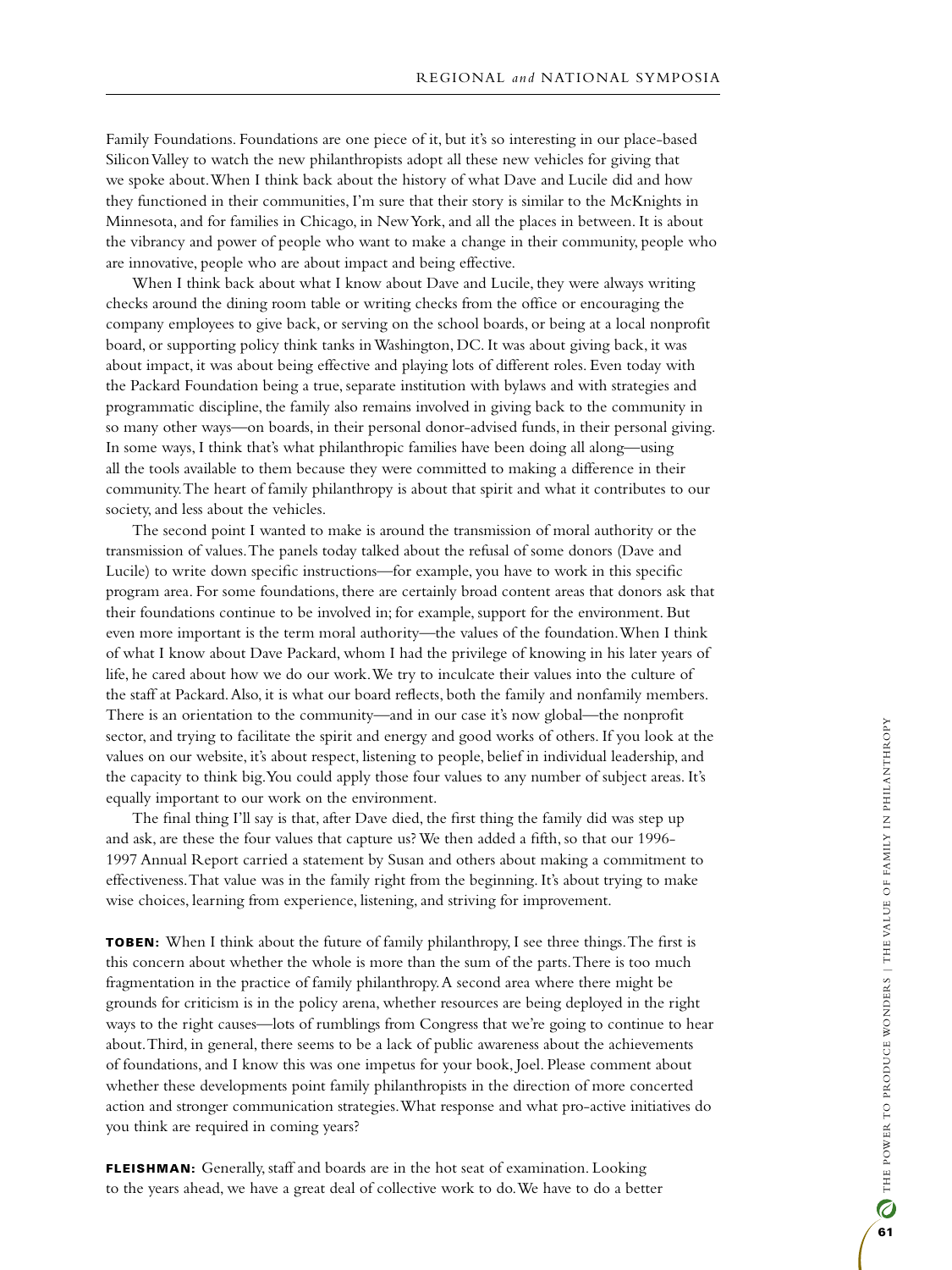Family Foundations. Foundations are one piece of it, but it's so interesting in our place-based Silicon Valley to watch the new philanthropists adopt all these new vehicles for giving that we spoke about. When I think back about the history of what Dave and Lucile did and how they functioned in their communities, I'm sure that their story is similar to the McKnights in Minnesota, and for families in Chicago, in New York, and all the places in between. It is about the vibrancy and power of people who want to make a change in their community, people who are innovative, people who are about impact and being effective.

When I think back about what I know about Dave and Lucile, they were always writing checks around the dining room table or writing checks from the office or encouraging the company employees to give back, or serving on the school boards, or being at a local nonprofit board, or supporting policy think tanks in Washington, DC. It was about giving back, it was about impact, it was about being effective and playing lots of different roles. Even today with the Packard Foundation being a true, separate institution with bylaws and with strategies and programmatic discipline, the family also remains involved in giving back to the community in so many other ways—on boards, in their personal donor-advised funds, in their personal giving. In some ways, I think that's what philanthropic families have been doing all along—using all the tools available to them because they were committed to making a difference in their community. The heart of family philanthropy is about that spirit and what it contributes to our society, and less about the vehicles.

The second point I wanted to make is around the transmission of moral authority or the transmission of values. The panels today talked about the refusal of some donors (Dave and Lucile) to write down specific instructions—for example, you have to work in this specific program area. For some foundations, there are certainly broad content areas that donors ask that their foundations continue to be involved in; for example, support for the environment. But even more important is the term moral authority—the values of the foundation. When I think of what I know about Dave Packard, whom I had the privilege of knowing in his later years of life, he cared about how we do our work. We try to inculcate their values into the culture of the staff at Packard. Also, it is what our board reflects, both the family and nonfamily members. There is an orientation to the community—and in our case it's now global—the nonprofit sector, and trying to facilitate the spirit and energy and good works of others. If you look at the values on our website, it's about respect, listening to people, belief in individual leadership, and the capacity to think big. You could apply those four values to any number of subject areas. It's equally important to our work on the environment.

The final thing I'll say is that, after Dave died, the first thing the family did was step up and ask, are these the four values that capture us? We then added a fifth, so that our 1996- 1997 Annual Report carried a statement by Susan and others about making a commitment to effectiveness. That value was in the family right from the beginning. It's about trying to make wise choices, learning from experience, listening, and striving for improvement.

TOBEN: When I think about the future of family philanthropy, I see three things. The first is this concern about whether the whole is more than the sum of the parts. There is too much fragmentation in the practice of family philanthropy. A second area where there might be grounds for criticism is in the policy arena, whether resources are being deployed in the right ways to the right causes—lots of rumblings from Congress that we're going to continue to hear about. Third, in general, there seems to be a lack of public awareness about the achievements of foundations, and I know this was one impetus for your book, Joel. Please comment about whether these developments point family philanthropists in the direction of more concerted action and stronger communication strategies. What response and what pro-active initiatives do you think are required in coming years?

FLEISHMAN: Generally, staff and boards are in the hot seat of examination. Looking to the years ahead, we have a great deal of collective work to do. We have to do a better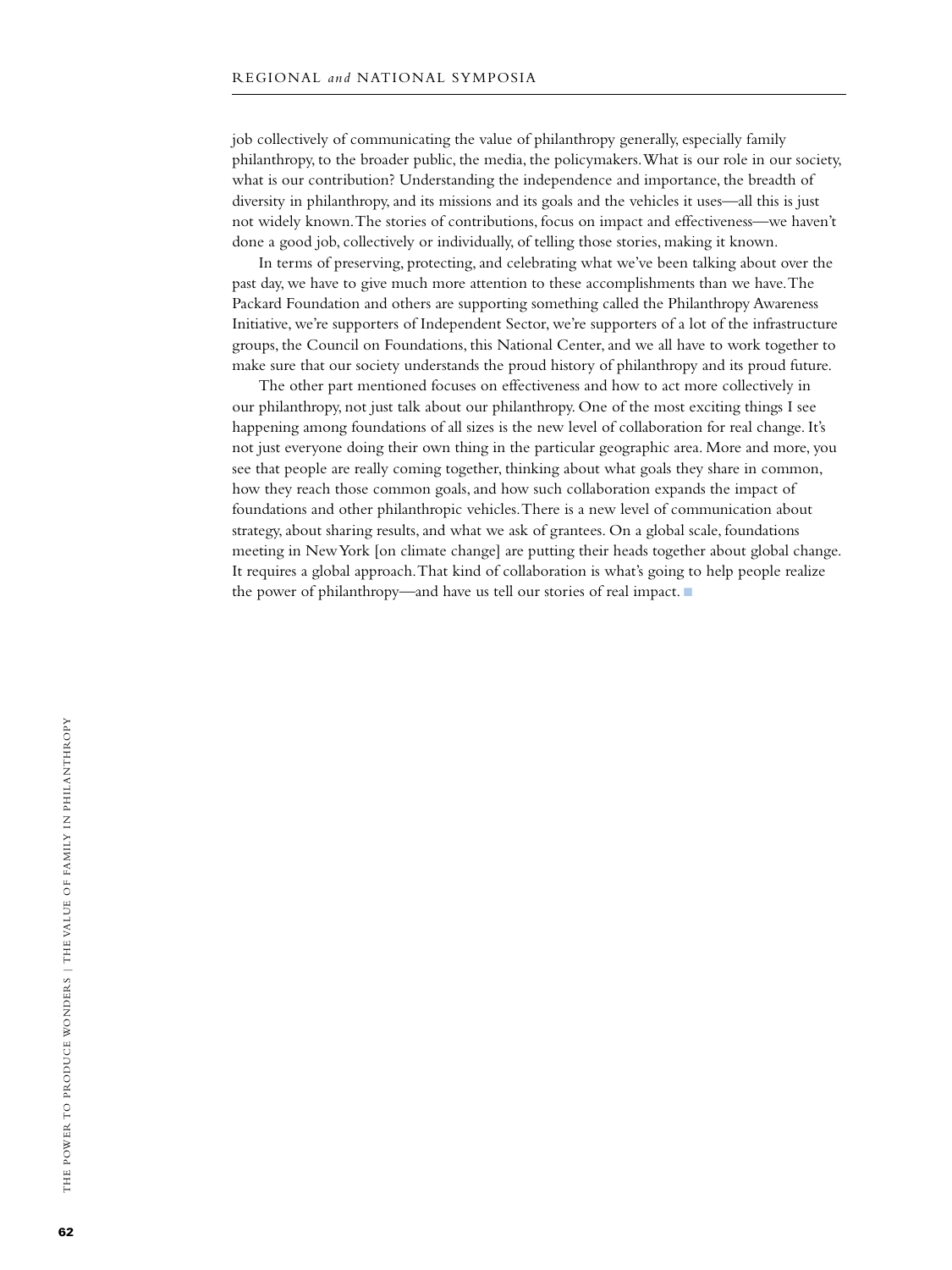job collectively of communicating the value of philanthropy generally, especially family philanthropy, to the broader public, the media, the policymakers. What is our role in our society, what is our contribution? Understanding the independence and importance, the breadth of diversity in philanthropy, and its missions and its goals and the vehicles it uses—all this is just not widely known. The stories of contributions, focus on impact and effectiveness—we haven't done a good job, collectively or individually, of telling those stories, making it known.

In terms of preserving, protecting, and celebrating what we've been talking about over the past day, we have to give much more attention to these accomplishments than we have. The Packard Foundation and others are supporting something called the Philanthropy Awareness Initiative, we're supporters of Independent Sector, we're supporters of a lot of the infrastructure groups, the Council on Foundations, this National Center, and we all have to work together to make sure that our society understands the proud history of philanthropy and its proud future.

The other part mentioned focuses on effectiveness and how to act more collectively in our philanthropy, not just talk about our philanthropy. One of the most exciting things I see happening among foundations of all sizes is the new level of collaboration for real change. It's not just everyone doing their own thing in the particular geographic area. More and more, you see that people are really coming together, thinking about what goals they share in common, how they reach those common goals, and how such collaboration expands the impact of foundations and other philanthropic vehicles. There is a new level of communication about strategy, about sharing results, and what we ask of grantees. On a global scale, foundations meeting in New York [on climate change] are putting their heads together about global change. It requires a global approach. That kind of collaboration is what's going to help people realize the power of philanthropy—and have us tell our stories of real impact.  $\blacksquare$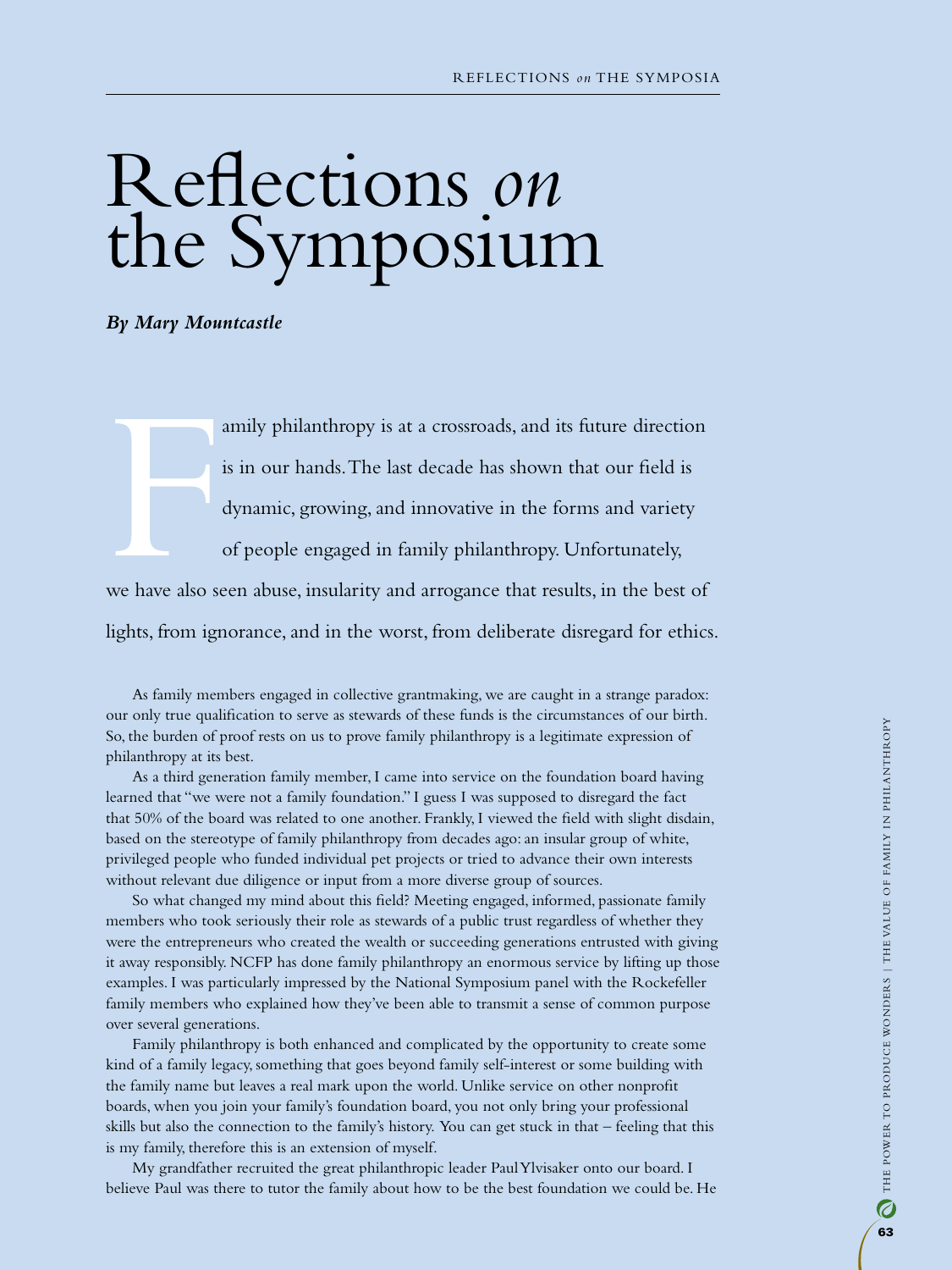# Reflections *on* the Symposium

*By Mary Mountcastle*

amily philanthropy is at a crossroads, and its future direction is in our hands. The last decade has shown that our field is dynamic, growing, and innovative in the forms and variety of people engaged in family philanthropy. Unfortunately,

**FIRMLE SERVER SERVER SERVER SERVER SERVER SERVER SERVER SERVER SERVER SERVER SERVER SERVER SERVER SERVER SERVER** we have also seen abuse, insularity and arrogance that results, in the best of lights, from ignorance, and in the worst, from deliberate disregard for ethics.

As family members engaged in collective grantmaking, we are caught in a strange paradox: our only true qualification to serve as stewards of these funds is the circumstances of our birth. So, the burden of proof rests on us to prove family philanthropy is a legitimate expression of philanthropy at its best.

As a third generation family member, I came into service on the foundation board having learned that "we were not a family foundation." I guess I was supposed to disregard the fact that 50% of the board was related to one another. Frankly, I viewed the field with slight disdain, based on the stereotype of family philanthropy from decades ago: an insular group of white, privileged people who funded individual pet projects or tried to advance their own interests without relevant due diligence or input from a more diverse group of sources.

So what changed my mind about this field? Meeting engaged, informed, passionate family members who took seriously their role as stewards of a public trust regardless of whether they were the entrepreneurs who created the wealth or succeeding generations entrusted with giving it away responsibly. NCFP has done family philanthropy an enormous service by lifting up those examples. I was particularly impressed by the National Symposium panel with the Rockefeller family members who explained how they've been able to transmit a sense of common purpose over several generations.

Family philanthropy is both enhanced and complicated by the opportunity to create some kind of a family legacy, something that goes beyond family self-interest or some building with the family name but leaves a real mark upon the world. Unlike service on other nonprofit boards, when you join your family's foundation board, you not only bring your professional skills but also the connection to the family's history. You can get stuck in that – feeling that this is my family, therefore this is an extension of myself.

My grandfather recruited the great philanthropic leader Paul Ylvisaker onto our board. I believe Paul was there to tutor the family about how to be the best foundation we could be. He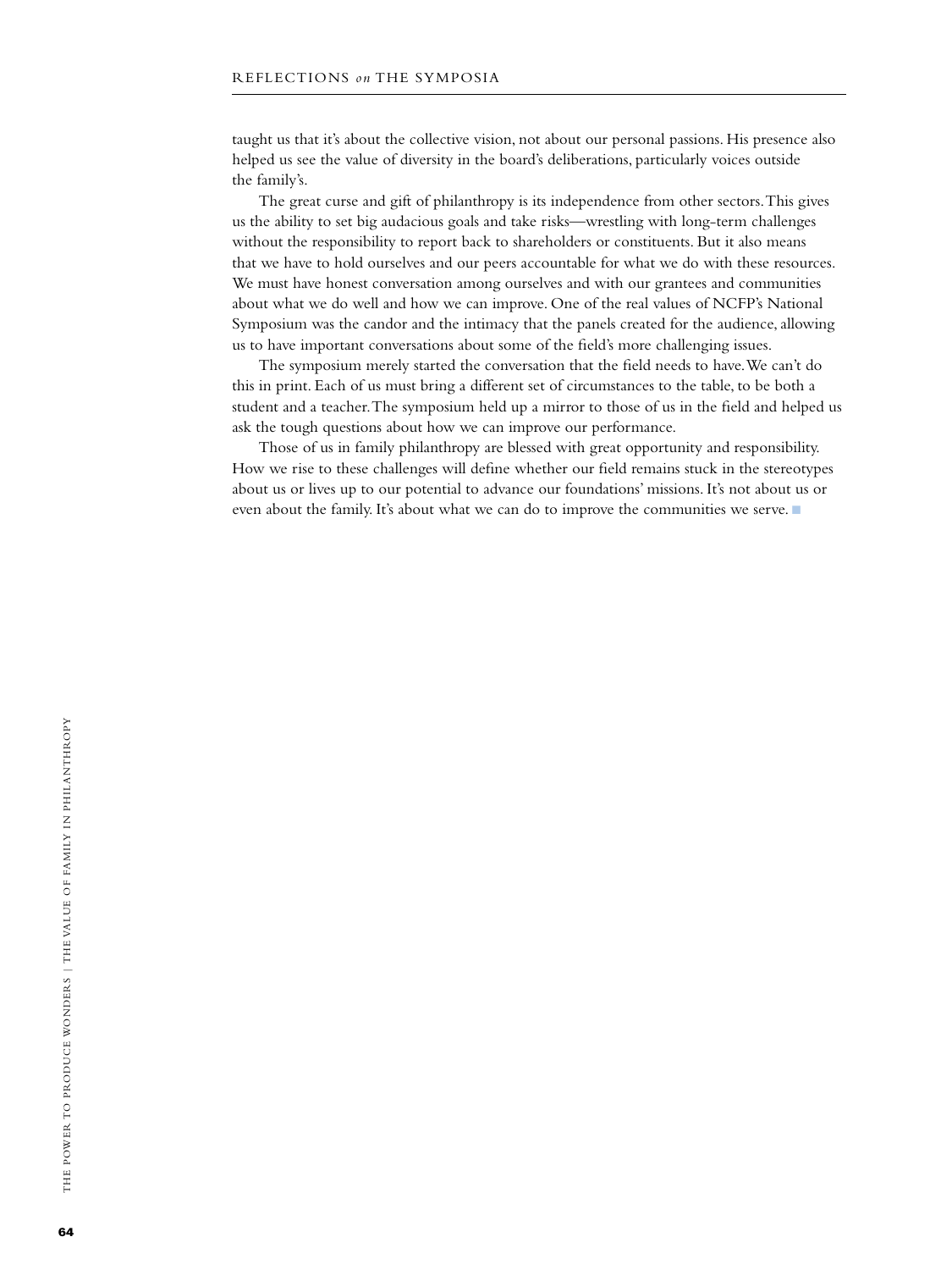taught us that it's about the collective vision, not about our personal passions. His presence also helped us see the value of diversity in the board's deliberations, particularly voices outside the family's.

The great curse and gift of philanthropy is its independence from other sectors. This gives us the ability to set big audacious goals and take risks—wrestling with long-term challenges without the responsibility to report back to shareholders or constituents. But it also means that we have to hold ourselves and our peers accountable for what we do with these resources. We must have honest conversation among ourselves and with our grantees and communities about what we do well and how we can improve. One of the real values of NCFP's National Symposium was the candor and the intimacy that the panels created for the audience, allowing us to have important conversations about some of the field's more challenging issues.

The symposium merely started the conversation that the field needs to have. We can't do this in print. Each of us must bring a different set of circumstances to the table, to be both a student and a teacher. The symposium held up a mirror to those of us in the field and helped us ask the tough questions about how we can improve our performance.

Those of us in family philanthropy are blessed with great opportunity and responsibility. How we rise to these challenges will define whether our field remains stuck in the stereotypes about us or lives up to our potential to advance our foundations' missions. It's not about us or even about the family. It's about what we can do to improve the communities we serve.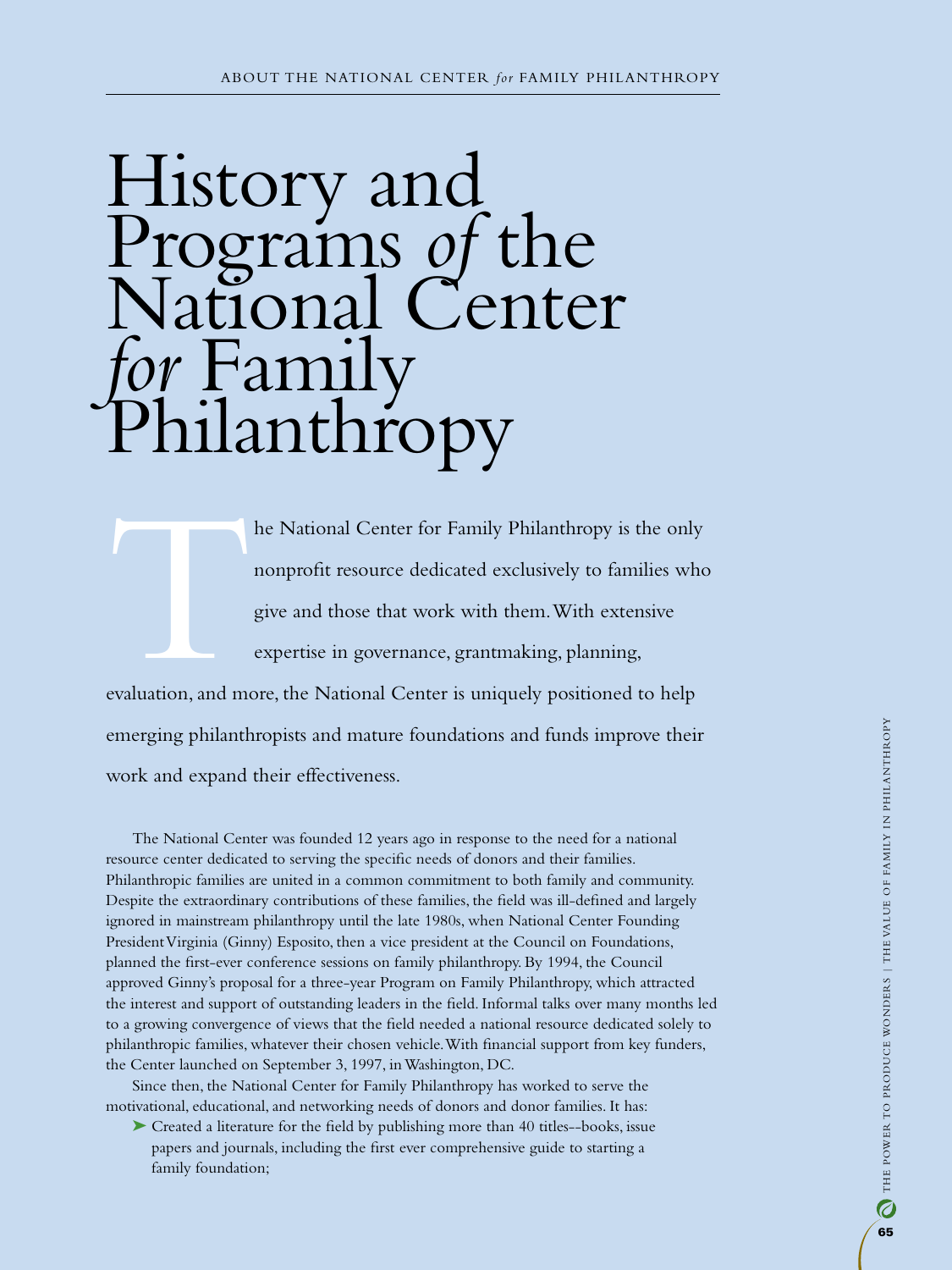# History and Programs *of* the tional Center ramily<br>lanthropy

he National Center for Family Philanthropy is the only<br>nonprofit resource dedicated exclusively to families who<br>give and those that work with them. With extensive<br>expertise in governance, grantmaking, planning,<br>evaluation, nonprofit resource dedicated exclusively to families who give and those that work with them. With extensive expertise in governance, grantmaking, planning, evaluation, and more, the National Center is uniquely positioned to help emerging philanthropists and mature foundations and funds improve their

work and expand their effectiveness.

The National Center was founded 12 years ago in response to the need for a national resource center dedicated to serving the specific needs of donors and their families. Philanthropic families are united in a common commitment to both family and community. Despite the extraordinary contributions of these families, the field was ill-defined and largely ignored in mainstream philanthropy until the late 1980s, when National Center Founding President Virginia (Ginny) Esposito, then a vice president at the Council on Foundations, planned the first-ever conference sessions on family philanthropy. By 1994, the Council approved Ginny's proposal for a three-year Program on Family Philanthropy, which attracted the interest and support of outstanding leaders in the field. Informal talks over many months led to a growing convergence of views that the field needed a national resource dedicated solely to philanthropic families, whatever their chosen vehicle. With financial support from key funders, the Center launched on September 3, 1997, in Washington, DC.

Since then, the National Center for Family Philanthropy has worked to serve the motivational, educational, and networking needs of donors and donor families. It has:

➤ Created a literature for the field by publishing more than 40 titles--books, issue papers and journals, including the first ever comprehensive guide to starting a family foundation;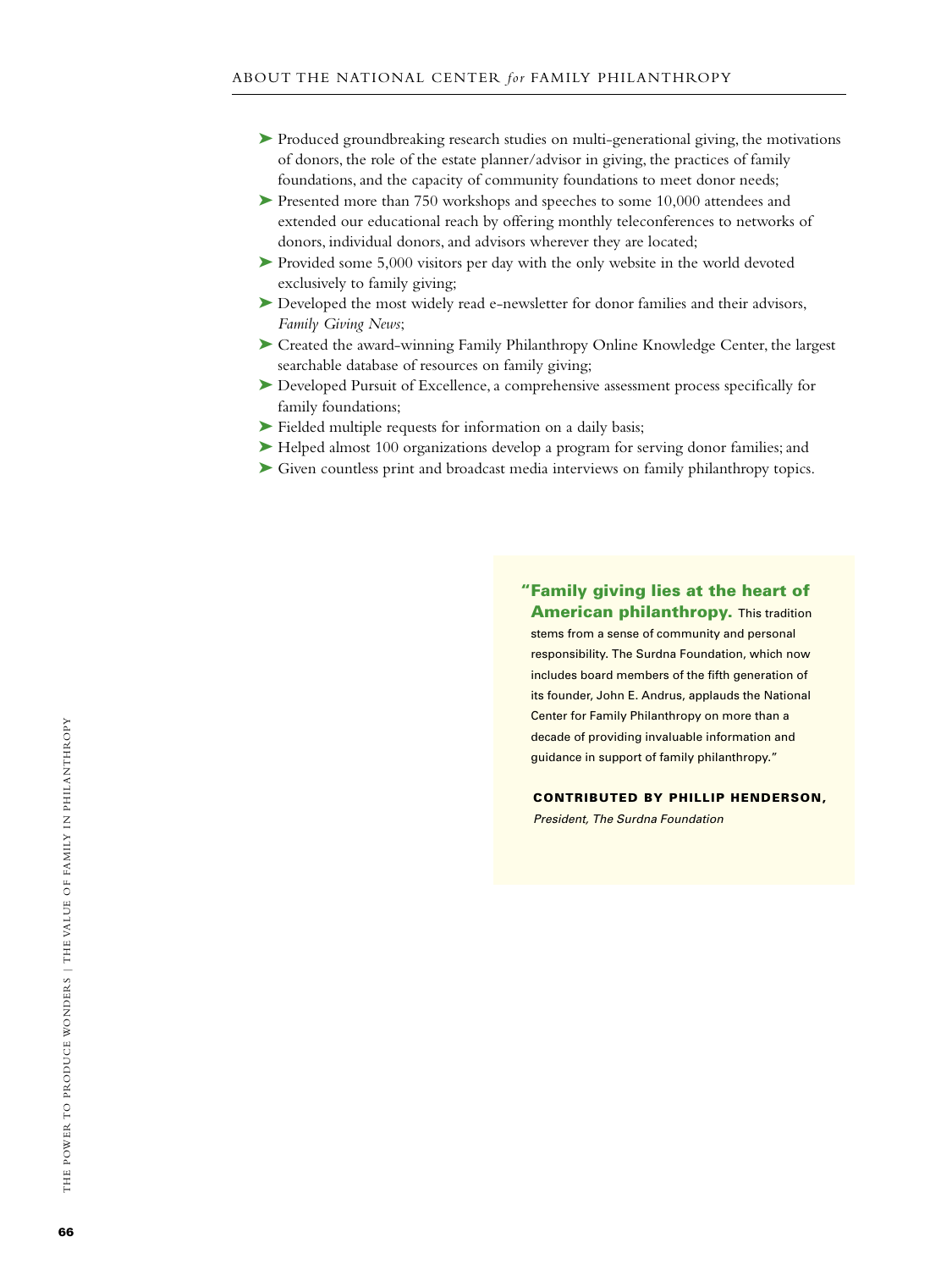- ➤ Produced groundbreaking research studies on multi-generational giving, the motivations of donors, the role of the estate planner/advisor in giving, the practices of family foundations, and the capacity of community foundations to meet donor needs;
- ▶ Presented more than 750 workshops and speeches to some 10,000 attendees and extended our educational reach by offering monthly teleconferences to networks of donors, individual donors, and advisors wherever they are located;
- ➤ Provided some 5,000 visitors per day with the only website in the world devoted exclusively to family giving;
- ▶ Developed the most widely read e-newsletter for donor families and their advisors, *Family Giving News*;
- ➤ Created the award-winning Family Philanthropy Online Knowledge Center, the largest searchable database of resources on family giving;
- ➤ Developed Pursuit of Excellence, a comprehensive assessment process specifically for family foundations;
- ➤ Fielded multiple requests for information on a daily basis;
- ➤ Helped almost 100 organizations develop a program for serving donor families; and
- ➤ Given countless print and broadcast media interviews on family philanthropy topics.

"Family giving lies at the heart of **American philanthropy.** This tradition stems from a sense of community and personal responsibility. The Surdna Foundation, which now includes board members of the fifth generation of its founder, John E. Andrus, applauds the National Center for Family Philanthropy on more than a decade of providing invaluable information and guidance in support of family philanthropy."

Contributed by Phillip Henderson,

*President, The Surdna Foundation*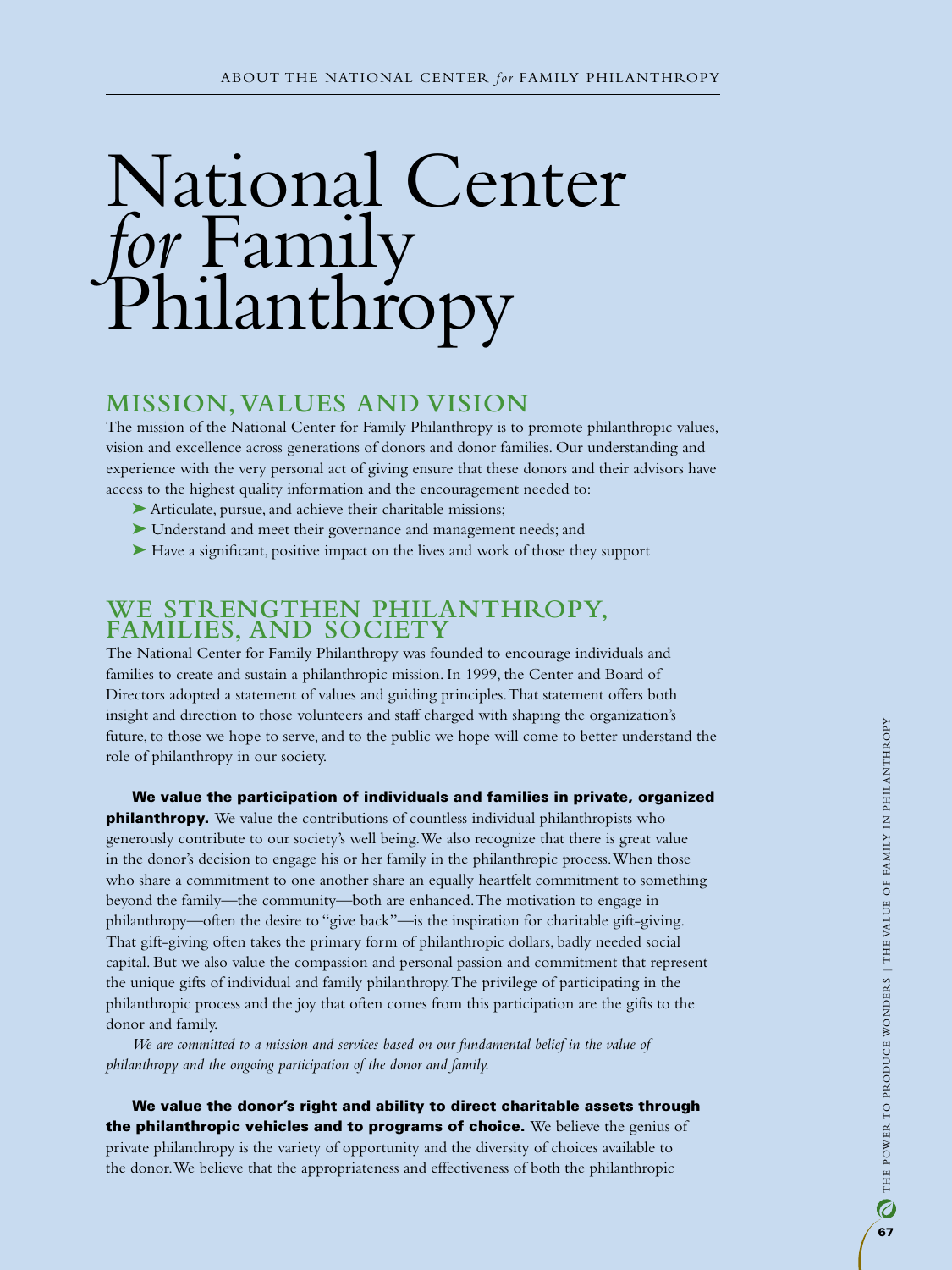# National Center *for* Family Philanthropy

## **Mission, Values and Vision**

The mission of the National Center for Family Philanthropy is to promote philanthropic values, vision and excellence across generations of donors and donor families. Our understanding and experience with the very personal act of giving ensure that these donors and their advisors have access to the highest quality information and the encouragement needed to:

- ➤ Articulate, pursue, and achieve their charitable missions;
- ➤ Understand and meet their governance and management needs; and
- ➤ Have a significant, positive impact on the lives and work of those they support

## **We Strengthen Philanthropy, Families, and Society**

The National Center for Family Philanthropy was founded to encourage individuals and families to create and sustain a philanthropic mission. In 1999, the Center and Board of Directors adopted a statement of values and guiding principles. That statement offers both insight and direction to those volunteers and staff charged with shaping the organization's future, to those we hope to serve, and to the public we hope will come to better understand the role of philanthropy in our society.

We value the participation of individuals and families in private, organized **philanthropy.** We value the contributions of countless individual philanthropists who generously contribute to our society's well being. We also recognize that there is great value in the donor's decision to engage his or her family in the philanthropic process. When those who share a commitment to one another share an equally heartfelt commitment to something beyond the family—the community—both are enhanced. The motivation to engage in philanthropy—often the desire to "give back"—is the inspiration for charitable gift-giving. That gift-giving often takes the primary form of philanthropic dollars, badly needed social capital. But we also value the compassion and personal passion and commitment that represent the unique gifts of individual and family philanthropy. The privilege of participating in the philanthropic process and the joy that often comes from this participation are the gifts to the donor and family.

*We are committed to a mission and services based on our fundamental belief in the value of philanthropy and the ongoing participation of the donor and family.*

We value the donor's right and ability to direct charitable assets through the philanthropic vehicles and to programs of choice. We believe the genius of private philanthropy is the variety of opportunity and the diversity of choices available to the donor. We believe that the appropriateness and effectiveness of both the philanthropic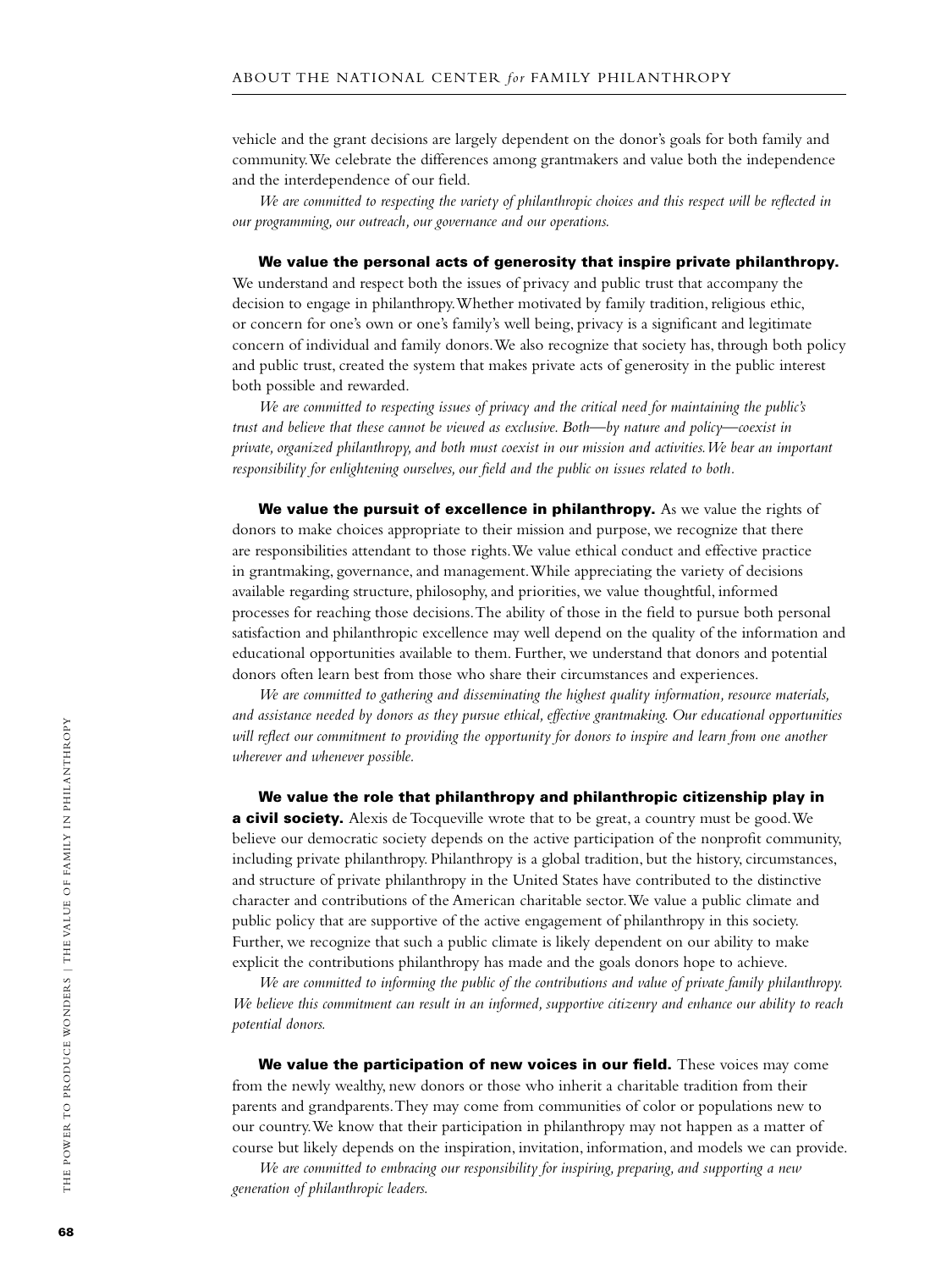vehicle and the grant decisions are largely dependent on the donor's goals for both family and community. We celebrate the differences among grantmakers and value both the independence and the interdependence of our field.

*We are committed to respecting the variety of philanthropic choices and this respect will be reflected in our programming, our outreach, our governance and our operations.* 

We value the personal acts of generosity that inspire private philanthropy. We understand and respect both the issues of privacy and public trust that accompany the decision to engage in philanthropy. Whether motivated by family tradition, religious ethic, or concern for one's own or one's family's well being, privacy is a significant and legitimate concern of individual and family donors. We also recognize that society has, through both policy and public trust, created the system that makes private acts of generosity in the public interest both possible and rewarded.

*We are committed to respecting issues of privacy and the critical need for maintaining the public's trust and believe that these cannot be viewed as exclusive. Both—by nature and policy—coexist in private, organized philanthropy, and both must coexist in our mission and activities. We bear an important responsibility for enlightening ourselves, our field and the public on issues related to both.*

We value the pursuit of excellence in philanthropy. As we value the rights of donors to make choices appropriate to their mission and purpose, we recognize that there are responsibilities attendant to those rights. We value ethical conduct and effective practice in grantmaking, governance, and management. While appreciating the variety of decisions available regarding structure, philosophy, and priorities, we value thoughtful, informed processes for reaching those decisions. The ability of those in the field to pursue both personal satisfaction and philanthropic excellence may well depend on the quality of the information and educational opportunities available to them. Further, we understand that donors and potential donors often learn best from those who share their circumstances and experiences.

*We are committed to gathering and disseminating the highest quality information, resource materials, and assistance needed by donors as they pursue ethical, effective grantmaking. Our educational opportunities will reflect our commitment to providing the opportunity for donors to inspire and learn from one another wherever and whenever possible.* 

We value the role that philanthropy and philanthropic citizenship play in **a civil society.** Alexis de Tocqueville wrote that to be great, a country must be good. We believe our democratic society depends on the active participation of the nonprofit community, including private philanthropy. Philanthropy is a global tradition, but the history, circumstances, and structure of private philanthropy in the United States have contributed to the distinctive character and contributions of the American charitable sector. We value a public climate and public policy that are supportive of the active engagement of philanthropy in this society. Further, we recognize that such a public climate is likely dependent on our ability to make explicit the contributions philanthropy has made and the goals donors hope to achieve.

*We are committed to informing the public of the contributions and value of private family philanthropy. We believe this commitment can result in an informed, supportive citizenry and enhance our ability to reach potential donors.* 

We value the participation of new voices in our field. These voices may come from the newly wealthy, new donors or those who inherit a charitable tradition from their parents and grandparents. They may come from communities of color or populations new to our country. We know that their participation in philanthropy may not happen as a matter of course but likely depends on the inspiration, invitation, information, and models we can provide.

*We are committed to embracing our responsibility for inspiring, preparing, and supporting a new generation of philanthropic leaders.*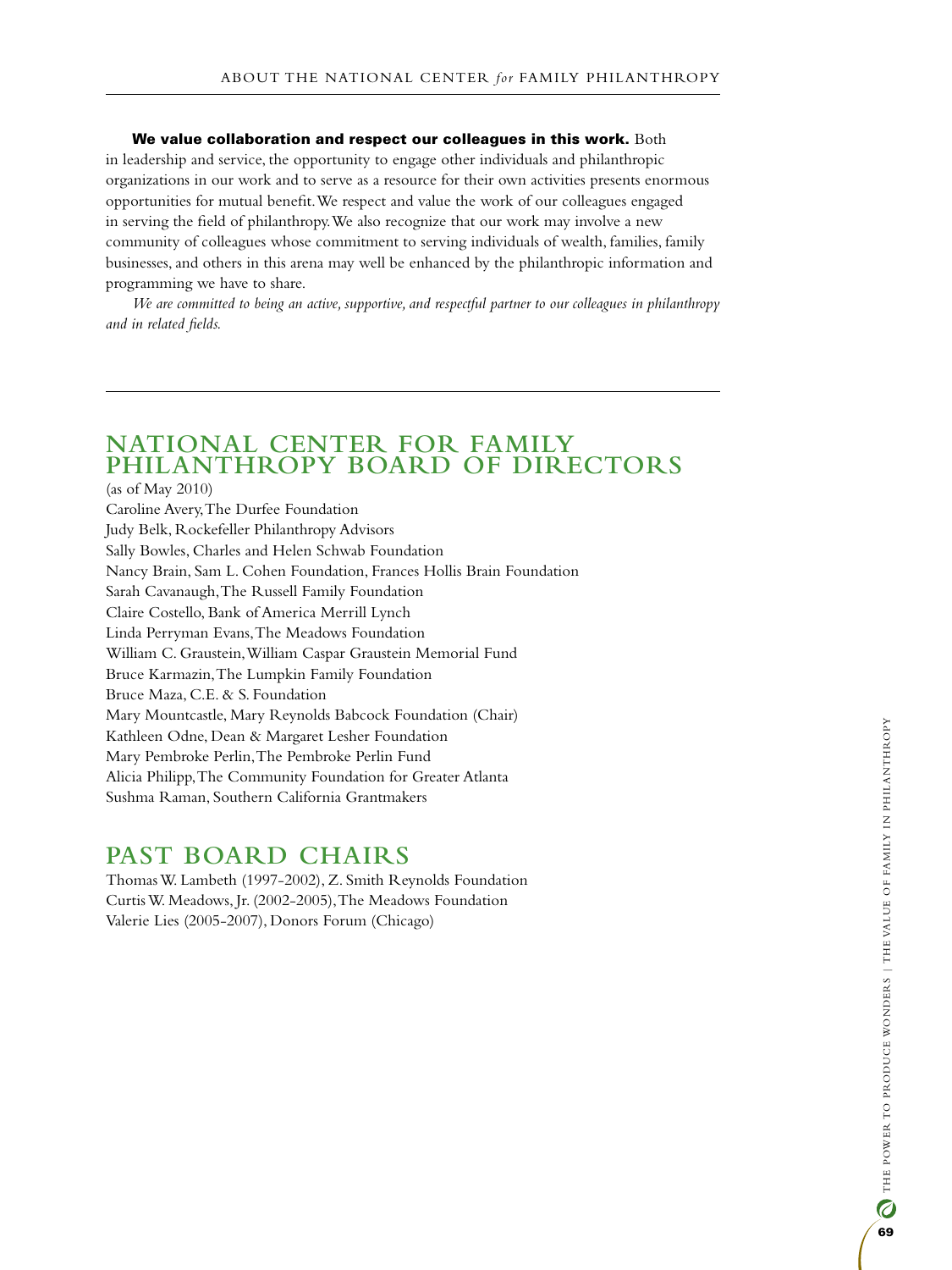We value collaboration and respect our colleagues in this work.  $Both$ in leadership and service, the opportunity to engage other individuals and philanthropic organizations in our work and to serve as a resource for their own activities presents enormous opportunities for mutual benefit. We respect and value the work of our colleagues engaged in serving the field of philanthropy. We also recognize that our work may involve a new community of colleagues whose commitment to serving individuals of wealth, families, family businesses, and others in this arena may well be enhanced by the philanthropic information and programming we have to share.

*We are committed to being an active, supportive, and respectful partner to our colleagues in philanthropy and in related fields.*

# **National Center for Family Philanthropy Board of Directors**

(as of May 2010) Caroline Avery, The Durfee Foundation Judy Belk, Rockefeller Philanthropy Advisors Sally Bowles, Charles and Helen Schwab Foundation Nancy Brain, Sam L. Cohen Foundation, Frances Hollis Brain Foundation Sarah Cavanaugh, The Russell Family Foundation Claire Costello, Bank of America Merrill Lynch Linda Perryman Evans, The Meadows Foundation William C. Graustein, William Caspar Graustein Memorial Fund Bruce Karmazin, The Lumpkin Family Foundation Bruce Maza, C.E. & S. Foundation Mary Mountcastle, Mary Reynolds Babcock Foundation (Chair) Kathleen Odne, Dean & Margaret Lesher Foundation Mary Pembroke Perlin, The Pembroke Perlin Fund Alicia Philipp, The Community Foundation for Greater Atlanta Sushma Raman, Southern California Grantmakers

# **Past Board Chairs**

Thomas W. Lambeth (1997-2002), Z. Smith Reynolds Foundation Curtis W. Meadows, Jr. (2002-2005), The Meadows Foundation Valerie Lies (2005-2007), Donors Forum (Chicago)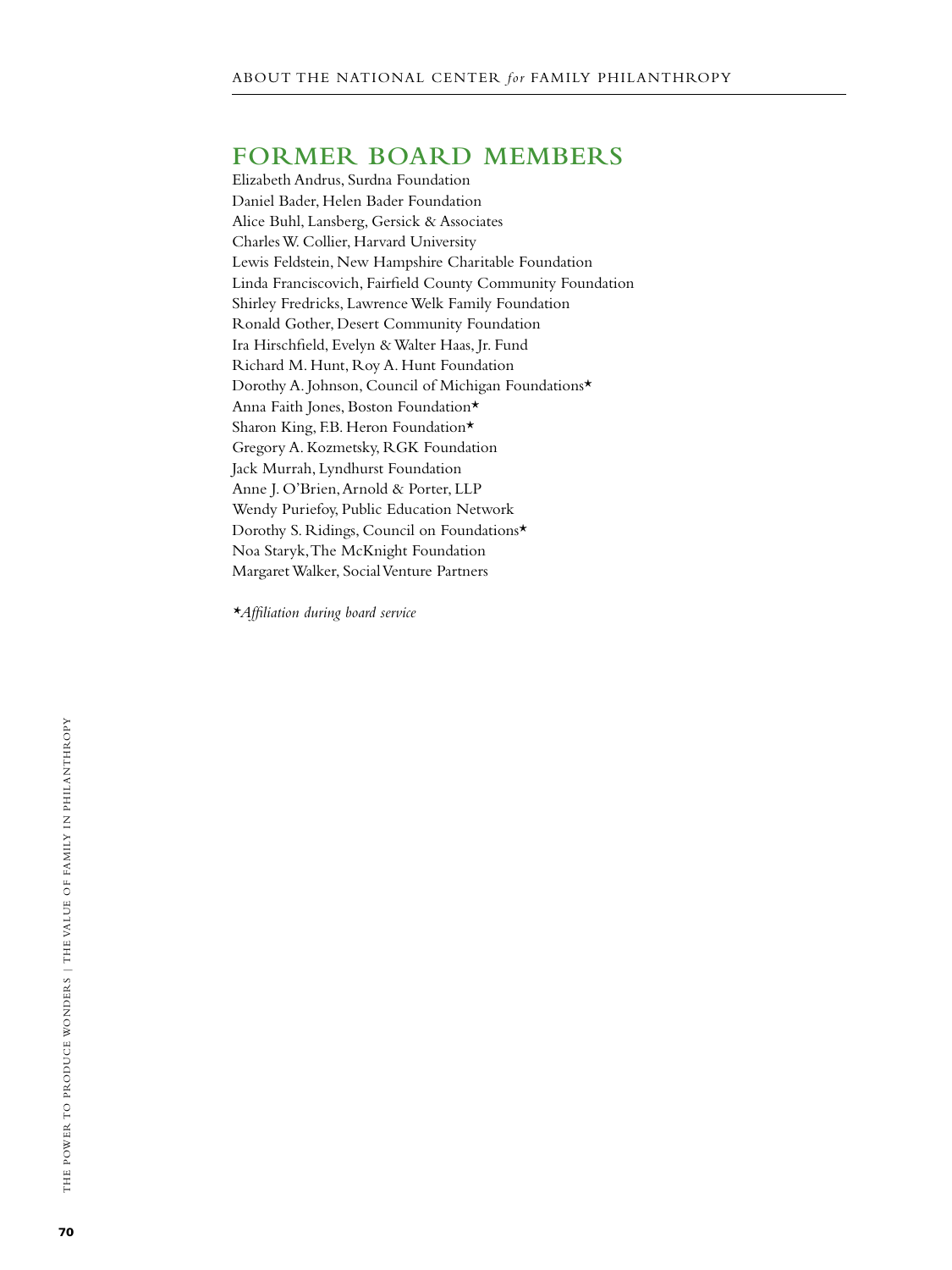# **Former Board Members**

Elizabeth Andrus, Surdna Foundation Daniel Bader, Helen Bader Foundation Alice Buhl, Lansberg, Gersick & Associates Charles W. Collier, Harvard University Lewis Feldstein, New Hampshire Charitable Foundation Linda Franciscovich, Fairfield County Community Foundation Shirley Fredricks, Lawrence Welk Family Foundation Ronald Gother, Desert Community Foundation Ira Hirschfield, Evelyn & Walter Haas, Jr. Fund Richard M. Hunt, Roy A. Hunt Foundation Dorothy A. Johnson, Council of Michigan Foundations\* Anna Faith Jones, Boston Foundation\* Sharon King, F.B. Heron Foundation\* Gregory A. Kozmetsky, RGK Foundation Jack Murrah, Lyndhurst Foundation Anne J. O'Brien, Arnold & Porter, LLP Wendy Puriefoy, Public Education Network Dorothy S. Ridings, Council on Foundations\* Noa Staryk, The McKnight Foundation Margaret Walker, Social Venture Partners

*\*Affiliation during board service*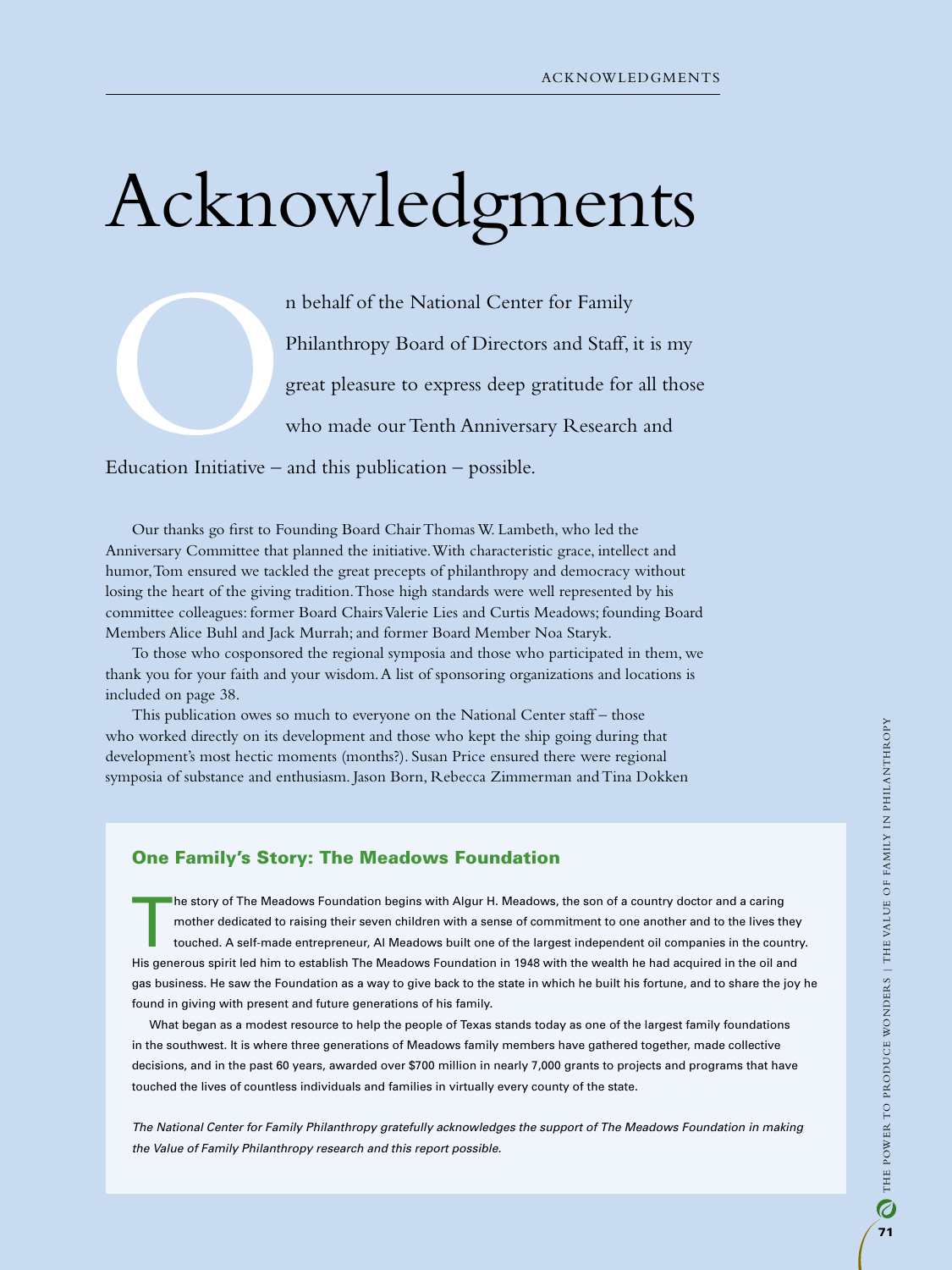# Acknowledgments

n behalf of the National Center for Family<br>Philanthropy Board of Directors and Staff, i<br>great pleasure to express deep gratitude for<br>who made our Tenth Anniversary Research<br>Education Initiative – and this publication – pos Philanthropy Board of Directors and Staff, it is my great pleasure to express deep gratitude for all those who made our Tenth Anniversary Research and

Education Initiative – and this publication – possible.

Our thanks go first to Founding Board Chair Thomas W. Lambeth, who led the Anniversary Committee that planned the initiative. With characteristic grace, intellect and humor, Tom ensured we tackled the great precepts of philanthropy and democracy without losing the heart of the giving tradition. Those high standards were well represented by his committee colleagues: former Board Chairs Valerie Lies and Curtis Meadows; founding Board Members Alice Buhl and Jack Murrah; and former Board Member Noa Staryk.

To those who cosponsored the regional symposia and those who participated in them, we thank you for your faith and your wisdom. A list of sponsoring organizations and locations is included on page 38.

This publication owes so much to everyone on the National Center staff – those who worked directly on its development and those who kept the ship going during that development's most hectic moments (months?). Susan Price ensured there were regional symposia of substance and enthusiasm. Jason Born, Rebecca Zimmerman and Tina Dokken

### One Family's Story: The Meadows Foundation

The story of The Meadows Foundation begins with Algur H. Meadows, the son of a country doctor and a caring<br>mother dedicated to raising their seven children with a sense of commitment to one another and to the lives th<br>touc mother dedicated to raising their seven children with a sense of commitment to one another and to the lives they touched. A self-made entrepreneur, Al Meadows built one of the largest independent oil companies in the country. His generous spirit led him to establish The Meadows Foundation in 1948 with the wealth he had acquired in the oil and gas business. He saw the Foundation as a way to give back to the state in which he built his fortune, and to share the joy he found in giving with present and future generations of his family.

What began as a modest resource to help the people of Texas stands today as one of the largest family foundations in the southwest. It is where three generations of Meadows family members have gathered together, made collective decisions, and in the past 60 years, awarded over \$700 million in nearly 7,000 grants to projects and programs that have touched the lives of countless individuals and families in virtually every county of the state.

*The National Center for Family Philanthropy gratefully acknowledges the support of The Meadows Foundation in making the Value of Family Philanthropy research and this report possible.*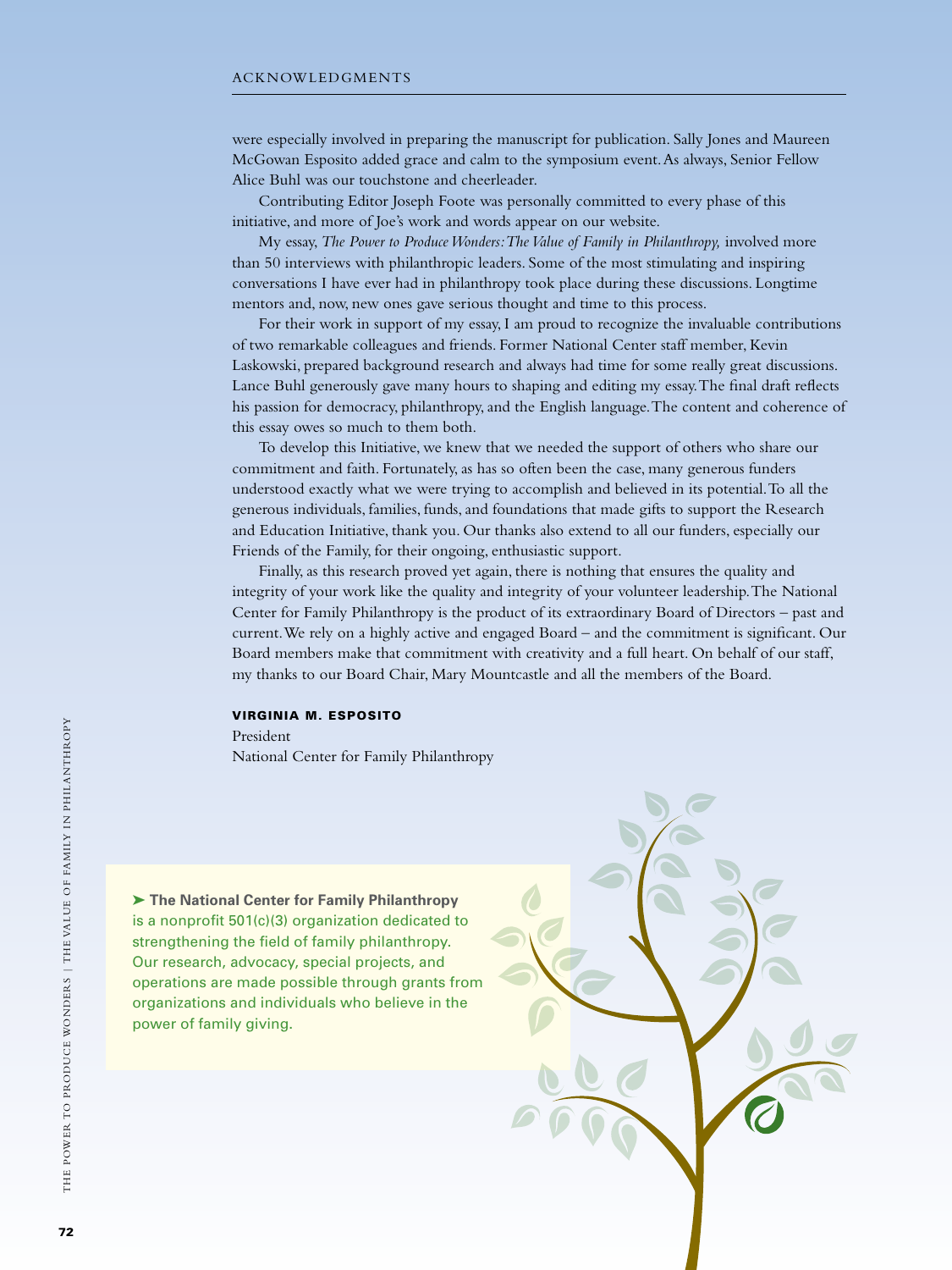were especially involved in preparing the manuscript for publication. Sally Jones and Maureen McGowan Esposito added grace and calm to the symposium event. As always, Senior Fellow Alice Buhl was our touchstone and cheerleader.

Contributing Editor Joseph Foote was personally committed to every phase of this initiative, and more of Joe's work and words appear on our website.

My essay, *The Power to Produce Wonders: The Value of Family in Philanthropy,* involved more than 50 interviews with philanthropic leaders. Some of the most stimulating and inspiring conversations I have ever had in philanthropy took place during these discussions. Longtime mentors and, now, new ones gave serious thought and time to this process.

For their work in support of my essay, I am proud to recognize the invaluable contributions of two remarkable colleagues and friends. Former National Center staff member, Kevin Laskowski, prepared background research and always had time for some really great discussions. Lance Buhl generously gave many hours to shaping and editing my essay. The final draft reflects his passion for democracy, philanthropy, and the English language. The content and coherence of this essay owes so much to them both.

To develop this Initiative, we knew that we needed the support of others who share our commitment and faith. Fortunately, as has so often been the case, many generous funders understood exactly what we were trying to accomplish and believed in its potential. To all the generous individuals, families, funds, and foundations that made gifts to support the Research and Education Initiative, thank you. Our thanks also extend to all our funders, especially our Friends of the Family, for their ongoing, enthusiastic support.

Finally, as this research proved yet again, there is nothing that ensures the quality and integrity of your work like the quality and integrity of your volunteer leadership. The National Center for Family Philanthropy is the product of its extraordinary Board of Directors – past and current. We rely on a highly active and engaged Board – and the commitment is significant. Our Board members make that commitment with creativity and a full heart. On behalf of our staff, my thanks to our Board Chair, Mary Mountcastle and all the members of the Board.

### Virginia M. Esposito

President National Center for Family Philanthropy

➤ **The National Center for Family Philanthropy** is a nonprofit 501(c)(3) organization dedicated to strengthening the field of family philanthropy. Our research, advocacy, special projects, and operations are made possible through grants from organizations and individuals who believe in the power of family giving.

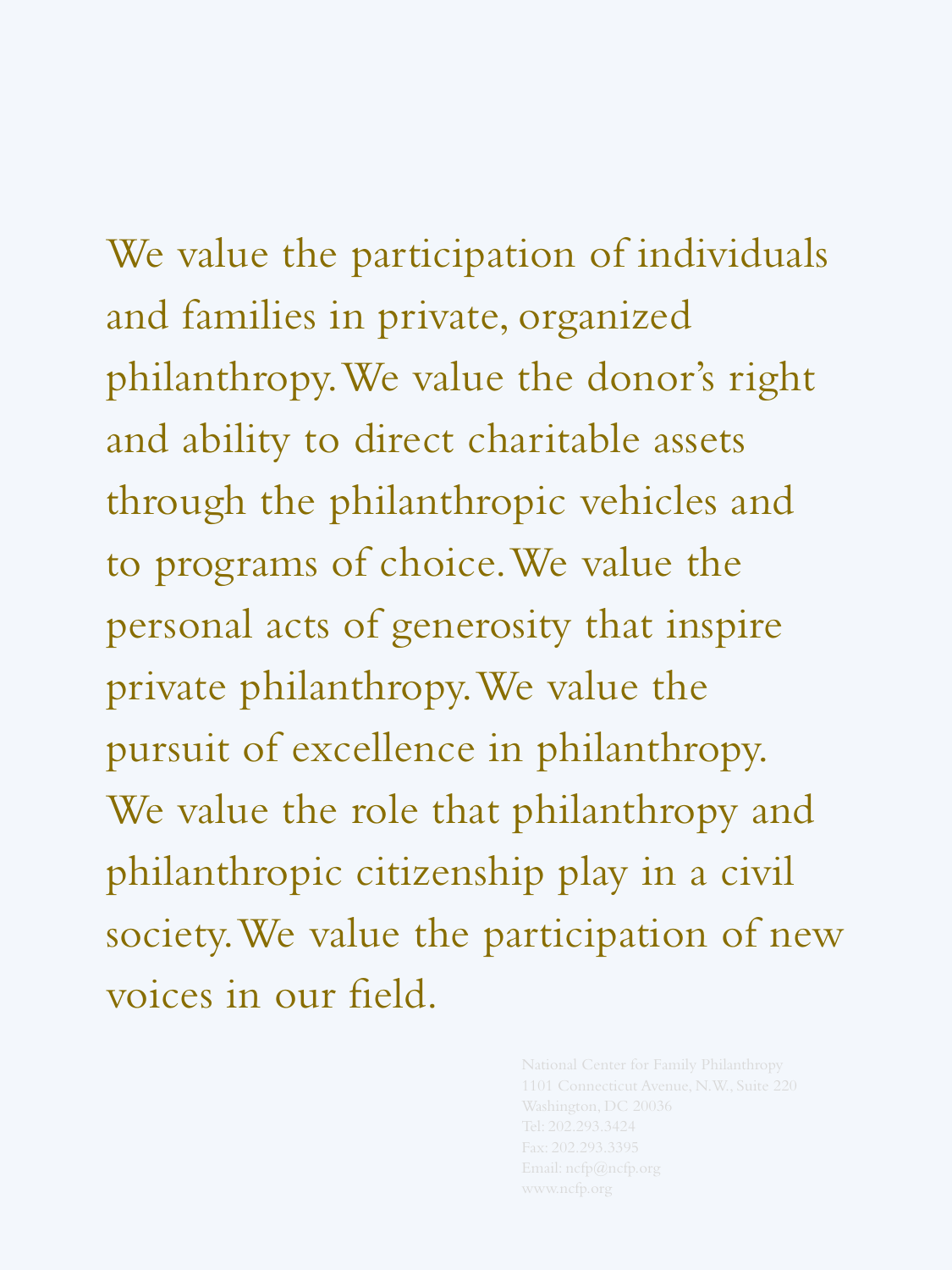We value the participation of individuals and families in private, organized philanthropy. We value the donor's right and ability to direct charitable assets through the philanthropic vehicles and to programs of choice. We value the personal acts of generosity that inspire private philanthropy. We value the pursuit of excellence in philanthropy. We value the role that philanthropy and philanthropic citizenship play in a civil society. We value the participation of new voices in our field.

> National Center for Family Philanthropy 1101 Connecticut Avenue, N.W., Suite 220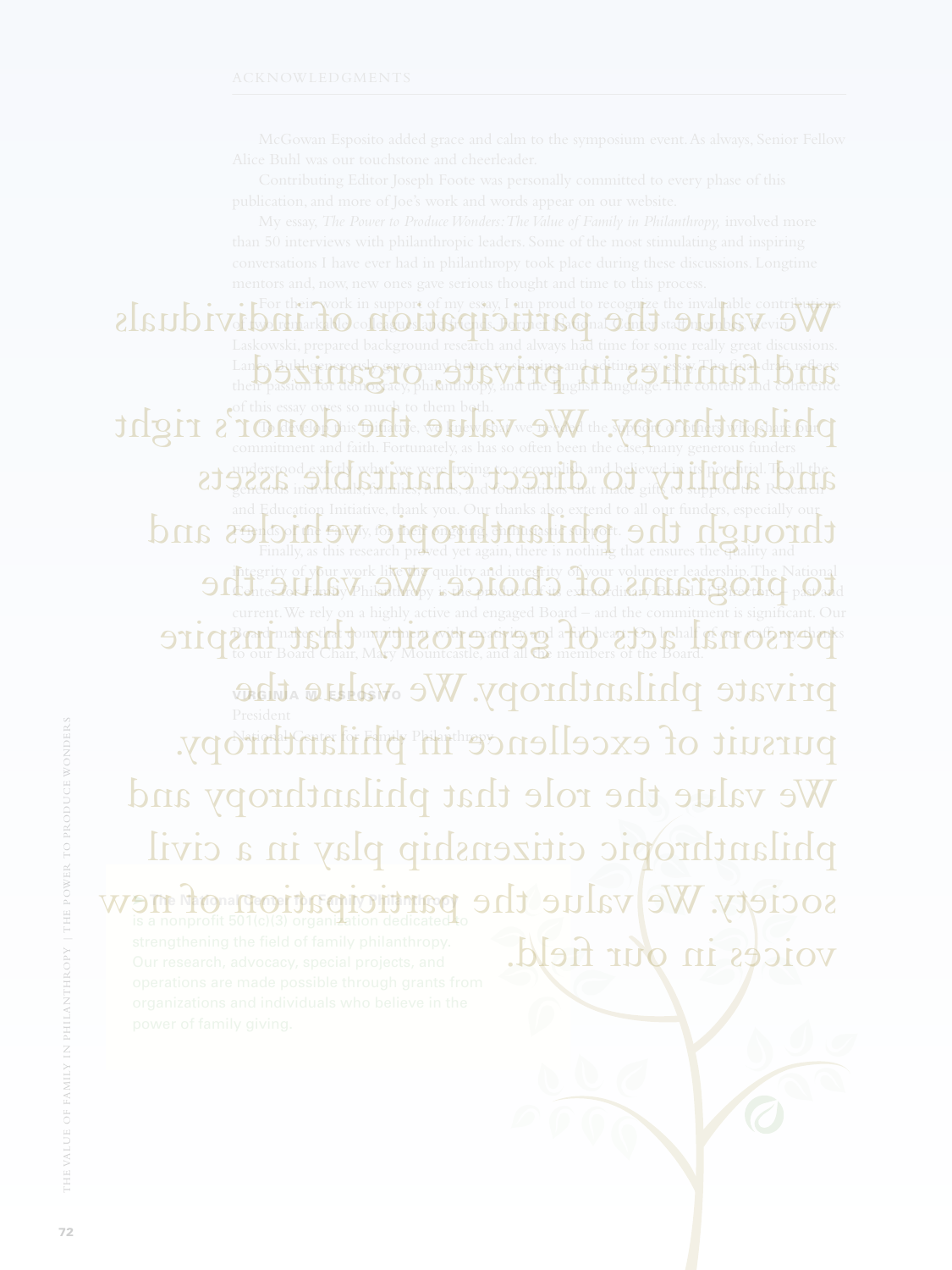➤ **The National Center for Family Philanthropy** society. We value the participation of  $\mathbb{R}^{\infty}$ Fork in support of my essay, I am proud to recognize the invaluable Of the particle contribution of the particle contribution of the property of my essay, I am proud to recognize the invaluable contribution Laskowski, prepared background research and always had time for some really great discus Lance Buhl generously gave many hours to shaping and editing my essay. The final draft reflects their passi<del>on for democracy, philanthropy</del>, and the English language. The content and coherence of this essay owes so much to them both. phalanthropy. The development of the support of the support of others who share our community of others who share our contribution of the support of the support of  $\mathbf{p}_i$ understood exactly what we were trying to accomplish and believed in its potential. To all the generous individuals, families, funds, and foundations that made gifts to support the Research ation Initiative, thank you. Our thanks also extend to all our  $\epsilon$ Friends of the Family, for their ongoing, enthusiastic support. the philanthropic of the philanthropic vertex of the philanthropic through the philanthropic and the philanthropic vehicles and the philanthropic vehicles and the philanthropic vehicles and the philanthropic vehicles and t integrity of your work like the quality and integrity on your volunteer leadership. The National The National integrity of your work li**ke the quality and integrity of your volunteer leadership. The National States of past and the product of past and the product of past and the past and the past and the past**  $\Theta$  **of** current. We rely on a highly active and engaged Board – and the commitment is  $\beta$  card mates that do maximent with creativity and a full heart. On lehalf of our caff, my changing of graduate the dumpit of general chair, Mary Mountcastle, and all the members of the Board. private philanthropy. We walue the pursuit of excellence in philanthropy. and Bublisherorsh any many hours to shaping and editing my resear. The final draft reflects and dinderstood exactly what we were triving to accomplish and believed in its potential. To all the charitan We value the role that philanthropy and philanthropic citizenship play in a civil voices in our field.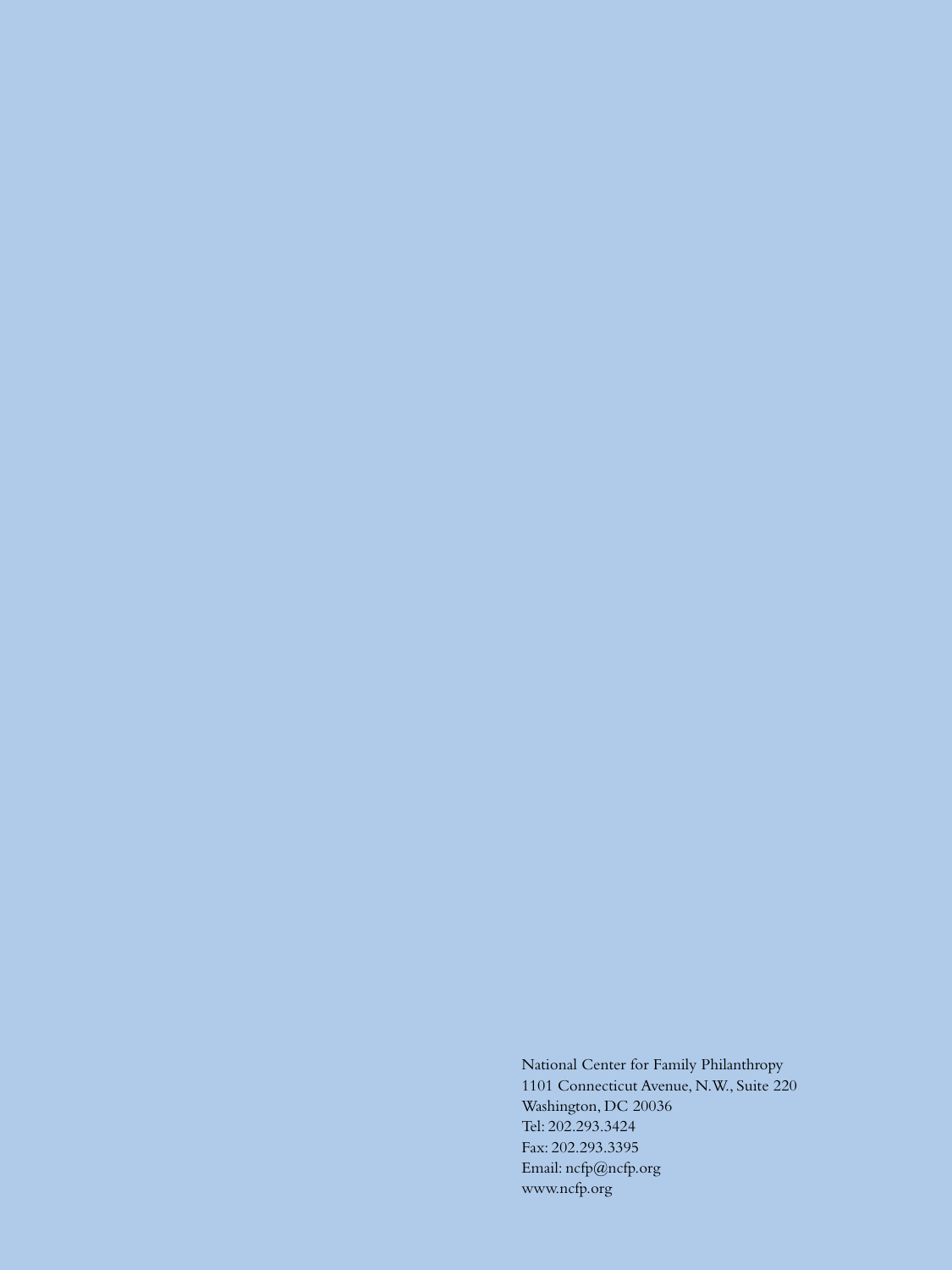National Center for Family Philanthropy 1101 Connecticut Avenue, N.W., Suite 220 Washington, DC 20036 Tel: 202.293.3424 Fax: 202.293.3395 Email: ncfp@ncfp.org www.ncfp.org